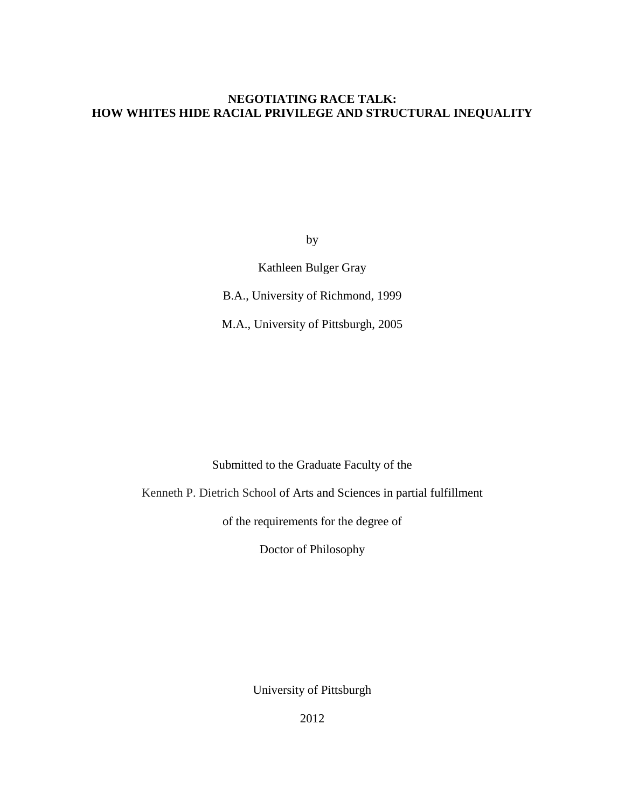## **NEGOTIATING RACE TALK: HOW WHITES HIDE RACIAL PRIVILEGE AND STRUCTURAL INEQUALITY**

by

Kathleen Bulger Gray

B.A., University of Richmond, 1999

M.A., University of Pittsburgh, 2005

Submitted to the Graduate Faculty of the

Kenneth P. Dietrich School of Arts and Sciences in partial fulfillment

of the requirements for the degree of

Doctor of Philosophy

University of Pittsburgh

2012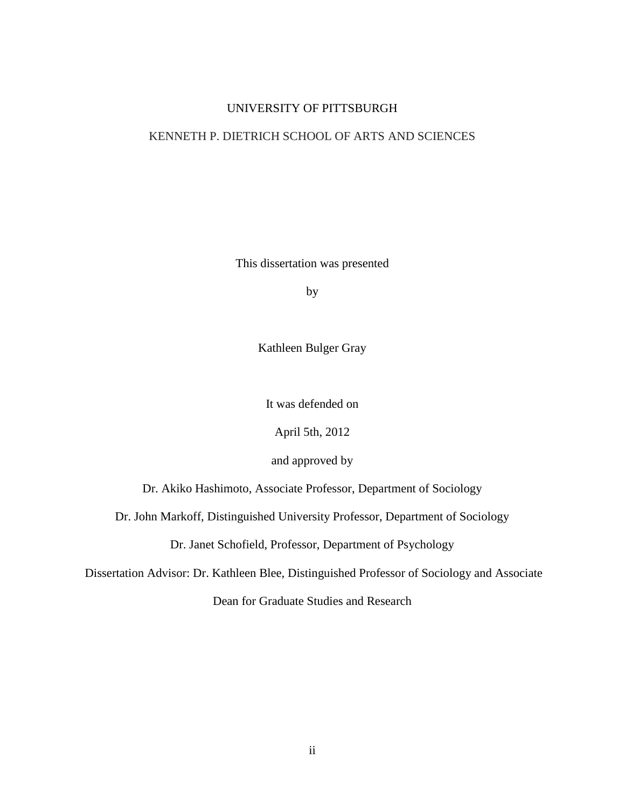## UNIVERSITY OF PITTSBURGH

## KENNETH P. DIETRICH SCHOOL OF ARTS AND SCIENCES

This dissertation was presented

by

Kathleen Bulger Gray

It was defended on

April 5th, 2012

and approved by

Dr. Akiko Hashimoto, Associate Professor, Department of Sociology

Dr. John Markoff, Distinguished University Professor, Department of Sociology

Dr. Janet Schofield, Professor, Department of Psychology

Dissertation Advisor: Dr. Kathleen Blee, Distinguished Professor of Sociology and Associate

Dean for Graduate Studies and Research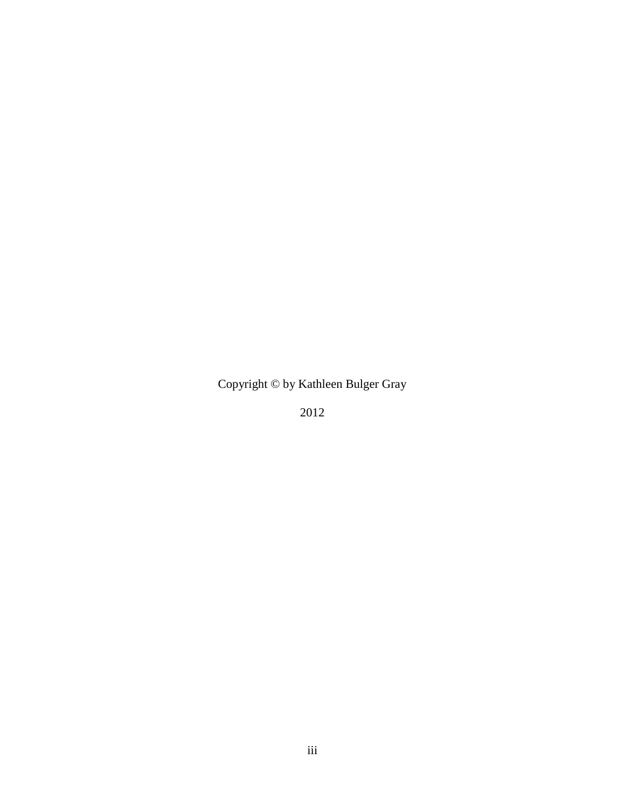Copyright © by Kathleen Bulger Gray

2012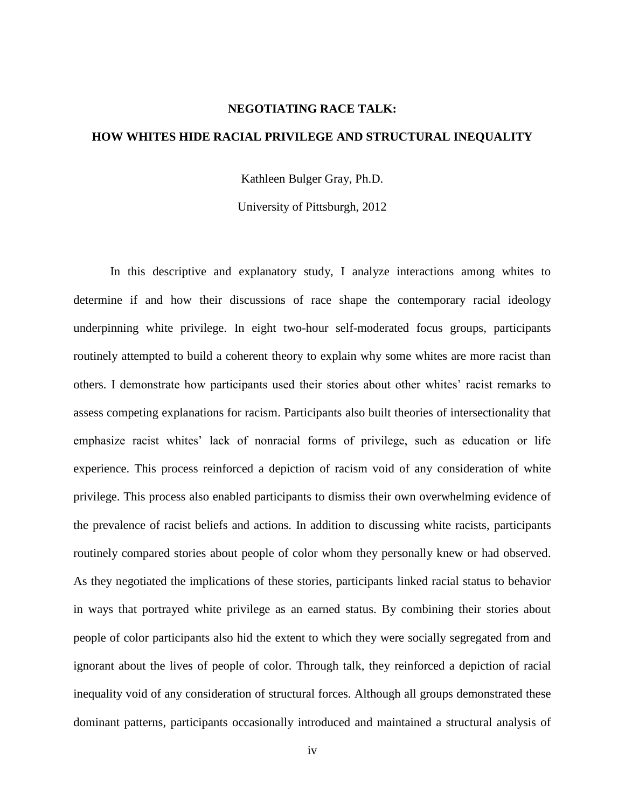#### **NEGOTIATING RACE TALK:**

### **HOW WHITES HIDE RACIAL PRIVILEGE AND STRUCTURAL INEQUALITY**

Kathleen Bulger Gray, Ph.D.

University of Pittsburgh, 2012

In this descriptive and explanatory study, I analyze interactions among whites to determine if and how their discussions of race shape the contemporary racial ideology underpinning white privilege. In eight two-hour self-moderated focus groups, participants routinely attempted to build a coherent theory to explain why some whites are more racist than others. I demonstrate how participants used their stories about other whites' racist remarks to assess competing explanations for racism. Participants also built theories of intersectionality that emphasize racist whites' lack of nonracial forms of privilege, such as education or life experience. This process reinforced a depiction of racism void of any consideration of white privilege. This process also enabled participants to dismiss their own overwhelming evidence of the prevalence of racist beliefs and actions. In addition to discussing white racists, participants routinely compared stories about people of color whom they personally knew or had observed. As they negotiated the implications of these stories, participants linked racial status to behavior in ways that portrayed white privilege as an earned status. By combining their stories about people of color participants also hid the extent to which they were socially segregated from and ignorant about the lives of people of color. Through talk, they reinforced a depiction of racial inequality void of any consideration of structural forces. Although all groups demonstrated these dominant patterns, participants occasionally introduced and maintained a structural analysis of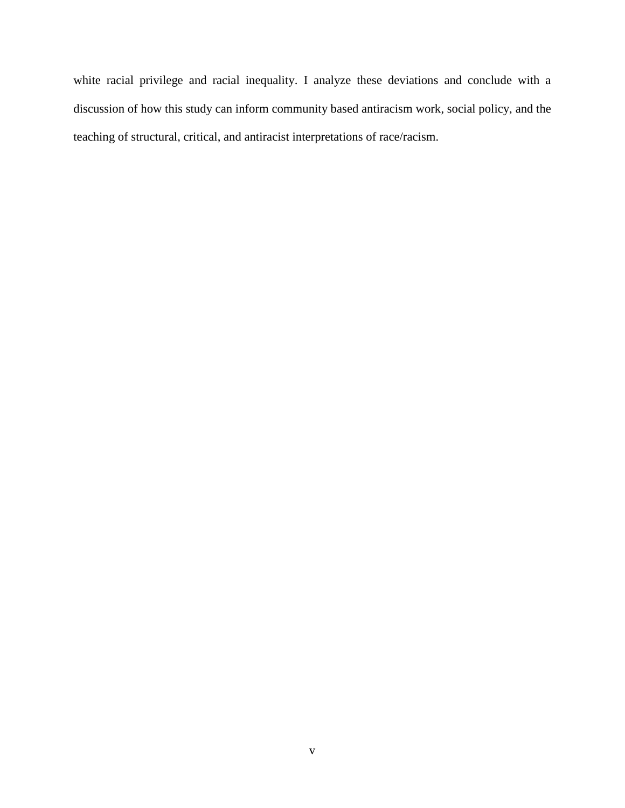white racial privilege and racial inequality. I analyze these deviations and conclude with a discussion of how this study can inform community based antiracism work, social policy, and the teaching of structural, critical, and antiracist interpretations of race/racism.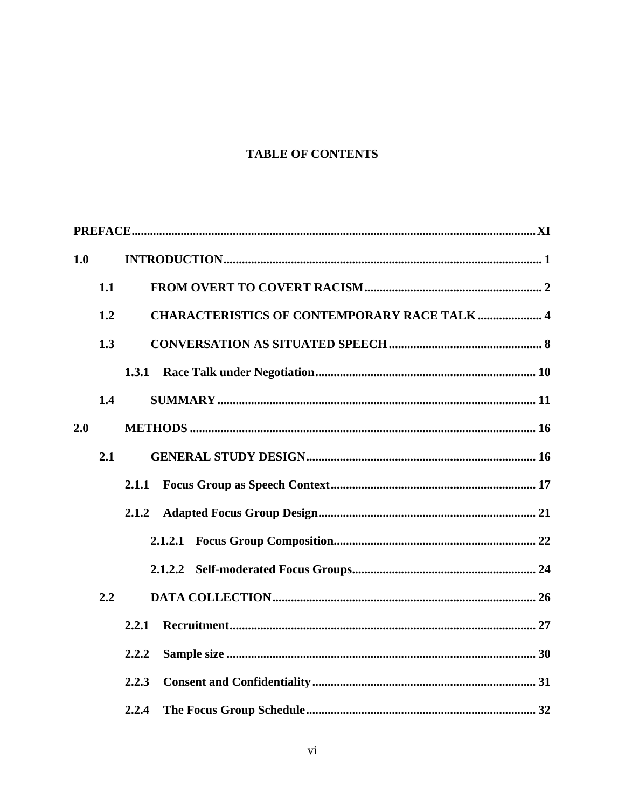# **TABLE OF CONTENTS**

| 1.0 |     |                                                     |  |  |  |
|-----|-----|-----------------------------------------------------|--|--|--|
|     | 1.1 |                                                     |  |  |  |
|     | 1.2 | <b>CHARACTERISTICS OF CONTEMPORARY RACE TALK  4</b> |  |  |  |
|     | 1.3 |                                                     |  |  |  |
|     |     |                                                     |  |  |  |
|     | 1.4 |                                                     |  |  |  |
| 2.0 |     |                                                     |  |  |  |
|     | 2.1 |                                                     |  |  |  |
|     |     | 2.1.1                                               |  |  |  |
|     |     | 2.1.2                                               |  |  |  |
|     |     |                                                     |  |  |  |
|     |     |                                                     |  |  |  |
|     | 2.2 |                                                     |  |  |  |
|     |     | 2.2.1                                               |  |  |  |
|     |     | 2.2.2                                               |  |  |  |
|     |     | 2.2.3                                               |  |  |  |
|     |     | 2.2.4                                               |  |  |  |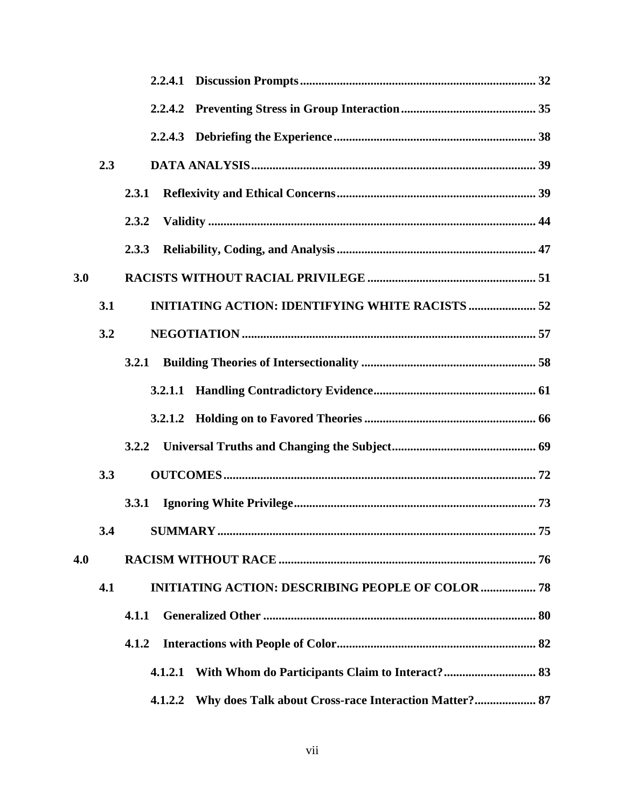|     | 2.3 |                                                                  |  |
|-----|-----|------------------------------------------------------------------|--|
|     |     | 2.3.1                                                            |  |
|     |     | 2.3.2                                                            |  |
|     |     | 2.3.3                                                            |  |
| 3.0 |     |                                                                  |  |
|     | 3.1 | <b>INITIATING ACTION: IDENTIFYING WHITE RACISTS  52</b>          |  |
|     | 3.2 |                                                                  |  |
|     |     | 3.2.1                                                            |  |
|     |     |                                                                  |  |
|     |     |                                                                  |  |
|     |     |                                                                  |  |
|     | 3.3 |                                                                  |  |
|     |     | 3.3.1                                                            |  |
|     |     |                                                                  |  |
| 4.0 |     |                                                                  |  |
|     | 4.1 | <b>INITIATING ACTION: DESCRIBING PEOPLE OF COLOR  78</b>         |  |
|     |     | 4.1.1                                                            |  |
|     |     | 4.1.2                                                            |  |
|     |     | 4.1.2.1                                                          |  |
|     |     | Why does Talk about Cross-race Interaction Matter? 87<br>4.1.2.2 |  |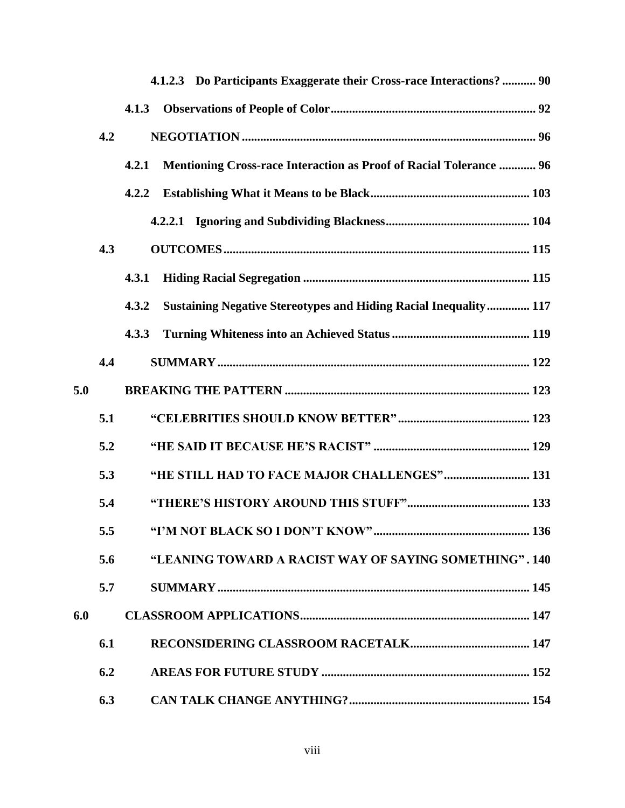|     |     | 4.1.2.3 Do Participants Exaggerate their Cross-race Interactions?  90            |  |
|-----|-----|----------------------------------------------------------------------------------|--|
|     |     | 4.1.3                                                                            |  |
|     | 4.2 |                                                                                  |  |
|     |     | Mentioning Cross-race Interaction as Proof of Racial Tolerance  96<br>4.2.1      |  |
|     |     | 4.2.2                                                                            |  |
|     |     |                                                                                  |  |
|     | 4.3 |                                                                                  |  |
|     |     | 4.3.1                                                                            |  |
|     |     | <b>Sustaining Negative Stereotypes and Hiding Racial Inequality 117</b><br>4.3.2 |  |
|     |     | 4.3.3                                                                            |  |
|     | 4.4 |                                                                                  |  |
| 5.0 |     |                                                                                  |  |
|     | 5.1 |                                                                                  |  |
|     | 5.2 |                                                                                  |  |
|     | 5.3 | "HE STILL HAD TO FACE MAJOR CHALLENGES" 131                                      |  |
|     | 5.4 |                                                                                  |  |
|     | 5.5 | "I'M NOT BLACK SO I DON'T KNOW"<br>136                                           |  |
|     | 5.6 | "LEANING TOWARD A RACIST WAY OF SAYING SOMETHING". 140                           |  |
|     | 5.7 |                                                                                  |  |
| 6.0 |     |                                                                                  |  |
|     | 6.1 |                                                                                  |  |
|     | 6.2 |                                                                                  |  |
|     | 6.3 |                                                                                  |  |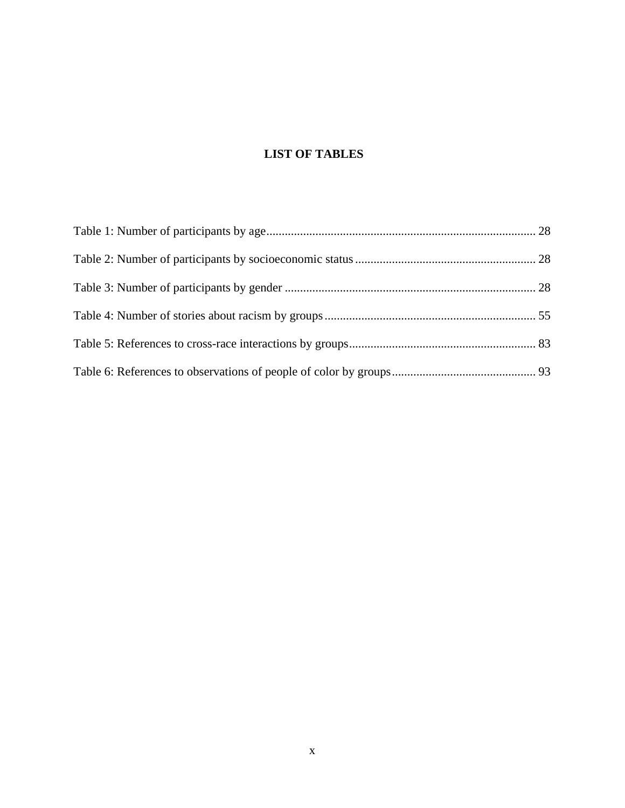# **LIST OF TABLES**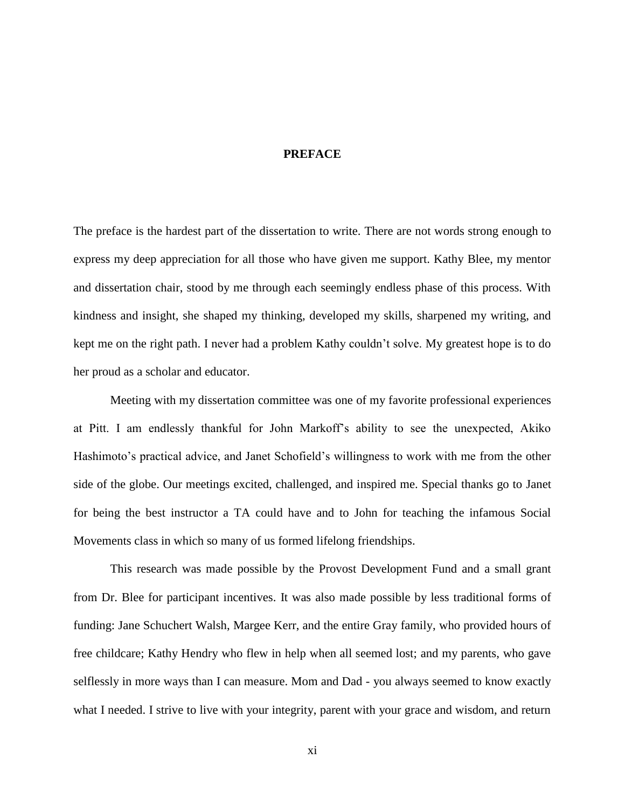### **PREFACE**

<span id="page-10-0"></span>The preface is the hardest part of the dissertation to write. There are not words strong enough to express my deep appreciation for all those who have given me support. Kathy Blee, my mentor and dissertation chair, stood by me through each seemingly endless phase of this process. With kindness and insight, she shaped my thinking, developed my skills, sharpened my writing, and kept me on the right path. I never had a problem Kathy couldn't solve. My greatest hope is to do her proud as a scholar and educator.

Meeting with my dissertation committee was one of my favorite professional experiences at Pitt. I am endlessly thankful for John Markoff's ability to see the unexpected, Akiko Hashimoto's practical advice, and Janet Schofield's willingness to work with me from the other side of the globe. Our meetings excited, challenged, and inspired me. Special thanks go to Janet for being the best instructor a TA could have and to John for teaching the infamous Social Movements class in which so many of us formed lifelong friendships.

This research was made possible by the Provost Development Fund and a small grant from Dr. Blee for participant incentives. It was also made possible by less traditional forms of funding: Jane Schuchert Walsh, Margee Kerr, and the entire Gray family, who provided hours of free childcare; Kathy Hendry who flew in help when all seemed lost; and my parents, who gave selflessly in more ways than I can measure. Mom and Dad - you always seemed to know exactly what I needed. I strive to live with your integrity, parent with your grace and wisdom, and return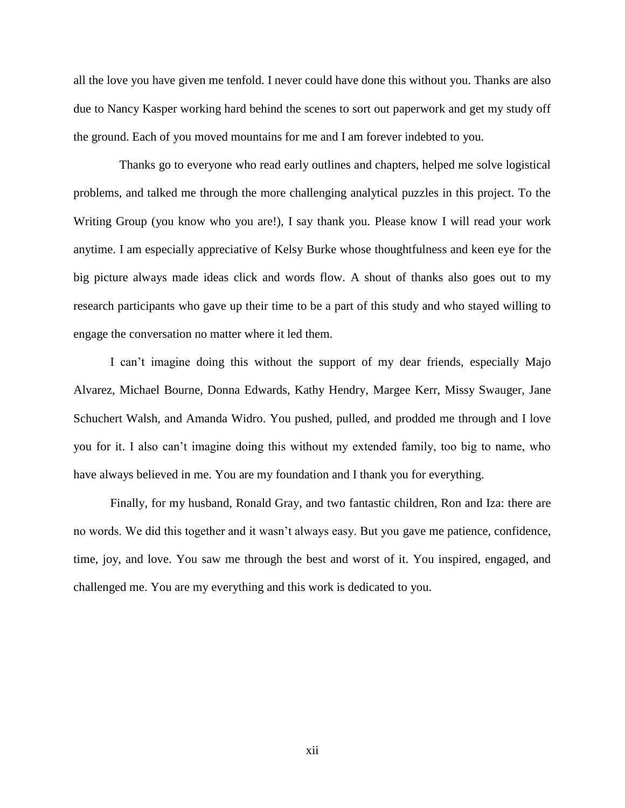all the love you have given me tenfold. I never could have done this without you. Thanks are also due to Nancy Kasper working hard behind the scenes to sort out paperwork and get my study off the ground. Each of you moved mountains for me and I am forever indebted to you.

 Thanks go to everyone who read early outlines and chapters, helped me solve logistical problems, and talked me through the more challenging analytical puzzles in this project. To the Writing Group (you know who you are!), I say thank you. Please know I will read your work anytime. I am especially appreciative of Kelsy Burke whose thoughtfulness and keen eye for the big picture always made ideas click and words flow. A shout of thanks also goes out to my research participants who gave up their time to be a part of this study and who stayed willing to engage the conversation no matter where it led them.

I can't imagine doing this without the support of my dear friends, especially Majo Alvarez, Michael Bourne, Donna Edwards, Kathy Hendry, Margee Kerr, Missy Swauger, Jane Schuchert Walsh, and Amanda Widro. You pushed, pulled, and prodded me through and I love you for it. I also can't imagine doing this without my extended family, too big to name, who have always believed in me. You are my foundation and I thank you for everything.

Finally, for my husband, Ronald Gray, and two fantastic children, Ron and Iza: there are no words. We did this together and it wasn't always easy. But you gave me patience, confidence, time, joy, and love. You saw me through the best and worst of it. You inspired, engaged, and challenged me. You are my everything and this work is dedicated to you.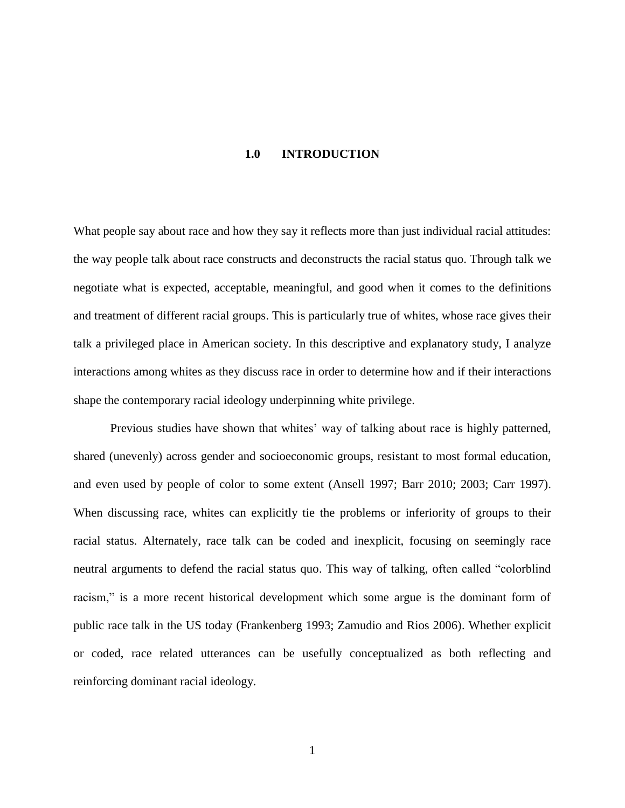#### **1.0 INTRODUCTION**

<span id="page-12-0"></span>What people say about race and how they say it reflects more than just individual racial attitudes: the way people talk about race constructs and deconstructs the racial status quo. Through talk we negotiate what is expected, acceptable, meaningful, and good when it comes to the definitions and treatment of different racial groups. This is particularly true of whites, whose race gives their talk a privileged place in American society. In this descriptive and explanatory study, I analyze interactions among whites as they discuss race in order to determine how and if their interactions shape the contemporary racial ideology underpinning white privilege.

Previous studies have shown that whites' way of talking about race is highly patterned, shared (unevenly) across gender and socioeconomic groups, resistant to most formal education, and even used by people of color to some extent (Ansell 1997; Barr 2010; 2003; Carr 1997). When discussing race, whites can explicitly tie the problems or inferiority of groups to their racial status. Alternately, race talk can be coded and inexplicit, focusing on seemingly race neutral arguments to defend the racial status quo. This way of talking, often called "colorblind racism," is a more recent historical development which some argue is the dominant form of public race talk in the US today (Frankenberg 1993; Zamudio and Rios 2006). Whether explicit or coded, race related utterances can be usefully conceptualized as both reflecting and reinforcing dominant racial ideology.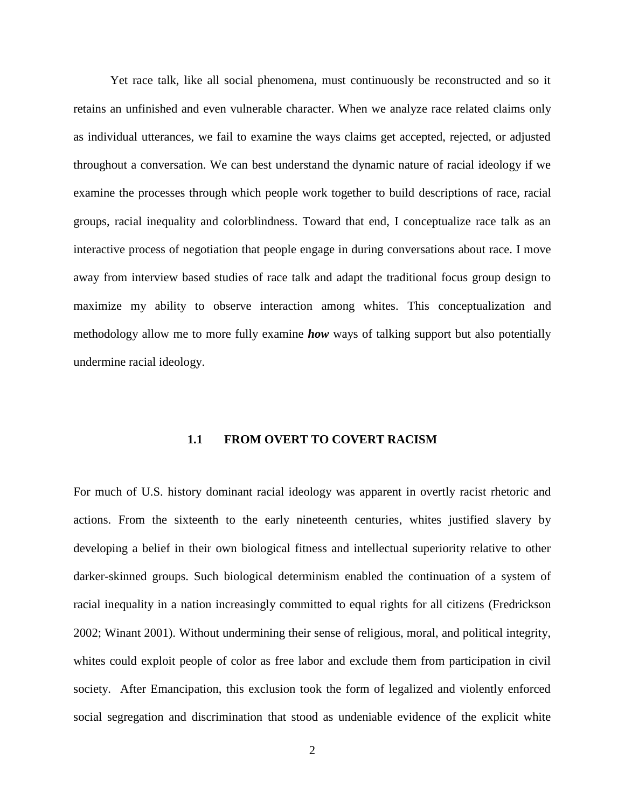Yet race talk, like all social phenomena, must continuously be reconstructed and so it retains an unfinished and even vulnerable character. When we analyze race related claims only as individual utterances, we fail to examine the ways claims get accepted, rejected, or adjusted throughout a conversation. We can best understand the dynamic nature of racial ideology if we examine the processes through which people work together to build descriptions of race, racial groups, racial inequality and colorblindness. Toward that end, I conceptualize race talk as an interactive process of negotiation that people engage in during conversations about race. I move away from interview based studies of race talk and adapt the traditional focus group design to maximize my ability to observe interaction among whites. This conceptualization and methodology allow me to more fully examine *how* ways of talking support but also potentially undermine racial ideology.

### **1.1 FROM OVERT TO COVERT RACISM**

<span id="page-13-0"></span>For much of U.S. history dominant racial ideology was apparent in overtly racist rhetoric and actions. From the sixteenth to the early nineteenth centuries, whites justified slavery by developing a belief in their own biological fitness and intellectual superiority relative to other darker-skinned groups. Such biological determinism enabled the continuation of a system of racial inequality in a nation increasingly committed to equal rights for all citizens (Fredrickson 2002; Winant 2001). Without undermining their sense of religious, moral, and political integrity, whites could exploit people of color as free labor and exclude them from participation in civil society. After Emancipation, this exclusion took the form of legalized and violently enforced social segregation and discrimination that stood as undeniable evidence of the explicit white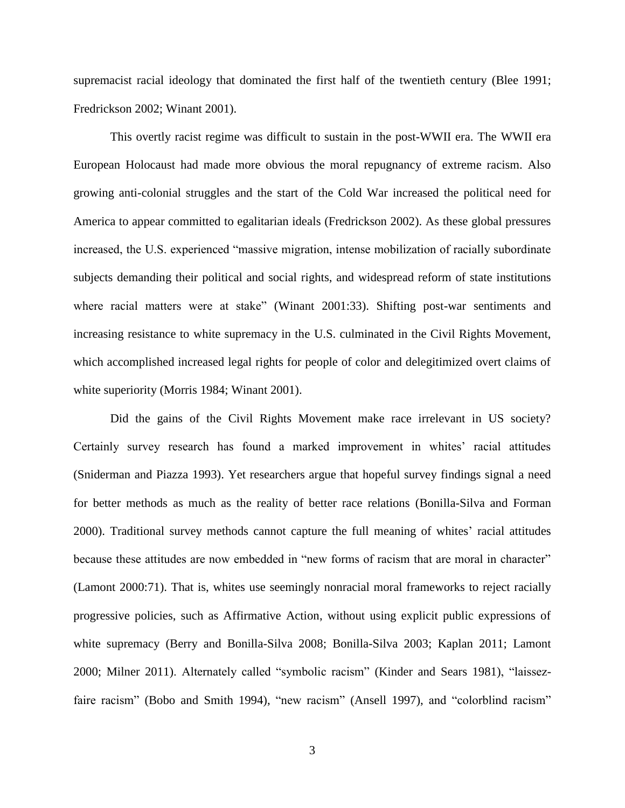supremacist racial ideology that dominated the first half of the twentieth century (Blee 1991; Fredrickson 2002; Winant 2001).

This overtly racist regime was difficult to sustain in the post-WWII era. The WWII era European Holocaust had made more obvious the moral repugnancy of extreme racism. Also growing anti-colonial struggles and the start of the Cold War increased the political need for America to appear committed to egalitarian ideals (Fredrickson 2002). As these global pressures increased, the U.S. experienced "massive migration, intense mobilization of racially subordinate subjects demanding their political and social rights, and widespread reform of state institutions where racial matters were at stake" (Winant 2001:33). Shifting post-war sentiments and increasing resistance to white supremacy in the U.S. culminated in the Civil Rights Movement, which accomplished increased legal rights for people of color and delegitimized overt claims of white superiority (Morris 1984; Winant 2001).

Did the gains of the Civil Rights Movement make race irrelevant in US society? Certainly survey research has found a marked improvement in whites' racial attitudes (Sniderman and Piazza 1993). Yet researchers argue that hopeful survey findings signal a need for better methods as much as the reality of better race relations (Bonilla-Silva and Forman 2000). Traditional survey methods cannot capture the full meaning of whites' racial attitudes because these attitudes are now embedded in "new forms of racism that are moral in character" (Lamont 2000:71). That is, whites use seemingly nonracial moral frameworks to reject racially progressive policies, such as Affirmative Action, without using explicit public expressions of white supremacy (Berry and Bonilla-Silva 2008; Bonilla-Silva 2003; Kaplan 2011; Lamont 2000; Milner 2011). Alternately called "symbolic racism" (Kinder and Sears 1981), "laissezfaire racism" (Bobo and Smith 1994), "new racism" (Ansell 1997), and "colorblind racism"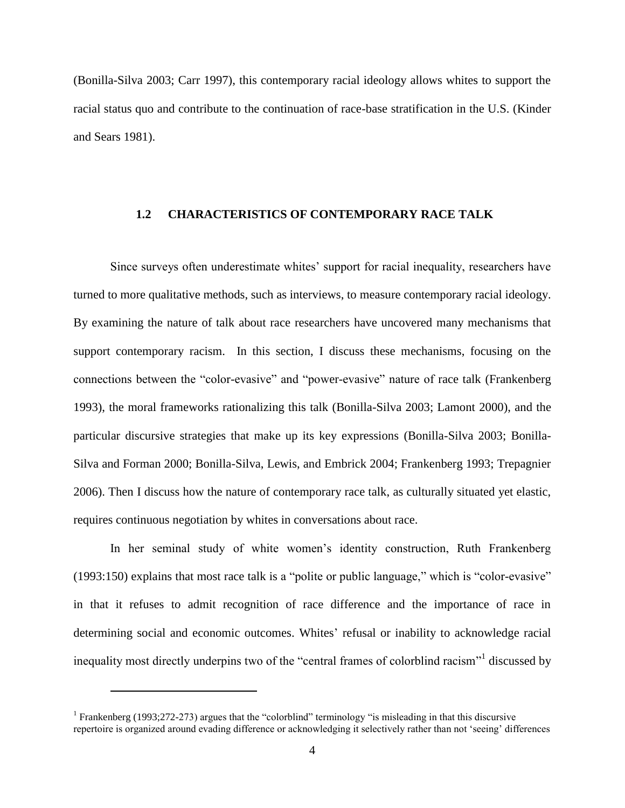(Bonilla-Silva 2003; Carr 1997), this contemporary racial ideology allows whites to support the racial status quo and contribute to the continuation of race-base stratification in the U.S. (Kinder and Sears 1981).

#### <span id="page-15-0"></span>**1.2 CHARACTERISTICS OF CONTEMPORARY RACE TALK**

Since surveys often underestimate whites' support for racial inequality, researchers have turned to more qualitative methods, such as interviews, to measure contemporary racial ideology. By examining the nature of talk about race researchers have uncovered many mechanisms that support contemporary racism. In this section, I discuss these mechanisms, focusing on the connections between the "color-evasive" and "power-evasive" nature of race talk (Frankenberg 1993), the moral frameworks rationalizing this talk (Bonilla-Silva 2003; Lamont 2000), and the particular discursive strategies that make up its key expressions (Bonilla-Silva 2003; Bonilla-Silva and Forman 2000; Bonilla-Silva, Lewis, and Embrick 2004; Frankenberg 1993; Trepagnier 2006). Then I discuss how the nature of contemporary race talk, as culturally situated yet elastic, requires continuous negotiation by whites in conversations about race.

In her seminal study of white women's identity construction, Ruth Frankenberg (1993:150) explains that most race talk is a "polite or public language," which is "color-evasive" in that it refuses to admit recognition of race difference and the importance of race in determining social and economic outcomes. Whites' refusal or inability to acknowledge racial inequality most directly underpins two of the "central frames of colorblind racism"<sup>1</sup> discussed by

 $\overline{a}$ 

<sup>&</sup>lt;sup>1</sup> Frankenberg (1993;272-273) argues that the "colorblind" terminology "is misleading in that this discursive repertoire is organized around evading difference or acknowledging it selectively rather than not 'seeing' differences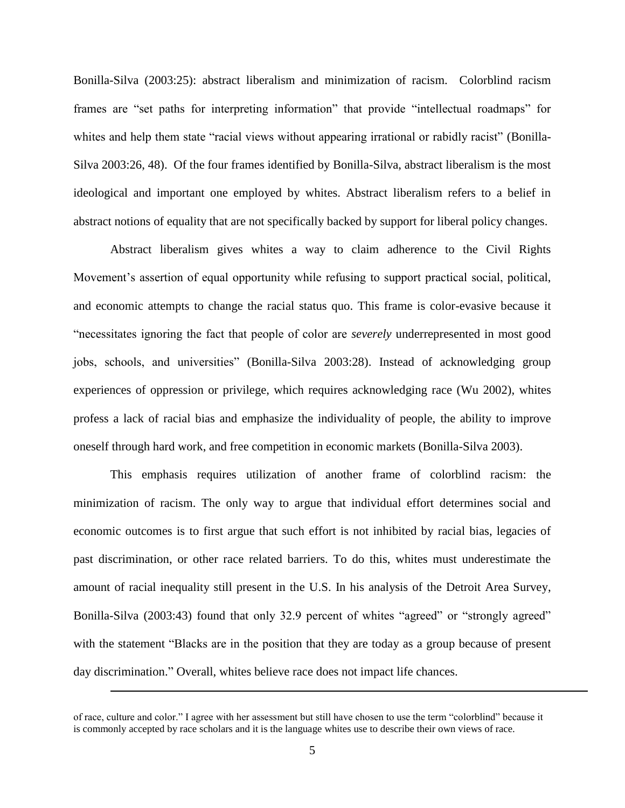Bonilla-Silva (2003:25): abstract liberalism and minimization of racism. Colorblind racism frames are "set paths for interpreting information" that provide "intellectual roadmaps" for whites and help them state "racial views without appearing irrational or rabidly racist" (Bonilla-Silva 2003:26, 48). Of the four frames identified by Bonilla-Silva, abstract liberalism is the most ideological and important one employed by whites. Abstract liberalism refers to a belief in abstract notions of equality that are not specifically backed by support for liberal policy changes.

Abstract liberalism gives whites a way to claim adherence to the Civil Rights Movement's assertion of equal opportunity while refusing to support practical social, political, and economic attempts to change the racial status quo. This frame is color-evasive because it "necessitates ignoring the fact that people of color are *severely* underrepresented in most good jobs, schools, and universities" (Bonilla-Silva 2003:28). Instead of acknowledging group experiences of oppression or privilege, which requires acknowledging race (Wu 2002), whites profess a lack of racial bias and emphasize the individuality of people, the ability to improve oneself through hard work, and free competition in economic markets (Bonilla-Silva 2003).

This emphasis requires utilization of another frame of colorblind racism: the minimization of racism. The only way to argue that individual effort determines social and economic outcomes is to first argue that such effort is not inhibited by racial bias, legacies of past discrimination, or other race related barriers. To do this, whites must underestimate the amount of racial inequality still present in the U.S. In his analysis of the Detroit Area Survey, Bonilla-Silva (2003:43) found that only 32.9 percent of whites "agreed" or "strongly agreed" with the statement "Blacks are in the position that they are today as a group because of present day discrimination." Overall, whites believe race does not impact life chances.

 $\overline{a}$ 

of race, culture and color." I agree with her assessment but still have chosen to use the term "colorblind" because it is commonly accepted by race scholars and it is the language whites use to describe their own views of race.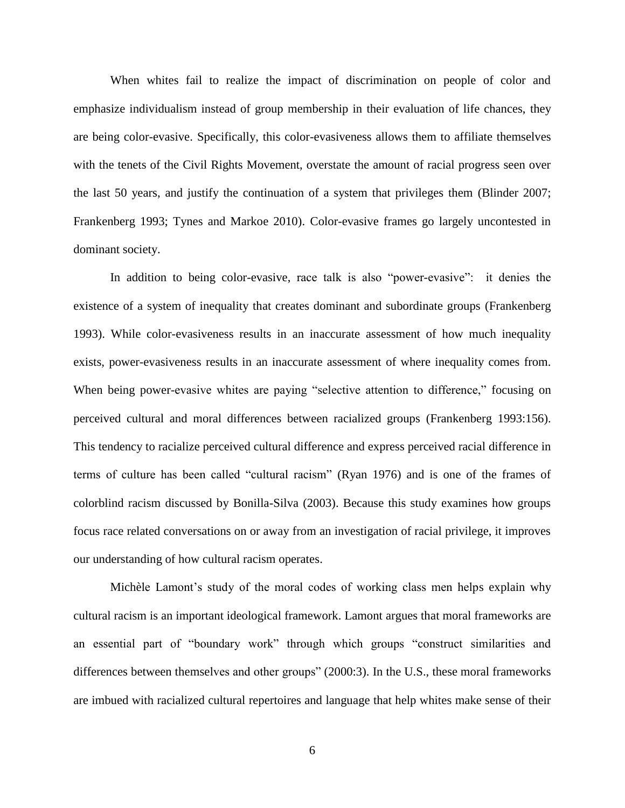When whites fail to realize the impact of discrimination on people of color and emphasize individualism instead of group membership in their evaluation of life chances, they are being color-evasive. Specifically, this color-evasiveness allows them to affiliate themselves with the tenets of the Civil Rights Movement, overstate the amount of racial progress seen over the last 50 years, and justify the continuation of a system that privileges them (Blinder 2007; Frankenberg 1993; Tynes and Markoe 2010). Color-evasive frames go largely uncontested in dominant society.

In addition to being color-evasive, race talk is also "power-evasive": it denies the existence of a system of inequality that creates dominant and subordinate groups (Frankenberg 1993). While color-evasiveness results in an inaccurate assessment of how much inequality exists, power-evasiveness results in an inaccurate assessment of where inequality comes from. When being power-evasive whites are paying "selective attention to difference," focusing on perceived cultural and moral differences between racialized groups (Frankenberg 1993:156). This tendency to racialize perceived cultural difference and express perceived racial difference in terms of culture has been called "cultural racism" (Ryan 1976) and is one of the frames of colorblind racism discussed by Bonilla-Silva (2003). Because this study examines how groups focus race related conversations on or away from an investigation of racial privilege, it improves our understanding of how cultural racism operates.

Michèle Lamont's study of the moral codes of working class men helps explain why cultural racism is an important ideological framework. Lamont argues that moral frameworks are an essential part of "boundary work" through which groups "construct similarities and differences between themselves and other groups" (2000:3). In the U.S., these moral frameworks are imbued with racialized cultural repertoires and language that help whites make sense of their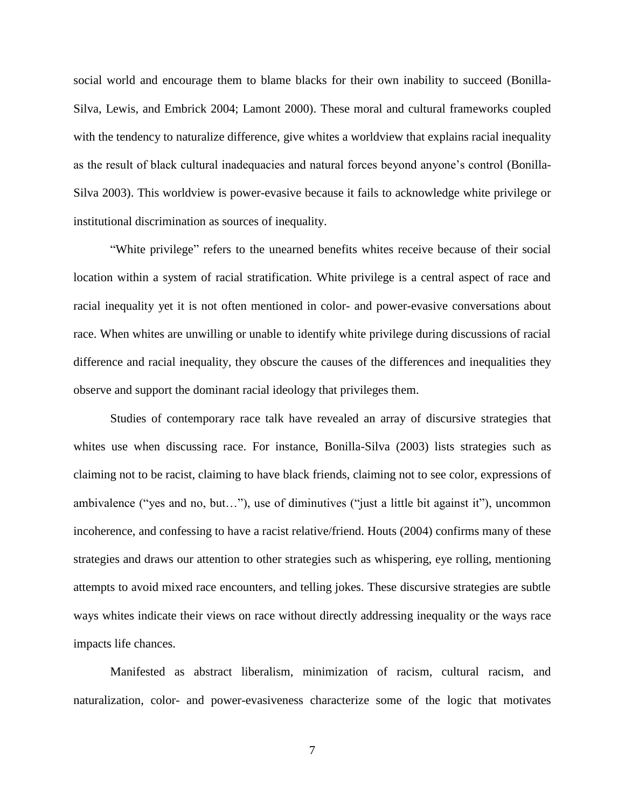social world and encourage them to blame blacks for their own inability to succeed (Bonilla-Silva, Lewis, and Embrick 2004; Lamont 2000). These moral and cultural frameworks coupled with the tendency to naturalize difference, give whites a worldview that explains racial inequality as the result of black cultural inadequacies and natural forces beyond anyone's control (Bonilla-Silva 2003). This worldview is power-evasive because it fails to acknowledge white privilege or institutional discrimination as sources of inequality.

"White privilege" refers to the unearned benefits whites receive because of their social location within a system of racial stratification. White privilege is a central aspect of race and racial inequality yet it is not often mentioned in color- and power-evasive conversations about race. When whites are unwilling or unable to identify white privilege during discussions of racial difference and racial inequality, they obscure the causes of the differences and inequalities they observe and support the dominant racial ideology that privileges them.

Studies of contemporary race talk have revealed an array of discursive strategies that whites use when discussing race. For instance, Bonilla-Silva (2003) lists strategies such as claiming not to be racist, claiming to have black friends, claiming not to see color, expressions of ambivalence ("yes and no, but…"), use of diminutives ("just a little bit against it"), uncommon incoherence, and confessing to have a racist relative/friend. Houts (2004) confirms many of these strategies and draws our attention to other strategies such as whispering, eye rolling, mentioning attempts to avoid mixed race encounters, and telling jokes. These discursive strategies are subtle ways whites indicate their views on race without directly addressing inequality or the ways race impacts life chances.

Manifested as abstract liberalism, minimization of racism, cultural racism, and naturalization, color- and power-evasiveness characterize some of the logic that motivates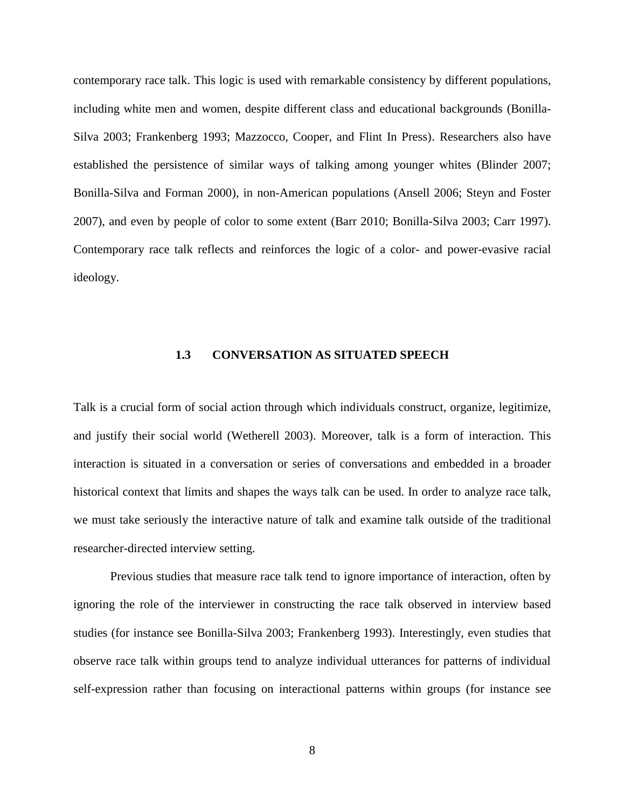contemporary race talk. This logic is used with remarkable consistency by different populations, including white men and women, despite different class and educational backgrounds (Bonilla-Silva 2003; Frankenberg 1993; Mazzocco, Cooper, and Flint In Press). Researchers also have established the persistence of similar ways of talking among younger whites (Blinder 2007; Bonilla-Silva and Forman 2000), in non-American populations (Ansell 2006; Steyn and Foster 2007), and even by people of color to some extent (Barr 2010; Bonilla-Silva 2003; Carr 1997). Contemporary race talk reflects and reinforces the logic of a color- and power-evasive racial ideology.

### **1.3 CONVERSATION AS SITUATED SPEECH**

<span id="page-19-0"></span>Talk is a crucial form of social action through which individuals construct, organize, legitimize, and justify their social world (Wetherell 2003). Moreover, talk is a form of interaction. This interaction is situated in a conversation or series of conversations and embedded in a broader historical context that limits and shapes the ways talk can be used. In order to analyze race talk, we must take seriously the interactive nature of talk and examine talk outside of the traditional researcher-directed interview setting.

Previous studies that measure race talk tend to ignore importance of interaction, often by ignoring the role of the interviewer in constructing the race talk observed in interview based studies (for instance see Bonilla-Silva 2003; Frankenberg 1993). Interestingly, even studies that observe race talk within groups tend to analyze individual utterances for patterns of individual self-expression rather than focusing on interactional patterns within groups (for instance see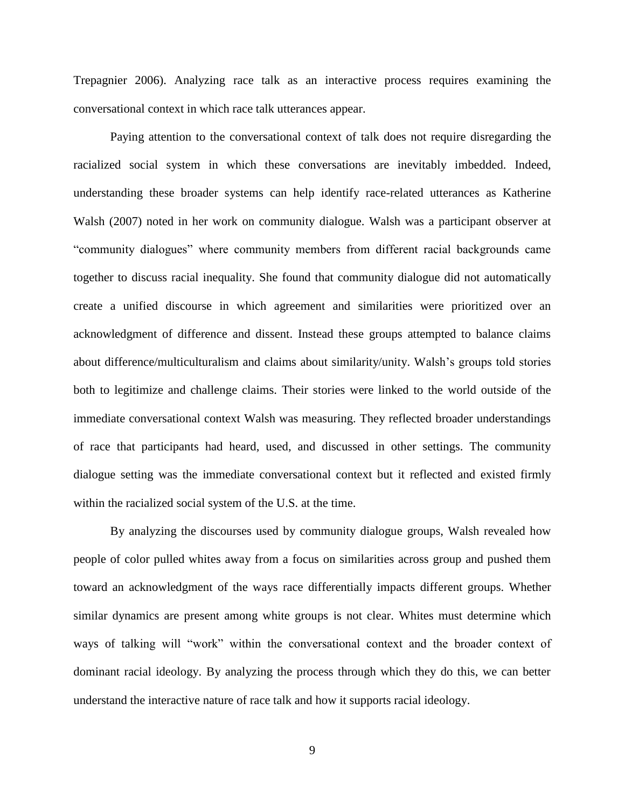Trepagnier 2006). Analyzing race talk as an interactive process requires examining the conversational context in which race talk utterances appear.

Paying attention to the conversational context of talk does not require disregarding the racialized social system in which these conversations are inevitably imbedded. Indeed, understanding these broader systems can help identify race-related utterances as Katherine Walsh (2007) noted in her work on community dialogue. Walsh was a participant observer at "community dialogues" where community members from different racial backgrounds came together to discuss racial inequality. She found that community dialogue did not automatically create a unified discourse in which agreement and similarities were prioritized over an acknowledgment of difference and dissent. Instead these groups attempted to balance claims about difference/multiculturalism and claims about similarity/unity. Walsh's groups told stories both to legitimize and challenge claims. Their stories were linked to the world outside of the immediate conversational context Walsh was measuring. They reflected broader understandings of race that participants had heard, used, and discussed in other settings. The community dialogue setting was the immediate conversational context but it reflected and existed firmly within the racialized social system of the U.S. at the time.

By analyzing the discourses used by community dialogue groups, Walsh revealed how people of color pulled whites away from a focus on similarities across group and pushed them toward an acknowledgment of the ways race differentially impacts different groups. Whether similar dynamics are present among white groups is not clear. Whites must determine which ways of talking will "work" within the conversational context and the broader context of dominant racial ideology. By analyzing the process through which they do this, we can better understand the interactive nature of race talk and how it supports racial ideology.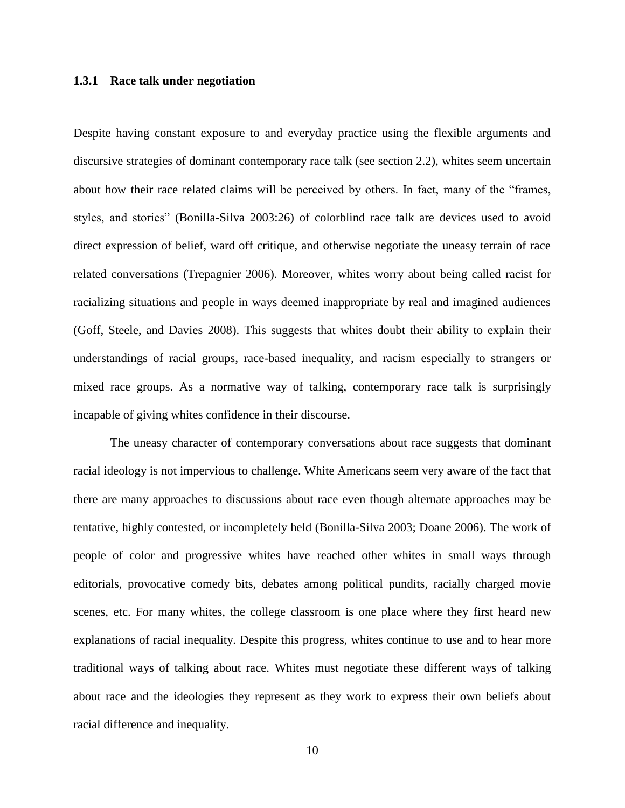#### <span id="page-21-0"></span>**1.3.1 Race talk under negotiation**

Despite having constant exposure to and everyday practice using the flexible arguments and discursive strategies of dominant contemporary race talk (see section 2.2), whites seem uncertain about how their race related claims will be perceived by others. In fact, many of the "frames, styles, and stories" (Bonilla-Silva 2003:26) of colorblind race talk are devices used to avoid direct expression of belief, ward off critique, and otherwise negotiate the uneasy terrain of race related conversations (Trepagnier 2006). Moreover, whites worry about being called racist for racializing situations and people in ways deemed inappropriate by real and imagined audiences (Goff, Steele, and Davies 2008). This suggests that whites doubt their ability to explain their understandings of racial groups, race-based inequality, and racism especially to strangers or mixed race groups. As a normative way of talking, contemporary race talk is surprisingly incapable of giving whites confidence in their discourse.

The uneasy character of contemporary conversations about race suggests that dominant racial ideology is not impervious to challenge. White Americans seem very aware of the fact that there are many approaches to discussions about race even though alternate approaches may be tentative, highly contested, or incompletely held (Bonilla-Silva 2003; Doane 2006). The work of people of color and progressive whites have reached other whites in small ways through editorials, provocative comedy bits, debates among political pundits, racially charged movie scenes, etc. For many whites, the college classroom is one place where they first heard new explanations of racial inequality. Despite this progress, whites continue to use and to hear more traditional ways of talking about race. Whites must negotiate these different ways of talking about race and the ideologies they represent as they work to express their own beliefs about racial difference and inequality.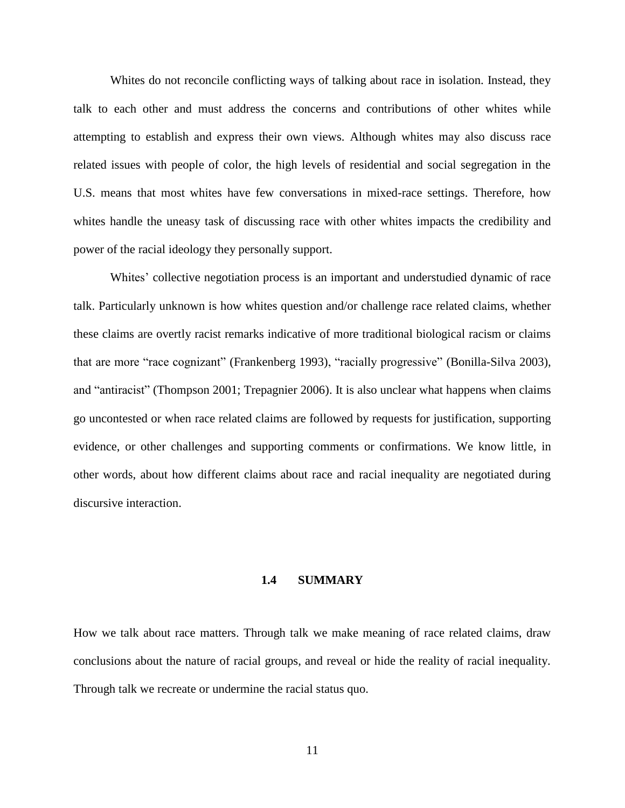Whites do not reconcile conflicting ways of talking about race in isolation. Instead, they talk to each other and must address the concerns and contributions of other whites while attempting to establish and express their own views. Although whites may also discuss race related issues with people of color, the high levels of residential and social segregation in the U.S. means that most whites have few conversations in mixed-race settings. Therefore, how whites handle the uneasy task of discussing race with other whites impacts the credibility and power of the racial ideology they personally support.

Whites' collective negotiation process is an important and understudied dynamic of race talk. Particularly unknown is how whites question and/or challenge race related claims, whether these claims are overtly racist remarks indicative of more traditional biological racism or claims that are more "race cognizant" (Frankenberg 1993), "racially progressive" (Bonilla-Silva 2003), and "antiracist" (Thompson 2001; Trepagnier 2006). It is also unclear what happens when claims go uncontested or when race related claims are followed by requests for justification, supporting evidence, or other challenges and supporting comments or confirmations. We know little, in other words, about how different claims about race and racial inequality are negotiated during discursive interaction.

#### **1.4 SUMMARY**

<span id="page-22-0"></span>How we talk about race matters. Through talk we make meaning of race related claims, draw conclusions about the nature of racial groups, and reveal or hide the reality of racial inequality. Through talk we recreate or undermine the racial status quo.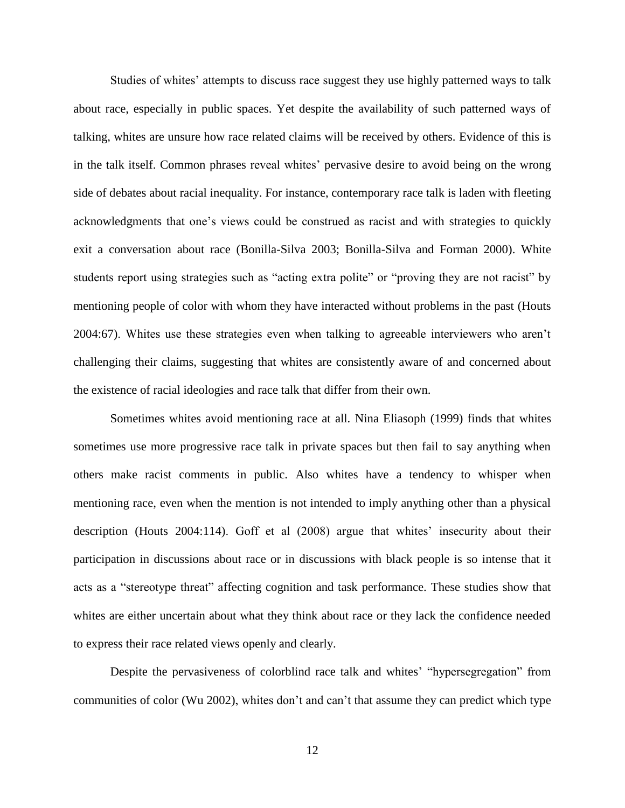Studies of whites' attempts to discuss race suggest they use highly patterned ways to talk about race, especially in public spaces. Yet despite the availability of such patterned ways of talking, whites are unsure how race related claims will be received by others. Evidence of this is in the talk itself. Common phrases reveal whites' pervasive desire to avoid being on the wrong side of debates about racial inequality. For instance, contemporary race talk is laden with fleeting acknowledgments that one's views could be construed as racist and with strategies to quickly exit a conversation about race (Bonilla-Silva 2003; Bonilla-Silva and Forman 2000). White students report using strategies such as "acting extra polite" or "proving they are not racist" by mentioning people of color with whom they have interacted without problems in the past (Houts 2004:67). Whites use these strategies even when talking to agreeable interviewers who aren't challenging their claims, suggesting that whites are consistently aware of and concerned about the existence of racial ideologies and race talk that differ from their own.

Sometimes whites avoid mentioning race at all. Nina Eliasoph (1999) finds that whites sometimes use more progressive race talk in private spaces but then fail to say anything when others make racist comments in public. Also whites have a tendency to whisper when mentioning race, even when the mention is not intended to imply anything other than a physical description (Houts 2004:114). Goff et al (2008) argue that whites' insecurity about their participation in discussions about race or in discussions with black people is so intense that it acts as a "stereotype threat" affecting cognition and task performance. These studies show that whites are either uncertain about what they think about race or they lack the confidence needed to express their race related views openly and clearly.

Despite the pervasiveness of colorblind race talk and whites' "hypersegregation" from communities of color (Wu 2002), whites don't and can't that assume they can predict which type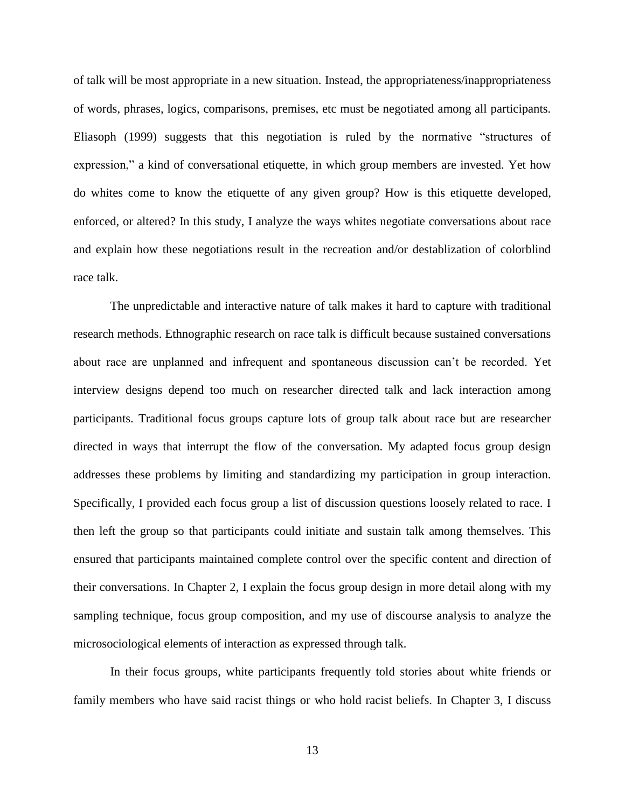of talk will be most appropriate in a new situation. Instead, the appropriateness/inappropriateness of words, phrases, logics, comparisons, premises, etc must be negotiated among all participants. Eliasoph (1999) suggests that this negotiation is ruled by the normative "structures of expression," a kind of conversational etiquette, in which group members are invested. Yet how do whites come to know the etiquette of any given group? How is this etiquette developed, enforced, or altered? In this study, I analyze the ways whites negotiate conversations about race and explain how these negotiations result in the recreation and/or destablization of colorblind race talk.

The unpredictable and interactive nature of talk makes it hard to capture with traditional research methods. Ethnographic research on race talk is difficult because sustained conversations about race are unplanned and infrequent and spontaneous discussion can't be recorded. Yet interview designs depend too much on researcher directed talk and lack interaction among participants. Traditional focus groups capture lots of group talk about race but are researcher directed in ways that interrupt the flow of the conversation. My adapted focus group design addresses these problems by limiting and standardizing my participation in group interaction. Specifically, I provided each focus group a list of discussion questions loosely related to race. I then left the group so that participants could initiate and sustain talk among themselves. This ensured that participants maintained complete control over the specific content and direction of their conversations. In Chapter 2, I explain the focus group design in more detail along with my sampling technique, focus group composition, and my use of discourse analysis to analyze the microsociological elements of interaction as expressed through talk.

In their focus groups, white participants frequently told stories about white friends or family members who have said racist things or who hold racist beliefs. In Chapter 3, I discuss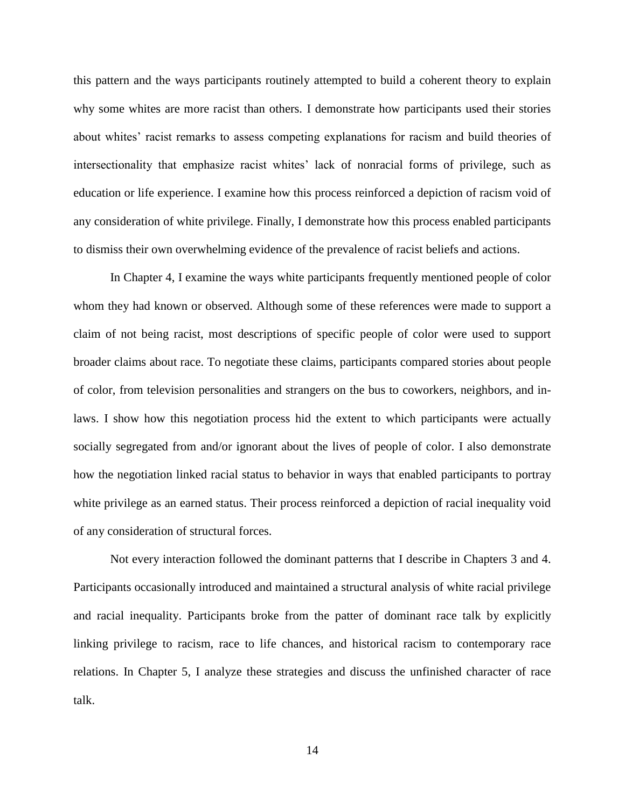this pattern and the ways participants routinely attempted to build a coherent theory to explain why some whites are more racist than others. I demonstrate how participants used their stories about whites' racist remarks to assess competing explanations for racism and build theories of intersectionality that emphasize racist whites' lack of nonracial forms of privilege, such as education or life experience. I examine how this process reinforced a depiction of racism void of any consideration of white privilege. Finally, I demonstrate how this process enabled participants to dismiss their own overwhelming evidence of the prevalence of racist beliefs and actions.

In Chapter 4, I examine the ways white participants frequently mentioned people of color whom they had known or observed. Although some of these references were made to support a claim of not being racist, most descriptions of specific people of color were used to support broader claims about race. To negotiate these claims, participants compared stories about people of color, from television personalities and strangers on the bus to coworkers, neighbors, and inlaws. I show how this negotiation process hid the extent to which participants were actually socially segregated from and/or ignorant about the lives of people of color. I also demonstrate how the negotiation linked racial status to behavior in ways that enabled participants to portray white privilege as an earned status. Their process reinforced a depiction of racial inequality void of any consideration of structural forces.

Not every interaction followed the dominant patterns that I describe in Chapters 3 and 4. Participants occasionally introduced and maintained a structural analysis of white racial privilege and racial inequality. Participants broke from the patter of dominant race talk by explicitly linking privilege to racism, race to life chances, and historical racism to contemporary race relations. In Chapter 5, I analyze these strategies and discuss the unfinished character of race talk.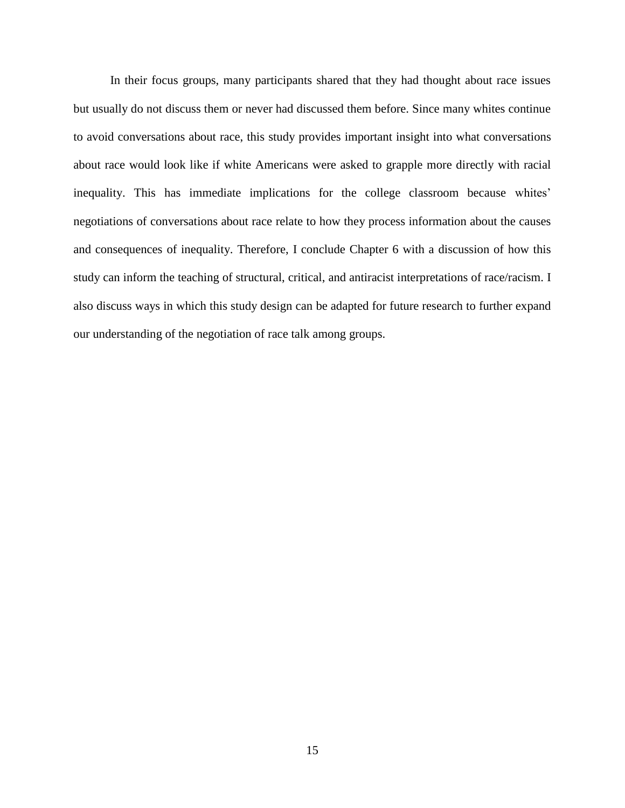In their focus groups, many participants shared that they had thought about race issues but usually do not discuss them or never had discussed them before. Since many whites continue to avoid conversations about race, this study provides important insight into what conversations about race would look like if white Americans were asked to grapple more directly with racial inequality. This has immediate implications for the college classroom because whites' negotiations of conversations about race relate to how they process information about the causes and consequences of inequality. Therefore, I conclude Chapter 6 with a discussion of how this study can inform the teaching of structural, critical, and antiracist interpretations of race/racism. I also discuss ways in which this study design can be adapted for future research to further expand our understanding of the negotiation of race talk among groups.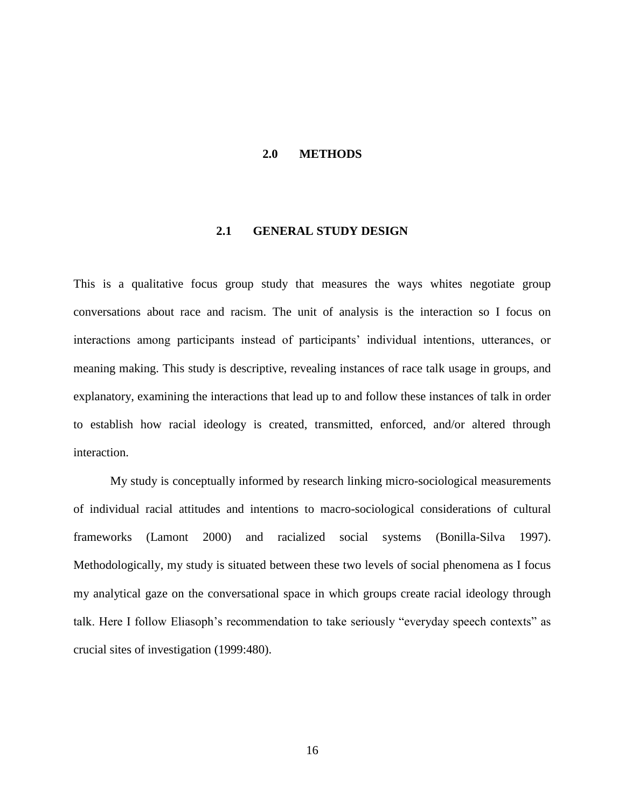#### **2.0 METHODS**

#### **2.1 GENERAL STUDY DESIGN**

<span id="page-27-1"></span><span id="page-27-0"></span>This is a qualitative focus group study that measures the ways whites negotiate group conversations about race and racism. The unit of analysis is the interaction so I focus on interactions among participants instead of participants' individual intentions, utterances, or meaning making. This study is descriptive, revealing instances of race talk usage in groups, and explanatory, examining the interactions that lead up to and follow these instances of talk in order to establish how racial ideology is created, transmitted, enforced, and/or altered through interaction.

My study is conceptually informed by research linking micro-sociological measurements of individual racial attitudes and intentions to macro-sociological considerations of cultural frameworks (Lamont 2000) and racialized social systems (Bonilla-Silva 1997). Methodologically, my study is situated between these two levels of social phenomena as I focus my analytical gaze on the conversational space in which groups create racial ideology through talk. Here I follow Eliasoph's recommendation to take seriously "everyday speech contexts" as crucial sites of investigation (1999:480).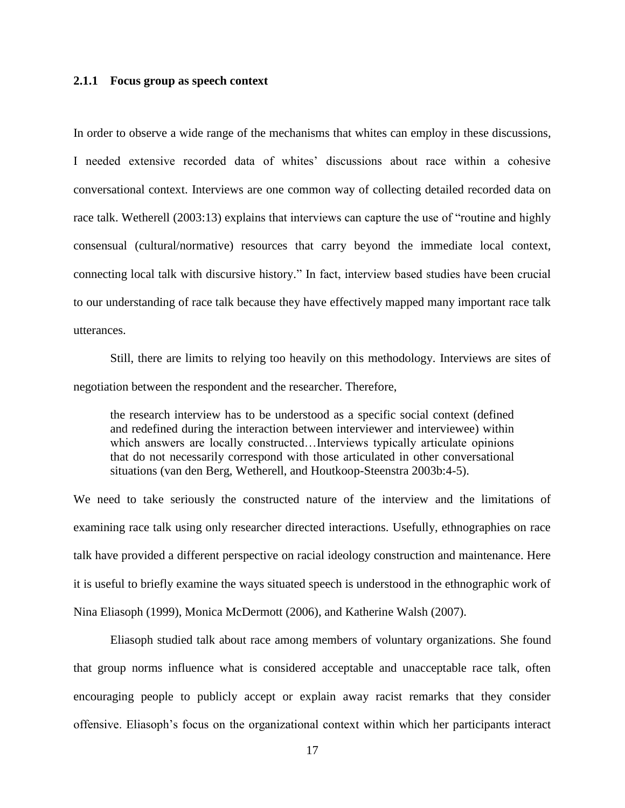#### <span id="page-28-0"></span>**2.1.1 Focus group as speech context**

In order to observe a wide range of the mechanisms that whites can employ in these discussions, I needed extensive recorded data of whites' discussions about race within a cohesive conversational context. Interviews are one common way of collecting detailed recorded data on race talk. Wetherell (2003:13) explains that interviews can capture the use of "routine and highly consensual (cultural/normative) resources that carry beyond the immediate local context, connecting local talk with discursive history." In fact, interview based studies have been crucial to our understanding of race talk because they have effectively mapped many important race talk utterances.

Still, there are limits to relying too heavily on this methodology. Interviews are sites of negotiation between the respondent and the researcher. Therefore,

the research interview has to be understood as a specific social context (defined and redefined during the interaction between interviewer and interviewee) within which answers are locally constructed…Interviews typically articulate opinions that do not necessarily correspond with those articulated in other conversational situations (van den Berg, Wetherell, and Houtkoop-Steenstra 2003b:4-5).

We need to take seriously the constructed nature of the interview and the limitations of examining race talk using only researcher directed interactions. Usefully, ethnographies on race talk have provided a different perspective on racial ideology construction and maintenance. Here it is useful to briefly examine the ways situated speech is understood in the ethnographic work of Nina Eliasoph (1999), Monica McDermott (2006), and Katherine Walsh (2007).

Eliasoph studied talk about race among members of voluntary organizations. She found that group norms influence what is considered acceptable and unacceptable race talk, often encouraging people to publicly accept or explain away racist remarks that they consider offensive. Eliasoph's focus on the organizational context within which her participants interact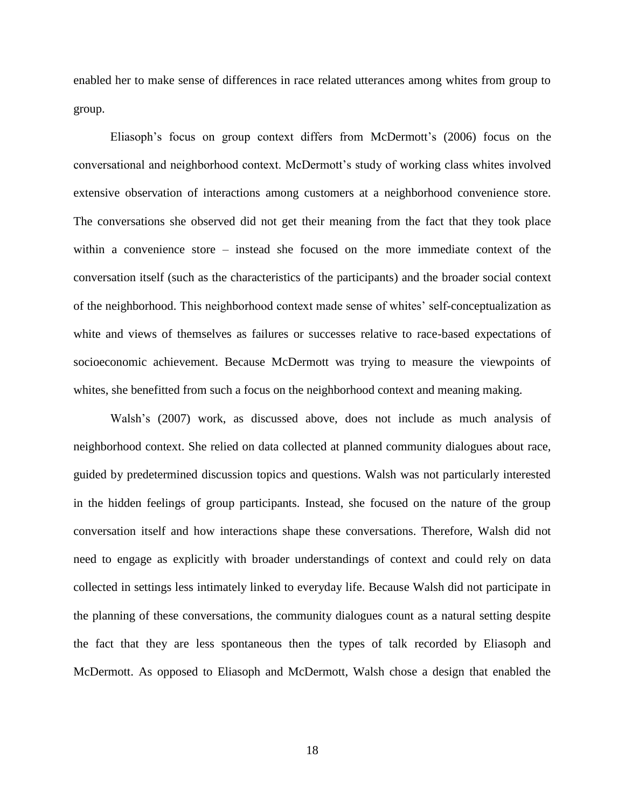enabled her to make sense of differences in race related utterances among whites from group to group.

Eliasoph's focus on group context differs from McDermott's (2006) focus on the conversational and neighborhood context. McDermott's study of working class whites involved extensive observation of interactions among customers at a neighborhood convenience store. The conversations she observed did not get their meaning from the fact that they took place within a convenience store – instead she focused on the more immediate context of the conversation itself (such as the characteristics of the participants) and the broader social context of the neighborhood. This neighborhood context made sense of whites' self-conceptualization as white and views of themselves as failures or successes relative to race-based expectations of socioeconomic achievement. Because McDermott was trying to measure the viewpoints of whites, she benefitted from such a focus on the neighborhood context and meaning making.

Walsh's (2007) work, as discussed above, does not include as much analysis of neighborhood context. She relied on data collected at planned community dialogues about race, guided by predetermined discussion topics and questions. Walsh was not particularly interested in the hidden feelings of group participants. Instead, she focused on the nature of the group conversation itself and how interactions shape these conversations. Therefore, Walsh did not need to engage as explicitly with broader understandings of context and could rely on data collected in settings less intimately linked to everyday life. Because Walsh did not participate in the planning of these conversations, the community dialogues count as a natural setting despite the fact that they are less spontaneous then the types of talk recorded by Eliasoph and McDermott. As opposed to Eliasoph and McDermott, Walsh chose a design that enabled the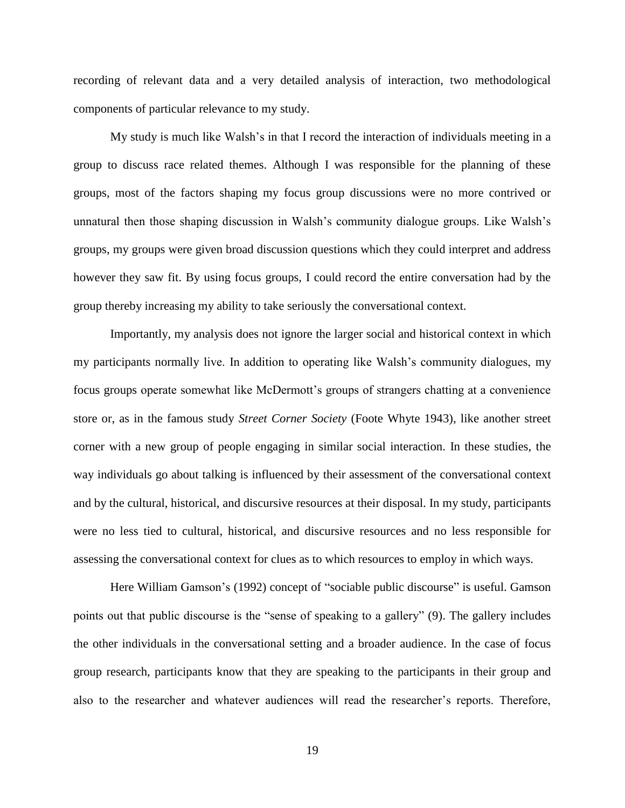recording of relevant data and a very detailed analysis of interaction, two methodological components of particular relevance to my study.

My study is much like Walsh's in that I record the interaction of individuals meeting in a group to discuss race related themes. Although I was responsible for the planning of these groups, most of the factors shaping my focus group discussions were no more contrived or unnatural then those shaping discussion in Walsh's community dialogue groups. Like Walsh's groups, my groups were given broad discussion questions which they could interpret and address however they saw fit. By using focus groups, I could record the entire conversation had by the group thereby increasing my ability to take seriously the conversational context.

Importantly, my analysis does not ignore the larger social and historical context in which my participants normally live. In addition to operating like Walsh's community dialogues, my focus groups operate somewhat like McDermott's groups of strangers chatting at a convenience store or, as in the famous study *Street Corner Society* (Foote Whyte 1943), like another street corner with a new group of people engaging in similar social interaction. In these studies, the way individuals go about talking is influenced by their assessment of the conversational context and by the cultural, historical, and discursive resources at their disposal. In my study, participants were no less tied to cultural, historical, and discursive resources and no less responsible for assessing the conversational context for clues as to which resources to employ in which ways.

Here William Gamson's (1992) concept of "sociable public discourse" is useful. Gamson points out that public discourse is the "sense of speaking to a gallery" (9). The gallery includes the other individuals in the conversational setting and a broader audience. In the case of focus group research, participants know that they are speaking to the participants in their group and also to the researcher and whatever audiences will read the researcher's reports. Therefore,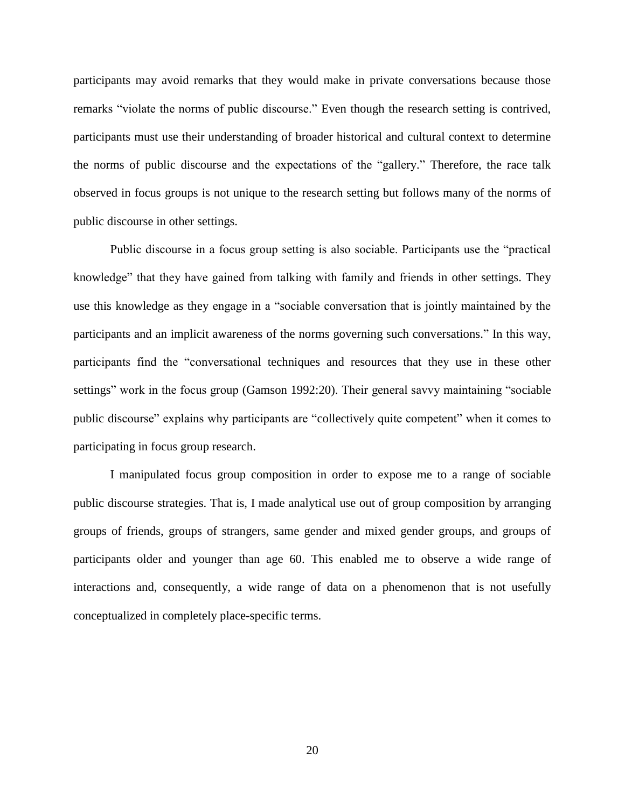participants may avoid remarks that they would make in private conversations because those remarks "violate the norms of public discourse." Even though the research setting is contrived, participants must use their understanding of broader historical and cultural context to determine the norms of public discourse and the expectations of the "gallery." Therefore, the race talk observed in focus groups is not unique to the research setting but follows many of the norms of public discourse in other settings.

Public discourse in a focus group setting is also sociable. Participants use the "practical knowledge" that they have gained from talking with family and friends in other settings. They use this knowledge as they engage in a "sociable conversation that is jointly maintained by the participants and an implicit awareness of the norms governing such conversations." In this way, participants find the "conversational techniques and resources that they use in these other settings" work in the focus group (Gamson 1992:20). Their general savvy maintaining "sociable public discourse" explains why participants are "collectively quite competent" when it comes to participating in focus group research.

I manipulated focus group composition in order to expose me to a range of sociable public discourse strategies. That is, I made analytical use out of group composition by arranging groups of friends, groups of strangers, same gender and mixed gender groups, and groups of participants older and younger than age 60. This enabled me to observe a wide range of interactions and, consequently, a wide range of data on a phenomenon that is not usefully conceptualized in completely place-specific terms.

20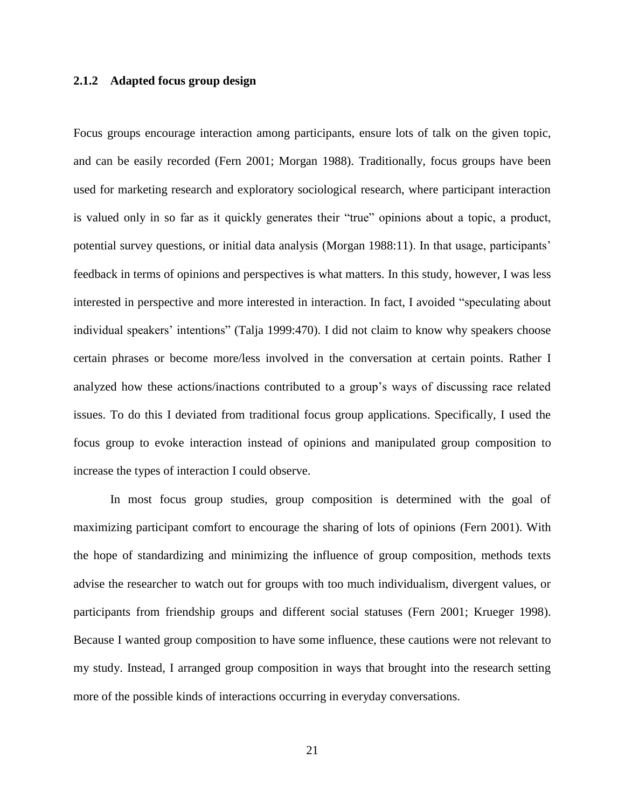#### <span id="page-32-0"></span>**2.1.2 Adapted focus group design**

Focus groups encourage interaction among participants, ensure lots of talk on the given topic, and can be easily recorded (Fern 2001; Morgan 1988). Traditionally, focus groups have been used for marketing research and exploratory sociological research, where participant interaction is valued only in so far as it quickly generates their "true" opinions about a topic, a product, potential survey questions, or initial data analysis (Morgan 1988:11). In that usage, participants' feedback in terms of opinions and perspectives is what matters. In this study, however, I was less interested in perspective and more interested in interaction. In fact, I avoided "speculating about individual speakers' intentions" (Talja 1999:470). I did not claim to know why speakers choose certain phrases or become more/less involved in the conversation at certain points. Rather I analyzed how these actions/inactions contributed to a group's ways of discussing race related issues. To do this I deviated from traditional focus group applications. Specifically, I used the focus group to evoke interaction instead of opinions and manipulated group composition to increase the types of interaction I could observe.

In most focus group studies, group composition is determined with the goal of maximizing participant comfort to encourage the sharing of lots of opinions (Fern 2001). With the hope of standardizing and minimizing the influence of group composition, methods texts advise the researcher to watch out for groups with too much individualism, divergent values, or participants from friendship groups and different social statuses (Fern 2001; Krueger 1998). Because I wanted group composition to have some influence, these cautions were not relevant to my study. Instead, I arranged group composition in ways that brought into the research setting more of the possible kinds of interactions occurring in everyday conversations.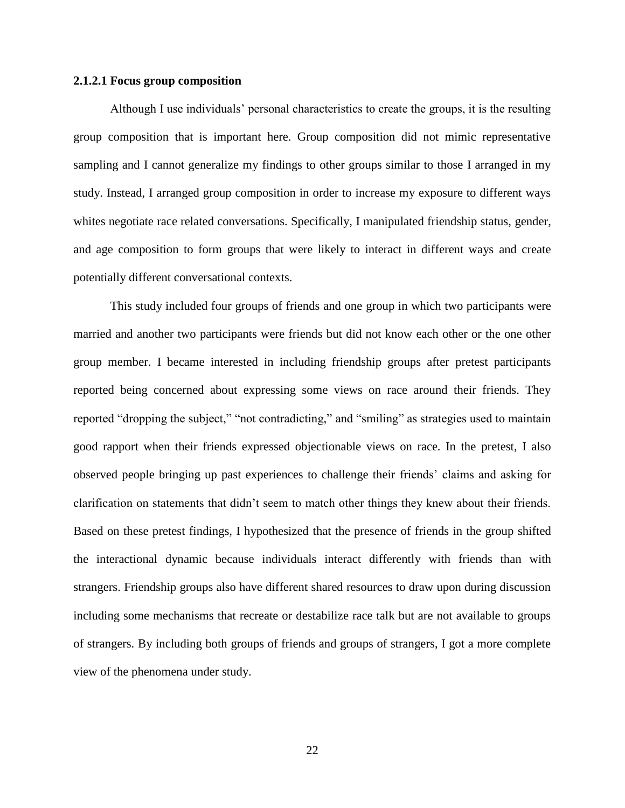#### <span id="page-33-0"></span>**2.1.2.1 Focus group composition**

Although I use individuals' personal characteristics to create the groups, it is the resulting group composition that is important here. Group composition did not mimic representative sampling and I cannot generalize my findings to other groups similar to those I arranged in my study. Instead, I arranged group composition in order to increase my exposure to different ways whites negotiate race related conversations. Specifically, I manipulated friendship status, gender, and age composition to form groups that were likely to interact in different ways and create potentially different conversational contexts.

This study included four groups of friends and one group in which two participants were married and another two participants were friends but did not know each other or the one other group member. I became interested in including friendship groups after pretest participants reported being concerned about expressing some views on race around their friends. They reported "dropping the subject," "not contradicting," and "smiling" as strategies used to maintain good rapport when their friends expressed objectionable views on race. In the pretest, I also observed people bringing up past experiences to challenge their friends' claims and asking for clarification on statements that didn't seem to match other things they knew about their friends. Based on these pretest findings, I hypothesized that the presence of friends in the group shifted the interactional dynamic because individuals interact differently with friends than with strangers. Friendship groups also have different shared resources to draw upon during discussion including some mechanisms that recreate or destabilize race talk but are not available to groups of strangers. By including both groups of friends and groups of strangers, I got a more complete view of the phenomena under study.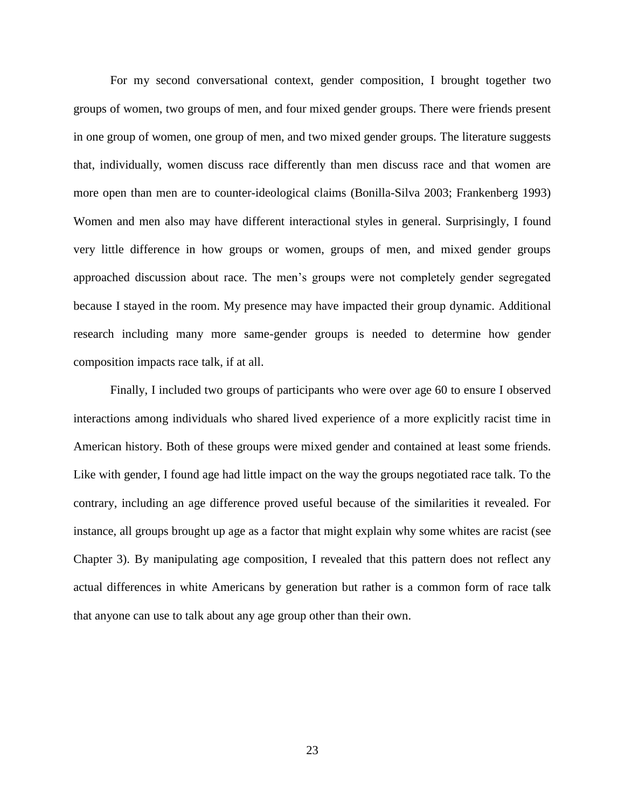For my second conversational context, gender composition, I brought together two groups of women, two groups of men, and four mixed gender groups. There were friends present in one group of women, one group of men, and two mixed gender groups. The literature suggests that, individually, women discuss race differently than men discuss race and that women are more open than men are to counter-ideological claims (Bonilla-Silva 2003; Frankenberg 1993) Women and men also may have different interactional styles in general. Surprisingly, I found very little difference in how groups or women, groups of men, and mixed gender groups approached discussion about race. The men's groups were not completely gender segregated because I stayed in the room. My presence may have impacted their group dynamic. Additional research including many more same-gender groups is needed to determine how gender composition impacts race talk, if at all.

Finally, I included two groups of participants who were over age 60 to ensure I observed interactions among individuals who shared lived experience of a more explicitly racist time in American history. Both of these groups were mixed gender and contained at least some friends. Like with gender, I found age had little impact on the way the groups negotiated race talk. To the contrary, including an age difference proved useful because of the similarities it revealed. For instance, all groups brought up age as a factor that might explain why some whites are racist (see Chapter 3). By manipulating age composition, I revealed that this pattern does not reflect any actual differences in white Americans by generation but rather is a common form of race talk that anyone can use to talk about any age group other than their own.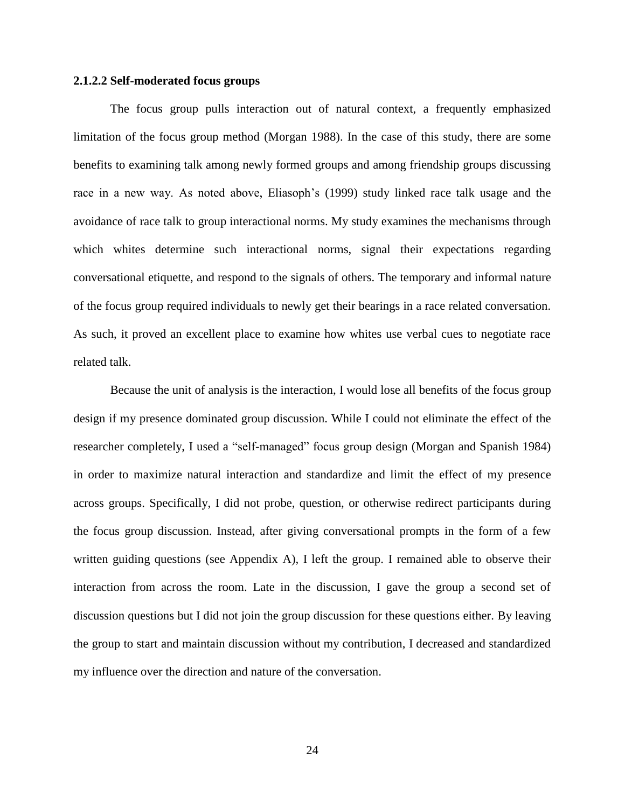#### <span id="page-35-0"></span>**2.1.2.2 Self-moderated focus groups**

The focus group pulls interaction out of natural context, a frequently emphasized limitation of the focus group method (Morgan 1988). In the case of this study, there are some benefits to examining talk among newly formed groups and among friendship groups discussing race in a new way. As noted above, Eliasoph's (1999) study linked race talk usage and the avoidance of race talk to group interactional norms. My study examines the mechanisms through which whites determine such interactional norms, signal their expectations regarding conversational etiquette, and respond to the signals of others. The temporary and informal nature of the focus group required individuals to newly get their bearings in a race related conversation. As such, it proved an excellent place to examine how whites use verbal cues to negotiate race related talk.

Because the unit of analysis is the interaction, I would lose all benefits of the focus group design if my presence dominated group discussion. While I could not eliminate the effect of the researcher completely, I used a "self-managed" focus group design (Morgan and Spanish 1984) in order to maximize natural interaction and standardize and limit the effect of my presence across groups. Specifically, I did not probe, question, or otherwise redirect participants during the focus group discussion. Instead, after giving conversational prompts in the form of a few written guiding questions (see Appendix A), I left the group. I remained able to observe their interaction from across the room. Late in the discussion, I gave the group a second set of discussion questions but I did not join the group discussion for these questions either. By leaving the group to start and maintain discussion without my contribution, I decreased and standardized my influence over the direction and nature of the conversation.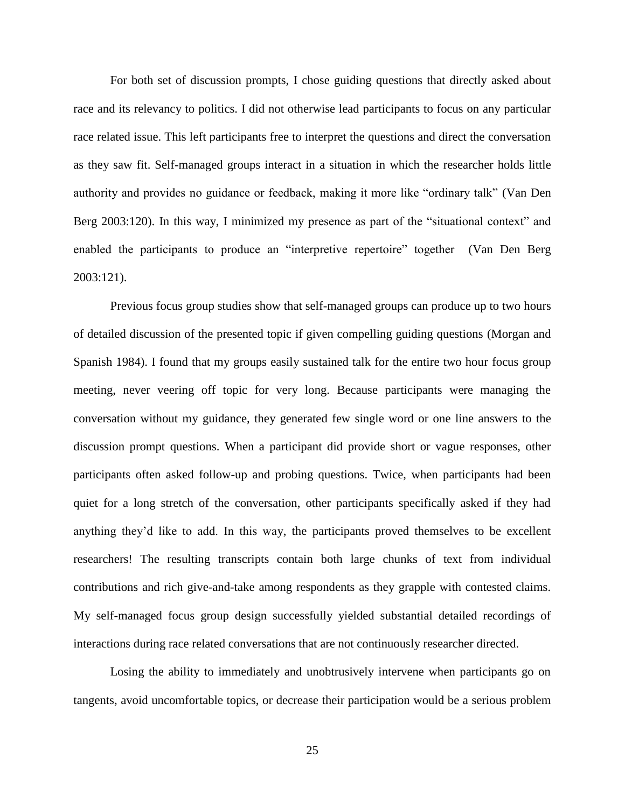For both set of discussion prompts, I chose guiding questions that directly asked about race and its relevancy to politics. I did not otherwise lead participants to focus on any particular race related issue. This left participants free to interpret the questions and direct the conversation as they saw fit. Self-managed groups interact in a situation in which the researcher holds little authority and provides no guidance or feedback, making it more like "ordinary talk" (Van Den Berg 2003:120). In this way, I minimized my presence as part of the "situational context" and enabled the participants to produce an "interpretive repertoire" together (Van Den Berg 2003:121).

Previous focus group studies show that self-managed groups can produce up to two hours of detailed discussion of the presented topic if given compelling guiding questions (Morgan and Spanish 1984). I found that my groups easily sustained talk for the entire two hour focus group meeting, never veering off topic for very long. Because participants were managing the conversation without my guidance, they generated few single word or one line answers to the discussion prompt questions. When a participant did provide short or vague responses, other participants often asked follow-up and probing questions. Twice, when participants had been quiet for a long stretch of the conversation, other participants specifically asked if they had anything they'd like to add. In this way, the participants proved themselves to be excellent researchers! The resulting transcripts contain both large chunks of text from individual contributions and rich give-and-take among respondents as they grapple with contested claims. My self-managed focus group design successfully yielded substantial detailed recordings of interactions during race related conversations that are not continuously researcher directed.

Losing the ability to immediately and unobtrusively intervene when participants go on tangents, avoid uncomfortable topics, or decrease their participation would be a serious problem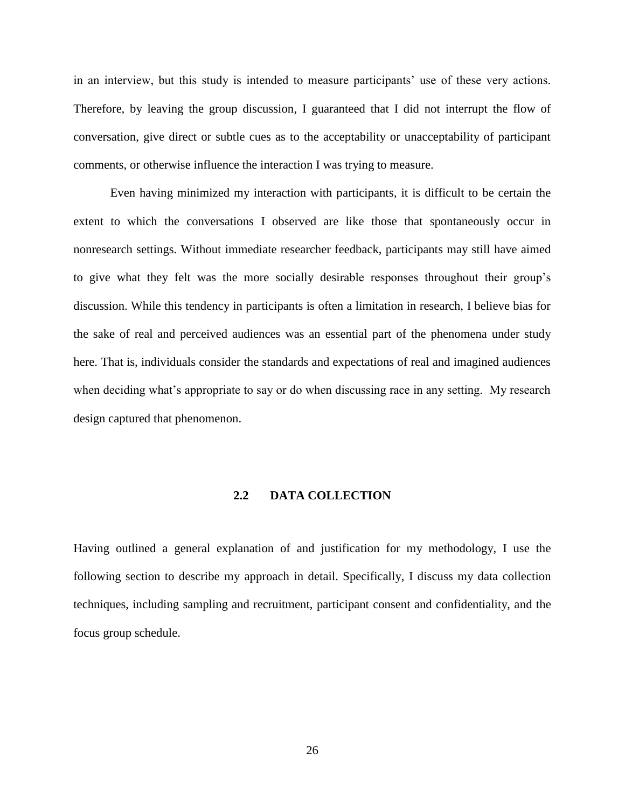in an interview, but this study is intended to measure participants' use of these very actions. Therefore, by leaving the group discussion, I guaranteed that I did not interrupt the flow of conversation, give direct or subtle cues as to the acceptability or unacceptability of participant comments, or otherwise influence the interaction I was trying to measure.

Even having minimized my interaction with participants, it is difficult to be certain the extent to which the conversations I observed are like those that spontaneously occur in nonresearch settings. Without immediate researcher feedback, participants may still have aimed to give what they felt was the more socially desirable responses throughout their group's discussion. While this tendency in participants is often a limitation in research, I believe bias for the sake of real and perceived audiences was an essential part of the phenomena under study here. That is, individuals consider the standards and expectations of real and imagined audiences when deciding what's appropriate to say or do when discussing race in any setting. My research design captured that phenomenon.

## **2.2 DATA COLLECTION**

Having outlined a general explanation of and justification for my methodology, I use the following section to describe my approach in detail. Specifically, I discuss my data collection techniques, including sampling and recruitment, participant consent and confidentiality, and the focus group schedule.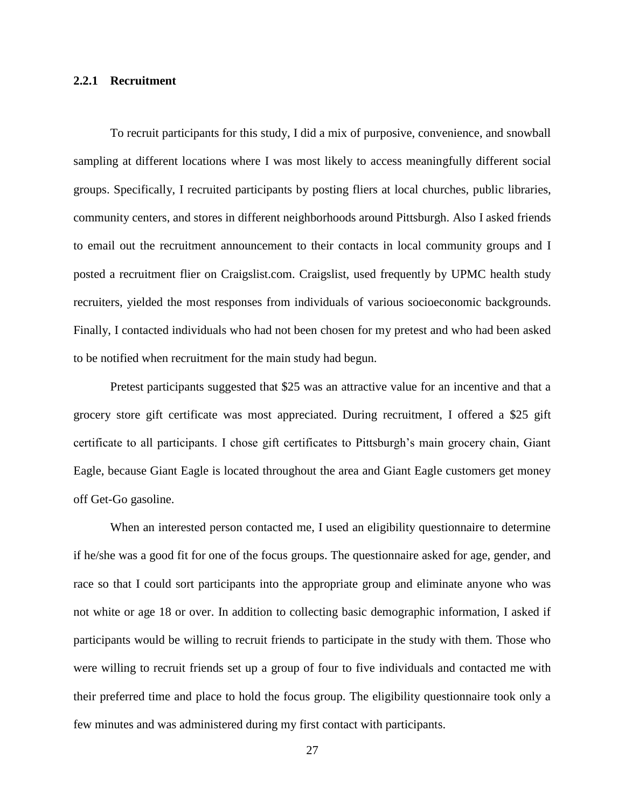### **2.2.1 Recruitment**

To recruit participants for this study, I did a mix of purposive, convenience, and snowball sampling at different locations where I was most likely to access meaningfully different social groups. Specifically, I recruited participants by posting fliers at local churches, public libraries, community centers, and stores in different neighborhoods around Pittsburgh. Also I asked friends to email out the recruitment announcement to their contacts in local community groups and I posted a recruitment flier on Craigslist.com. Craigslist, used frequently by UPMC health study recruiters, yielded the most responses from individuals of various socioeconomic backgrounds. Finally, I contacted individuals who had not been chosen for my pretest and who had been asked to be notified when recruitment for the main study had begun.

Pretest participants suggested that \$25 was an attractive value for an incentive and that a grocery store gift certificate was most appreciated. During recruitment, I offered a \$25 gift certificate to all participants. I chose gift certificates to Pittsburgh's main grocery chain, Giant Eagle, because Giant Eagle is located throughout the area and Giant Eagle customers get money off Get-Go gasoline.

When an interested person contacted me, I used an eligibility questionnaire to determine if he/she was a good fit for one of the focus groups. The questionnaire asked for age, gender, and race so that I could sort participants into the appropriate group and eliminate anyone who was not white or age 18 or over. In addition to collecting basic demographic information, I asked if participants would be willing to recruit friends to participate in the study with them. Those who were willing to recruit friends set up a group of four to five individuals and contacted me with their preferred time and place to hold the focus group. The eligibility questionnaire took only a few minutes and was administered during my first contact with participants.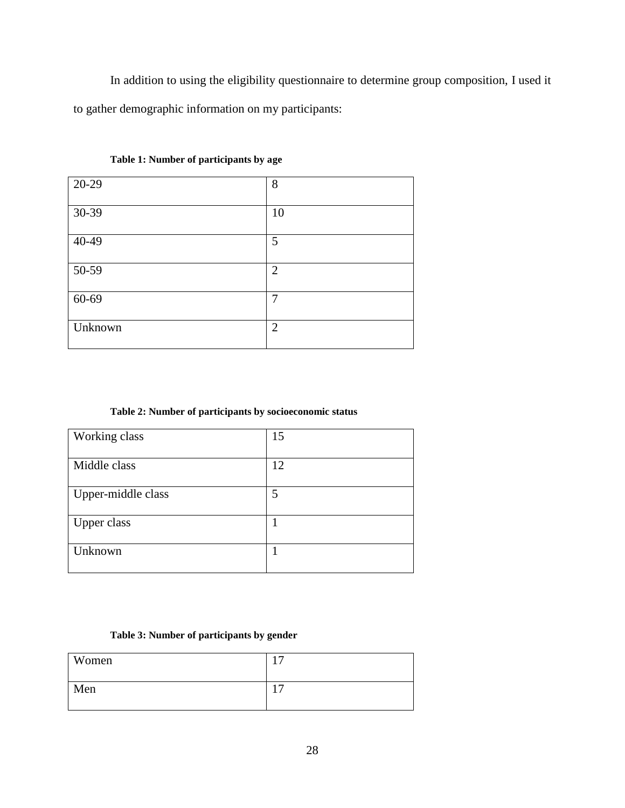In addition to using the eligibility questionnaire to determine group composition, I used it to gather demographic information on my participants:

| 20-29   | 8              |
|---------|----------------|
| 30-39   | 10             |
| 40-49   | 5              |
| 50-59   | $\overline{2}$ |
| 60-69   | $\overline{7}$ |
| Unknown | $\overline{2}$ |

## **Table 1: Number of participants by age**

# **Table 2: Number of participants by socioeconomic status**

| Working class      | 15 |
|--------------------|----|
| Middle class       | 12 |
| Upper-middle class | 5  |
| <b>Upper class</b> | 1  |
| Unknown            |    |

# **Table 3: Number of participants by gender**

| Women | $\overline{ }$ |
|-------|----------------|
| Men   | $\overline{ }$ |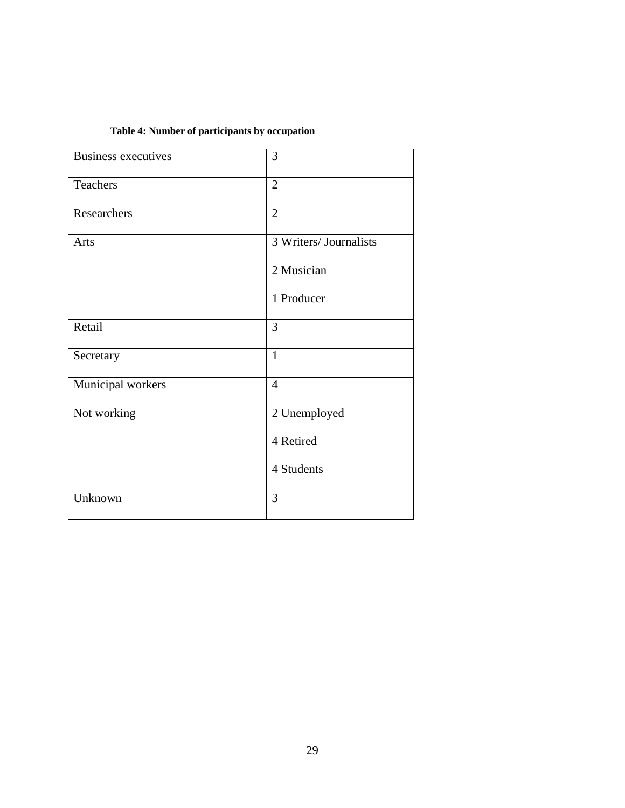# **Table 4: Number of participants by occupation**

| Business executives | 3                      |
|---------------------|------------------------|
| Teachers            | $\overline{2}$         |
| Researchers         | $\overline{2}$         |
| Arts                | 3 Writers/ Journalists |
|                     | 2 Musician             |
|                     | 1 Producer             |
| Retail              | 3                      |
| Secretary           | $\mathbf{1}$           |
| Municipal workers   | $\overline{4}$         |
| Not working         | 2 Unemployed           |
|                     | 4 Retired              |
|                     | 4 Students             |
| Unknown             | 3                      |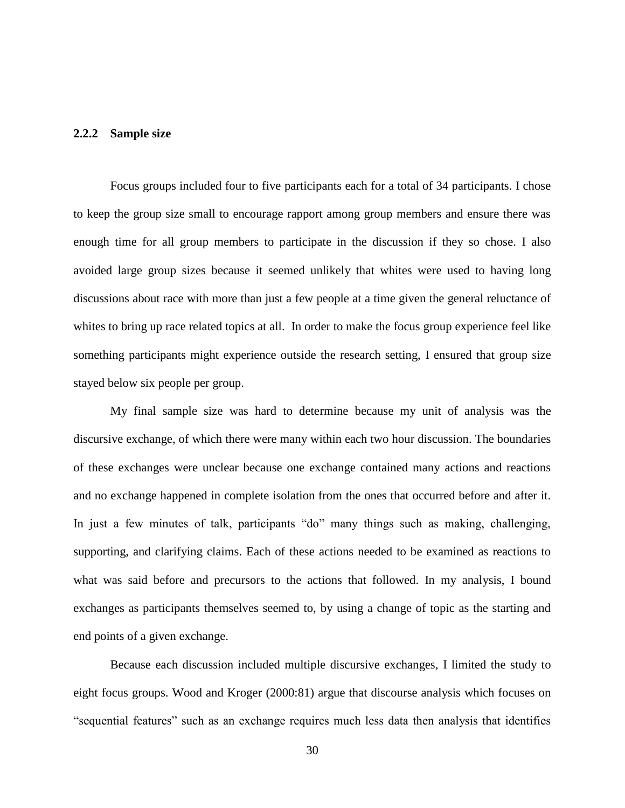### **2.2.2 Sample size**

Focus groups included four to five participants each for a total of 34 participants. I chose to keep the group size small to encourage rapport among group members and ensure there was enough time for all group members to participate in the discussion if they so chose. I also avoided large group sizes because it seemed unlikely that whites were used to having long discussions about race with more than just a few people at a time given the general reluctance of whites to bring up race related topics at all. In order to make the focus group experience feel like something participants might experience outside the research setting, I ensured that group size stayed below six people per group.

My final sample size was hard to determine because my unit of analysis was the discursive exchange, of which there were many within each two hour discussion. The boundaries of these exchanges were unclear because one exchange contained many actions and reactions and no exchange happened in complete isolation from the ones that occurred before and after it. In just a few minutes of talk, participants "do" many things such as making, challenging, supporting, and clarifying claims. Each of these actions needed to be examined as reactions to what was said before and precursors to the actions that followed. In my analysis, I bound exchanges as participants themselves seemed to, by using a change of topic as the starting and end points of a given exchange.

Because each discussion included multiple discursive exchanges, I limited the study to eight focus groups. Wood and Kroger (2000:81) argue that discourse analysis which focuses on "sequential features" such as an exchange requires much less data then analysis that identifies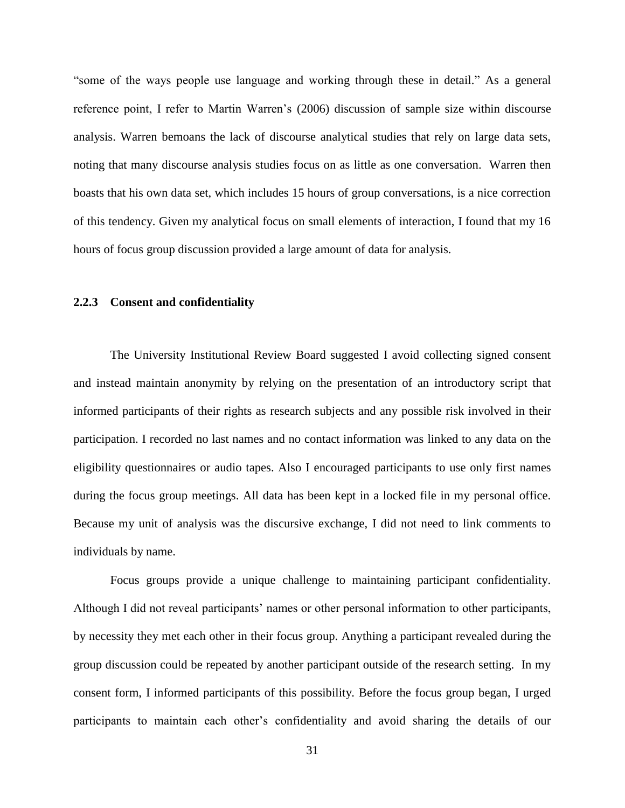"some of the ways people use language and working through these in detail." As a general reference point, I refer to Martin Warren's (2006) discussion of sample size within discourse analysis. Warren bemoans the lack of discourse analytical studies that rely on large data sets, noting that many discourse analysis studies focus on as little as one conversation. Warren then boasts that his own data set, which includes 15 hours of group conversations, is a nice correction of this tendency. Given my analytical focus on small elements of interaction, I found that my 16 hours of focus group discussion provided a large amount of data for analysis.

### **2.2.3 Consent and confidentiality**

The University Institutional Review Board suggested I avoid collecting signed consent and instead maintain anonymity by relying on the presentation of an introductory script that informed participants of their rights as research subjects and any possible risk involved in their participation. I recorded no last names and no contact information was linked to any data on the eligibility questionnaires or audio tapes. Also I encouraged participants to use only first names during the focus group meetings. All data has been kept in a locked file in my personal office. Because my unit of analysis was the discursive exchange, I did not need to link comments to individuals by name.

Focus groups provide a unique challenge to maintaining participant confidentiality. Although I did not reveal participants' names or other personal information to other participants, by necessity they met each other in their focus group. Anything a participant revealed during the group discussion could be repeated by another participant outside of the research setting. In my consent form, I informed participants of this possibility. Before the focus group began, I urged participants to maintain each other's confidentiality and avoid sharing the details of our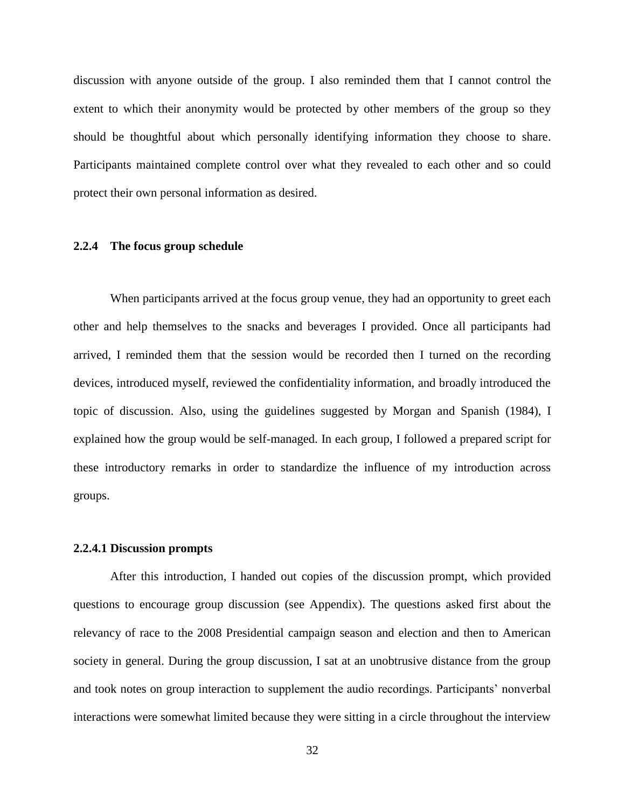discussion with anyone outside of the group. I also reminded them that I cannot control the extent to which their anonymity would be protected by other members of the group so they should be thoughtful about which personally identifying information they choose to share. Participants maintained complete control over what they revealed to each other and so could protect their own personal information as desired.

### **2.2.4 The focus group schedule**

When participants arrived at the focus group venue, they had an opportunity to greet each other and help themselves to the snacks and beverages I provided. Once all participants had arrived, I reminded them that the session would be recorded then I turned on the recording devices, introduced myself, reviewed the confidentiality information, and broadly introduced the topic of discussion. Also, using the guidelines suggested by Morgan and Spanish (1984), I explained how the group would be self-managed. In each group, I followed a prepared script for these introductory remarks in order to standardize the influence of my introduction across groups.

### **2.2.4.1 Discussion prompts**

After this introduction, I handed out copies of the discussion prompt, which provided questions to encourage group discussion (see Appendix). The questions asked first about the relevancy of race to the 2008 Presidential campaign season and election and then to American society in general. During the group discussion, I sat at an unobtrusive distance from the group and took notes on group interaction to supplement the audio recordings. Participants' nonverbal interactions were somewhat limited because they were sitting in a circle throughout the interview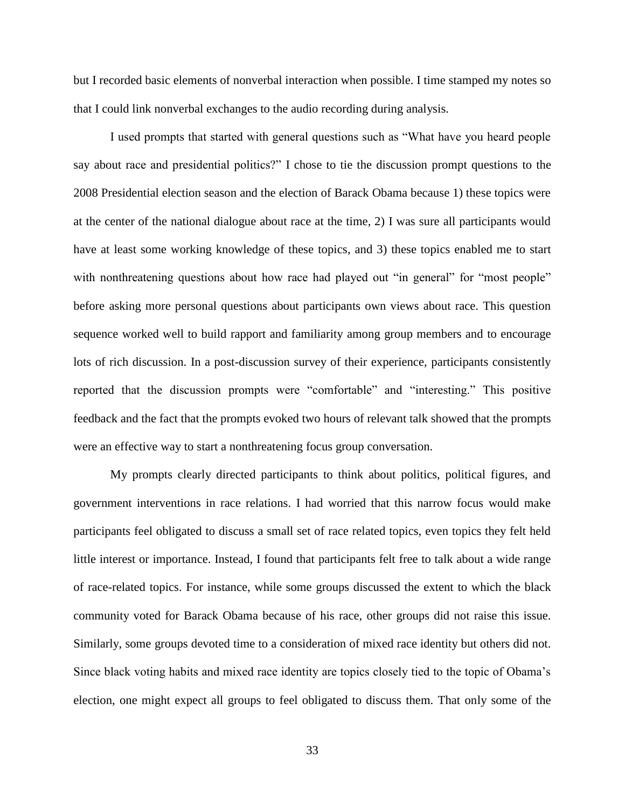but I recorded basic elements of nonverbal interaction when possible. I time stamped my notes so that I could link nonverbal exchanges to the audio recording during analysis.

I used prompts that started with general questions such as "What have you heard people say about race and presidential politics?" I chose to tie the discussion prompt questions to the 2008 Presidential election season and the election of Barack Obama because 1) these topics were at the center of the national dialogue about race at the time, 2) I was sure all participants would have at least some working knowledge of these topics, and 3) these topics enabled me to start with nonthreatening questions about how race had played out "in general" for "most people" before asking more personal questions about participants own views about race. This question sequence worked well to build rapport and familiarity among group members and to encourage lots of rich discussion. In a post-discussion survey of their experience, participants consistently reported that the discussion prompts were "comfortable" and "interesting." This positive feedback and the fact that the prompts evoked two hours of relevant talk showed that the prompts were an effective way to start a nonthreatening focus group conversation.

My prompts clearly directed participants to think about politics, political figures, and government interventions in race relations. I had worried that this narrow focus would make participants feel obligated to discuss a small set of race related topics, even topics they felt held little interest or importance. Instead, I found that participants felt free to talk about a wide range of race-related topics. For instance, while some groups discussed the extent to which the black community voted for Barack Obama because of his race, other groups did not raise this issue. Similarly, some groups devoted time to a consideration of mixed race identity but others did not. Since black voting habits and mixed race identity are topics closely tied to the topic of Obama's election, one might expect all groups to feel obligated to discuss them. That only some of the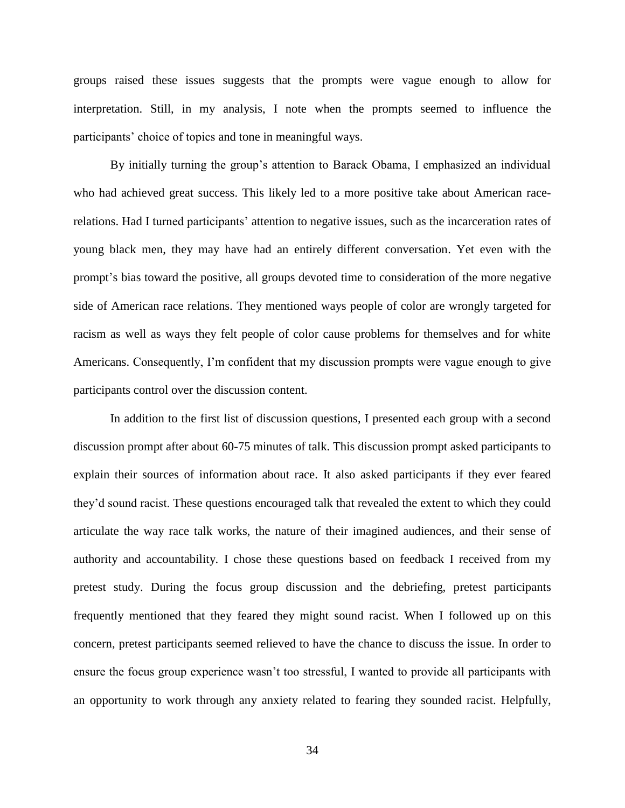groups raised these issues suggests that the prompts were vague enough to allow for interpretation. Still, in my analysis, I note when the prompts seemed to influence the participants' choice of topics and tone in meaningful ways.

By initially turning the group's attention to Barack Obama, I emphasized an individual who had achieved great success. This likely led to a more positive take about American racerelations. Had I turned participants' attention to negative issues, such as the incarceration rates of young black men, they may have had an entirely different conversation. Yet even with the prompt's bias toward the positive, all groups devoted time to consideration of the more negative side of American race relations. They mentioned ways people of color are wrongly targeted for racism as well as ways they felt people of color cause problems for themselves and for white Americans. Consequently, I'm confident that my discussion prompts were vague enough to give participants control over the discussion content.

In addition to the first list of discussion questions, I presented each group with a second discussion prompt after about 60-75 minutes of talk. This discussion prompt asked participants to explain their sources of information about race. It also asked participants if they ever feared they'd sound racist. These questions encouraged talk that revealed the extent to which they could articulate the way race talk works, the nature of their imagined audiences, and their sense of authority and accountability. I chose these questions based on feedback I received from my pretest study. During the focus group discussion and the debriefing, pretest participants frequently mentioned that they feared they might sound racist. When I followed up on this concern, pretest participants seemed relieved to have the chance to discuss the issue. In order to ensure the focus group experience wasn't too stressful, I wanted to provide all participants with an opportunity to work through any anxiety related to fearing they sounded racist. Helpfully,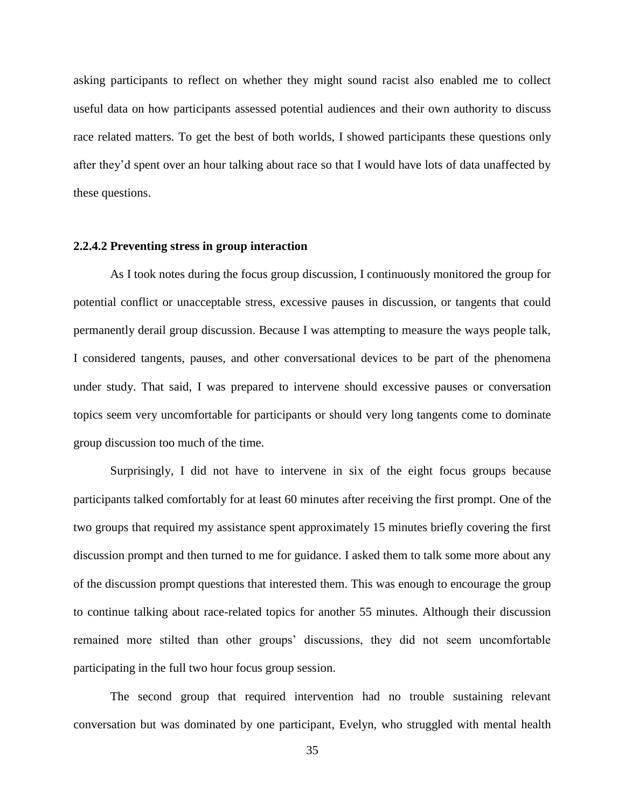asking participants to reflect on whether they might sound racist also enabled me to collect useful data on how participants assessed potential audiences and their own authority to discuss race related matters. To get the best of both worlds, I showed participants these questions only after they'd spent over an hour talking about race so that I would have lots of data unaffected by these questions.

### **2.2.4.2 Preventing stress in group interaction**

As I took notes during the focus group discussion, I continuously monitored the group for potential conflict or unacceptable stress, excessive pauses in discussion, or tangents that could permanently derail group discussion. Because I was attempting to measure the ways people talk, I considered tangents, pauses, and other conversational devices to be part of the phenomena under study. That said, I was prepared to intervene should excessive pauses or conversation topics seem very uncomfortable for participants or should very long tangents come to dominate group discussion too much of the time.

Surprisingly, I did not have to intervene in six of the eight focus groups because participants talked comfortably for at least 60 minutes after receiving the first prompt. One of the two groups that required my assistance spent approximately 15 minutes briefly covering the first discussion prompt and then turned to me for guidance. I asked them to talk some more about any of the discussion prompt questions that interested them. This was enough to encourage the group to continue talking about race-related topics for another 55 minutes. Although their discussion remained more stilted than other groups' discussions, they did not seem uncomfortable participating in the full two hour focus group session.

The second group that required intervention had no trouble sustaining relevant conversation but was dominated by one participant, Evelyn, who struggled with mental health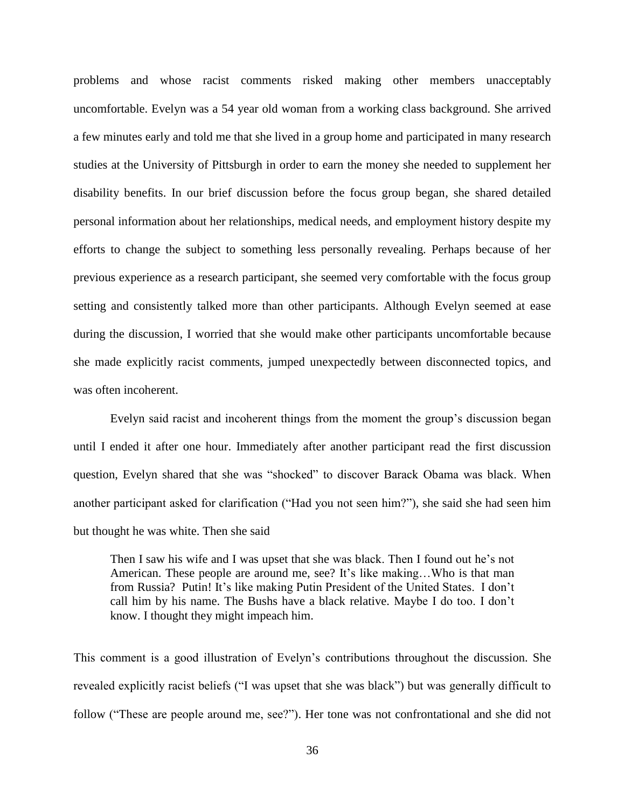problems and whose racist comments risked making other members unacceptably uncomfortable. Evelyn was a 54 year old woman from a working class background. She arrived a few minutes early and told me that she lived in a group home and participated in many research studies at the University of Pittsburgh in order to earn the money she needed to supplement her disability benefits. In our brief discussion before the focus group began, she shared detailed personal information about her relationships, medical needs, and employment history despite my efforts to change the subject to something less personally revealing. Perhaps because of her previous experience as a research participant, she seemed very comfortable with the focus group setting and consistently talked more than other participants. Although Evelyn seemed at ease during the discussion, I worried that she would make other participants uncomfortable because she made explicitly racist comments, jumped unexpectedly between disconnected topics, and was often incoherent.

Evelyn said racist and incoherent things from the moment the group's discussion began until I ended it after one hour. Immediately after another participant read the first discussion question, Evelyn shared that she was "shocked" to discover Barack Obama was black. When another participant asked for clarification ("Had you not seen him?"), she said she had seen him but thought he was white. Then she said

Then I saw his wife and I was upset that she was black. Then I found out he's not American. These people are around me, see? It's like making…Who is that man from Russia? Putin! It's like making Putin President of the United States. I don't call him by his name. The Bushs have a black relative. Maybe I do too. I don't know. I thought they might impeach him.

This comment is a good illustration of Evelyn's contributions throughout the discussion. She revealed explicitly racist beliefs ("I was upset that she was black") but was generally difficult to follow ("These are people around me, see?"). Her tone was not confrontational and she did not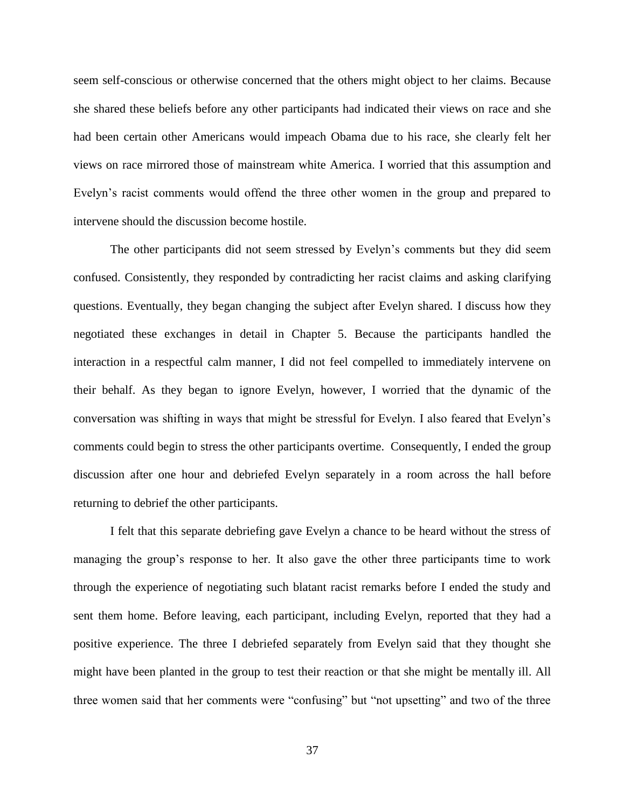seem self-conscious or otherwise concerned that the others might object to her claims. Because she shared these beliefs before any other participants had indicated their views on race and she had been certain other Americans would impeach Obama due to his race, she clearly felt her views on race mirrored those of mainstream white America. I worried that this assumption and Evelyn's racist comments would offend the three other women in the group and prepared to intervene should the discussion become hostile.

The other participants did not seem stressed by Evelyn's comments but they did seem confused. Consistently, they responded by contradicting her racist claims and asking clarifying questions. Eventually, they began changing the subject after Evelyn shared. I discuss how they negotiated these exchanges in detail in Chapter 5. Because the participants handled the interaction in a respectful calm manner, I did not feel compelled to immediately intervene on their behalf. As they began to ignore Evelyn, however, I worried that the dynamic of the conversation was shifting in ways that might be stressful for Evelyn. I also feared that Evelyn's comments could begin to stress the other participants overtime. Consequently, I ended the group discussion after one hour and debriefed Evelyn separately in a room across the hall before returning to debrief the other participants.

I felt that this separate debriefing gave Evelyn a chance to be heard without the stress of managing the group's response to her. It also gave the other three participants time to work through the experience of negotiating such blatant racist remarks before I ended the study and sent them home. Before leaving, each participant, including Evelyn, reported that they had a positive experience. The three I debriefed separately from Evelyn said that they thought she might have been planted in the group to test their reaction or that she might be mentally ill. All three women said that her comments were "confusing" but "not upsetting" and two of the three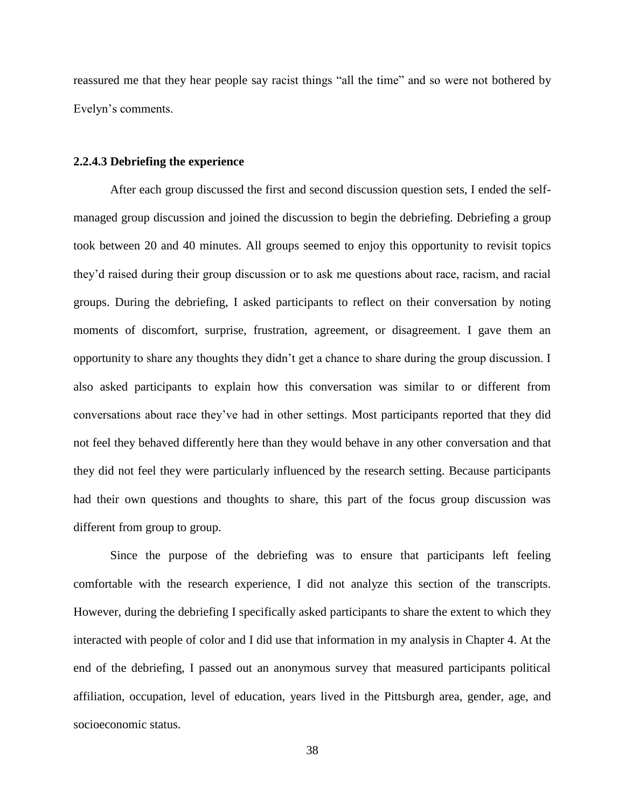reassured me that they hear people say racist things "all the time" and so were not bothered by Evelyn's comments.

#### **2.2.4.3 Debriefing the experience**

After each group discussed the first and second discussion question sets, I ended the selfmanaged group discussion and joined the discussion to begin the debriefing. Debriefing a group took between 20 and 40 minutes. All groups seemed to enjoy this opportunity to revisit topics they'd raised during their group discussion or to ask me questions about race, racism, and racial groups. During the debriefing, I asked participants to reflect on their conversation by noting moments of discomfort, surprise, frustration, agreement, or disagreement. I gave them an opportunity to share any thoughts they didn't get a chance to share during the group discussion. I also asked participants to explain how this conversation was similar to or different from conversations about race they've had in other settings. Most participants reported that they did not feel they behaved differently here than they would behave in any other conversation and that they did not feel they were particularly influenced by the research setting. Because participants had their own questions and thoughts to share, this part of the focus group discussion was different from group to group.

Since the purpose of the debriefing was to ensure that participants left feeling comfortable with the research experience, I did not analyze this section of the transcripts. However, during the debriefing I specifically asked participants to share the extent to which they interacted with people of color and I did use that information in my analysis in Chapter 4. At the end of the debriefing, I passed out an anonymous survey that measured participants political affiliation, occupation, level of education, years lived in the Pittsburgh area, gender, age, and socioeconomic status.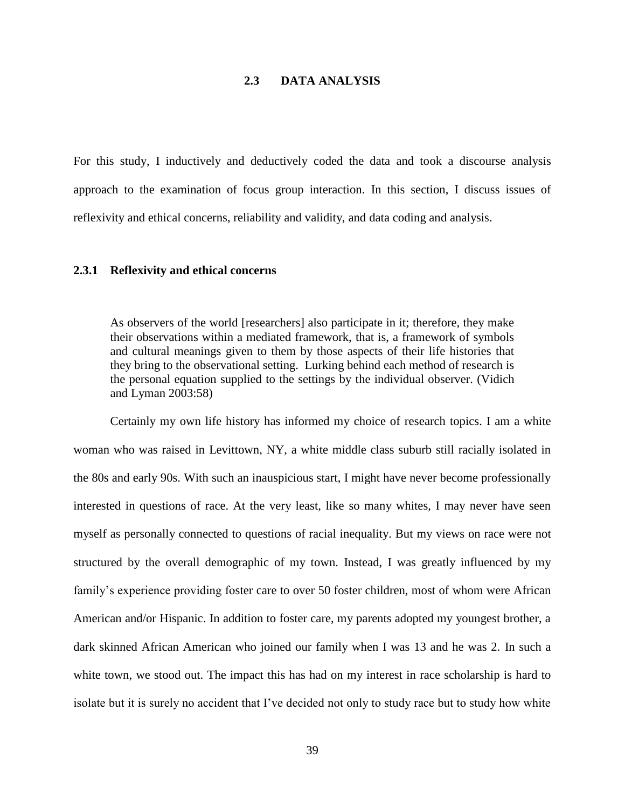# **2.3 DATA ANALYSIS**

For this study, I inductively and deductively coded the data and took a discourse analysis approach to the examination of focus group interaction. In this section, I discuss issues of reflexivity and ethical concerns, reliability and validity, and data coding and analysis.

### **2.3.1 Reflexivity and ethical concerns**

As observers of the world [researchers] also participate in it; therefore, they make their observations within a mediated framework, that is, a framework of symbols and cultural meanings given to them by those aspects of their life histories that they bring to the observational setting. Lurking behind each method of research is the personal equation supplied to the settings by the individual observer. (Vidich and Lyman 2003:58)

Certainly my own life history has informed my choice of research topics. I am a white woman who was raised in Levittown, NY, a white middle class suburb still racially isolated in the 80s and early 90s. With such an inauspicious start, I might have never become professionally interested in questions of race. At the very least, like so many whites, I may never have seen myself as personally connected to questions of racial inequality. But my views on race were not structured by the overall demographic of my town. Instead, I was greatly influenced by my family's experience providing foster care to over 50 foster children, most of whom were African American and/or Hispanic. In addition to foster care, my parents adopted my youngest brother, a dark skinned African American who joined our family when I was 13 and he was 2. In such a white town, we stood out. The impact this has had on my interest in race scholarship is hard to isolate but it is surely no accident that I've decided not only to study race but to study how white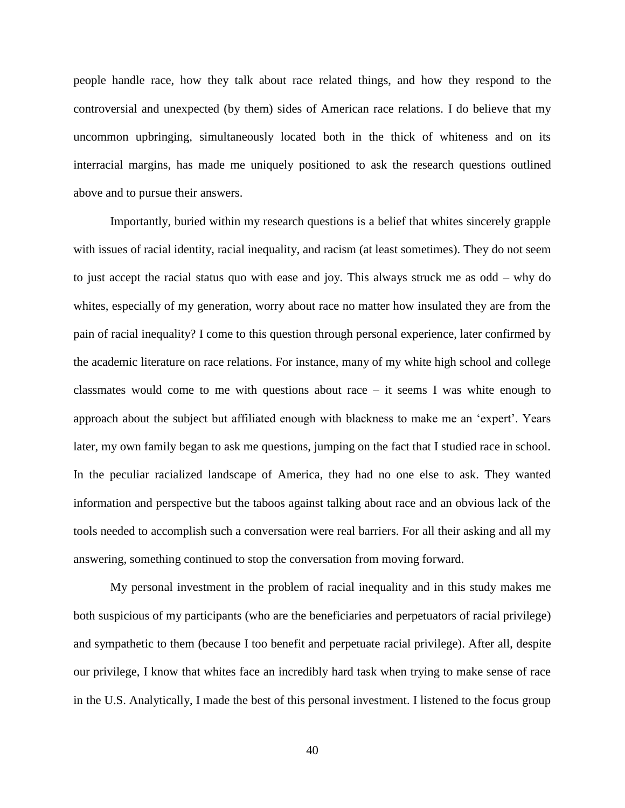people handle race, how they talk about race related things, and how they respond to the controversial and unexpected (by them) sides of American race relations. I do believe that my uncommon upbringing, simultaneously located both in the thick of whiteness and on its interracial margins, has made me uniquely positioned to ask the research questions outlined above and to pursue their answers.

Importantly, buried within my research questions is a belief that whites sincerely grapple with issues of racial identity, racial inequality, and racism (at least sometimes). They do not seem to just accept the racial status quo with ease and joy. This always struck me as odd – why do whites, especially of my generation, worry about race no matter how insulated they are from the pain of racial inequality? I come to this question through personal experience, later confirmed by the academic literature on race relations. For instance, many of my white high school and college classmates would come to me with questions about race  $-$  it seems I was white enough to approach about the subject but affiliated enough with blackness to make me an 'expert'. Years later, my own family began to ask me questions, jumping on the fact that I studied race in school. In the peculiar racialized landscape of America, they had no one else to ask. They wanted information and perspective but the taboos against talking about race and an obvious lack of the tools needed to accomplish such a conversation were real barriers. For all their asking and all my answering, something continued to stop the conversation from moving forward.

My personal investment in the problem of racial inequality and in this study makes me both suspicious of my participants (who are the beneficiaries and perpetuators of racial privilege) and sympathetic to them (because I too benefit and perpetuate racial privilege). After all, despite our privilege, I know that whites face an incredibly hard task when trying to make sense of race in the U.S. Analytically, I made the best of this personal investment. I listened to the focus group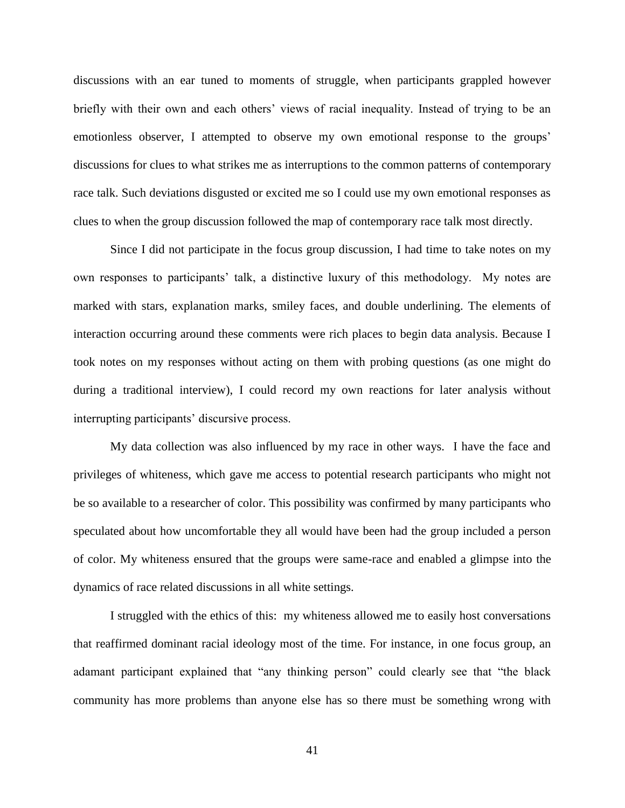discussions with an ear tuned to moments of struggle, when participants grappled however briefly with their own and each others' views of racial inequality. Instead of trying to be an emotionless observer, I attempted to observe my own emotional response to the groups' discussions for clues to what strikes me as interruptions to the common patterns of contemporary race talk. Such deviations disgusted or excited me so I could use my own emotional responses as clues to when the group discussion followed the map of contemporary race talk most directly.

Since I did not participate in the focus group discussion, I had time to take notes on my own responses to participants' talk, a distinctive luxury of this methodology. My notes are marked with stars, explanation marks, smiley faces, and double underlining. The elements of interaction occurring around these comments were rich places to begin data analysis. Because I took notes on my responses without acting on them with probing questions (as one might do during a traditional interview), I could record my own reactions for later analysis without interrupting participants' discursive process.

My data collection was also influenced by my race in other ways. I have the face and privileges of whiteness, which gave me access to potential research participants who might not be so available to a researcher of color. This possibility was confirmed by many participants who speculated about how uncomfortable they all would have been had the group included a person of color. My whiteness ensured that the groups were same-race and enabled a glimpse into the dynamics of race related discussions in all white settings.

I struggled with the ethics of this: my whiteness allowed me to easily host conversations that reaffirmed dominant racial ideology most of the time. For instance, in one focus group, an adamant participant explained that "any thinking person" could clearly see that "the black community has more problems than anyone else has so there must be something wrong with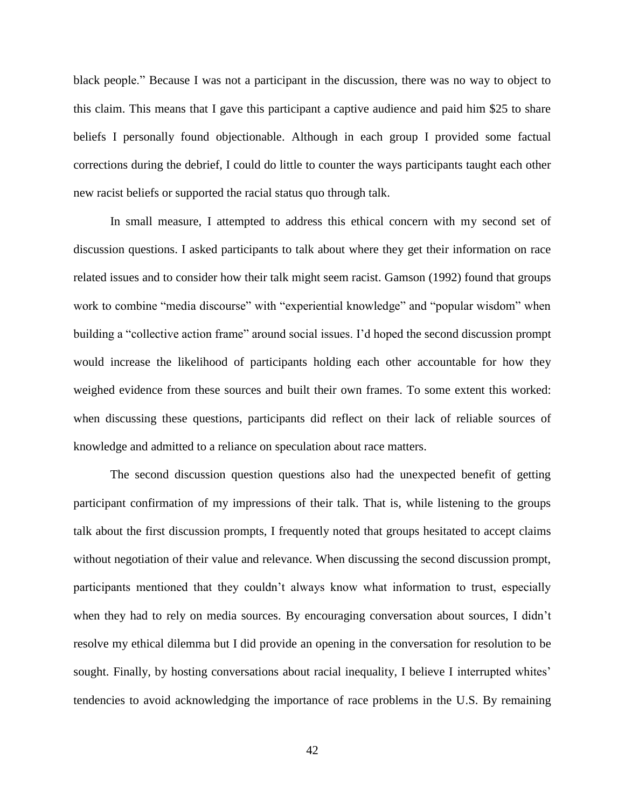black people." Because I was not a participant in the discussion, there was no way to object to this claim. This means that I gave this participant a captive audience and paid him \$25 to share beliefs I personally found objectionable. Although in each group I provided some factual corrections during the debrief, I could do little to counter the ways participants taught each other new racist beliefs or supported the racial status quo through talk.

In small measure, I attempted to address this ethical concern with my second set of discussion questions. I asked participants to talk about where they get their information on race related issues and to consider how their talk might seem racist. Gamson (1992) found that groups work to combine "media discourse" with "experiential knowledge" and "popular wisdom" when building a "collective action frame" around social issues. I'd hoped the second discussion prompt would increase the likelihood of participants holding each other accountable for how they weighed evidence from these sources and built their own frames. To some extent this worked: when discussing these questions, participants did reflect on their lack of reliable sources of knowledge and admitted to a reliance on speculation about race matters.

The second discussion question questions also had the unexpected benefit of getting participant confirmation of my impressions of their talk. That is, while listening to the groups talk about the first discussion prompts, I frequently noted that groups hesitated to accept claims without negotiation of their value and relevance. When discussing the second discussion prompt, participants mentioned that they couldn't always know what information to trust, especially when they had to rely on media sources. By encouraging conversation about sources, I didn't resolve my ethical dilemma but I did provide an opening in the conversation for resolution to be sought. Finally, by hosting conversations about racial inequality, I believe I interrupted whites' tendencies to avoid acknowledging the importance of race problems in the U.S. By remaining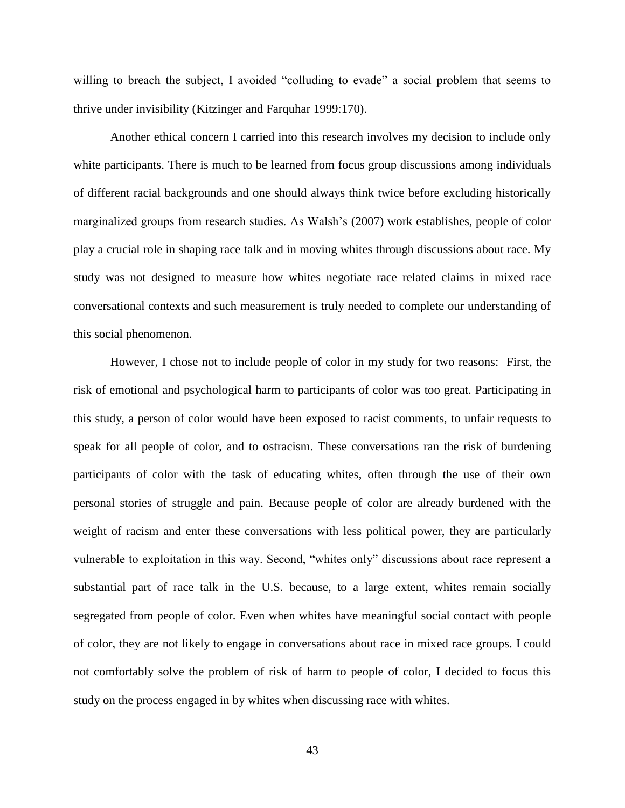willing to breach the subject, I avoided "colluding to evade" a social problem that seems to thrive under invisibility (Kitzinger and Farquhar 1999:170).

Another ethical concern I carried into this research involves my decision to include only white participants. There is much to be learned from focus group discussions among individuals of different racial backgrounds and one should always think twice before excluding historically marginalized groups from research studies. As Walsh's (2007) work establishes, people of color play a crucial role in shaping race talk and in moving whites through discussions about race. My study was not designed to measure how whites negotiate race related claims in mixed race conversational contexts and such measurement is truly needed to complete our understanding of this social phenomenon.

However, I chose not to include people of color in my study for two reasons: First, the risk of emotional and psychological harm to participants of color was too great. Participating in this study, a person of color would have been exposed to racist comments, to unfair requests to speak for all people of color, and to ostracism. These conversations ran the risk of burdening participants of color with the task of educating whites, often through the use of their own personal stories of struggle and pain. Because people of color are already burdened with the weight of racism and enter these conversations with less political power, they are particularly vulnerable to exploitation in this way. Second, "whites only" discussions about race represent a substantial part of race talk in the U.S. because, to a large extent, whites remain socially segregated from people of color. Even when whites have meaningful social contact with people of color, they are not likely to engage in conversations about race in mixed race groups. I could not comfortably solve the problem of risk of harm to people of color, I decided to focus this study on the process engaged in by whites when discussing race with whites.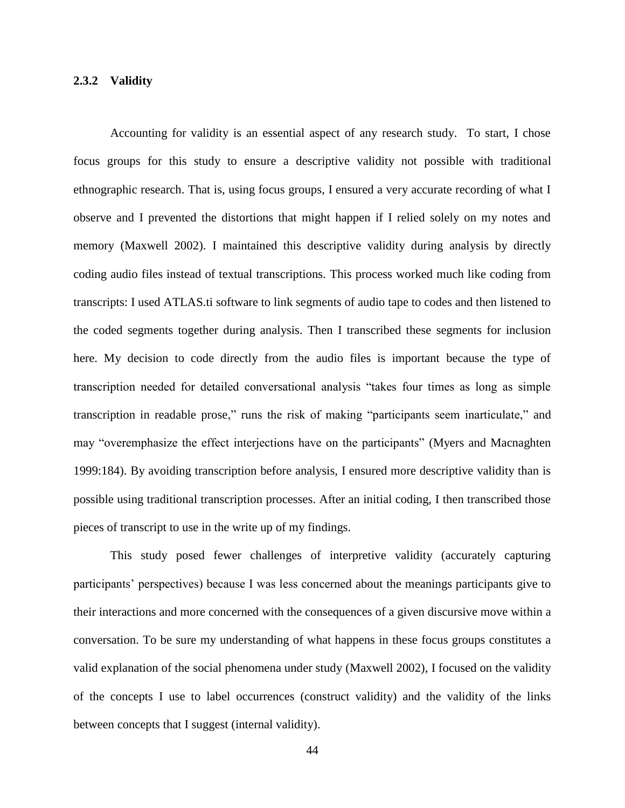### **2.3.2 Validity**

Accounting for validity is an essential aspect of any research study. To start, I chose focus groups for this study to ensure a descriptive validity not possible with traditional ethnographic research. That is, using focus groups, I ensured a very accurate recording of what I observe and I prevented the distortions that might happen if I relied solely on my notes and memory (Maxwell 2002). I maintained this descriptive validity during analysis by directly coding audio files instead of textual transcriptions. This process worked much like coding from transcripts: I used ATLAS.ti software to link segments of audio tape to codes and then listened to the coded segments together during analysis. Then I transcribed these segments for inclusion here. My decision to code directly from the audio files is important because the type of transcription needed for detailed conversational analysis "takes four times as long as simple transcription in readable prose," runs the risk of making "participants seem inarticulate," and may "overemphasize the effect interjections have on the participants" (Myers and Macnaghten 1999:184). By avoiding transcription before analysis, I ensured more descriptive validity than is possible using traditional transcription processes. After an initial coding, I then transcribed those pieces of transcript to use in the write up of my findings.

This study posed fewer challenges of interpretive validity (accurately capturing participants' perspectives) because I was less concerned about the meanings participants give to their interactions and more concerned with the consequences of a given discursive move within a conversation. To be sure my understanding of what happens in these focus groups constitutes a valid explanation of the social phenomena under study (Maxwell 2002), I focused on the validity of the concepts I use to label occurrences (construct validity) and the validity of the links between concepts that I suggest (internal validity).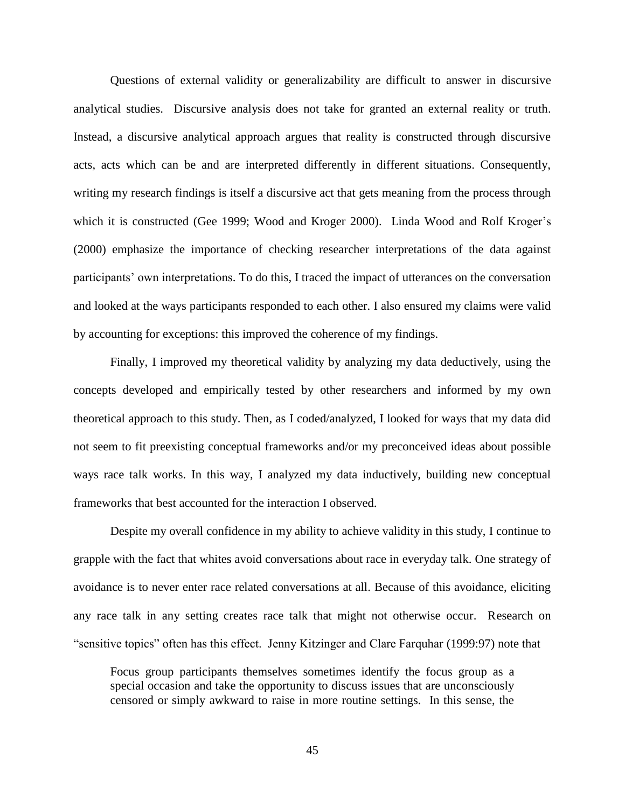Questions of external validity or generalizability are difficult to answer in discursive analytical studies. Discursive analysis does not take for granted an external reality or truth. Instead, a discursive analytical approach argues that reality is constructed through discursive acts, acts which can be and are interpreted differently in different situations. Consequently, writing my research findings is itself a discursive act that gets meaning from the process through which it is constructed (Gee 1999; Wood and Kroger 2000). Linda Wood and Rolf Kroger's (2000) emphasize the importance of checking researcher interpretations of the data against participants' own interpretations. To do this, I traced the impact of utterances on the conversation and looked at the ways participants responded to each other. I also ensured my claims were valid by accounting for exceptions: this improved the coherence of my findings.

Finally, I improved my theoretical validity by analyzing my data deductively, using the concepts developed and empirically tested by other researchers and informed by my own theoretical approach to this study. Then, as I coded/analyzed, I looked for ways that my data did not seem to fit preexisting conceptual frameworks and/or my preconceived ideas about possible ways race talk works. In this way, I analyzed my data inductively, building new conceptual frameworks that best accounted for the interaction I observed.

Despite my overall confidence in my ability to achieve validity in this study, I continue to grapple with the fact that whites avoid conversations about race in everyday talk. One strategy of avoidance is to never enter race related conversations at all. Because of this avoidance, eliciting any race talk in any setting creates race talk that might not otherwise occur. Research on "sensitive topics" often has this effect. Jenny Kitzinger and Clare Farquhar (1999:97) note that

Focus group participants themselves sometimes identify the focus group as a special occasion and take the opportunity to discuss issues that are unconsciously censored or simply awkward to raise in more routine settings. In this sense, the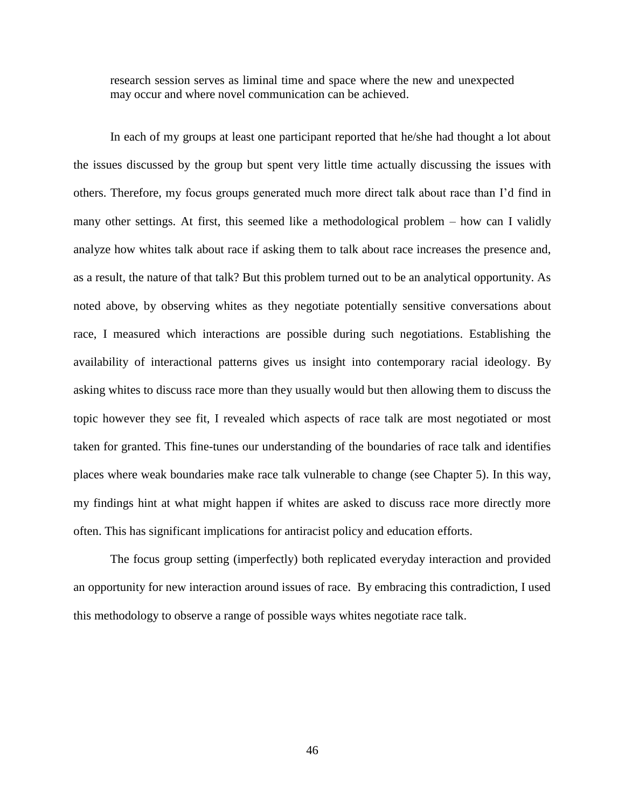research session serves as liminal time and space where the new and unexpected may occur and where novel communication can be achieved.

In each of my groups at least one participant reported that he/she had thought a lot about the issues discussed by the group but spent very little time actually discussing the issues with others. Therefore, my focus groups generated much more direct talk about race than I'd find in many other settings. At first, this seemed like a methodological problem – how can I validly analyze how whites talk about race if asking them to talk about race increases the presence and, as a result, the nature of that talk? But this problem turned out to be an analytical opportunity. As noted above, by observing whites as they negotiate potentially sensitive conversations about race, I measured which interactions are possible during such negotiations. Establishing the availability of interactional patterns gives us insight into contemporary racial ideology. By asking whites to discuss race more than they usually would but then allowing them to discuss the topic however they see fit, I revealed which aspects of race talk are most negotiated or most taken for granted. This fine-tunes our understanding of the boundaries of race talk and identifies places where weak boundaries make race talk vulnerable to change (see Chapter 5). In this way, my findings hint at what might happen if whites are asked to discuss race more directly more often. This has significant implications for antiracist policy and education efforts.

The focus group setting (imperfectly) both replicated everyday interaction and provided an opportunity for new interaction around issues of race. By embracing this contradiction, I used this methodology to observe a range of possible ways whites negotiate race talk.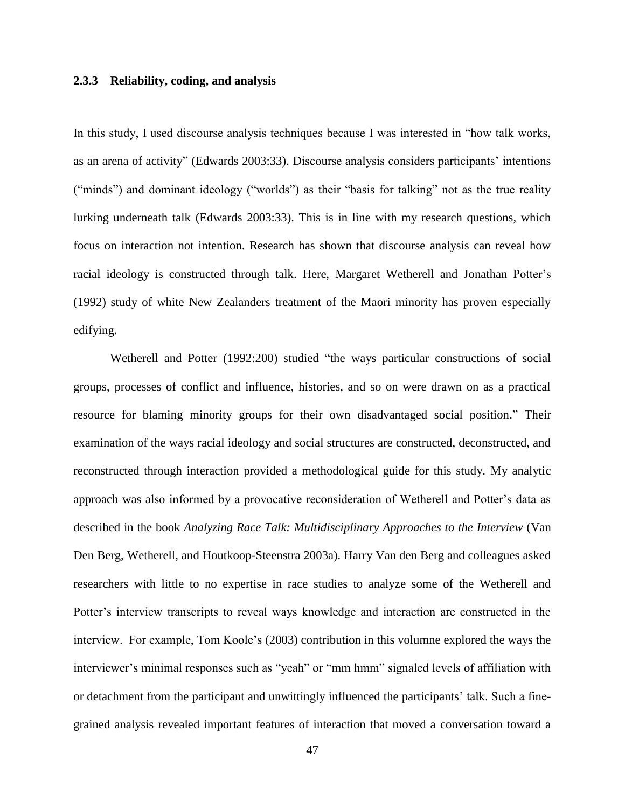### **2.3.3 Reliability, coding, and analysis**

In this study, I used discourse analysis techniques because I was interested in "how talk works, as an arena of activity" (Edwards 2003:33). Discourse analysis considers participants' intentions ("minds") and dominant ideology ("worlds") as their "basis for talking" not as the true reality lurking underneath talk (Edwards 2003:33). This is in line with my research questions, which focus on interaction not intention. Research has shown that discourse analysis can reveal how racial ideology is constructed through talk. Here, Margaret Wetherell and Jonathan Potter's (1992) study of white New Zealanders treatment of the Maori minority has proven especially edifying.

Wetherell and Potter (1992:200) studied "the ways particular constructions of social groups, processes of conflict and influence, histories, and so on were drawn on as a practical resource for blaming minority groups for their own disadvantaged social position." Their examination of the ways racial ideology and social structures are constructed, deconstructed, and reconstructed through interaction provided a methodological guide for this study. My analytic approach was also informed by a provocative reconsideration of Wetherell and Potter's data as described in the book *Analyzing Race Talk: Multidisciplinary Approaches to the Interview* (Van Den Berg, Wetherell, and Houtkoop-Steenstra 2003a). Harry Van den Berg and colleagues asked researchers with little to no expertise in race studies to analyze some of the Wetherell and Potter's interview transcripts to reveal ways knowledge and interaction are constructed in the interview. For example, Tom Koole's (2003) contribution in this volumne explored the ways the interviewer's minimal responses such as "yeah" or "mm hmm" signaled levels of affiliation with or detachment from the participant and unwittingly influenced the participants' talk. Such a finegrained analysis revealed important features of interaction that moved a conversation toward a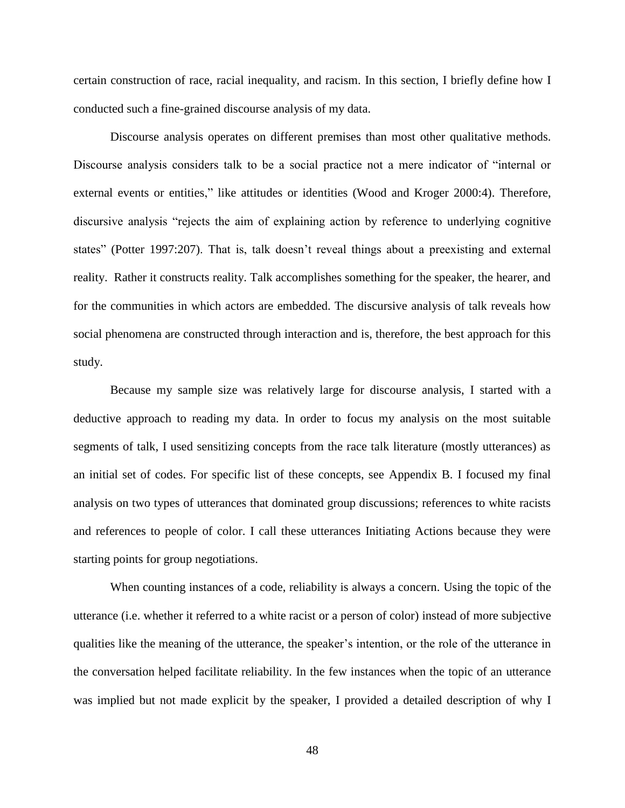certain construction of race, racial inequality, and racism. In this section, I briefly define how I conducted such a fine-grained discourse analysis of my data.

Discourse analysis operates on different premises than most other qualitative methods. Discourse analysis considers talk to be a social practice not a mere indicator of "internal or external events or entities," like attitudes or identities (Wood and Kroger 2000:4). Therefore, discursive analysis "rejects the aim of explaining action by reference to underlying cognitive states" (Potter 1997:207). That is, talk doesn't reveal things about a preexisting and external reality. Rather it constructs reality. Talk accomplishes something for the speaker, the hearer, and for the communities in which actors are embedded. The discursive analysis of talk reveals how social phenomena are constructed through interaction and is, therefore, the best approach for this study.

Because my sample size was relatively large for discourse analysis, I started with a deductive approach to reading my data. In order to focus my analysis on the most suitable segments of talk, I used sensitizing concepts from the race talk literature (mostly utterances) as an initial set of codes. For specific list of these concepts, see Appendix B. I focused my final analysis on two types of utterances that dominated group discussions; references to white racists and references to people of color. I call these utterances Initiating Actions because they were starting points for group negotiations.

When counting instances of a code, reliability is always a concern. Using the topic of the utterance (i.e. whether it referred to a white racist or a person of color) instead of more subjective qualities like the meaning of the utterance, the speaker's intention, or the role of the utterance in the conversation helped facilitate reliability. In the few instances when the topic of an utterance was implied but not made explicit by the speaker, I provided a detailed description of why I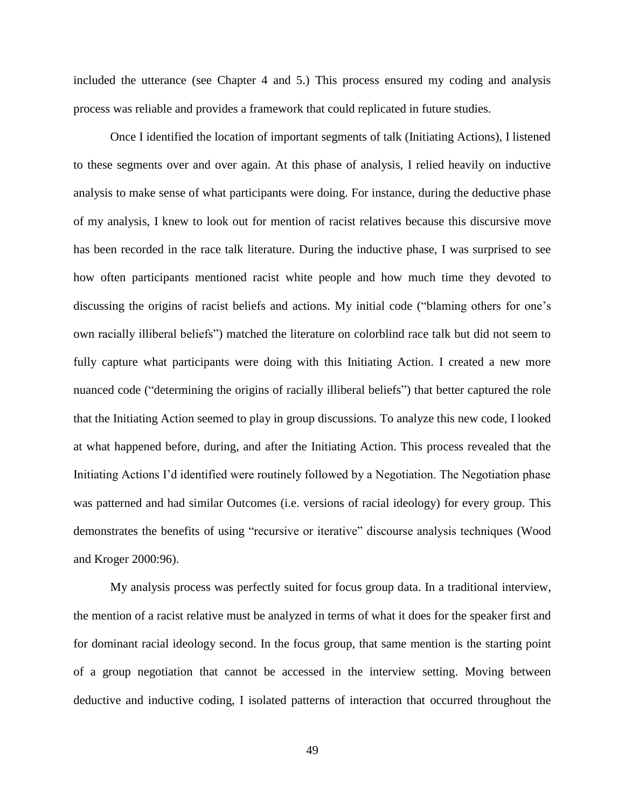included the utterance (see Chapter 4 and 5.) This process ensured my coding and analysis process was reliable and provides a framework that could replicated in future studies.

Once I identified the location of important segments of talk (Initiating Actions), I listened to these segments over and over again. At this phase of analysis, I relied heavily on inductive analysis to make sense of what participants were doing. For instance, during the deductive phase of my analysis, I knew to look out for mention of racist relatives because this discursive move has been recorded in the race talk literature. During the inductive phase, I was surprised to see how often participants mentioned racist white people and how much time they devoted to discussing the origins of racist beliefs and actions. My initial code ("blaming others for one's own racially illiberal beliefs") matched the literature on colorblind race talk but did not seem to fully capture what participants were doing with this Initiating Action. I created a new more nuanced code ("determining the origins of racially illiberal beliefs") that better captured the role that the Initiating Action seemed to play in group discussions. To analyze this new code, I looked at what happened before, during, and after the Initiating Action. This process revealed that the Initiating Actions I'd identified were routinely followed by a Negotiation. The Negotiation phase was patterned and had similar Outcomes (i.e. versions of racial ideology) for every group. This demonstrates the benefits of using "recursive or iterative" discourse analysis techniques (Wood and Kroger 2000:96).

My analysis process was perfectly suited for focus group data. In a traditional interview, the mention of a racist relative must be analyzed in terms of what it does for the speaker first and for dominant racial ideology second. In the focus group, that same mention is the starting point of a group negotiation that cannot be accessed in the interview setting. Moving between deductive and inductive coding, I isolated patterns of interaction that occurred throughout the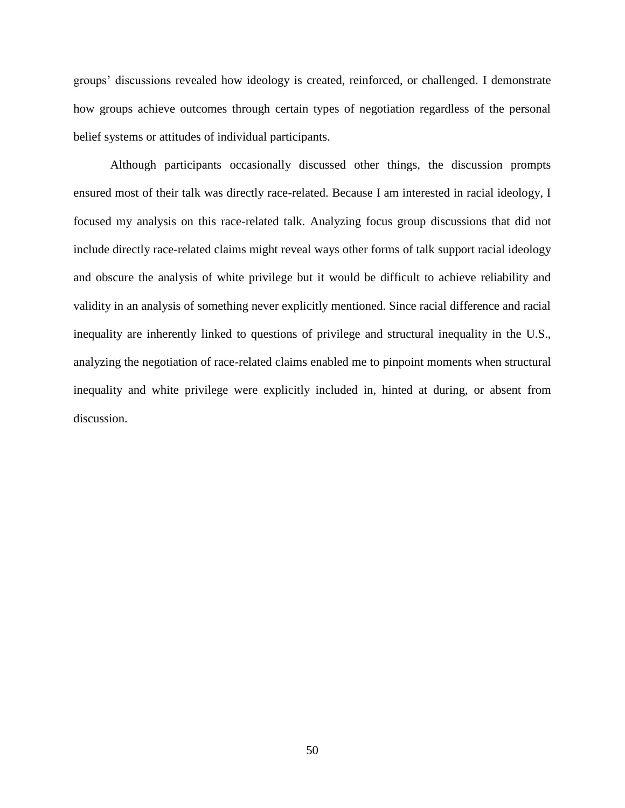groups' discussions revealed how ideology is created, reinforced, or challenged. I demonstrate how groups achieve outcomes through certain types of negotiation regardless of the personal belief systems or attitudes of individual participants.

Although participants occasionally discussed other things, the discussion prompts ensured most of their talk was directly race-related. Because I am interested in racial ideology, I focused my analysis on this race-related talk. Analyzing focus group discussions that did not include directly race-related claims might reveal ways other forms of talk support racial ideology and obscure the analysis of white privilege but it would be difficult to achieve reliability and validity in an analysis of something never explicitly mentioned. Since racial difference and racial inequality are inherently linked to questions of privilege and structural inequality in the U.S., analyzing the negotiation of race-related claims enabled me to pinpoint moments when structural inequality and white privilege were explicitly included in, hinted at during, or absent from discussion.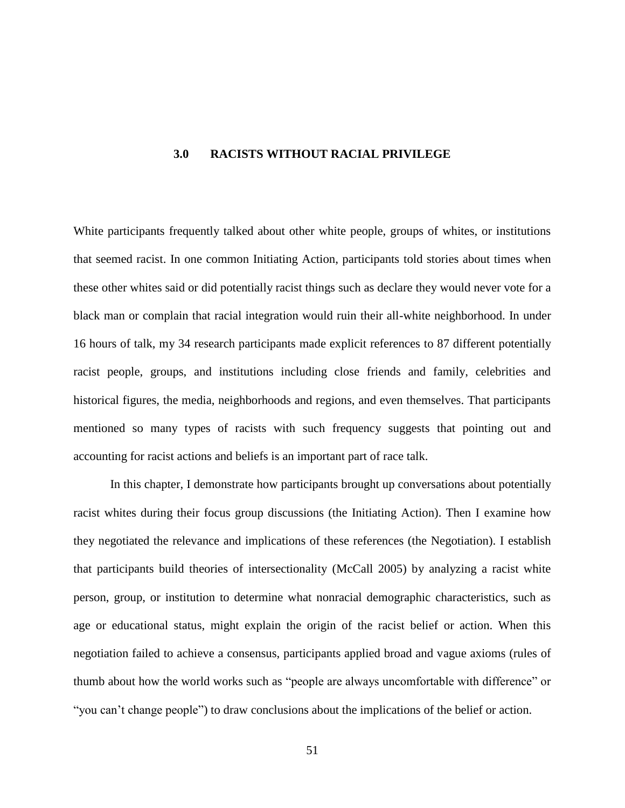### **3.0 RACISTS WITHOUT RACIAL PRIVILEGE**

White participants frequently talked about other white people, groups of whites, or institutions that seemed racist. In one common Initiating Action, participants told stories about times when these other whites said or did potentially racist things such as declare they would never vote for a black man or complain that racial integration would ruin their all-white neighborhood. In under 16 hours of talk, my 34 research participants made explicit references to 87 different potentially racist people, groups, and institutions including close friends and family, celebrities and historical figures, the media, neighborhoods and regions, and even themselves. That participants mentioned so many types of racists with such frequency suggests that pointing out and accounting for racist actions and beliefs is an important part of race talk.

In this chapter, I demonstrate how participants brought up conversations about potentially racist whites during their focus group discussions (the Initiating Action). Then I examine how they negotiated the relevance and implications of these references (the Negotiation). I establish that participants build theories of intersectionality (McCall 2005) by analyzing a racist white person, group, or institution to determine what nonracial demographic characteristics, such as age or educational status, might explain the origin of the racist belief or action. When this negotiation failed to achieve a consensus, participants applied broad and vague axioms (rules of thumb about how the world works such as "people are always uncomfortable with difference" or "you can't change people") to draw conclusions about the implications of the belief or action.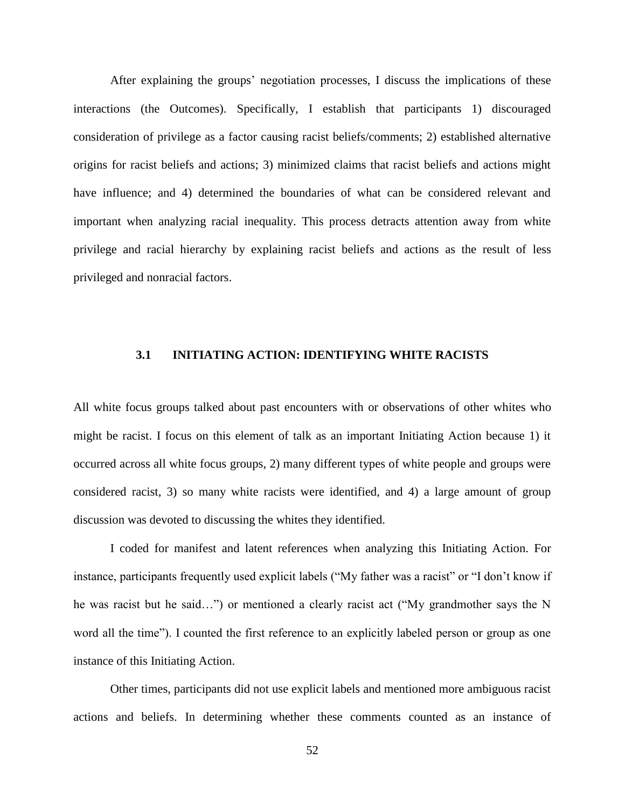After explaining the groups' negotiation processes, I discuss the implications of these interactions (the Outcomes). Specifically, I establish that participants 1) discouraged consideration of privilege as a factor causing racist beliefs/comments; 2) established alternative origins for racist beliefs and actions; 3) minimized claims that racist beliefs and actions might have influence; and 4) determined the boundaries of what can be considered relevant and important when analyzing racial inequality. This process detracts attention away from white privilege and racial hierarchy by explaining racist beliefs and actions as the result of less privileged and nonracial factors.

### **3.1 INITIATING ACTION: IDENTIFYING WHITE RACISTS**

All white focus groups talked about past encounters with or observations of other whites who might be racist. I focus on this element of talk as an important Initiating Action because 1) it occurred across all white focus groups, 2) many different types of white people and groups were considered racist, 3) so many white racists were identified, and 4) a large amount of group discussion was devoted to discussing the whites they identified.

I coded for manifest and latent references when analyzing this Initiating Action. For instance, participants frequently used explicit labels ("My father was a racist" or "I don't know if he was racist but he said…") or mentioned a clearly racist act ("My grandmother says the N word all the time"). I counted the first reference to an explicitly labeled person or group as one instance of this Initiating Action.

Other times, participants did not use explicit labels and mentioned more ambiguous racist actions and beliefs. In determining whether these comments counted as an instance of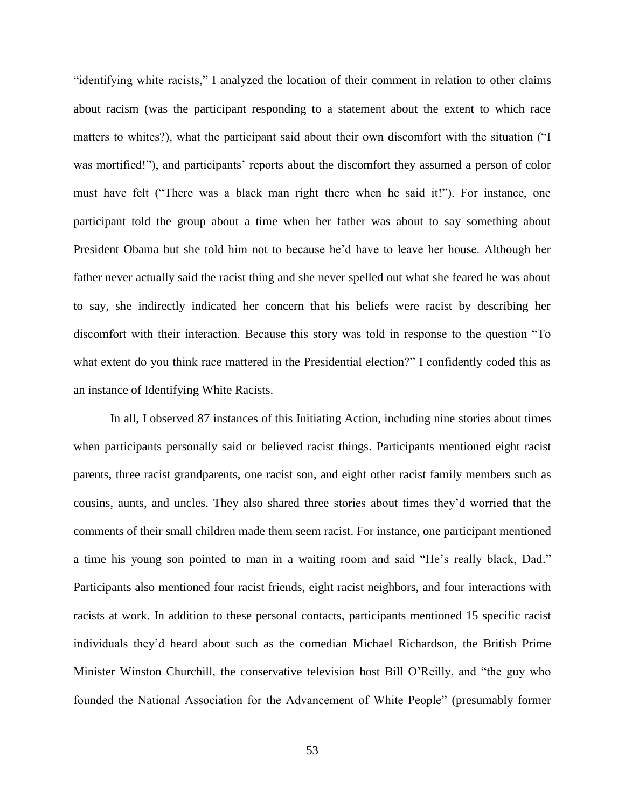"identifying white racists," I analyzed the location of their comment in relation to other claims about racism (was the participant responding to a statement about the extent to which race matters to whites?), what the participant said about their own discomfort with the situation ("I was mortified!"), and participants' reports about the discomfort they assumed a person of color must have felt ("There was a black man right there when he said it!"). For instance, one participant told the group about a time when her father was about to say something about President Obama but she told him not to because he'd have to leave her house. Although her father never actually said the racist thing and she never spelled out what she feared he was about to say, she indirectly indicated her concern that his beliefs were racist by describing her discomfort with their interaction. Because this story was told in response to the question "To what extent do you think race mattered in the Presidential election?" I confidently coded this as an instance of Identifying White Racists.

In all, I observed 87 instances of this Initiating Action, including nine stories about times when participants personally said or believed racist things. Participants mentioned eight racist parents, three racist grandparents, one racist son, and eight other racist family members such as cousins, aunts, and uncles. They also shared three stories about times they'd worried that the comments of their small children made them seem racist. For instance, one participant mentioned a time his young son pointed to man in a waiting room and said "He's really black, Dad." Participants also mentioned four racist friends, eight racist neighbors, and four interactions with racists at work. In addition to these personal contacts, participants mentioned 15 specific racist individuals they'd heard about such as the comedian Michael Richardson, the British Prime Minister Winston Churchill, the conservative television host Bill O'Reilly, and "the guy who founded the National Association for the Advancement of White People" (presumably former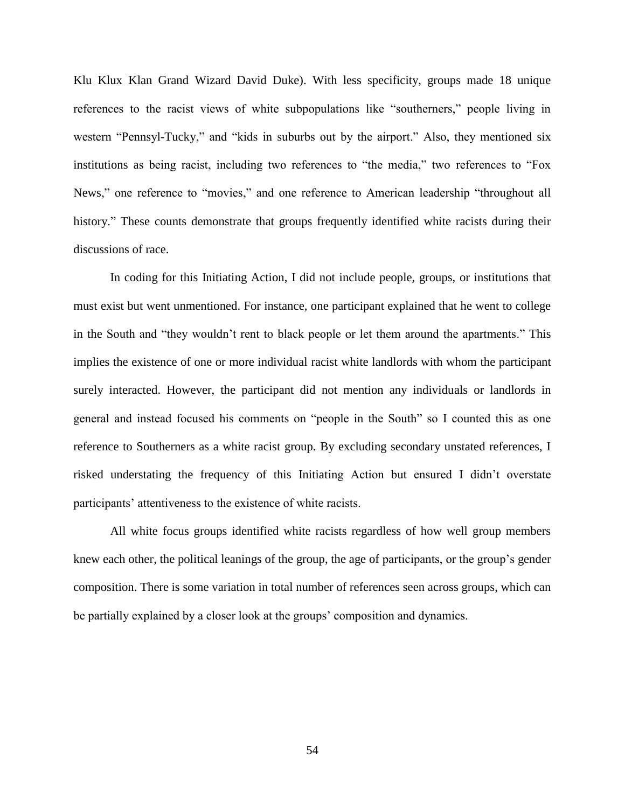Klu Klux Klan Grand Wizard David Duke). With less specificity, groups made 18 unique references to the racist views of white subpopulations like "southerners," people living in western "Pennsyl-Tucky," and "kids in suburbs out by the airport." Also, they mentioned six institutions as being racist, including two references to "the media," two references to "Fox News," one reference to "movies," and one reference to American leadership "throughout all history." These counts demonstrate that groups frequently identified white racists during their discussions of race.

In coding for this Initiating Action, I did not include people, groups, or institutions that must exist but went unmentioned. For instance, one participant explained that he went to college in the South and "they wouldn't rent to black people or let them around the apartments." This implies the existence of one or more individual racist white landlords with whom the participant surely interacted. However, the participant did not mention any individuals or landlords in general and instead focused his comments on "people in the South" so I counted this as one reference to Southerners as a white racist group. By excluding secondary unstated references, I risked understating the frequency of this Initiating Action but ensured I didn't overstate participants' attentiveness to the existence of white racists.

All white focus groups identified white racists regardless of how well group members knew each other, the political leanings of the group, the age of participants, or the group's gender composition. There is some variation in total number of references seen across groups, which can be partially explained by a closer look at the groups' composition and dynamics.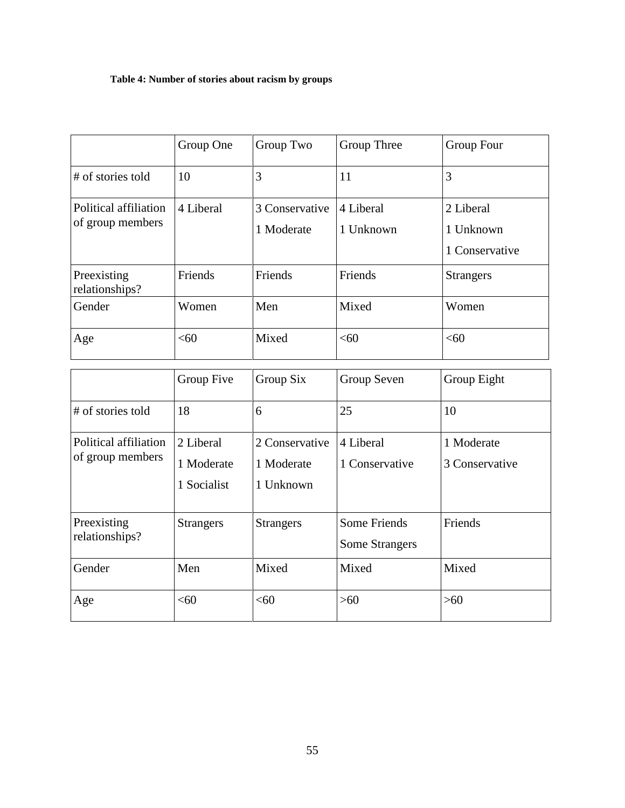# **Table 4: Number of stories about racism by groups**

|                                           | Group One | Group Two                    | Group Three            | Group Four                               |
|-------------------------------------------|-----------|------------------------------|------------------------|------------------------------------------|
| # of stories told                         | 10        | 3                            | 11                     | 3                                        |
| Political affiliation<br>of group members | 4 Liberal | 3 Conservative<br>1 Moderate | 4 Liberal<br>1 Unknown | 2 Liberal<br>1 Unknown<br>1 Conservative |
| Preexisting<br>relationships?             | Friends   | Friends                      | Friends                | <b>Strangers</b>                         |
| Gender                                    | Women     | Men                          | Mixed                  | Women                                    |
| Age                                       | < 60      | Mixed                        | <60                    | <60                                      |

|                                           | Group Five       | Group Six        | Group Seven           | Group Eight    |
|-------------------------------------------|------------------|------------------|-----------------------|----------------|
| # of stories told                         | 18               | 6                | 25                    | 10             |
| Political affiliation<br>of group members | 2 Liberal        | 2 Conservative   | 4 Liberal             | 1 Moderate     |
|                                           | 1 Moderate       | 1 Moderate       | 1 Conservative        | 3 Conservative |
|                                           | 1 Socialist      | 1 Unknown        |                       |                |
| Preexisting<br>relationships?             | <b>Strangers</b> | <b>Strangers</b> | <b>Some Friends</b>   | Friends        |
|                                           |                  |                  | <b>Some Strangers</b> |                |
| Gender                                    | Men              | Mixed            | Mixed                 | Mixed          |
| Age                                       | < 60             | <60              | $>60$                 | $>60$          |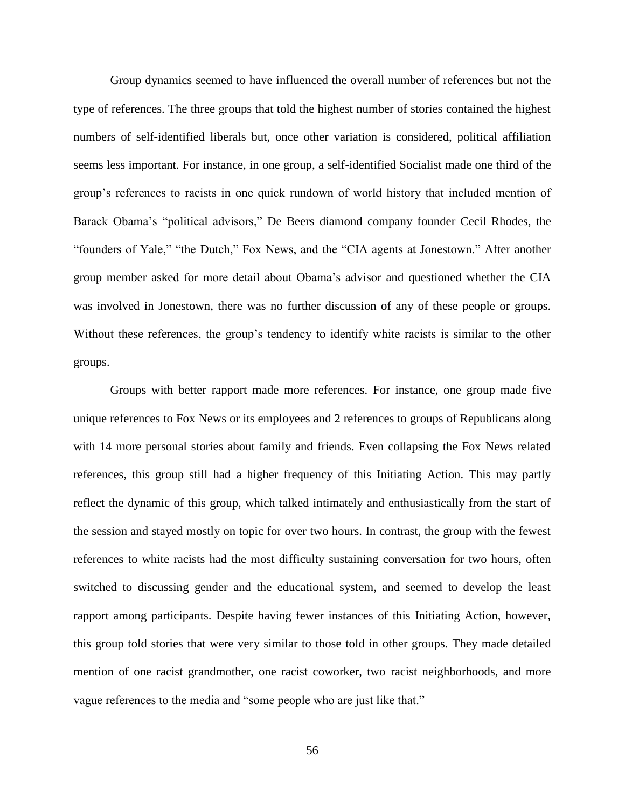Group dynamics seemed to have influenced the overall number of references but not the type of references. The three groups that told the highest number of stories contained the highest numbers of self-identified liberals but, once other variation is considered, political affiliation seems less important. For instance, in one group, a self-identified Socialist made one third of the group's references to racists in one quick rundown of world history that included mention of Barack Obama's "political advisors," De Beers diamond company founder Cecil Rhodes, the "founders of Yale," "the Dutch," Fox News, and the "CIA agents at Jonestown." After another group member asked for more detail about Obama's advisor and questioned whether the CIA was involved in Jonestown, there was no further discussion of any of these people or groups. Without these references, the group's tendency to identify white racists is similar to the other groups.

Groups with better rapport made more references. For instance, one group made five unique references to Fox News or its employees and 2 references to groups of Republicans along with 14 more personal stories about family and friends. Even collapsing the Fox News related references, this group still had a higher frequency of this Initiating Action. This may partly reflect the dynamic of this group, which talked intimately and enthusiastically from the start of the session and stayed mostly on topic for over two hours. In contrast, the group with the fewest references to white racists had the most difficulty sustaining conversation for two hours, often switched to discussing gender and the educational system, and seemed to develop the least rapport among participants. Despite having fewer instances of this Initiating Action, however, this group told stories that were very similar to those told in other groups. They made detailed mention of one racist grandmother, one racist coworker, two racist neighborhoods, and more vague references to the media and "some people who are just like that."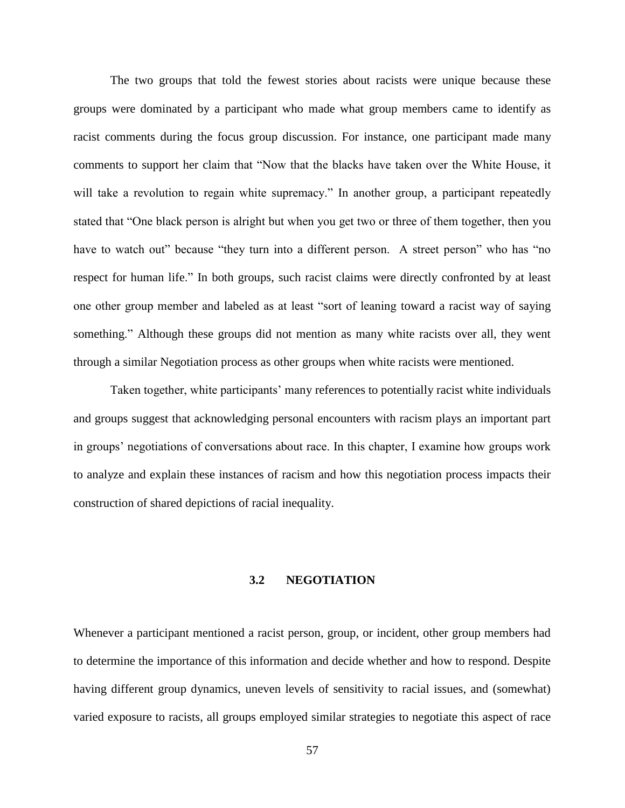The two groups that told the fewest stories about racists were unique because these groups were dominated by a participant who made what group members came to identify as racist comments during the focus group discussion. For instance, one participant made many comments to support her claim that "Now that the blacks have taken over the White House, it will take a revolution to regain white supremacy." In another group, a participant repeatedly stated that "One black person is alright but when you get two or three of them together, then you have to watch out" because "they turn into a different person. A street person" who has "no respect for human life." In both groups, such racist claims were directly confronted by at least one other group member and labeled as at least "sort of leaning toward a racist way of saying something." Although these groups did not mention as many white racists over all, they went through a similar Negotiation process as other groups when white racists were mentioned.

Taken together, white participants' many references to potentially racist white individuals and groups suggest that acknowledging personal encounters with racism plays an important part in groups' negotiations of conversations about race. In this chapter, I examine how groups work to analyze and explain these instances of racism and how this negotiation process impacts their construction of shared depictions of racial inequality.

### **3.2 NEGOTIATION**

Whenever a participant mentioned a racist person, group, or incident, other group members had to determine the importance of this information and decide whether and how to respond. Despite having different group dynamics, uneven levels of sensitivity to racial issues, and (somewhat) varied exposure to racists, all groups employed similar strategies to negotiate this aspect of race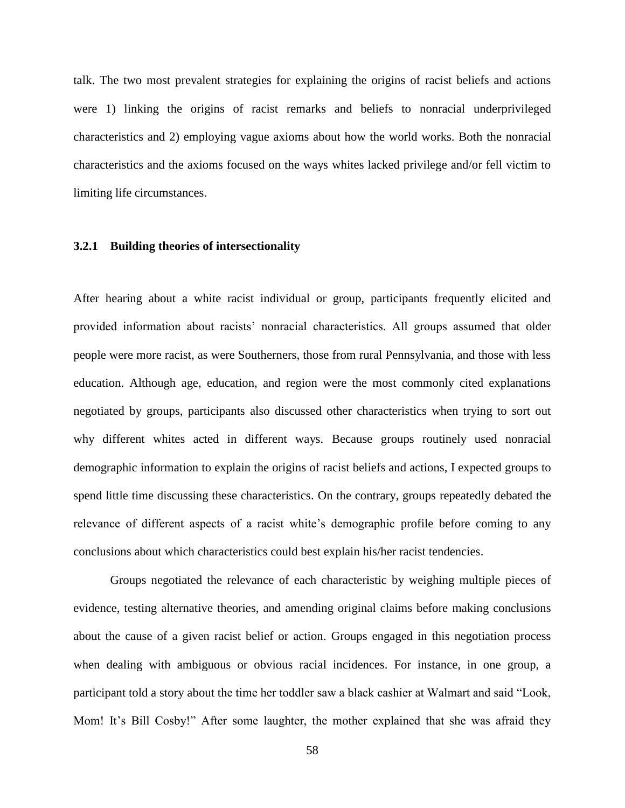talk. The two most prevalent strategies for explaining the origins of racist beliefs and actions were 1) linking the origins of racist remarks and beliefs to nonracial underprivileged characteristics and 2) employing vague axioms about how the world works. Both the nonracial characteristics and the axioms focused on the ways whites lacked privilege and/or fell victim to limiting life circumstances.

### **3.2.1 Building theories of intersectionality**

After hearing about a white racist individual or group, participants frequently elicited and provided information about racists' nonracial characteristics. All groups assumed that older people were more racist, as were Southerners, those from rural Pennsylvania, and those with less education. Although age, education, and region were the most commonly cited explanations negotiated by groups, participants also discussed other characteristics when trying to sort out why different whites acted in different ways. Because groups routinely used nonracial demographic information to explain the origins of racist beliefs and actions, I expected groups to spend little time discussing these characteristics. On the contrary, groups repeatedly debated the relevance of different aspects of a racist white's demographic profile before coming to any conclusions about which characteristics could best explain his/her racist tendencies.

Groups negotiated the relevance of each characteristic by weighing multiple pieces of evidence, testing alternative theories, and amending original claims before making conclusions about the cause of a given racist belief or action. Groups engaged in this negotiation process when dealing with ambiguous or obvious racial incidences. For instance, in one group, a participant told a story about the time her toddler saw a black cashier at Walmart and said "Look, Mom! It's Bill Cosby!" After some laughter, the mother explained that she was afraid they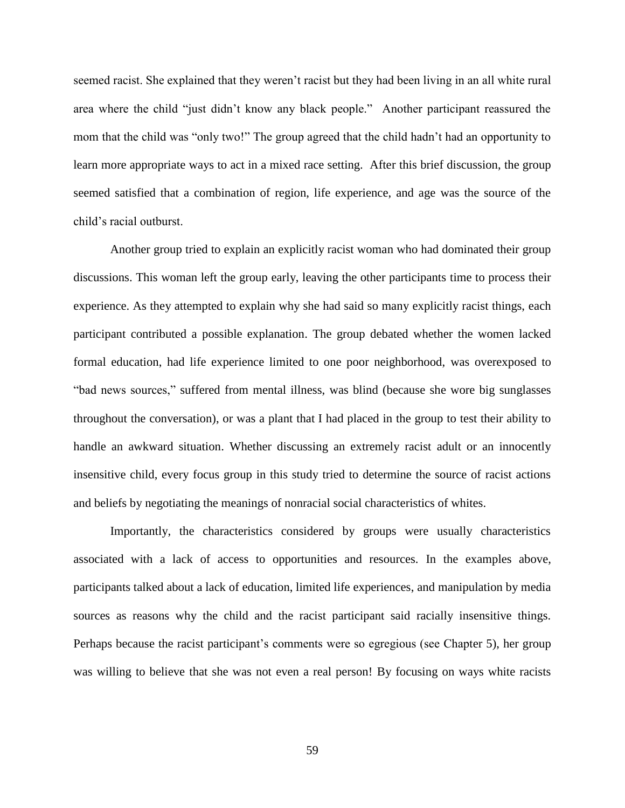seemed racist. She explained that they weren't racist but they had been living in an all white rural area where the child "just didn't know any black people." Another participant reassured the mom that the child was "only two!" The group agreed that the child hadn't had an opportunity to learn more appropriate ways to act in a mixed race setting. After this brief discussion, the group seemed satisfied that a combination of region, life experience, and age was the source of the child's racial outburst.

Another group tried to explain an explicitly racist woman who had dominated their group discussions. This woman left the group early, leaving the other participants time to process their experience. As they attempted to explain why she had said so many explicitly racist things, each participant contributed a possible explanation. The group debated whether the women lacked formal education, had life experience limited to one poor neighborhood, was overexposed to "bad news sources," suffered from mental illness, was blind (because she wore big sunglasses throughout the conversation), or was a plant that I had placed in the group to test their ability to handle an awkward situation. Whether discussing an extremely racist adult or an innocently insensitive child, every focus group in this study tried to determine the source of racist actions and beliefs by negotiating the meanings of nonracial social characteristics of whites.

Importantly, the characteristics considered by groups were usually characteristics associated with a lack of access to opportunities and resources. In the examples above, participants talked about a lack of education, limited life experiences, and manipulation by media sources as reasons why the child and the racist participant said racially insensitive things. Perhaps because the racist participant's comments were so egregious (see Chapter 5), her group was willing to believe that she was not even a real person! By focusing on ways white racists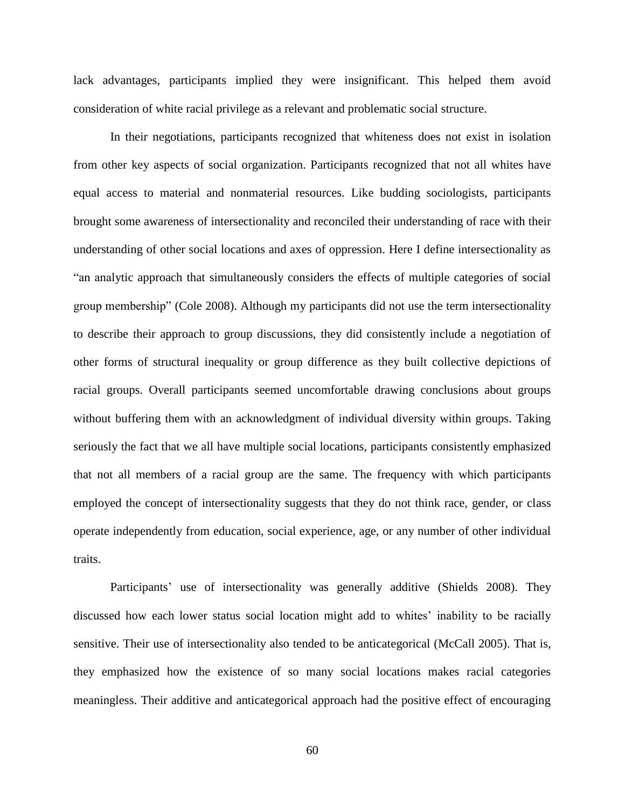lack advantages, participants implied they were insignificant. This helped them avoid consideration of white racial privilege as a relevant and problematic social structure.

In their negotiations, participants recognized that whiteness does not exist in isolation from other key aspects of social organization. Participants recognized that not all whites have equal access to material and nonmaterial resources. Like budding sociologists, participants brought some awareness of intersectionality and reconciled their understanding of race with their understanding of other social locations and axes of oppression. Here I define intersectionality as "an analytic approach that simultaneously considers the effects of multiple categories of social group membership" (Cole 2008). Although my participants did not use the term intersectionality to describe their approach to group discussions, they did consistently include a negotiation of other forms of structural inequality or group difference as they built collective depictions of racial groups. Overall participants seemed uncomfortable drawing conclusions about groups without buffering them with an acknowledgment of individual diversity within groups. Taking seriously the fact that we all have multiple social locations, participants consistently emphasized that not all members of a racial group are the same. The frequency with which participants employed the concept of intersectionality suggests that they do not think race, gender, or class operate independently from education, social experience, age, or any number of other individual traits.

Participants' use of intersectionality was generally additive (Shields 2008). They discussed how each lower status social location might add to whites' inability to be racially sensitive. Their use of intersectionality also tended to be anticategorical (McCall 2005). That is, they emphasized how the existence of so many social locations makes racial categories meaningless. Their additive and anticategorical approach had the positive effect of encouraging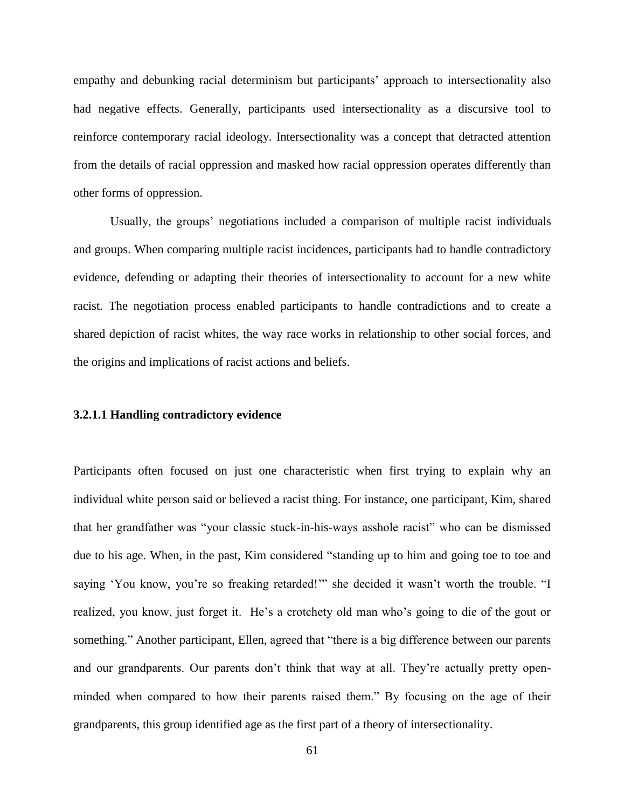empathy and debunking racial determinism but participants' approach to intersectionality also had negative effects. Generally, participants used intersectionality as a discursive tool to reinforce contemporary racial ideology. Intersectionality was a concept that detracted attention from the details of racial oppression and masked how racial oppression operates differently than other forms of oppression.

Usually, the groups' negotiations included a comparison of multiple racist individuals and groups. When comparing multiple racist incidences, participants had to handle contradictory evidence, defending or adapting their theories of intersectionality to account for a new white racist. The negotiation process enabled participants to handle contradictions and to create a shared depiction of racist whites, the way race works in relationship to other social forces, and the origins and implications of racist actions and beliefs.

# **3.2.1.1 Handling contradictory evidence**

Participants often focused on just one characteristic when first trying to explain why an individual white person said or believed a racist thing. For instance, one participant, Kim, shared that her grandfather was "your classic stuck-in-his-ways asshole racist" who can be dismissed due to his age. When, in the past, Kim considered "standing up to him and going toe to toe and saying 'You know, you're so freaking retarded!'" she decided it wasn't worth the trouble. "I realized, you know, just forget it. He's a crotchety old man who's going to die of the gout or something." Another participant, Ellen, agreed that "there is a big difference between our parents and our grandparents. Our parents don't think that way at all. They're actually pretty openminded when compared to how their parents raised them." By focusing on the age of their grandparents, this group identified age as the first part of a theory of intersectionality.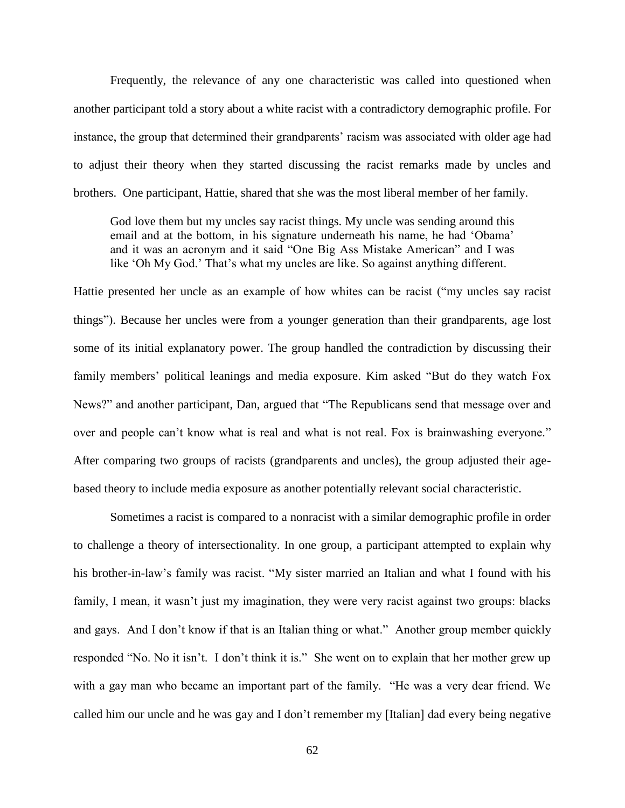Frequently, the relevance of any one characteristic was called into questioned when another participant told a story about a white racist with a contradictory demographic profile. For instance, the group that determined their grandparents' racism was associated with older age had to adjust their theory when they started discussing the racist remarks made by uncles and brothers. One participant, Hattie, shared that she was the most liberal member of her family.

God love them but my uncles say racist things. My uncle was sending around this email and at the bottom, in his signature underneath his name, he had 'Obama' and it was an acronym and it said "One Big Ass Mistake American" and I was like 'Oh My God.' That's what my uncles are like. So against anything different.

Hattie presented her uncle as an example of how whites can be racist ("my uncles say racist things"). Because her uncles were from a younger generation than their grandparents, age lost some of its initial explanatory power. The group handled the contradiction by discussing their family members' political leanings and media exposure. Kim asked "But do they watch Fox News?" and another participant, Dan, argued that "The Republicans send that message over and over and people can't know what is real and what is not real. Fox is brainwashing everyone." After comparing two groups of racists (grandparents and uncles), the group adjusted their agebased theory to include media exposure as another potentially relevant social characteristic.

Sometimes a racist is compared to a nonracist with a similar demographic profile in order to challenge a theory of intersectionality. In one group, a participant attempted to explain why his brother-in-law's family was racist. "My sister married an Italian and what I found with his family, I mean, it wasn't just my imagination, they were very racist against two groups: blacks and gays. And I don't know if that is an Italian thing or what." Another group member quickly responded "No. No it isn't. I don't think it is." She went on to explain that her mother grew up with a gay man who became an important part of the family. "He was a very dear friend. We called him our uncle and he was gay and I don't remember my [Italian] dad every being negative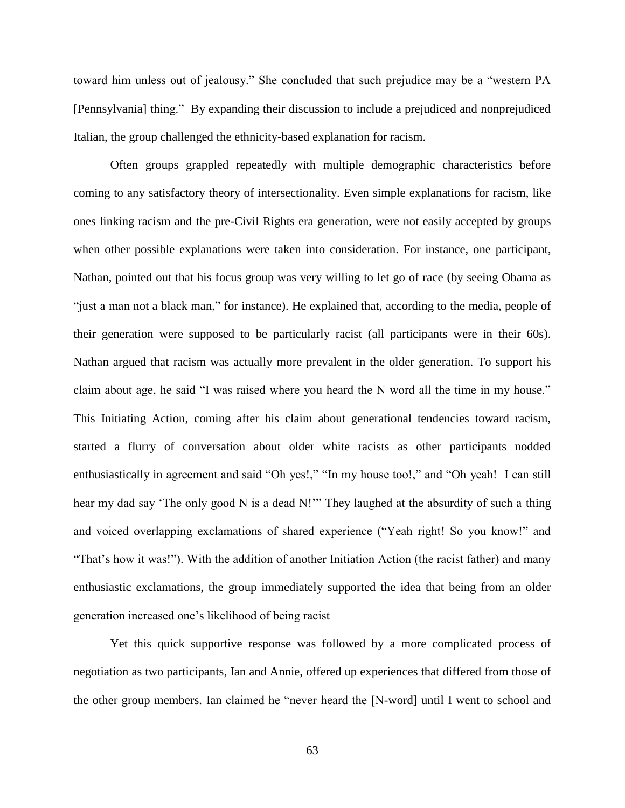toward him unless out of jealousy." She concluded that such prejudice may be a "western PA [Pennsylvania] thing." By expanding their discussion to include a prejudiced and nonprejudiced Italian, the group challenged the ethnicity-based explanation for racism.

Often groups grappled repeatedly with multiple demographic characteristics before coming to any satisfactory theory of intersectionality. Even simple explanations for racism, like ones linking racism and the pre-Civil Rights era generation, were not easily accepted by groups when other possible explanations were taken into consideration. For instance, one participant, Nathan, pointed out that his focus group was very willing to let go of race (by seeing Obama as "just a man not a black man," for instance). He explained that, according to the media, people of their generation were supposed to be particularly racist (all participants were in their 60s). Nathan argued that racism was actually more prevalent in the older generation. To support his claim about age, he said "I was raised where you heard the N word all the time in my house." This Initiating Action, coming after his claim about generational tendencies toward racism, started a flurry of conversation about older white racists as other participants nodded enthusiastically in agreement and said "Oh yes!," "In my house too!," and "Oh yeah! I can still hear my dad say 'The only good N is a dead N!'" They laughed at the absurdity of such a thing and voiced overlapping exclamations of shared experience ("Yeah right! So you know!" and "That's how it was!"). With the addition of another Initiation Action (the racist father) and many enthusiastic exclamations, the group immediately supported the idea that being from an older generation increased one's likelihood of being racist

Yet this quick supportive response was followed by a more complicated process of negotiation as two participants, Ian and Annie, offered up experiences that differed from those of the other group members. Ian claimed he "never heard the [N-word] until I went to school and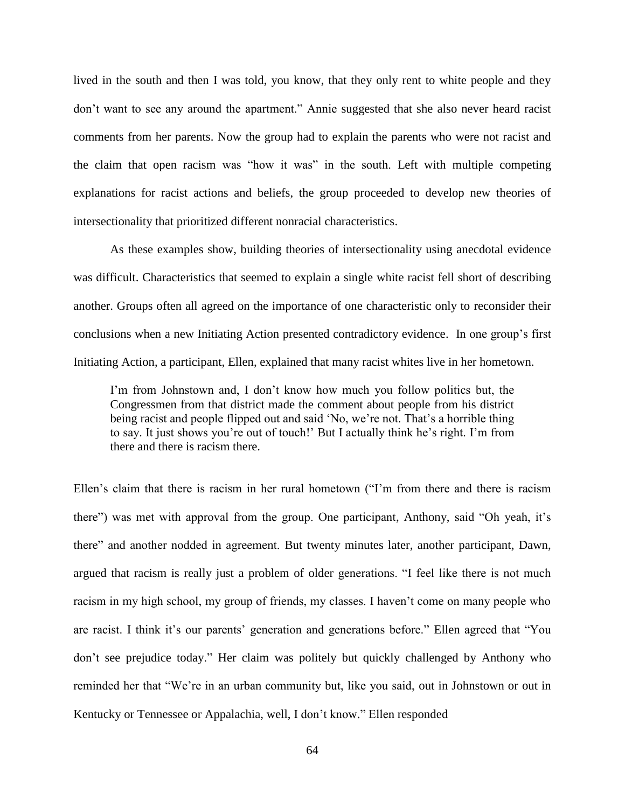lived in the south and then I was told, you know, that they only rent to white people and they don't want to see any around the apartment." Annie suggested that she also never heard racist comments from her parents. Now the group had to explain the parents who were not racist and the claim that open racism was "how it was" in the south. Left with multiple competing explanations for racist actions and beliefs, the group proceeded to develop new theories of intersectionality that prioritized different nonracial characteristics.

As these examples show, building theories of intersectionality using anecdotal evidence was difficult. Characteristics that seemed to explain a single white racist fell short of describing another. Groups often all agreed on the importance of one characteristic only to reconsider their conclusions when a new Initiating Action presented contradictory evidence. In one group's first Initiating Action, a participant, Ellen, explained that many racist whites live in her hometown.

I'm from Johnstown and, I don't know how much you follow politics but, the Congressmen from that district made the comment about people from his district being racist and people flipped out and said 'No, we're not. That's a horrible thing to say. It just shows you're out of touch!' But I actually think he's right. I'm from there and there is racism there.

Ellen's claim that there is racism in her rural hometown ("I'm from there and there is racism there") was met with approval from the group. One participant, Anthony, said "Oh yeah, it's there" and another nodded in agreement. But twenty minutes later, another participant, Dawn, argued that racism is really just a problem of older generations. "I feel like there is not much racism in my high school, my group of friends, my classes. I haven't come on many people who are racist. I think it's our parents' generation and generations before." Ellen agreed that "You don't see prejudice today." Her claim was politely but quickly challenged by Anthony who reminded her that "We're in an urban community but, like you said, out in Johnstown or out in Kentucky or Tennessee or Appalachia, well, I don't know." Ellen responded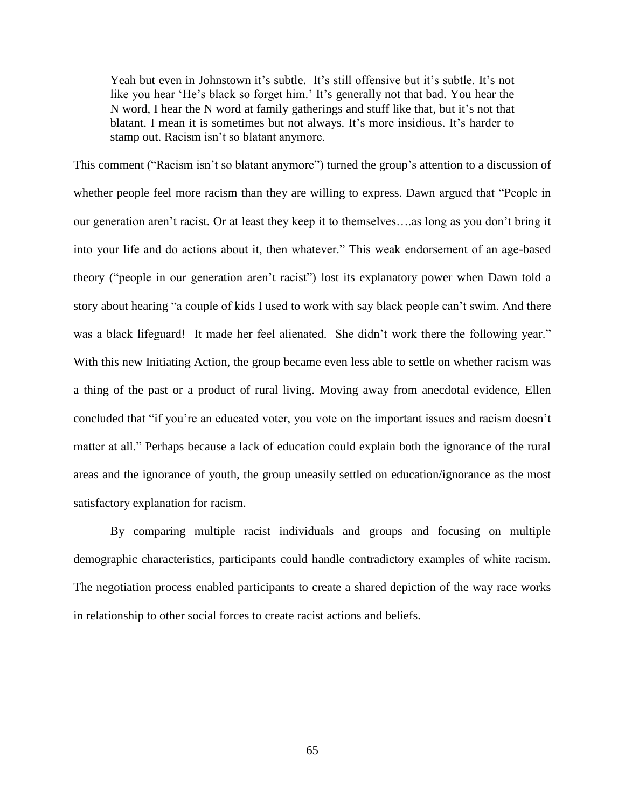Yeah but even in Johnstown it's subtle. It's still offensive but it's subtle. It's not like you hear 'He's black so forget him.' It's generally not that bad. You hear the N word, I hear the N word at family gatherings and stuff like that, but it's not that blatant. I mean it is sometimes but not always. It's more insidious. It's harder to stamp out. Racism isn't so blatant anymore.

This comment ("Racism isn't so blatant anymore") turned the group's attention to a discussion of whether people feel more racism than they are willing to express. Dawn argued that "People in our generation aren't racist. Or at least they keep it to themselves….as long as you don't bring it into your life and do actions about it, then whatever." This weak endorsement of an age-based theory ("people in our generation aren't racist") lost its explanatory power when Dawn told a story about hearing "a couple of kids I used to work with say black people can't swim. And there was a black lifeguard! It made her feel alienated. She didn't work there the following year." With this new Initiating Action, the group became even less able to settle on whether racism was a thing of the past or a product of rural living. Moving away from anecdotal evidence, Ellen concluded that "if you're an educated voter, you vote on the important issues and racism doesn't matter at all." Perhaps because a lack of education could explain both the ignorance of the rural areas and the ignorance of youth, the group uneasily settled on education/ignorance as the most satisfactory explanation for racism.

By comparing multiple racist individuals and groups and focusing on multiple demographic characteristics, participants could handle contradictory examples of white racism. The negotiation process enabled participants to create a shared depiction of the way race works in relationship to other social forces to create racist actions and beliefs.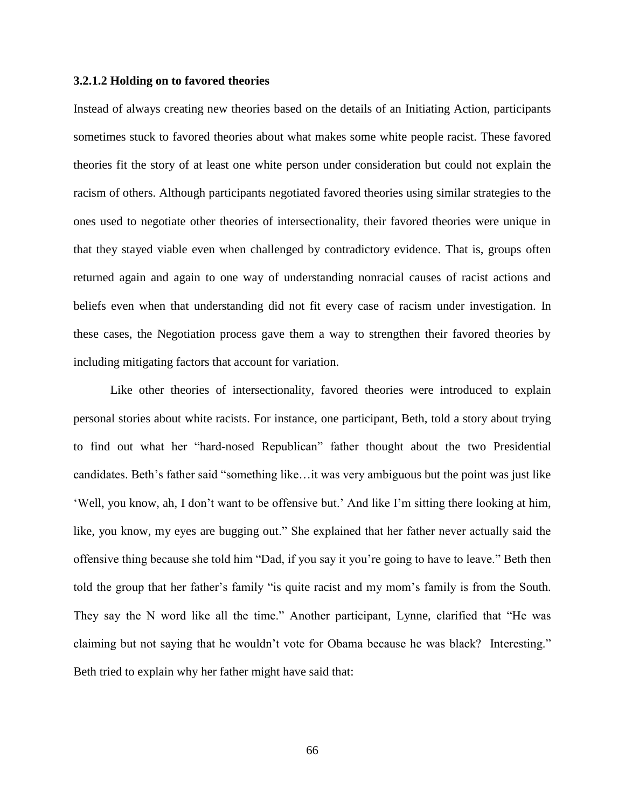# **3.2.1.2 Holding on to favored theories**

Instead of always creating new theories based on the details of an Initiating Action, participants sometimes stuck to favored theories about what makes some white people racist. These favored theories fit the story of at least one white person under consideration but could not explain the racism of others. Although participants negotiated favored theories using similar strategies to the ones used to negotiate other theories of intersectionality, their favored theories were unique in that they stayed viable even when challenged by contradictory evidence. That is, groups often returned again and again to one way of understanding nonracial causes of racist actions and beliefs even when that understanding did not fit every case of racism under investigation. In these cases, the Negotiation process gave them a way to strengthen their favored theories by including mitigating factors that account for variation.

Like other theories of intersectionality, favored theories were introduced to explain personal stories about white racists. For instance, one participant, Beth, told a story about trying to find out what her "hard-nosed Republican" father thought about the two Presidential candidates. Beth's father said "something like…it was very ambiguous but the point was just like 'Well, you know, ah, I don't want to be offensive but.' And like I'm sitting there looking at him, like, you know, my eyes are bugging out." She explained that her father never actually said the offensive thing because she told him "Dad, if you say it you're going to have to leave." Beth then told the group that her father's family "is quite racist and my mom's family is from the South. They say the N word like all the time." Another participant, Lynne, clarified that "He was claiming but not saying that he wouldn't vote for Obama because he was black? Interesting." Beth tried to explain why her father might have said that: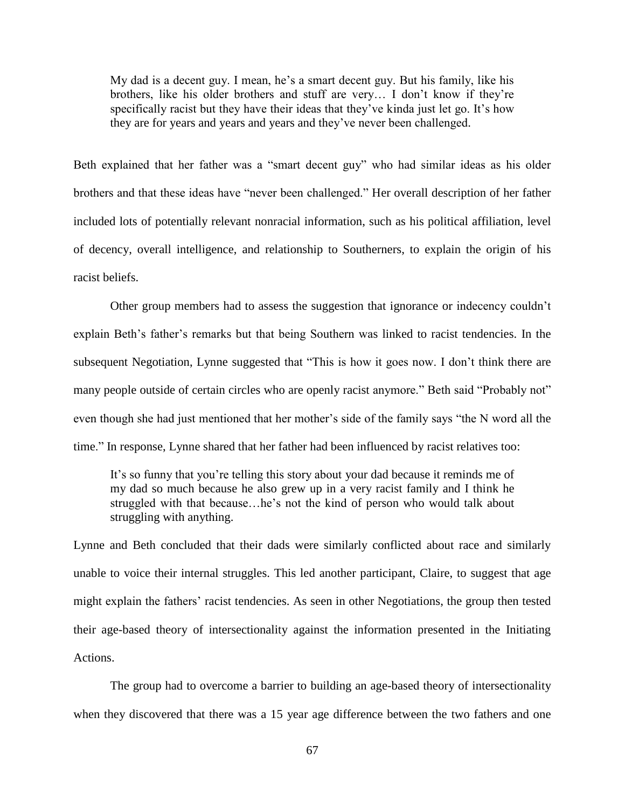My dad is a decent guy. I mean, he's a smart decent guy. But his family, like his brothers, like his older brothers and stuff are very… I don't know if they're specifically racist but they have their ideas that they've kinda just let go. It's how they are for years and years and years and they've never been challenged.

Beth explained that her father was a "smart decent guy" who had similar ideas as his older brothers and that these ideas have "never been challenged." Her overall description of her father included lots of potentially relevant nonracial information, such as his political affiliation, level of decency, overall intelligence, and relationship to Southerners, to explain the origin of his racist beliefs.

Other group members had to assess the suggestion that ignorance or indecency couldn't explain Beth's father's remarks but that being Southern was linked to racist tendencies. In the subsequent Negotiation, Lynne suggested that "This is how it goes now. I don't think there are many people outside of certain circles who are openly racist anymore." Beth said "Probably not" even though she had just mentioned that her mother's side of the family says "the N word all the time." In response, Lynne shared that her father had been influenced by racist relatives too:

It's so funny that you're telling this story about your dad because it reminds me of my dad so much because he also grew up in a very racist family and I think he struggled with that because…he's not the kind of person who would talk about struggling with anything.

Lynne and Beth concluded that their dads were similarly conflicted about race and similarly unable to voice their internal struggles. This led another participant, Claire, to suggest that age might explain the fathers' racist tendencies. As seen in other Negotiations, the group then tested their age-based theory of intersectionality against the information presented in the Initiating Actions.

The group had to overcome a barrier to building an age-based theory of intersectionality when they discovered that there was a 15 year age difference between the two fathers and one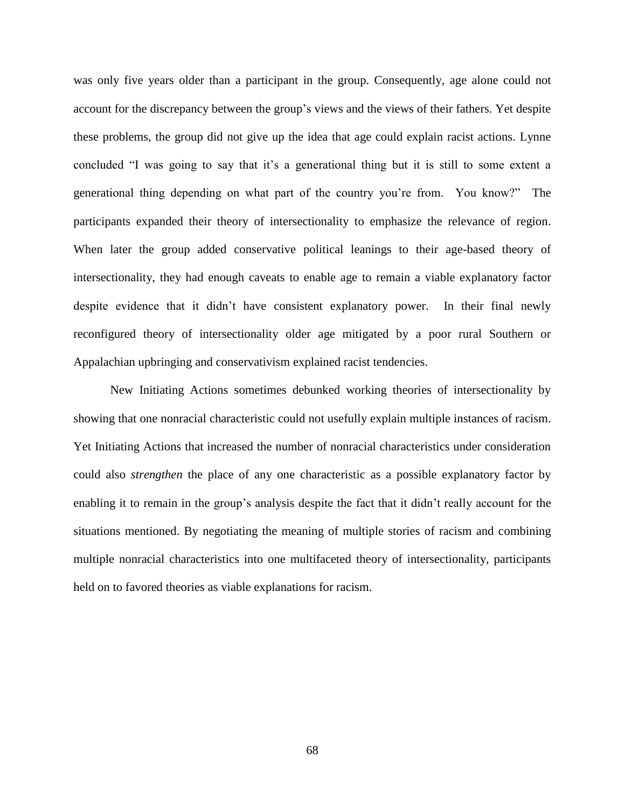was only five years older than a participant in the group. Consequently, age alone could not account for the discrepancy between the group's views and the views of their fathers. Yet despite these problems, the group did not give up the idea that age could explain racist actions. Lynne concluded "I was going to say that it's a generational thing but it is still to some extent a generational thing depending on what part of the country you're from. You know?" The participants expanded their theory of intersectionality to emphasize the relevance of region. When later the group added conservative political leanings to their age-based theory of intersectionality, they had enough caveats to enable age to remain a viable explanatory factor despite evidence that it didn't have consistent explanatory power. In their final newly reconfigured theory of intersectionality older age mitigated by a poor rural Southern or Appalachian upbringing and conservativism explained racist tendencies.

New Initiating Actions sometimes debunked working theories of intersectionality by showing that one nonracial characteristic could not usefully explain multiple instances of racism. Yet Initiating Actions that increased the number of nonracial characteristics under consideration could also *strengthen* the place of any one characteristic as a possible explanatory factor by enabling it to remain in the group's analysis despite the fact that it didn't really account for the situations mentioned. By negotiating the meaning of multiple stories of racism and combining multiple nonracial characteristics into one multifaceted theory of intersectionality, participants held on to favored theories as viable explanations for racism.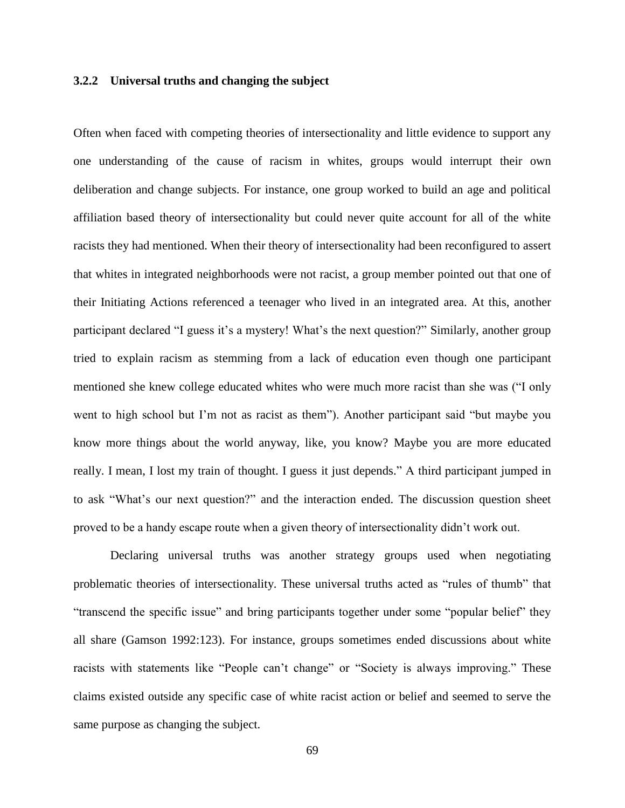# **3.2.2 Universal truths and changing the subject**

Often when faced with competing theories of intersectionality and little evidence to support any one understanding of the cause of racism in whites, groups would interrupt their own deliberation and change subjects. For instance, one group worked to build an age and political affiliation based theory of intersectionality but could never quite account for all of the white racists they had mentioned. When their theory of intersectionality had been reconfigured to assert that whites in integrated neighborhoods were not racist, a group member pointed out that one of their Initiating Actions referenced a teenager who lived in an integrated area. At this, another participant declared "I guess it's a mystery! What's the next question?" Similarly, another group tried to explain racism as stemming from a lack of education even though one participant mentioned she knew college educated whites who were much more racist than she was ("I only went to high school but I'm not as racist as them"). Another participant said "but maybe you know more things about the world anyway, like, you know? Maybe you are more educated really. I mean, I lost my train of thought. I guess it just depends." A third participant jumped in to ask "What's our next question?" and the interaction ended. The discussion question sheet proved to be a handy escape route when a given theory of intersectionality didn't work out.

Declaring universal truths was another strategy groups used when negotiating problematic theories of intersectionality. These universal truths acted as "rules of thumb" that "transcend the specific issue" and bring participants together under some "popular belief" they all share (Gamson 1992:123). For instance, groups sometimes ended discussions about white racists with statements like "People can't change" or "Society is always improving." These claims existed outside any specific case of white racist action or belief and seemed to serve the same purpose as changing the subject.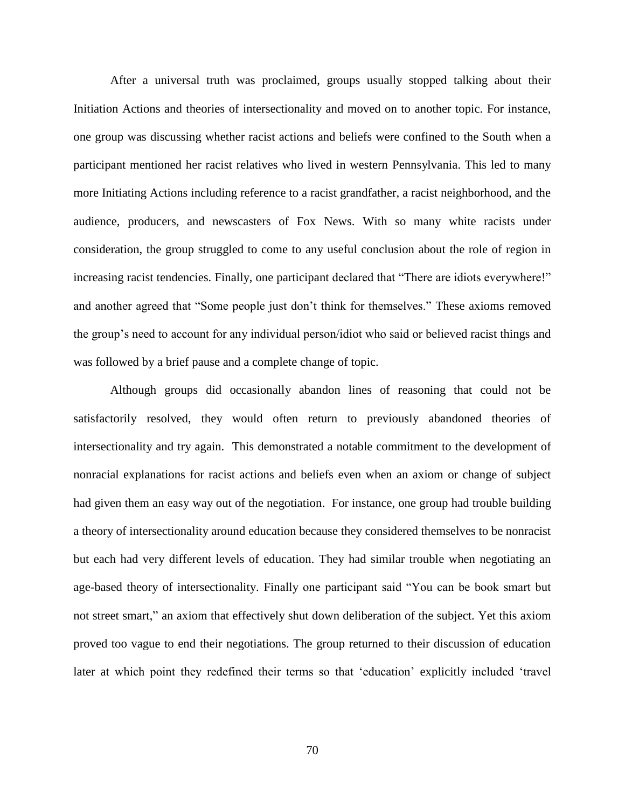After a universal truth was proclaimed, groups usually stopped talking about their Initiation Actions and theories of intersectionality and moved on to another topic. For instance, one group was discussing whether racist actions and beliefs were confined to the South when a participant mentioned her racist relatives who lived in western Pennsylvania. This led to many more Initiating Actions including reference to a racist grandfather, a racist neighborhood, and the audience, producers, and newscasters of Fox News. With so many white racists under consideration, the group struggled to come to any useful conclusion about the role of region in increasing racist tendencies. Finally, one participant declared that "There are idiots everywhere!" and another agreed that "Some people just don't think for themselves." These axioms removed the group's need to account for any individual person/idiot who said or believed racist things and was followed by a brief pause and a complete change of topic.

Although groups did occasionally abandon lines of reasoning that could not be satisfactorily resolved, they would often return to previously abandoned theories of intersectionality and try again. This demonstrated a notable commitment to the development of nonracial explanations for racist actions and beliefs even when an axiom or change of subject had given them an easy way out of the negotiation. For instance, one group had trouble building a theory of intersectionality around education because they considered themselves to be nonracist but each had very different levels of education. They had similar trouble when negotiating an age-based theory of intersectionality. Finally one participant said "You can be book smart but not street smart," an axiom that effectively shut down deliberation of the subject. Yet this axiom proved too vague to end their negotiations. The group returned to their discussion of education later at which point they redefined their terms so that 'education' explicitly included 'travel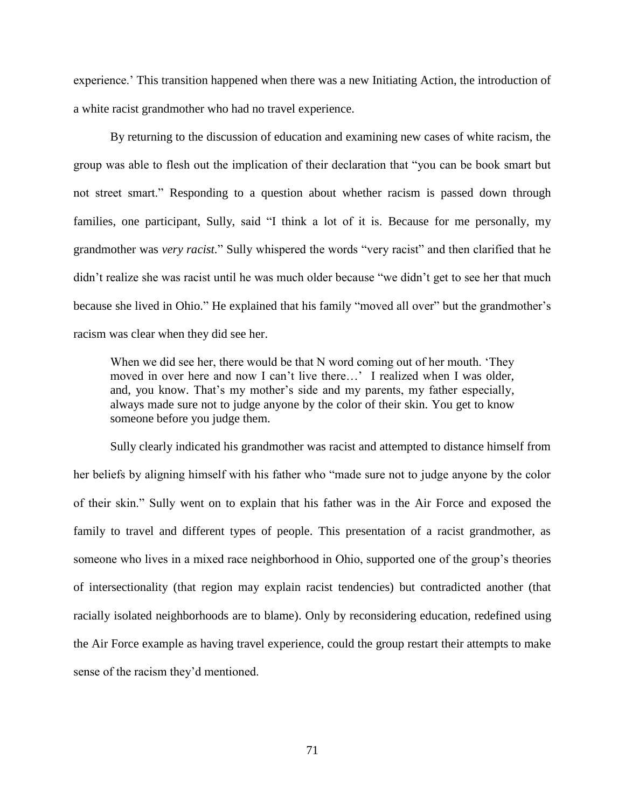experience.' This transition happened when there was a new Initiating Action, the introduction of a white racist grandmother who had no travel experience.

By returning to the discussion of education and examining new cases of white racism, the group was able to flesh out the implication of their declaration that "you can be book smart but not street smart." Responding to a question about whether racism is passed down through families, one participant, Sully, said "I think a lot of it is. Because for me personally, my grandmother was *very racist.*" Sully whispered the words "very racist" and then clarified that he didn't realize she was racist until he was much older because "we didn't get to see her that much because she lived in Ohio." He explained that his family "moved all over" but the grandmother's racism was clear when they did see her.

When we did see her, there would be that N word coming out of her mouth. 'They moved in over here and now I can't live there…' I realized when I was older, and, you know. That's my mother's side and my parents, my father especially, always made sure not to judge anyone by the color of their skin. You get to know someone before you judge them.

Sully clearly indicated his grandmother was racist and attempted to distance himself from her beliefs by aligning himself with his father who "made sure not to judge anyone by the color of their skin." Sully went on to explain that his father was in the Air Force and exposed the family to travel and different types of people. This presentation of a racist grandmother, as someone who lives in a mixed race neighborhood in Ohio, supported one of the group's theories of intersectionality (that region may explain racist tendencies) but contradicted another (that racially isolated neighborhoods are to blame). Only by reconsidering education, redefined using the Air Force example as having travel experience, could the group restart their attempts to make sense of the racism they'd mentioned.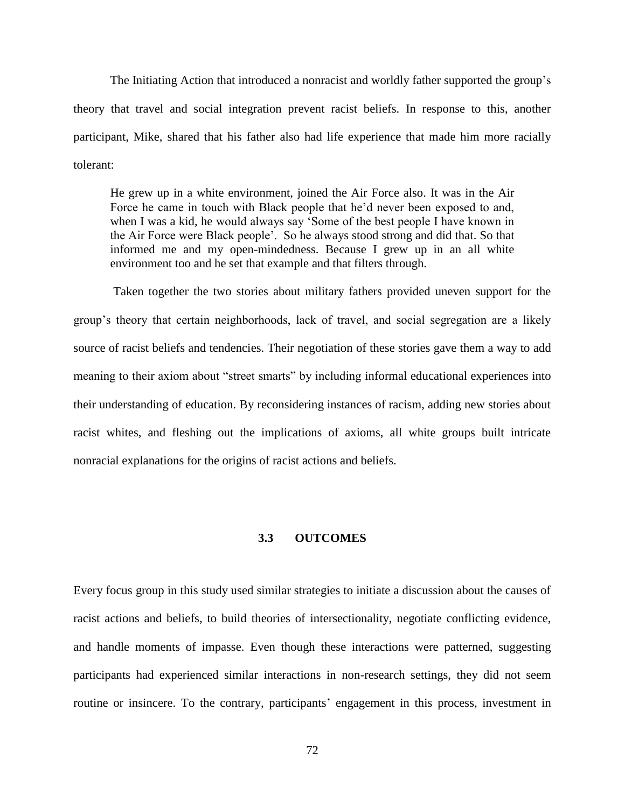The Initiating Action that introduced a nonracist and worldly father supported the group's theory that travel and social integration prevent racist beliefs. In response to this, another participant, Mike, shared that his father also had life experience that made him more racially tolerant:

He grew up in a white environment, joined the Air Force also. It was in the Air Force he came in touch with Black people that he'd never been exposed to and, when I was a kid, he would always say 'Some of the best people I have known in the Air Force were Black people'. So he always stood strong and did that. So that informed me and my open-mindedness. Because I grew up in an all white environment too and he set that example and that filters through.

Taken together the two stories about military fathers provided uneven support for the group's theory that certain neighborhoods, lack of travel, and social segregation are a likely source of racist beliefs and tendencies. Their negotiation of these stories gave them a way to add meaning to their axiom about "street smarts" by including informal educational experiences into their understanding of education. By reconsidering instances of racism, adding new stories about racist whites, and fleshing out the implications of axioms, all white groups built intricate nonracial explanations for the origins of racist actions and beliefs.

# **3.3 OUTCOMES**

Every focus group in this study used similar strategies to initiate a discussion about the causes of racist actions and beliefs, to build theories of intersectionality, negotiate conflicting evidence, and handle moments of impasse. Even though these interactions were patterned, suggesting participants had experienced similar interactions in non-research settings, they did not seem routine or insincere. To the contrary, participants' engagement in this process, investment in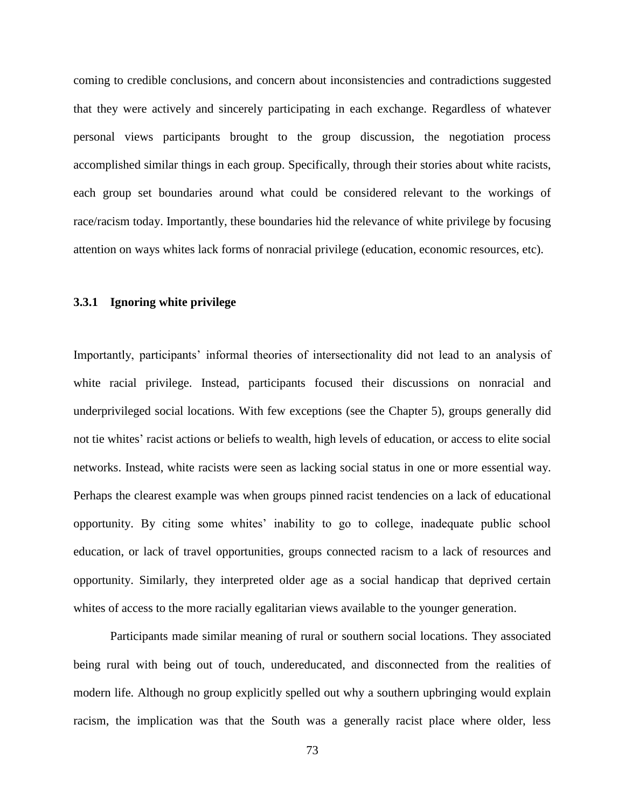coming to credible conclusions, and concern about inconsistencies and contradictions suggested that they were actively and sincerely participating in each exchange. Regardless of whatever personal views participants brought to the group discussion, the negotiation process accomplished similar things in each group. Specifically, through their stories about white racists, each group set boundaries around what could be considered relevant to the workings of race/racism today. Importantly, these boundaries hid the relevance of white privilege by focusing attention on ways whites lack forms of nonracial privilege (education, economic resources, etc).

## **3.3.1 Ignoring white privilege**

Importantly, participants' informal theories of intersectionality did not lead to an analysis of white racial privilege. Instead, participants focused their discussions on nonracial and underprivileged social locations. With few exceptions (see the Chapter 5), groups generally did not tie whites' racist actions or beliefs to wealth, high levels of education, or access to elite social networks. Instead, white racists were seen as lacking social status in one or more essential way. Perhaps the clearest example was when groups pinned racist tendencies on a lack of educational opportunity. By citing some whites' inability to go to college, inadequate public school education, or lack of travel opportunities, groups connected racism to a lack of resources and opportunity. Similarly, they interpreted older age as a social handicap that deprived certain whites of access to the more racially egalitarian views available to the younger generation.

Participants made similar meaning of rural or southern social locations. They associated being rural with being out of touch, undereducated, and disconnected from the realities of modern life. Although no group explicitly spelled out why a southern upbringing would explain racism, the implication was that the South was a generally racist place where older, less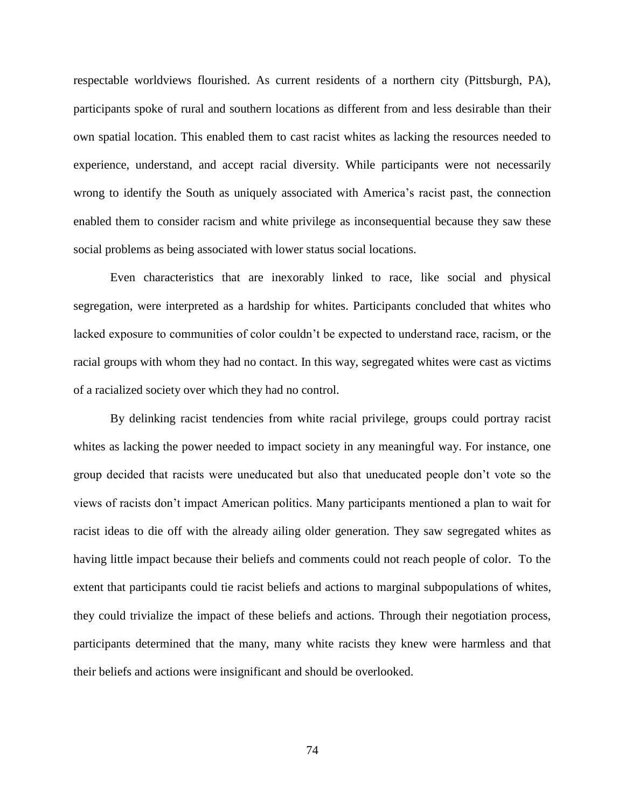respectable worldviews flourished. As current residents of a northern city (Pittsburgh, PA), participants spoke of rural and southern locations as different from and less desirable than their own spatial location. This enabled them to cast racist whites as lacking the resources needed to experience, understand, and accept racial diversity. While participants were not necessarily wrong to identify the South as uniquely associated with America's racist past, the connection enabled them to consider racism and white privilege as inconsequential because they saw these social problems as being associated with lower status social locations.

Even characteristics that are inexorably linked to race, like social and physical segregation, were interpreted as a hardship for whites. Participants concluded that whites who lacked exposure to communities of color couldn't be expected to understand race, racism, or the racial groups with whom they had no contact. In this way, segregated whites were cast as victims of a racialized society over which they had no control.

By delinking racist tendencies from white racial privilege, groups could portray racist whites as lacking the power needed to impact society in any meaningful way. For instance, one group decided that racists were uneducated but also that uneducated people don't vote so the views of racists don't impact American politics. Many participants mentioned a plan to wait for racist ideas to die off with the already ailing older generation. They saw segregated whites as having little impact because their beliefs and comments could not reach people of color. To the extent that participants could tie racist beliefs and actions to marginal subpopulations of whites, they could trivialize the impact of these beliefs and actions. Through their negotiation process, participants determined that the many, many white racists they knew were harmless and that their beliefs and actions were insignificant and should be overlooked.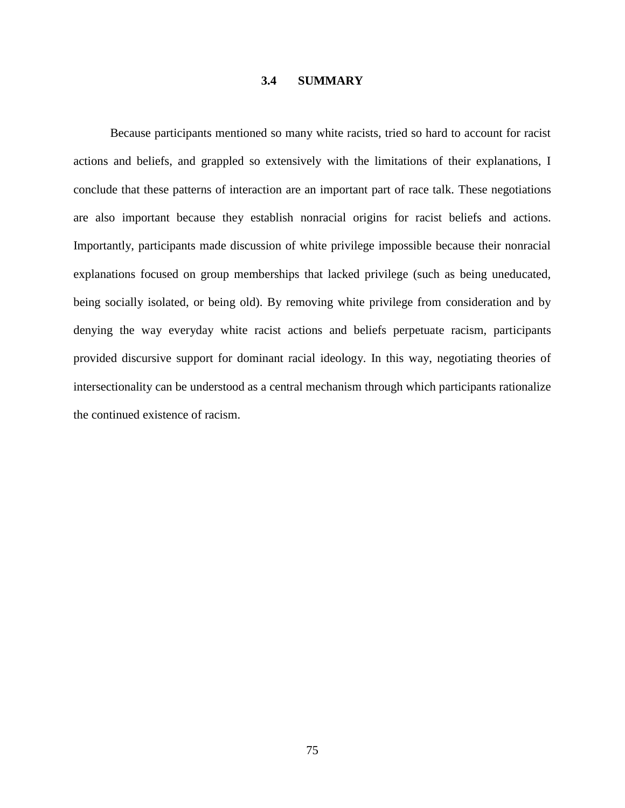# **3.4 SUMMARY**

Because participants mentioned so many white racists, tried so hard to account for racist actions and beliefs, and grappled so extensively with the limitations of their explanations, I conclude that these patterns of interaction are an important part of race talk. These negotiations are also important because they establish nonracial origins for racist beliefs and actions. Importantly, participants made discussion of white privilege impossible because their nonracial explanations focused on group memberships that lacked privilege (such as being uneducated, being socially isolated, or being old). By removing white privilege from consideration and by denying the way everyday white racist actions and beliefs perpetuate racism, participants provided discursive support for dominant racial ideology. In this way, negotiating theories of intersectionality can be understood as a central mechanism through which participants rationalize the continued existence of racism.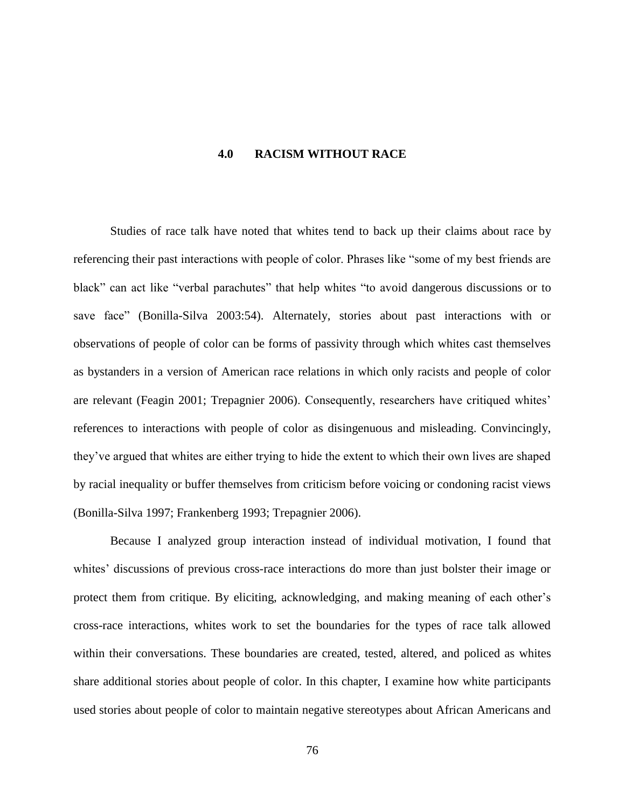# **4.0 RACISM WITHOUT RACE**

Studies of race talk have noted that whites tend to back up their claims about race by referencing their past interactions with people of color. Phrases like "some of my best friends are black" can act like "verbal parachutes" that help whites "to avoid dangerous discussions or to save face" (Bonilla-Silva 2003:54). Alternately, stories about past interactions with or observations of people of color can be forms of passivity through which whites cast themselves as bystanders in a version of American race relations in which only racists and people of color are relevant (Feagin 2001; Trepagnier 2006). Consequently, researchers have critiqued whites' references to interactions with people of color as disingenuous and misleading. Convincingly, they've argued that whites are either trying to hide the extent to which their own lives are shaped by racial inequality or buffer themselves from criticism before voicing or condoning racist views (Bonilla-Silva 1997; Frankenberg 1993; Trepagnier 2006).

Because I analyzed group interaction instead of individual motivation, I found that whites' discussions of previous cross-race interactions do more than just bolster their image or protect them from critique. By eliciting, acknowledging, and making meaning of each other's cross-race interactions, whites work to set the boundaries for the types of race talk allowed within their conversations. These boundaries are created, tested, altered, and policed as whites share additional stories about people of color. In this chapter, I examine how white participants used stories about people of color to maintain negative stereotypes about African Americans and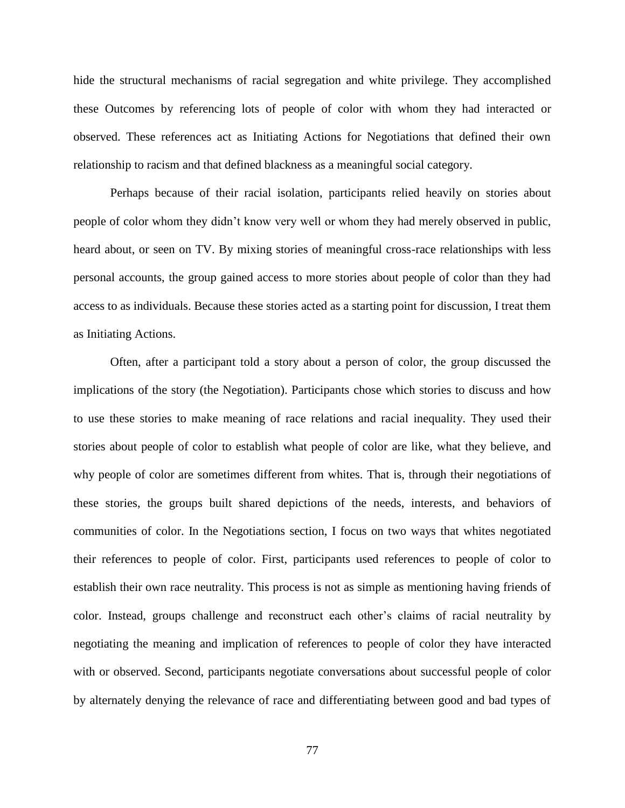hide the structural mechanisms of racial segregation and white privilege. They accomplished these Outcomes by referencing lots of people of color with whom they had interacted or observed. These references act as Initiating Actions for Negotiations that defined their own relationship to racism and that defined blackness as a meaningful social category.

Perhaps because of their racial isolation, participants relied heavily on stories about people of color whom they didn't know very well or whom they had merely observed in public, heard about, or seen on TV. By mixing stories of meaningful cross-race relationships with less personal accounts, the group gained access to more stories about people of color than they had access to as individuals. Because these stories acted as a starting point for discussion, I treat them as Initiating Actions.

Often, after a participant told a story about a person of color, the group discussed the implications of the story (the Negotiation). Participants chose which stories to discuss and how to use these stories to make meaning of race relations and racial inequality. They used their stories about people of color to establish what people of color are like, what they believe, and why people of color are sometimes different from whites. That is, through their negotiations of these stories, the groups built shared depictions of the needs, interests, and behaviors of communities of color. In the Negotiations section, I focus on two ways that whites negotiated their references to people of color. First, participants used references to people of color to establish their own race neutrality. This process is not as simple as mentioning having friends of color. Instead, groups challenge and reconstruct each other's claims of racial neutrality by negotiating the meaning and implication of references to people of color they have interacted with or observed. Second, participants negotiate conversations about successful people of color by alternately denying the relevance of race and differentiating between good and bad types of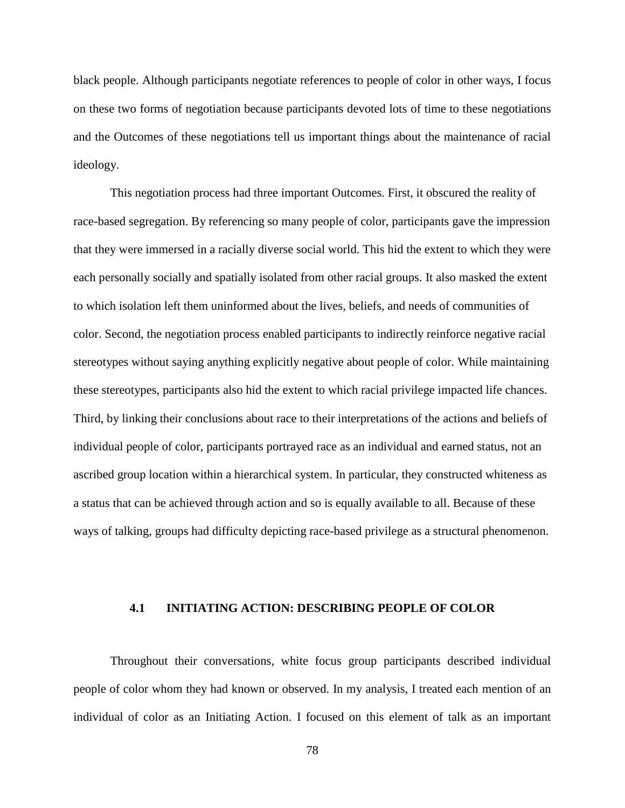black people. Although participants negotiate references to people of color in other ways, I focus on these two forms of negotiation because participants devoted lots of time to these negotiations and the Outcomes of these negotiations tell us important things about the maintenance of racial ideology.

This negotiation process had three important Outcomes. First, it obscured the reality of race-based segregation. By referencing so many people of color, participants gave the impression that they were immersed in a racially diverse social world. This hid the extent to which they were each personally socially and spatially isolated from other racial groups. It also masked the extent to which isolation left them uninformed about the lives, beliefs, and needs of communities of color. Second, the negotiation process enabled participants to indirectly reinforce negative racial stereotypes without saying anything explicitly negative about people of color. While maintaining these stereotypes, participants also hid the extent to which racial privilege impacted life chances. Third, by linking their conclusions about race to their interpretations of the actions and beliefs of individual people of color, participants portrayed race as an individual and earned status, not an ascribed group location within a hierarchical system. In particular, they constructed whiteness as a status that can be achieved through action and so is equally available to all. Because of these ways of talking, groups had difficulty depicting race-based privilege as a structural phenomenon.

# **4.1 INITIATING ACTION: DESCRIBING PEOPLE OF COLOR**

Throughout their conversations, white focus group participants described individual people of color whom they had known or observed. In my analysis, I treated each mention of an individual of color as an Initiating Action. I focused on this element of talk as an important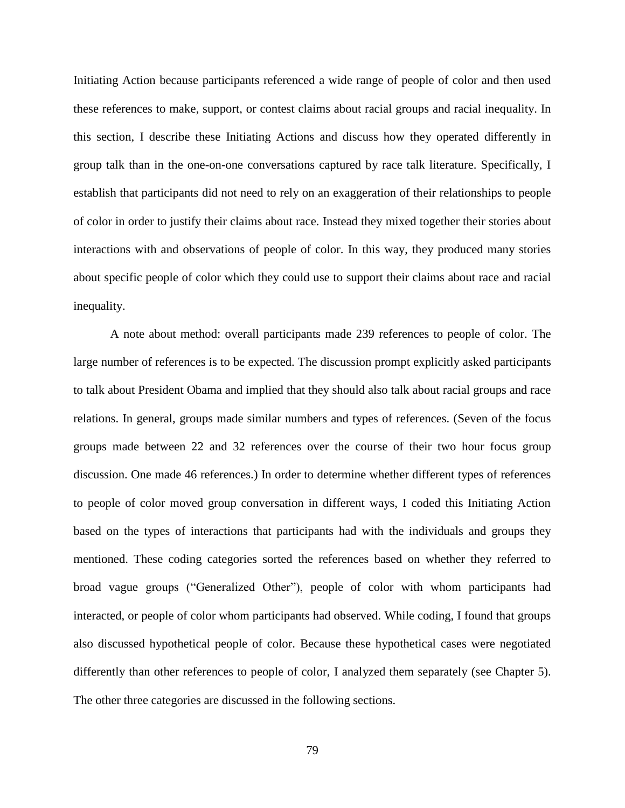Initiating Action because participants referenced a wide range of people of color and then used these references to make, support, or contest claims about racial groups and racial inequality. In this section, I describe these Initiating Actions and discuss how they operated differently in group talk than in the one-on-one conversations captured by race talk literature. Specifically, I establish that participants did not need to rely on an exaggeration of their relationships to people of color in order to justify their claims about race. Instead they mixed together their stories about interactions with and observations of people of color. In this way, they produced many stories about specific people of color which they could use to support their claims about race and racial inequality.

A note about method: overall participants made 239 references to people of color. The large number of references is to be expected. The discussion prompt explicitly asked participants to talk about President Obama and implied that they should also talk about racial groups and race relations. In general, groups made similar numbers and types of references. (Seven of the focus groups made between 22 and 32 references over the course of their two hour focus group discussion. One made 46 references.) In order to determine whether different types of references to people of color moved group conversation in different ways, I coded this Initiating Action based on the types of interactions that participants had with the individuals and groups they mentioned. These coding categories sorted the references based on whether they referred to broad vague groups ("Generalized Other"), people of color with whom participants had interacted, or people of color whom participants had observed. While coding, I found that groups also discussed hypothetical people of color. Because these hypothetical cases were negotiated differently than other references to people of color, I analyzed them separately (see Chapter 5). The other three categories are discussed in the following sections.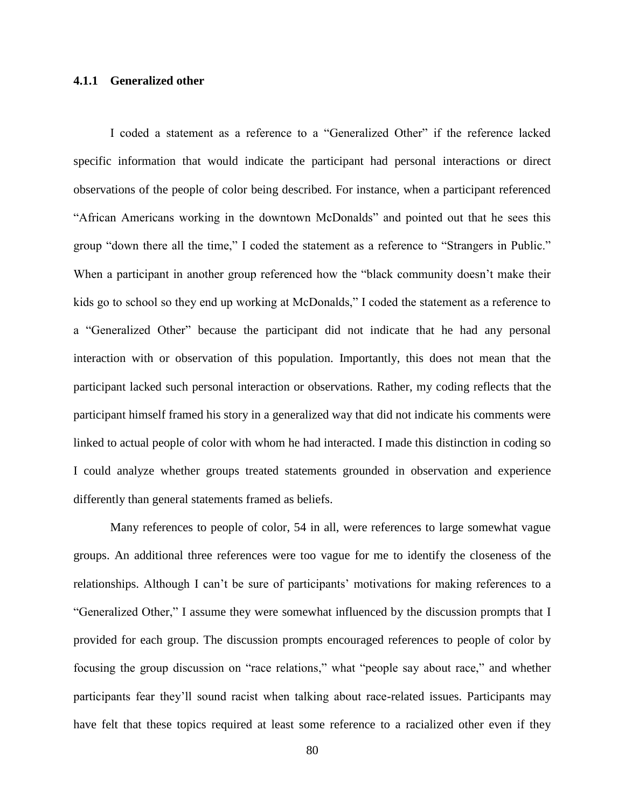# **4.1.1 Generalized other**

I coded a statement as a reference to a "Generalized Other" if the reference lacked specific information that would indicate the participant had personal interactions or direct observations of the people of color being described. For instance, when a participant referenced "African Americans working in the downtown McDonalds" and pointed out that he sees this group "down there all the time," I coded the statement as a reference to "Strangers in Public." When a participant in another group referenced how the "black community doesn't make their kids go to school so they end up working at McDonalds," I coded the statement as a reference to a "Generalized Other" because the participant did not indicate that he had any personal interaction with or observation of this population. Importantly, this does not mean that the participant lacked such personal interaction or observations. Rather, my coding reflects that the participant himself framed his story in a generalized way that did not indicate his comments were linked to actual people of color with whom he had interacted. I made this distinction in coding so I could analyze whether groups treated statements grounded in observation and experience differently than general statements framed as beliefs.

Many references to people of color, 54 in all, were references to large somewhat vague groups. An additional three references were too vague for me to identify the closeness of the relationships. Although I can't be sure of participants' motivations for making references to a "Generalized Other," I assume they were somewhat influenced by the discussion prompts that I provided for each group. The discussion prompts encouraged references to people of color by focusing the group discussion on "race relations," what "people say about race," and whether participants fear they'll sound racist when talking about race-related issues. Participants may have felt that these topics required at least some reference to a racialized other even if they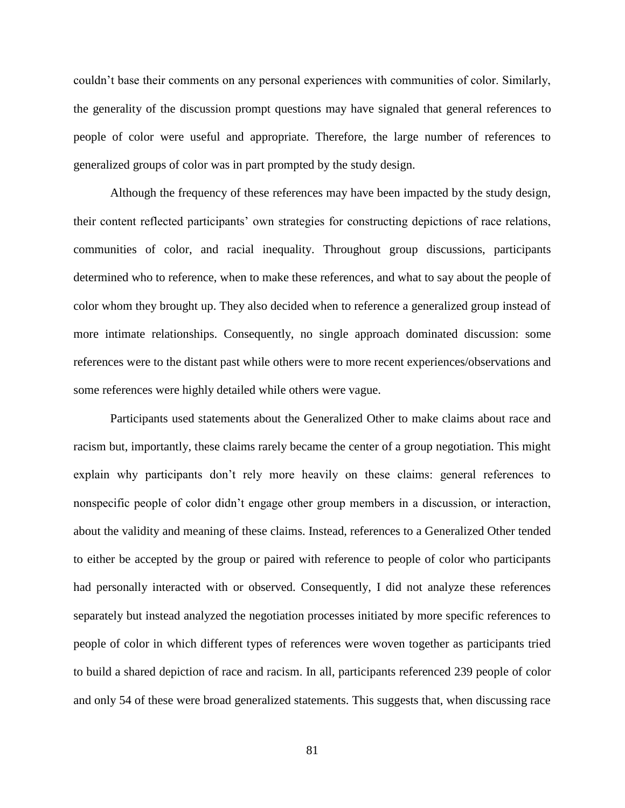couldn't base their comments on any personal experiences with communities of color. Similarly, the generality of the discussion prompt questions may have signaled that general references to people of color were useful and appropriate. Therefore, the large number of references to generalized groups of color was in part prompted by the study design.

Although the frequency of these references may have been impacted by the study design, their content reflected participants' own strategies for constructing depictions of race relations, communities of color, and racial inequality. Throughout group discussions, participants determined who to reference, when to make these references, and what to say about the people of color whom they brought up. They also decided when to reference a generalized group instead of more intimate relationships. Consequently, no single approach dominated discussion: some references were to the distant past while others were to more recent experiences/observations and some references were highly detailed while others were vague.

Participants used statements about the Generalized Other to make claims about race and racism but, importantly, these claims rarely became the center of a group negotiation. This might explain why participants don't rely more heavily on these claims: general references to nonspecific people of color didn't engage other group members in a discussion, or interaction, about the validity and meaning of these claims. Instead, references to a Generalized Other tended to either be accepted by the group or paired with reference to people of color who participants had personally interacted with or observed. Consequently, I did not analyze these references separately but instead analyzed the negotiation processes initiated by more specific references to people of color in which different types of references were woven together as participants tried to build a shared depiction of race and racism. In all, participants referenced 239 people of color and only 54 of these were broad generalized statements. This suggests that, when discussing race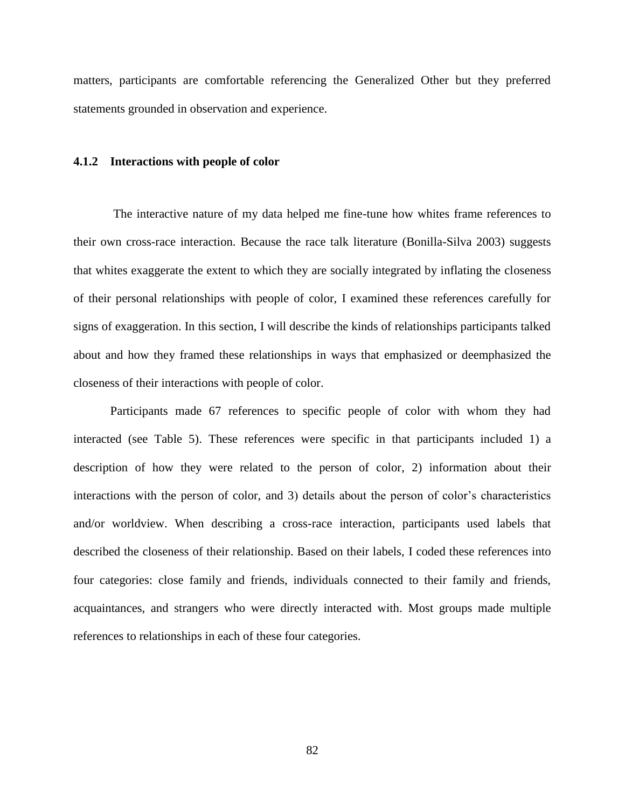matters, participants are comfortable referencing the Generalized Other but they preferred statements grounded in observation and experience.

#### **4.1.2 Interactions with people of color**

The interactive nature of my data helped me fine-tune how whites frame references to their own cross-race interaction. Because the race talk literature (Bonilla-Silva 2003) suggests that whites exaggerate the extent to which they are socially integrated by inflating the closeness of their personal relationships with people of color, I examined these references carefully for signs of exaggeration. In this section, I will describe the kinds of relationships participants talked about and how they framed these relationships in ways that emphasized or deemphasized the closeness of their interactions with people of color.

Participants made 67 references to specific people of color with whom they had interacted (see Table 5). These references were specific in that participants included 1) a description of how they were related to the person of color, 2) information about their interactions with the person of color, and 3) details about the person of color's characteristics and/or worldview. When describing a cross-race interaction, participants used labels that described the closeness of their relationship. Based on their labels, I coded these references into four categories: close family and friends, individuals connected to their family and friends, acquaintances, and strangers who were directly interacted with. Most groups made multiple references to relationships in each of these four categories.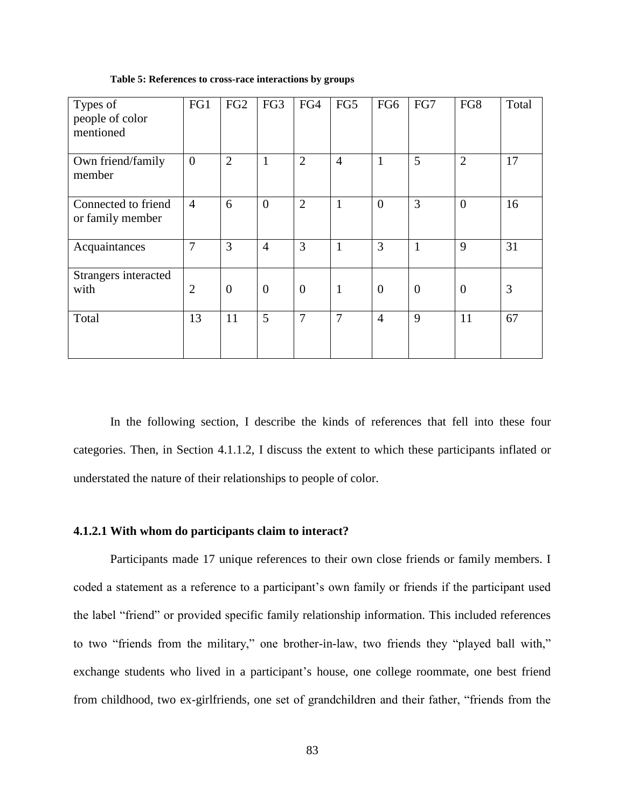| Types of<br>people of color<br>mentioned | FG1            | FG <sub>2</sub> | FG3            | FG4            | FG5            | FG <sub>6</sub> | FG7            | FG8            | Total |
|------------------------------------------|----------------|-----------------|----------------|----------------|----------------|-----------------|----------------|----------------|-------|
| Own friend/family<br>member              | $\overline{0}$ | $\overline{2}$  | $\mathbf{1}$   | 2              | $\overline{4}$ | $\mathbf{1}$    | 5              | $\overline{2}$ | 17    |
| Connected to friend<br>or family member  | $\overline{4}$ | 6               | $\overline{0}$ | $\overline{2}$ | 1              | $\overline{0}$  | 3              | $\overline{0}$ | 16    |
| Acquaintances                            | $\overline{7}$ | 3               | $\overline{4}$ | 3              | $\mathbf{1}$   | 3               | 1              | 9              | 31    |
| Strangers interacted<br>with             | $\overline{2}$ | $\overline{0}$  | $\overline{0}$ | $\theta$       | $\mathbf{1}$   | $\theta$        | $\overline{0}$ | $\overline{0}$ | 3     |
| Total                                    | 13             | 11              | 5              | $\overline{7}$ | $\overline{7}$ | $\overline{4}$  | 9              | 11             | 67    |

**Table 5: References to cross-race interactions by groups**

In the following section, I describe the kinds of references that fell into these four categories. Then, in Section 4.1.1.2, I discuss the extent to which these participants inflated or understated the nature of their relationships to people of color.

# **4.1.2.1 With whom do participants claim to interact?**

Participants made 17 unique references to their own close friends or family members. I coded a statement as a reference to a participant's own family or friends if the participant used the label "friend" or provided specific family relationship information. This included references to two "friends from the military," one brother-in-law, two friends they "played ball with," exchange students who lived in a participant's house, one college roommate, one best friend from childhood, two ex-girlfriends, one set of grandchildren and their father, "friends from the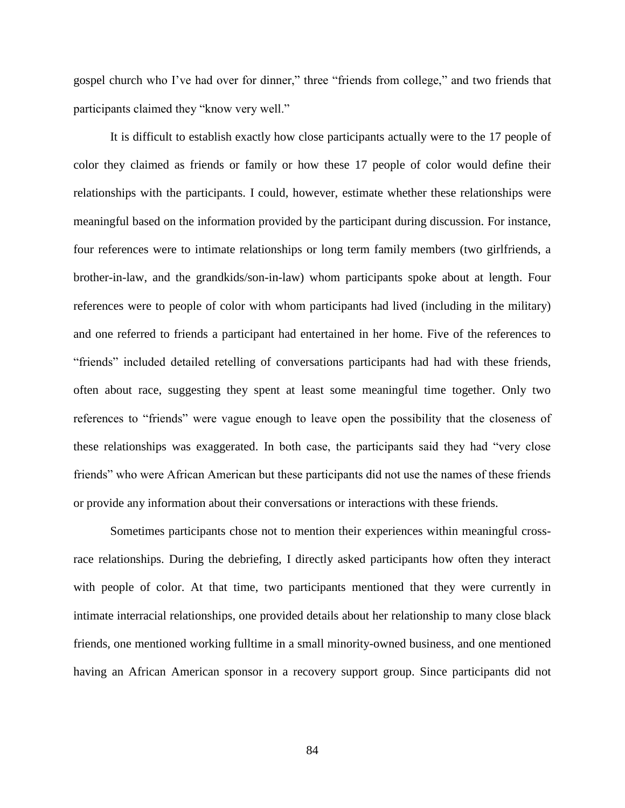gospel church who I've had over for dinner," three "friends from college," and two friends that participants claimed they "know very well."

It is difficult to establish exactly how close participants actually were to the 17 people of color they claimed as friends or family or how these 17 people of color would define their relationships with the participants. I could, however, estimate whether these relationships were meaningful based on the information provided by the participant during discussion. For instance, four references were to intimate relationships or long term family members (two girlfriends, a brother-in-law, and the grandkids/son-in-law) whom participants spoke about at length. Four references were to people of color with whom participants had lived (including in the military) and one referred to friends a participant had entertained in her home. Five of the references to "friends" included detailed retelling of conversations participants had had with these friends, often about race, suggesting they spent at least some meaningful time together. Only two references to "friends" were vague enough to leave open the possibility that the closeness of these relationships was exaggerated. In both case, the participants said they had "very close friends" who were African American but these participants did not use the names of these friends or provide any information about their conversations or interactions with these friends.

Sometimes participants chose not to mention their experiences within meaningful crossrace relationships. During the debriefing, I directly asked participants how often they interact with people of color. At that time, two participants mentioned that they were currently in intimate interracial relationships, one provided details about her relationship to many close black friends, one mentioned working fulltime in a small minority-owned business, and one mentioned having an African American sponsor in a recovery support group. Since participants did not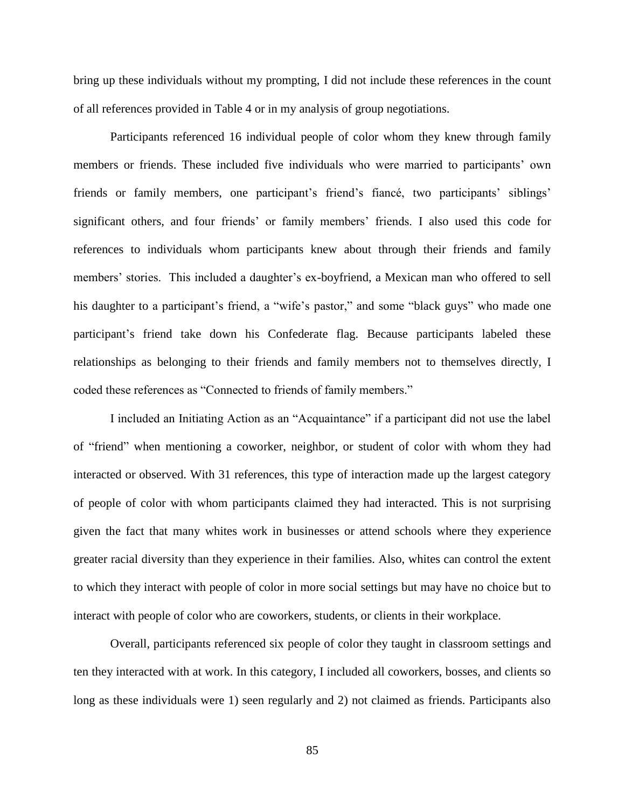bring up these individuals without my prompting, I did not include these references in the count of all references provided in Table 4 or in my analysis of group negotiations.

Participants referenced 16 individual people of color whom they knew through family members or friends. These included five individuals who were married to participants' own friends or family members, one participant's friend's fiancé, two participants' siblings' significant others, and four friends' or family members' friends. I also used this code for references to individuals whom participants knew about through their friends and family members' stories. This included a daughter's ex-boyfriend, a Mexican man who offered to sell his daughter to a participant's friend, a "wife's pastor," and some "black guys" who made one participant's friend take down his Confederate flag. Because participants labeled these relationships as belonging to their friends and family members not to themselves directly, I coded these references as "Connected to friends of family members."

I included an Initiating Action as an "Acquaintance" if a participant did not use the label of "friend" when mentioning a coworker, neighbor, or student of color with whom they had interacted or observed. With 31 references, this type of interaction made up the largest category of people of color with whom participants claimed they had interacted. This is not surprising given the fact that many whites work in businesses or attend schools where they experience greater racial diversity than they experience in their families. Also, whites can control the extent to which they interact with people of color in more social settings but may have no choice but to interact with people of color who are coworkers, students, or clients in their workplace.

Overall, participants referenced six people of color they taught in classroom settings and ten they interacted with at work. In this category, I included all coworkers, bosses, and clients so long as these individuals were 1) seen regularly and 2) not claimed as friends. Participants also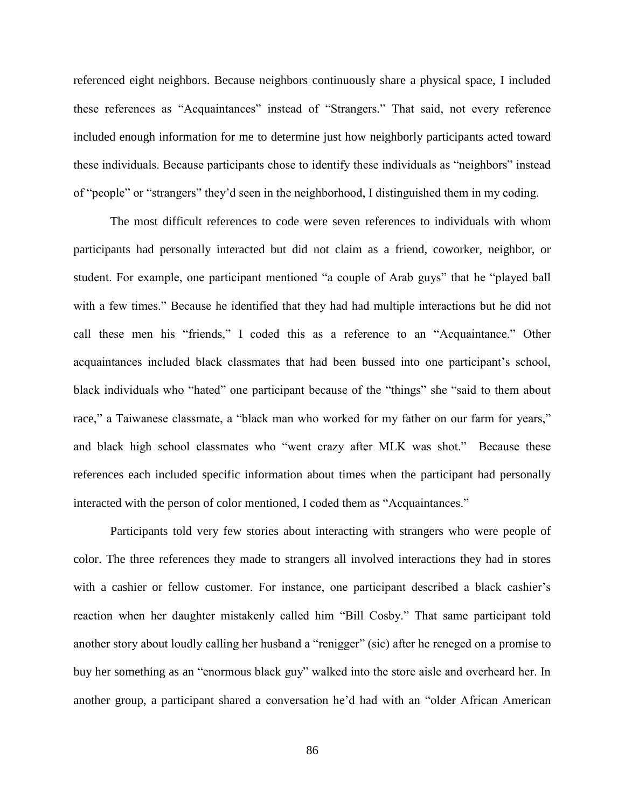referenced eight neighbors. Because neighbors continuously share a physical space, I included these references as "Acquaintances" instead of "Strangers." That said, not every reference included enough information for me to determine just how neighborly participants acted toward these individuals. Because participants chose to identify these individuals as "neighbors" instead of "people" or "strangers" they'd seen in the neighborhood, I distinguished them in my coding.

The most difficult references to code were seven references to individuals with whom participants had personally interacted but did not claim as a friend, coworker, neighbor, or student. For example, one participant mentioned "a couple of Arab guys" that he "played ball with a few times." Because he identified that they had had multiple interactions but he did not call these men his "friends," I coded this as a reference to an "Acquaintance." Other acquaintances included black classmates that had been bussed into one participant's school, black individuals who "hated" one participant because of the "things" she "said to them about race," a Taiwanese classmate, a "black man who worked for my father on our farm for years," and black high school classmates who "went crazy after MLK was shot." Because these references each included specific information about times when the participant had personally interacted with the person of color mentioned, I coded them as "Acquaintances."

Participants told very few stories about interacting with strangers who were people of color. The three references they made to strangers all involved interactions they had in stores with a cashier or fellow customer. For instance, one participant described a black cashier's reaction when her daughter mistakenly called him "Bill Cosby." That same participant told another story about loudly calling her husband a "renigger" (sic) after he reneged on a promise to buy her something as an "enormous black guy" walked into the store aisle and overheard her. In another group, a participant shared a conversation he'd had with an "older African American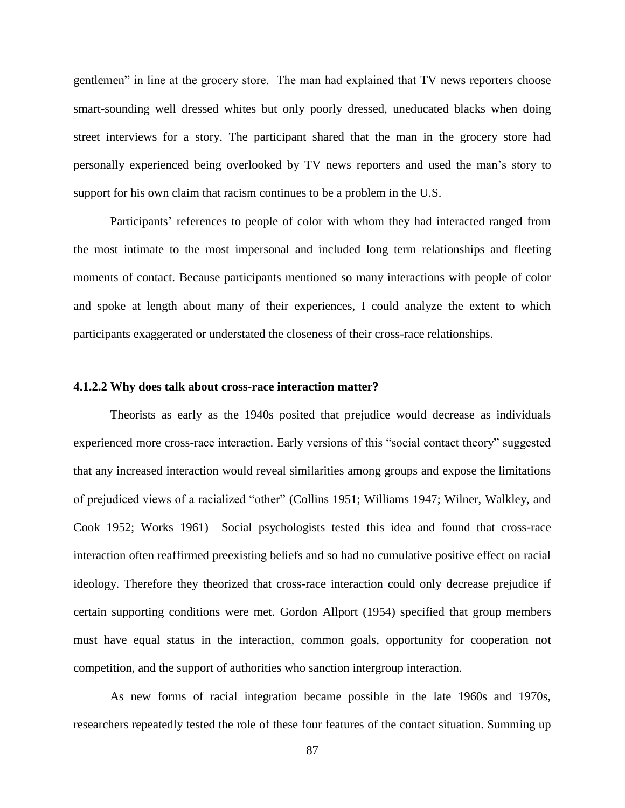gentlemen" in line at the grocery store. The man had explained that TV news reporters choose smart-sounding well dressed whites but only poorly dressed, uneducated blacks when doing street interviews for a story. The participant shared that the man in the grocery store had personally experienced being overlooked by TV news reporters and used the man's story to support for his own claim that racism continues to be a problem in the U.S.

Participants' references to people of color with whom they had interacted ranged from the most intimate to the most impersonal and included long term relationships and fleeting moments of contact. Because participants mentioned so many interactions with people of color and spoke at length about many of their experiences, I could analyze the extent to which participants exaggerated or understated the closeness of their cross-race relationships.

# **4.1.2.2 Why does talk about cross-race interaction matter?**

Theorists as early as the 1940s posited that prejudice would decrease as individuals experienced more cross-race interaction. Early versions of this "social contact theory" suggested that any increased interaction would reveal similarities among groups and expose the limitations of prejudiced views of a racialized "other" (Collins 1951; Williams 1947; Wilner, Walkley, and Cook 1952; Works 1961) Social psychologists tested this idea and found that cross-race interaction often reaffirmed preexisting beliefs and so had no cumulative positive effect on racial ideology. Therefore they theorized that cross-race interaction could only decrease prejudice if certain supporting conditions were met. Gordon Allport (1954) specified that group members must have equal status in the interaction, common goals, opportunity for cooperation not competition, and the support of authorities who sanction intergroup interaction.

As new forms of racial integration became possible in the late 1960s and 1970s, researchers repeatedly tested the role of these four features of the contact situation. Summing up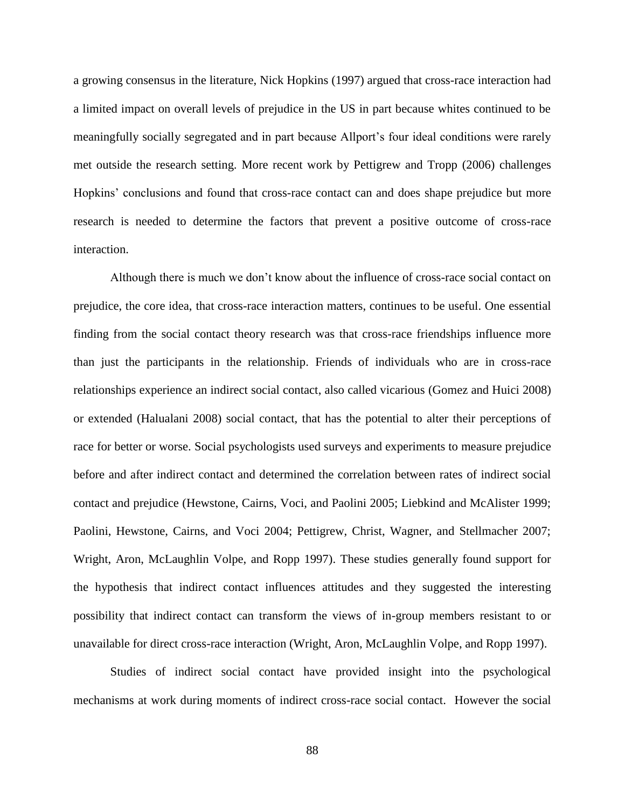a growing consensus in the literature, Nick Hopkins (1997) argued that cross-race interaction had a limited impact on overall levels of prejudice in the US in part because whites continued to be meaningfully socially segregated and in part because Allport's four ideal conditions were rarely met outside the research setting. More recent work by Pettigrew and Tropp (2006) challenges Hopkins' conclusions and found that cross-race contact can and does shape prejudice but more research is needed to determine the factors that prevent a positive outcome of cross-race interaction.

Although there is much we don't know about the influence of cross-race social contact on prejudice, the core idea, that cross-race interaction matters, continues to be useful. One essential finding from the social contact theory research was that cross-race friendships influence more than just the participants in the relationship. Friends of individuals who are in cross-race relationships experience an indirect social contact, also called vicarious (Gomez and Huici 2008) or extended (Halualani 2008) social contact, that has the potential to alter their perceptions of race for better or worse. Social psychologists used surveys and experiments to measure prejudice before and after indirect contact and determined the correlation between rates of indirect social contact and prejudice (Hewstone, Cairns, Voci, and Paolini 2005; Liebkind and McAlister 1999; Paolini, Hewstone, Cairns, and Voci 2004; Pettigrew, Christ, Wagner, and Stellmacher 2007; Wright, Aron, McLaughlin Volpe, and Ropp 1997). These studies generally found support for the hypothesis that indirect contact influences attitudes and they suggested the interesting possibility that indirect contact can transform the views of in-group members resistant to or unavailable for direct cross-race interaction (Wright, Aron, McLaughlin Volpe, and Ropp 1997).

Studies of indirect social contact have provided insight into the psychological mechanisms at work during moments of indirect cross-race social contact. However the social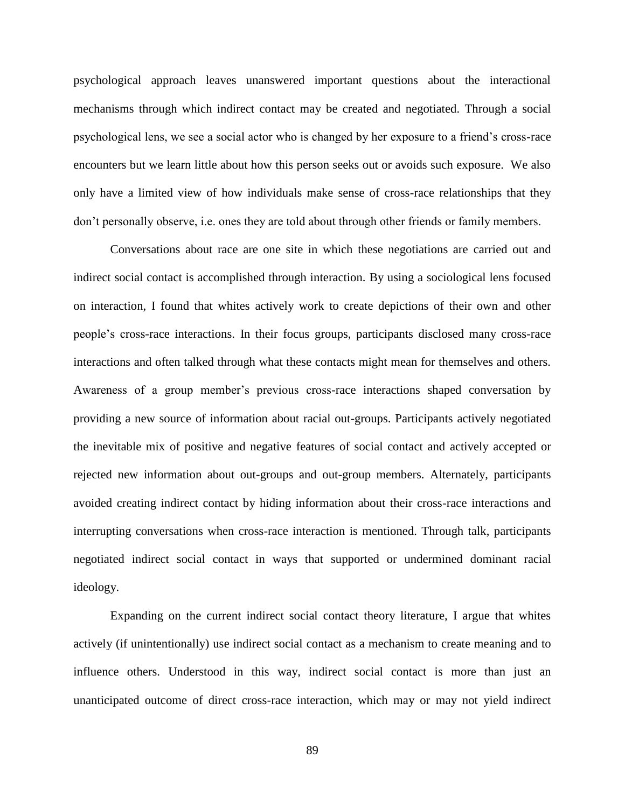psychological approach leaves unanswered important questions about the interactional mechanisms through which indirect contact may be created and negotiated. Through a social psychological lens, we see a social actor who is changed by her exposure to a friend's cross-race encounters but we learn little about how this person seeks out or avoids such exposure. We also only have a limited view of how individuals make sense of cross-race relationships that they don't personally observe, i.e. ones they are told about through other friends or family members.

Conversations about race are one site in which these negotiations are carried out and indirect social contact is accomplished through interaction. By using a sociological lens focused on interaction, I found that whites actively work to create depictions of their own and other people's cross-race interactions. In their focus groups, participants disclosed many cross-race interactions and often talked through what these contacts might mean for themselves and others. Awareness of a group member's previous cross-race interactions shaped conversation by providing a new source of information about racial out-groups. Participants actively negotiated the inevitable mix of positive and negative features of social contact and actively accepted or rejected new information about out-groups and out-group members. Alternately, participants avoided creating indirect contact by hiding information about their cross-race interactions and interrupting conversations when cross-race interaction is mentioned. Through talk, participants negotiated indirect social contact in ways that supported or undermined dominant racial ideology.

Expanding on the current indirect social contact theory literature, I argue that whites actively (if unintentionally) use indirect social contact as a mechanism to create meaning and to influence others. Understood in this way, indirect social contact is more than just an unanticipated outcome of direct cross-race interaction, which may or may not yield indirect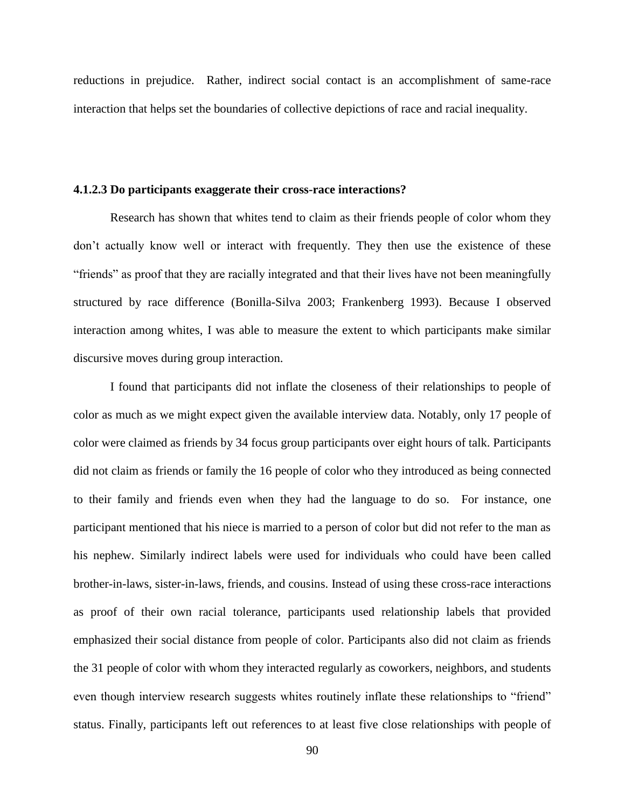reductions in prejudice. Rather, indirect social contact is an accomplishment of same-race interaction that helps set the boundaries of collective depictions of race and racial inequality.

## **4.1.2.3 Do participants exaggerate their cross-race interactions?**

Research has shown that whites tend to claim as their friends people of color whom they don't actually know well or interact with frequently. They then use the existence of these "friends" as proof that they are racially integrated and that their lives have not been meaningfully structured by race difference (Bonilla-Silva 2003; Frankenberg 1993). Because I observed interaction among whites, I was able to measure the extent to which participants make similar discursive moves during group interaction.

I found that participants did not inflate the closeness of their relationships to people of color as much as we might expect given the available interview data. Notably, only 17 people of color were claimed as friends by 34 focus group participants over eight hours of talk. Participants did not claim as friends or family the 16 people of color who they introduced as being connected to their family and friends even when they had the language to do so. For instance, one participant mentioned that his niece is married to a person of color but did not refer to the man as his nephew. Similarly indirect labels were used for individuals who could have been called brother-in-laws, sister-in-laws, friends, and cousins. Instead of using these cross-race interactions as proof of their own racial tolerance, participants used relationship labels that provided emphasized their social distance from people of color. Participants also did not claim as friends the 31 people of color with whom they interacted regularly as coworkers, neighbors, and students even though interview research suggests whites routinely inflate these relationships to "friend" status. Finally, participants left out references to at least five close relationships with people of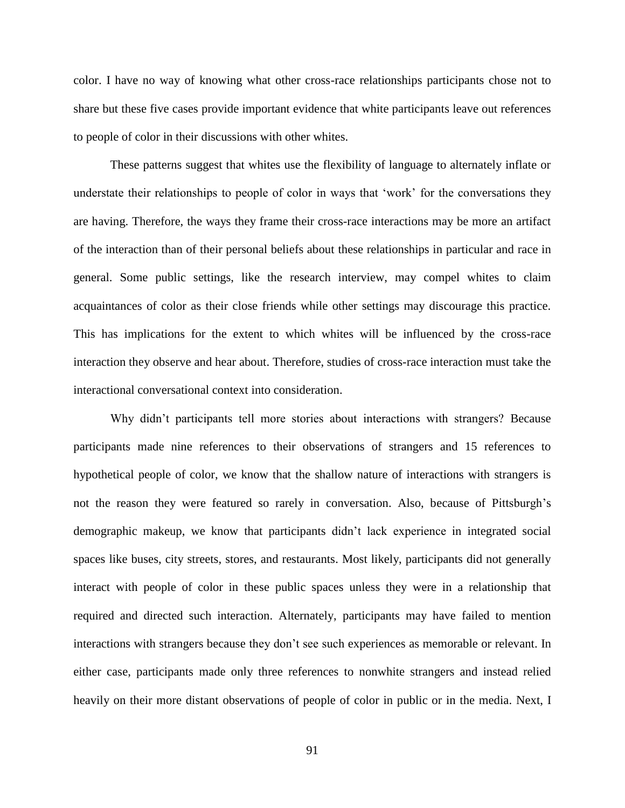color. I have no way of knowing what other cross-race relationships participants chose not to share but these five cases provide important evidence that white participants leave out references to people of color in their discussions with other whites.

These patterns suggest that whites use the flexibility of language to alternately inflate or understate their relationships to people of color in ways that 'work' for the conversations they are having. Therefore, the ways they frame their cross-race interactions may be more an artifact of the interaction than of their personal beliefs about these relationships in particular and race in general. Some public settings, like the research interview, may compel whites to claim acquaintances of color as their close friends while other settings may discourage this practice. This has implications for the extent to which whites will be influenced by the cross-race interaction they observe and hear about. Therefore, studies of cross-race interaction must take the interactional conversational context into consideration.

Why didn't participants tell more stories about interactions with strangers? Because participants made nine references to their observations of strangers and 15 references to hypothetical people of color, we know that the shallow nature of interactions with strangers is not the reason they were featured so rarely in conversation. Also, because of Pittsburgh's demographic makeup, we know that participants didn't lack experience in integrated social spaces like buses, city streets, stores, and restaurants. Most likely, participants did not generally interact with people of color in these public spaces unless they were in a relationship that required and directed such interaction. Alternately, participants may have failed to mention interactions with strangers because they don't see such experiences as memorable or relevant. In either case, participants made only three references to nonwhite strangers and instead relied heavily on their more distant observations of people of color in public or in the media. Next, I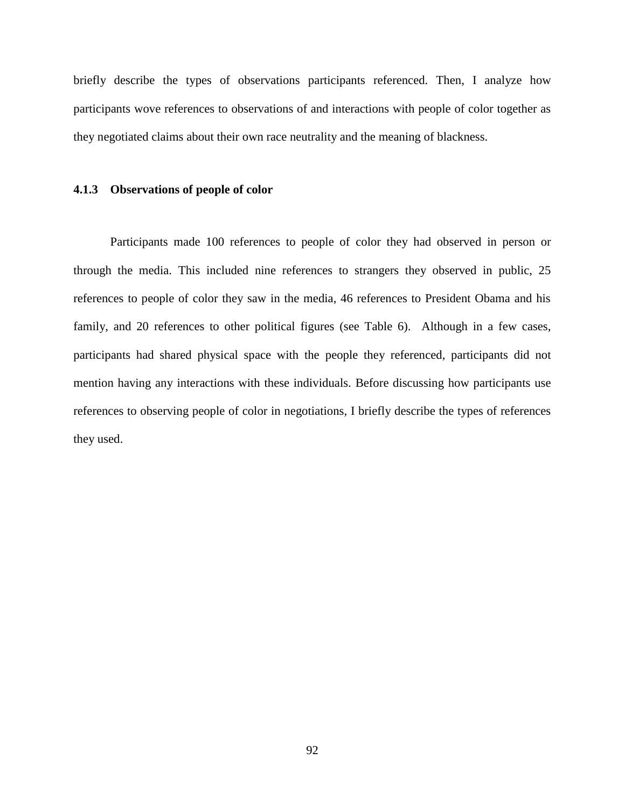briefly describe the types of observations participants referenced. Then, I analyze how participants wove references to observations of and interactions with people of color together as they negotiated claims about their own race neutrality and the meaning of blackness.

#### **4.1.3 Observations of people of color**

Participants made 100 references to people of color they had observed in person or through the media. This included nine references to strangers they observed in public, 25 references to people of color they saw in the media, 46 references to President Obama and his family, and 20 references to other political figures (see Table 6). Although in a few cases, participants had shared physical space with the people they referenced, participants did not mention having any interactions with these individuals. Before discussing how participants use references to observing people of color in negotiations, I briefly describe the types of references they used.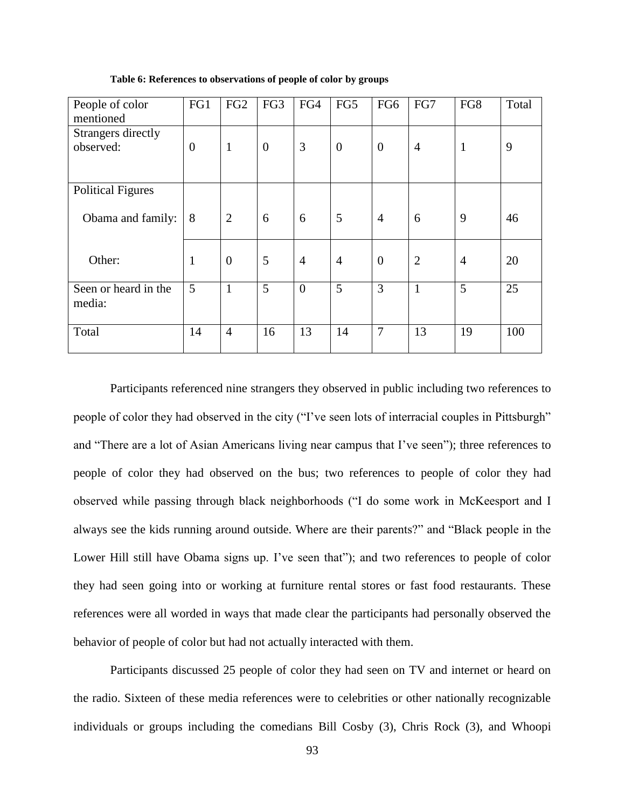| People of color<br>mentioned    | FG1          | FG <sub>2</sub> | FG3              | FG4            | FG5            | FG6            | FG7            | FG8            | Total |
|---------------------------------|--------------|-----------------|------------------|----------------|----------------|----------------|----------------|----------------|-------|
| Strangers directly<br>observed: | $\theta$     | $\mathbf{1}$    | $\boldsymbol{0}$ | 3              | $\theta$       | $\theta$       | $\overline{4}$ | $\mathbf{1}$   | 9     |
| <b>Political Figures</b>        |              |                 |                  |                |                |                |                |                |       |
| Obama and family:               | 8            | $\overline{2}$  | 6                | 6              | 5              | $\overline{4}$ | 6              | 9              | 46    |
| Other:                          | $\mathbf{1}$ | $\overline{0}$  | 5                | $\overline{4}$ | $\overline{4}$ | $\theta$       | $\overline{2}$ | $\overline{4}$ | 20    |
| Seen or heard in the<br>media:  | 5            | $\mathbf{1}$    | 5                | $\overline{0}$ | 5              | 3              | $\mathbf{1}$   | 5              | 25    |
| Total                           | 14           | $\overline{4}$  | 16               | 13             | 14             | 7              | 13             | 19             | 100   |

**Table 6: References to observations of people of color by groups**

Participants referenced nine strangers they observed in public including two references to people of color they had observed in the city ("I've seen lots of interracial couples in Pittsburgh" and "There are a lot of Asian Americans living near campus that I've seen"); three references to people of color they had observed on the bus; two references to people of color they had observed while passing through black neighborhoods ("I do some work in McKeesport and I always see the kids running around outside. Where are their parents?" and "Black people in the Lower Hill still have Obama signs up. I've seen that"); and two references to people of color they had seen going into or working at furniture rental stores or fast food restaurants. These references were all worded in ways that made clear the participants had personally observed the behavior of people of color but had not actually interacted with them.

Participants discussed 25 people of color they had seen on TV and internet or heard on the radio. Sixteen of these media references were to celebrities or other nationally recognizable individuals or groups including the comedians Bill Cosby (3), Chris Rock (3), and Whoopi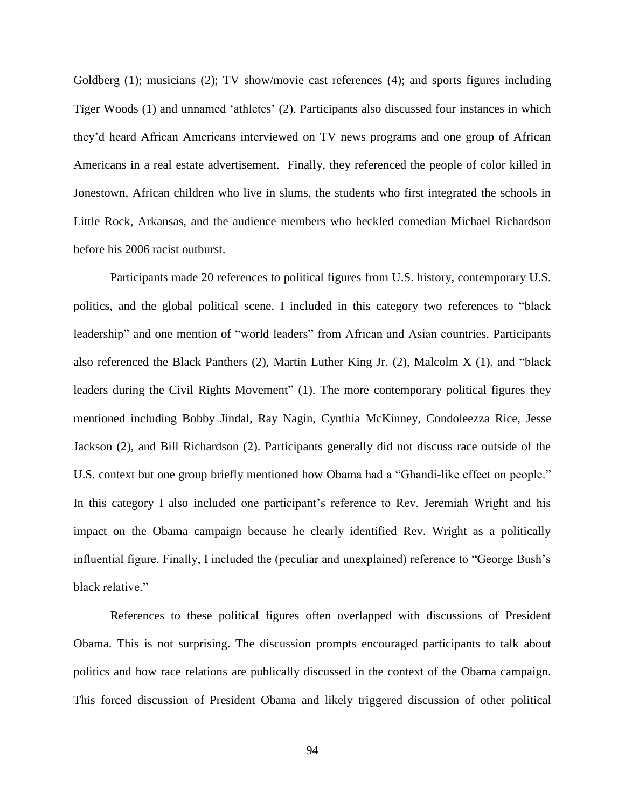Goldberg (1); musicians (2); TV show/movie cast references (4); and sports figures including Tiger Woods (1) and unnamed 'athletes' (2). Participants also discussed four instances in which they'd heard African Americans interviewed on TV news programs and one group of African Americans in a real estate advertisement. Finally, they referenced the people of color killed in Jonestown, African children who live in slums, the students who first integrated the schools in Little Rock, Arkansas, and the audience members who heckled comedian Michael Richardson before his 2006 racist outburst.

Participants made 20 references to political figures from U.S. history, contemporary U.S. politics, and the global political scene. I included in this category two references to "black leadership" and one mention of "world leaders" from African and Asian countries. Participants also referenced the Black Panthers (2), Martin Luther King Jr. (2), Malcolm X (1), and "black leaders during the Civil Rights Movement" (1). The more contemporary political figures they mentioned including Bobby Jindal, Ray Nagin, Cynthia McKinney, Condoleezza Rice, Jesse Jackson (2), and Bill Richardson (2). Participants generally did not discuss race outside of the U.S. context but one group briefly mentioned how Obama had a "Ghandi-like effect on people." In this category I also included one participant's reference to Rev. Jeremiah Wright and his impact on the Obama campaign because he clearly identified Rev. Wright as a politically influential figure. Finally, I included the (peculiar and unexplained) reference to "George Bush's black relative."

References to these political figures often overlapped with discussions of President Obama. This is not surprising. The discussion prompts encouraged participants to talk about politics and how race relations are publically discussed in the context of the Obama campaign. This forced discussion of President Obama and likely triggered discussion of other political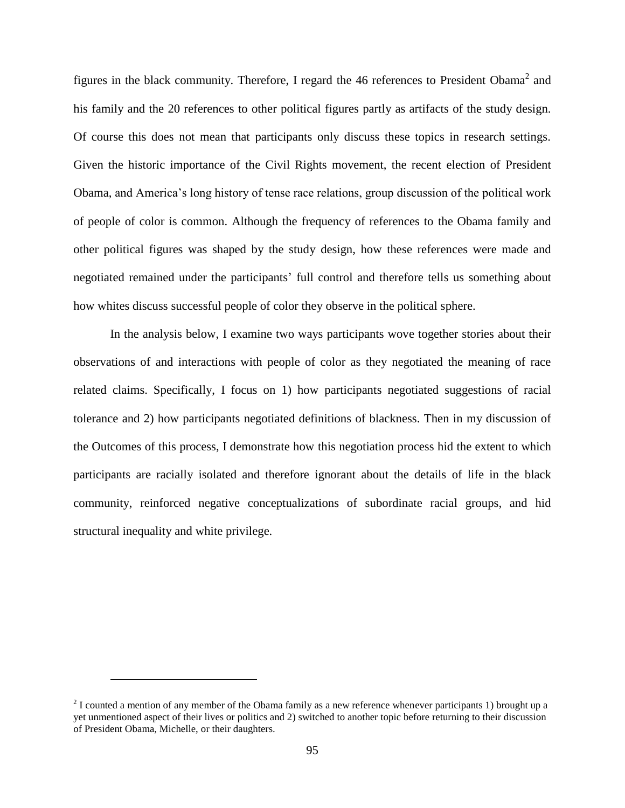figures in the black community. Therefore, I regard the 46 references to President Obama<sup>2</sup> and his family and the 20 references to other political figures partly as artifacts of the study design. Of course this does not mean that participants only discuss these topics in research settings. Given the historic importance of the Civil Rights movement, the recent election of President Obama, and America's long history of tense race relations, group discussion of the political work of people of color is common. Although the frequency of references to the Obama family and other political figures was shaped by the study design, how these references were made and negotiated remained under the participants' full control and therefore tells us something about how whites discuss successful people of color they observe in the political sphere.

In the analysis below, I examine two ways participants wove together stories about their observations of and interactions with people of color as they negotiated the meaning of race related claims. Specifically, I focus on 1) how participants negotiated suggestions of racial tolerance and 2) how participants negotiated definitions of blackness. Then in my discussion of the Outcomes of this process, I demonstrate how this negotiation process hid the extent to which participants are racially isolated and therefore ignorant about the details of life in the black community, reinforced negative conceptualizations of subordinate racial groups, and hid structural inequality and white privilege.

 $\overline{a}$ 

<sup>&</sup>lt;sup>2</sup> I counted a mention of any member of the Obama family as a new reference whenever participants 1) brought up a yet unmentioned aspect of their lives or politics and 2) switched to another topic before returning to their discussion of President Obama, Michelle, or their daughters.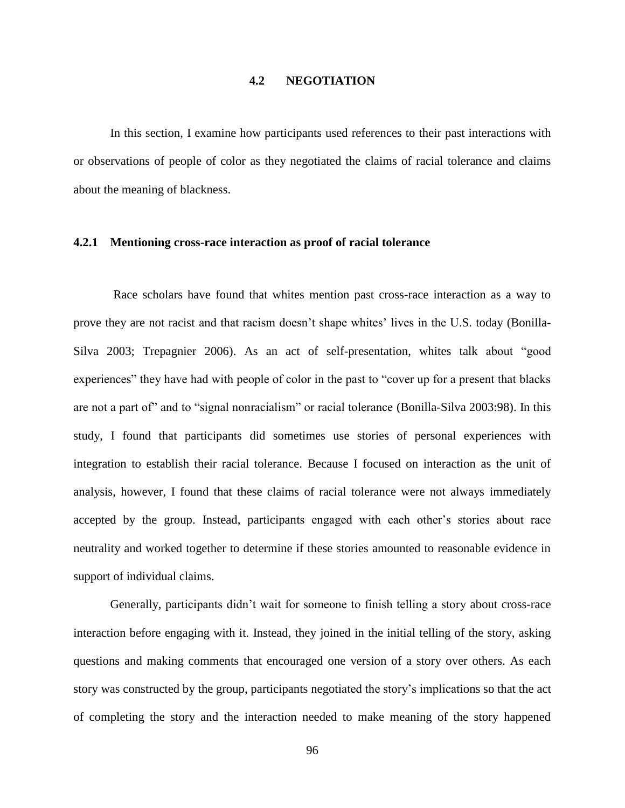# **4.2 NEGOTIATION**

In this section, I examine how participants used references to their past interactions with or observations of people of color as they negotiated the claims of racial tolerance and claims about the meaning of blackness.

# **4.2.1 Mentioning cross-race interaction as proof of racial tolerance**

Race scholars have found that whites mention past cross-race interaction as a way to prove they are not racist and that racism doesn't shape whites' lives in the U.S. today (Bonilla-Silva 2003; Trepagnier 2006). As an act of self-presentation, whites talk about "good experiences" they have had with people of color in the past to "cover up for a present that blacks are not a part of" and to "signal nonracialism" or racial tolerance (Bonilla-Silva 2003:98). In this study, I found that participants did sometimes use stories of personal experiences with integration to establish their racial tolerance. Because I focused on interaction as the unit of analysis, however, I found that these claims of racial tolerance were not always immediately accepted by the group. Instead, participants engaged with each other's stories about race neutrality and worked together to determine if these stories amounted to reasonable evidence in support of individual claims.

Generally, participants didn't wait for someone to finish telling a story about cross-race interaction before engaging with it. Instead, they joined in the initial telling of the story, asking questions and making comments that encouraged one version of a story over others. As each story was constructed by the group, participants negotiated the story's implications so that the act of completing the story and the interaction needed to make meaning of the story happened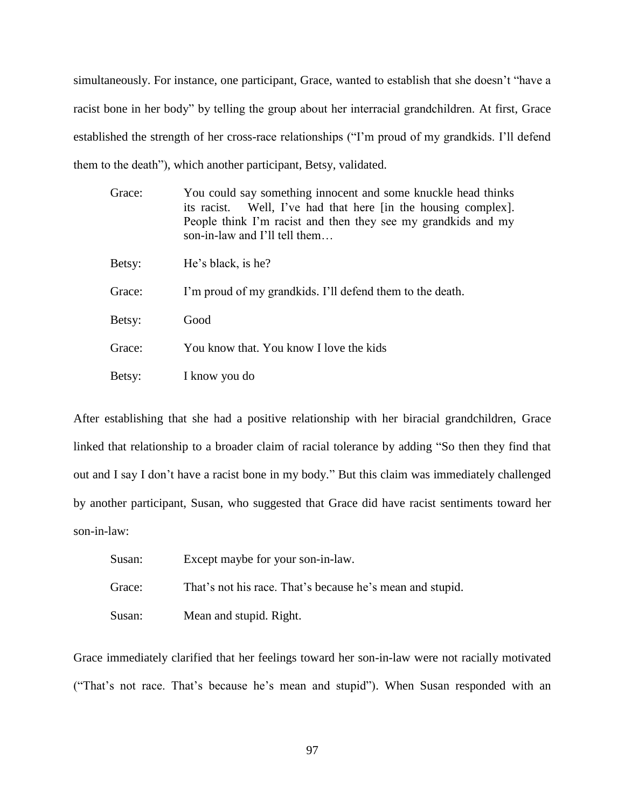simultaneously. For instance, one participant, Grace, wanted to establish that she doesn't "have a racist bone in her body" by telling the group about her interracial grandchildren. At first, Grace established the strength of her cross-race relationships ("I'm proud of my grandkids. I'll defend them to the death"), which another participant, Betsy, validated.

| Grace: | You could say something innocent and some knuckle head thinks<br>Well, I've had that here [in the housing complex].<br>its racist.<br>People think I'm racist and then they see my grandkids and my<br>son-in-law and I'll tell them |
|--------|--------------------------------------------------------------------------------------------------------------------------------------------------------------------------------------------------------------------------------------|
| Betsy: | He's black, is he?                                                                                                                                                                                                                   |
| Grace: | I'm proud of my grandkids. I'll defend them to the death.                                                                                                                                                                            |
| Betsy: | Good                                                                                                                                                                                                                                 |
| Grace: | You know that. You know I love the kids                                                                                                                                                                                              |
| Betsy: | I know you do                                                                                                                                                                                                                        |

After establishing that she had a positive relationship with her biracial grandchildren, Grace linked that relationship to a broader claim of racial tolerance by adding "So then they find that out and I say I don't have a racist bone in my body." But this claim was immediately challenged by another participant, Susan, who suggested that Grace did have racist sentiments toward her son-in-law:

| Susan: | Except maybe for your son-in-law.                         |
|--------|-----------------------------------------------------------|
| Grace: | That's not his race. That's because he's mean and stupid. |
| Susan: | Mean and stupid. Right.                                   |

Grace immediately clarified that her feelings toward her son-in-law were not racially motivated ("That's not race. That's because he's mean and stupid"). When Susan responded with an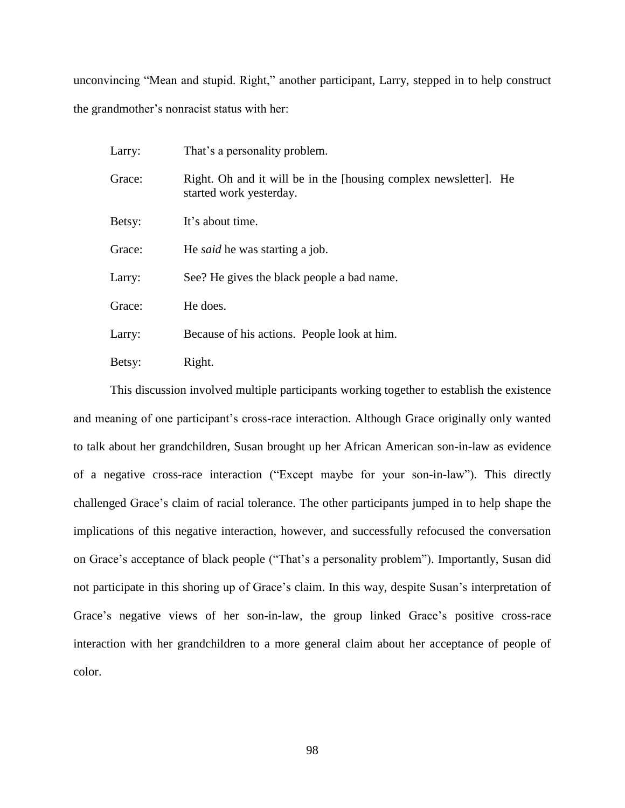unconvincing "Mean and stupid. Right," another participant, Larry, stepped in to help construct the grandmother's nonracist status with her:

| Larry: | That's a personality problem.                                                               |
|--------|---------------------------------------------------------------------------------------------|
| Grace: | Right. Oh and it will be in the [housing complex newsletter]. He<br>started work yesterday. |
| Betsy: | It's about time.                                                                            |
| Grace: | He <i>said</i> he was starting a job.                                                       |
| Larry: | See? He gives the black people a bad name.                                                  |
| Grace: | He does.                                                                                    |
| Larry: | Because of his actions. People look at him.                                                 |
| Betsy: | Right.                                                                                      |

This discussion involved multiple participants working together to establish the existence and meaning of one participant's cross-race interaction. Although Grace originally only wanted to talk about her grandchildren, Susan brought up her African American son-in-law as evidence of a negative cross-race interaction ("Except maybe for your son-in-law"). This directly challenged Grace's claim of racial tolerance. The other participants jumped in to help shape the implications of this negative interaction, however, and successfully refocused the conversation on Grace's acceptance of black people ("That's a personality problem"). Importantly, Susan did not participate in this shoring up of Grace's claim. In this way, despite Susan's interpretation of Grace's negative views of her son-in-law, the group linked Grace's positive cross-race interaction with her grandchildren to a more general claim about her acceptance of people of color.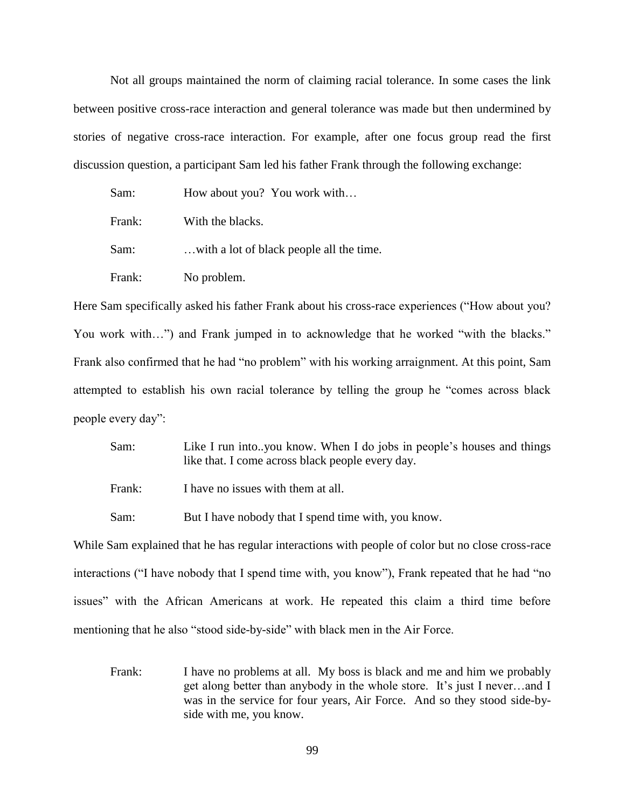Not all groups maintained the norm of claiming racial tolerance. In some cases the link between positive cross-race interaction and general tolerance was made but then undermined by stories of negative cross-race interaction. For example, after one focus group read the first discussion question, a participant Sam led his father Frank through the following exchange:

| Sam:   | How about you? You work with             |
|--------|------------------------------------------|
| Frank: | With the blacks.                         |
| Sam:   | with a lot of black people all the time. |
| Frank: | No problem.                              |

Here Sam specifically asked his father Frank about his cross-race experiences ("How about you? You work with...") and Frank jumped in to acknowledge that he worked "with the blacks." Frank also confirmed that he had "no problem" with his working arraignment. At this point, Sam attempted to establish his own racial tolerance by telling the group he "comes across black people every day":

Sam: Like I run into..you know. When I do jobs in people's houses and things like that. I come across black people every day.

Frank: I have no issues with them at all.

Sam: But I have nobody that I spend time with, you know.

While Sam explained that he has regular interactions with people of color but no close cross-race interactions ("I have nobody that I spend time with, you know"), Frank repeated that he had "no issues" with the African Americans at work. He repeated this claim a third time before mentioning that he also "stood side-by-side" with black men in the Air Force.

Frank: I have no problems at all. My boss is black and me and him we probably get along better than anybody in the whole store. It's just I never…and I was in the service for four years, Air Force. And so they stood side-byside with me, you know.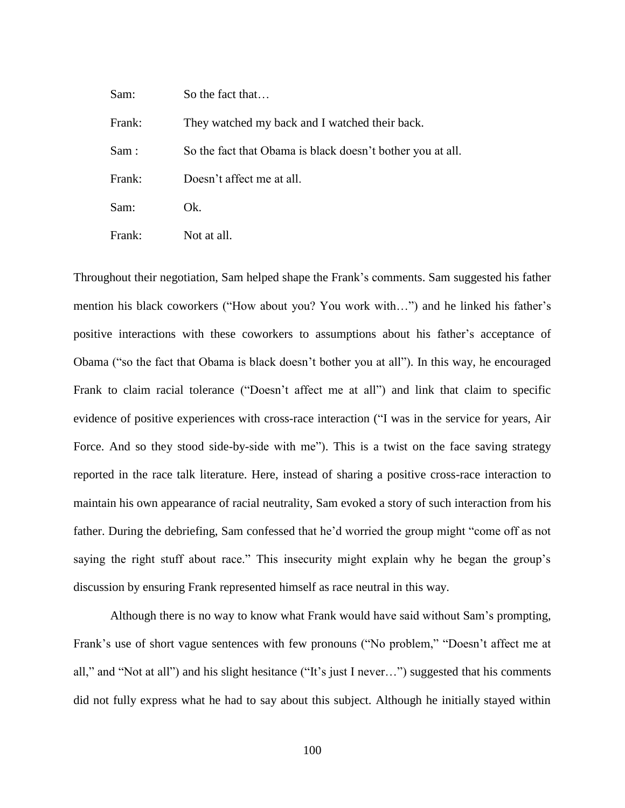| Sam:   | So the fact that                                           |
|--------|------------------------------------------------------------|
| Frank: | They watched my back and I watched their back.             |
| Sam:   | So the fact that Obama is black doesn't bother you at all. |
| Frank: | Doesn't affect me at all.                                  |
| Sam:   | Ok.                                                        |
| Frank: | Not at all.                                                |

Throughout their negotiation, Sam helped shape the Frank's comments. Sam suggested his father mention his black coworkers ("How about you? You work with…") and he linked his father's positive interactions with these coworkers to assumptions about his father's acceptance of Obama ("so the fact that Obama is black doesn't bother you at all"). In this way, he encouraged Frank to claim racial tolerance ("Doesn't affect me at all") and link that claim to specific evidence of positive experiences with cross-race interaction ("I was in the service for years, Air Force. And so they stood side-by-side with me"). This is a twist on the face saving strategy reported in the race talk literature. Here, instead of sharing a positive cross-race interaction to maintain his own appearance of racial neutrality, Sam evoked a story of such interaction from his father. During the debriefing, Sam confessed that he'd worried the group might "come off as not saying the right stuff about race." This insecurity might explain why he began the group's discussion by ensuring Frank represented himself as race neutral in this way.

Although there is no way to know what Frank would have said without Sam's prompting, Frank's use of short vague sentences with few pronouns ("No problem," "Doesn't affect me at all," and "Not at all") and his slight hesitance ("It's just I never…") suggested that his comments did not fully express what he had to say about this subject. Although he initially stayed within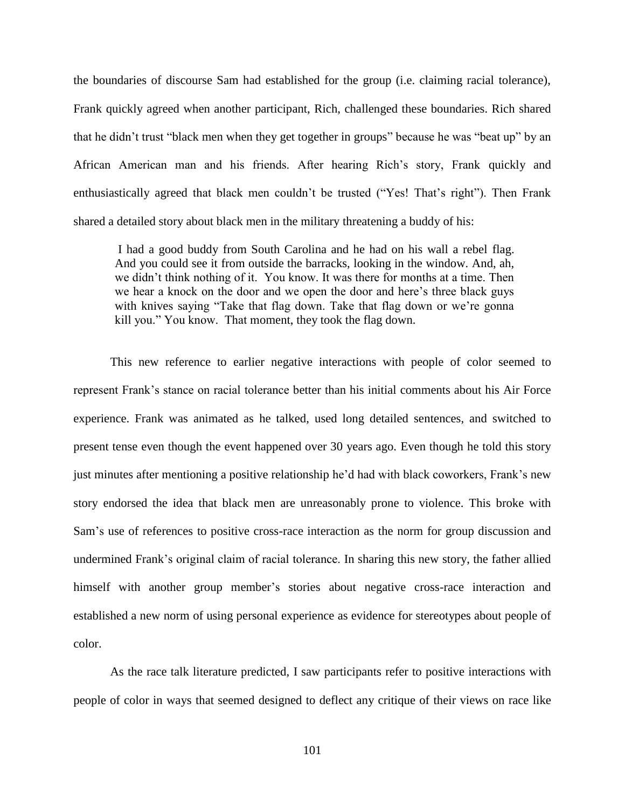the boundaries of discourse Sam had established for the group (i.e. claiming racial tolerance), Frank quickly agreed when another participant, Rich, challenged these boundaries. Rich shared that he didn't trust "black men when they get together in groups" because he was "beat up" by an African American man and his friends. After hearing Rich's story, Frank quickly and enthusiastically agreed that black men couldn't be trusted ("Yes! That's right"). Then Frank shared a detailed story about black men in the military threatening a buddy of his:

I had a good buddy from South Carolina and he had on his wall a rebel flag. And you could see it from outside the barracks, looking in the window. And, ah, we didn't think nothing of it. You know. It was there for months at a time. Then we hear a knock on the door and we open the door and here's three black guys with knives saying "Take that flag down. Take that flag down or we're gonna kill you." You know. That moment, they took the flag down.

This new reference to earlier negative interactions with people of color seemed to represent Frank's stance on racial tolerance better than his initial comments about his Air Force experience. Frank was animated as he talked, used long detailed sentences, and switched to present tense even though the event happened over 30 years ago. Even though he told this story just minutes after mentioning a positive relationship he'd had with black coworkers, Frank's new story endorsed the idea that black men are unreasonably prone to violence. This broke with Sam's use of references to positive cross-race interaction as the norm for group discussion and undermined Frank's original claim of racial tolerance. In sharing this new story, the father allied himself with another group member's stories about negative cross-race interaction and established a new norm of using personal experience as evidence for stereotypes about people of color.

As the race talk literature predicted, I saw participants refer to positive interactions with people of color in ways that seemed designed to deflect any critique of their views on race like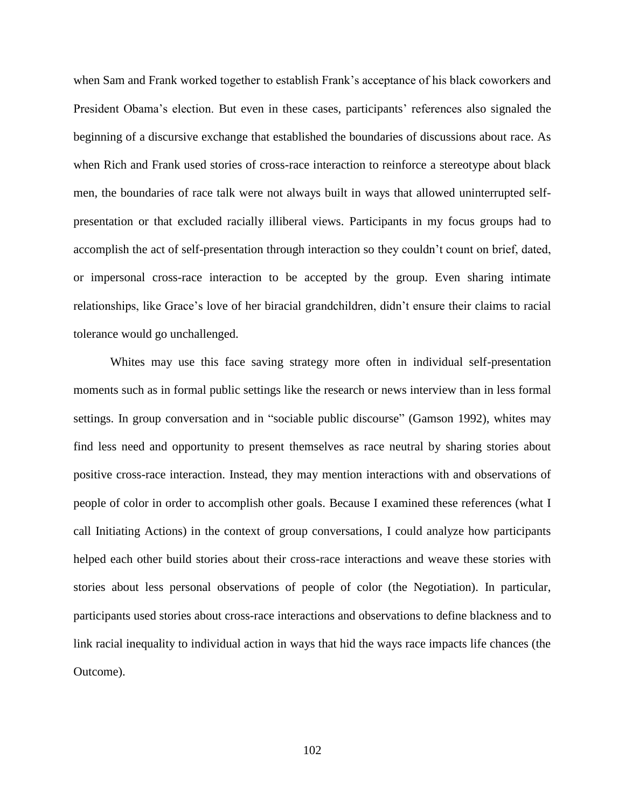when Sam and Frank worked together to establish Frank's acceptance of his black coworkers and President Obama's election. But even in these cases, participants' references also signaled the beginning of a discursive exchange that established the boundaries of discussions about race. As when Rich and Frank used stories of cross-race interaction to reinforce a stereotype about black men, the boundaries of race talk were not always built in ways that allowed uninterrupted selfpresentation or that excluded racially illiberal views. Participants in my focus groups had to accomplish the act of self-presentation through interaction so they couldn't count on brief, dated, or impersonal cross-race interaction to be accepted by the group. Even sharing intimate relationships, like Grace's love of her biracial grandchildren, didn't ensure their claims to racial tolerance would go unchallenged.

Whites may use this face saving strategy more often in individual self-presentation moments such as in formal public settings like the research or news interview than in less formal settings. In group conversation and in "sociable public discourse" (Gamson 1992), whites may find less need and opportunity to present themselves as race neutral by sharing stories about positive cross-race interaction. Instead, they may mention interactions with and observations of people of color in order to accomplish other goals. Because I examined these references (what I call Initiating Actions) in the context of group conversations, I could analyze how participants helped each other build stories about their cross-race interactions and weave these stories with stories about less personal observations of people of color (the Negotiation). In particular, participants used stories about cross-race interactions and observations to define blackness and to link racial inequality to individual action in ways that hid the ways race impacts life chances (the Outcome).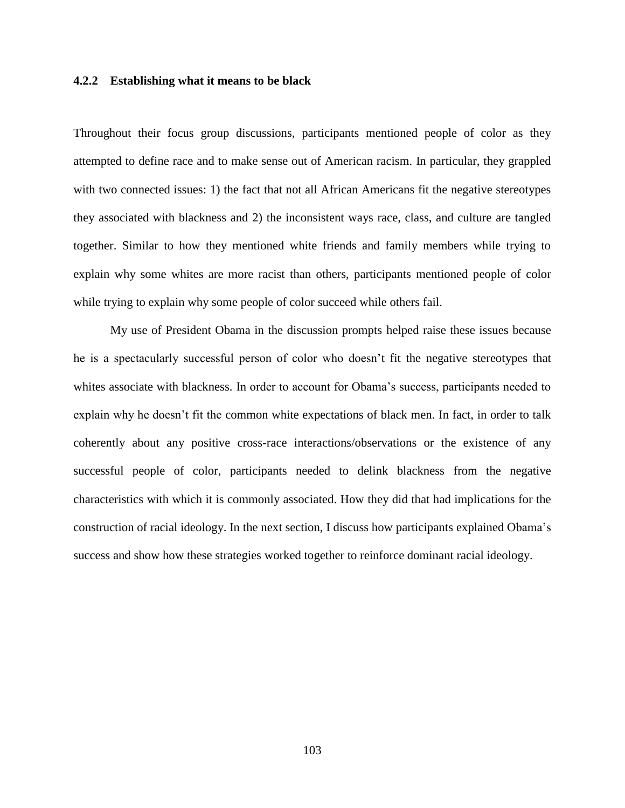### **4.2.2 Establishing what it means to be black**

Throughout their focus group discussions, participants mentioned people of color as they attempted to define race and to make sense out of American racism. In particular, they grappled with two connected issues: 1) the fact that not all African Americans fit the negative stereotypes they associated with blackness and 2) the inconsistent ways race, class, and culture are tangled together. Similar to how they mentioned white friends and family members while trying to explain why some whites are more racist than others, participants mentioned people of color while trying to explain why some people of color succeed while others fail.

My use of President Obama in the discussion prompts helped raise these issues because he is a spectacularly successful person of color who doesn't fit the negative stereotypes that whites associate with blackness. In order to account for Obama's success, participants needed to explain why he doesn't fit the common white expectations of black men. In fact, in order to talk coherently about any positive cross-race interactions/observations or the existence of any successful people of color, participants needed to delink blackness from the negative characteristics with which it is commonly associated. How they did that had implications for the construction of racial ideology. In the next section, I discuss how participants explained Obama's success and show how these strategies worked together to reinforce dominant racial ideology.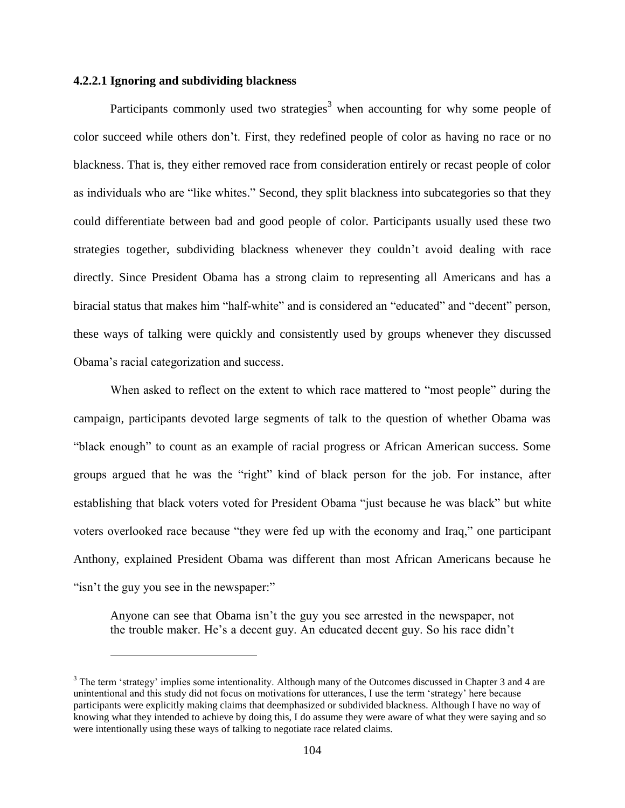## **4.2.2.1 Ignoring and subdividing blackness**

 $\overline{a}$ 

Participants commonly used two strategies<sup>3</sup> when accounting for why some people of color succeed while others don't. First, they redefined people of color as having no race or no blackness. That is, they either removed race from consideration entirely or recast people of color as individuals who are "like whites." Second, they split blackness into subcategories so that they could differentiate between bad and good people of color. Participants usually used these two strategies together, subdividing blackness whenever they couldn't avoid dealing with race directly. Since President Obama has a strong claim to representing all Americans and has a biracial status that makes him "half-white" and is considered an "educated" and "decent" person, these ways of talking were quickly and consistently used by groups whenever they discussed Obama's racial categorization and success.

When asked to reflect on the extent to which race mattered to "most people" during the campaign, participants devoted large segments of talk to the question of whether Obama was "black enough" to count as an example of racial progress or African American success. Some groups argued that he was the "right" kind of black person for the job. For instance, after establishing that black voters voted for President Obama "just because he was black" but white voters overlooked race because "they were fed up with the economy and Iraq," one participant Anthony, explained President Obama was different than most African Americans because he "isn't the guy you see in the newspaper:"

Anyone can see that Obama isn't the guy you see arrested in the newspaper, not the trouble maker. He's a decent guy. An educated decent guy. So his race didn't

<sup>&</sup>lt;sup>3</sup> The term 'strategy' implies some intentionality. Although many of the Outcomes discussed in Chapter 3 and 4 are unintentional and this study did not focus on motivations for utterances, I use the term 'strategy' here because participants were explicitly making claims that deemphasized or subdivided blackness. Although I have no way of knowing what they intended to achieve by doing this, I do assume they were aware of what they were saying and so were intentionally using these ways of talking to negotiate race related claims.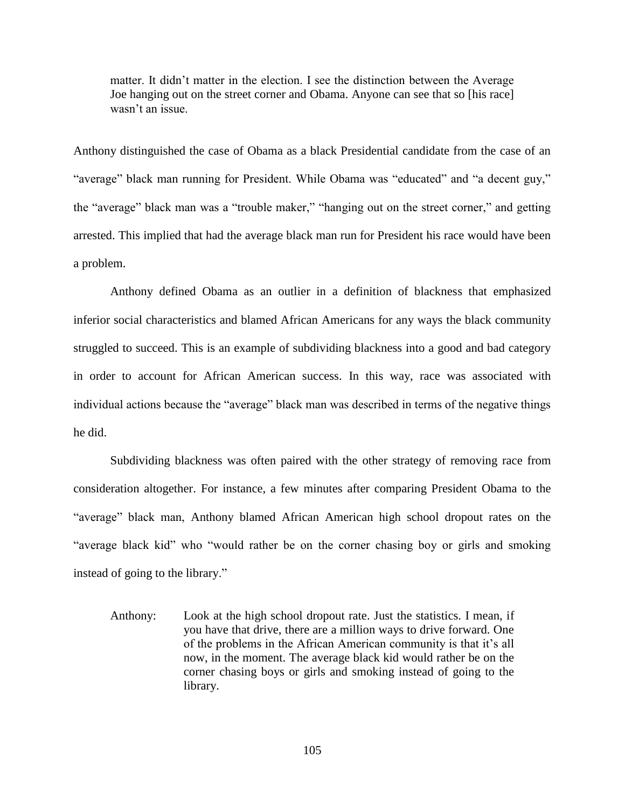matter. It didn't matter in the election. I see the distinction between the Average Joe hanging out on the street corner and Obama. Anyone can see that so [his race] wasn't an issue.

Anthony distinguished the case of Obama as a black Presidential candidate from the case of an "average" black man running for President. While Obama was "educated" and "a decent guy," the "average" black man was a "trouble maker," "hanging out on the street corner," and getting arrested. This implied that had the average black man run for President his race would have been a problem.

Anthony defined Obama as an outlier in a definition of blackness that emphasized inferior social characteristics and blamed African Americans for any ways the black community struggled to succeed. This is an example of subdividing blackness into a good and bad category in order to account for African American success. In this way, race was associated with individual actions because the "average" black man was described in terms of the negative things he did.

Subdividing blackness was often paired with the other strategy of removing race from consideration altogether. For instance, a few minutes after comparing President Obama to the "average" black man, Anthony blamed African American high school dropout rates on the "average black kid" who "would rather be on the corner chasing boy or girls and smoking instead of going to the library."

Anthony: Look at the high school dropout rate. Just the statistics. I mean, if you have that drive, there are a million ways to drive forward. One of the problems in the African American community is that it's all now, in the moment. The average black kid would rather be on the corner chasing boys or girls and smoking instead of going to the library.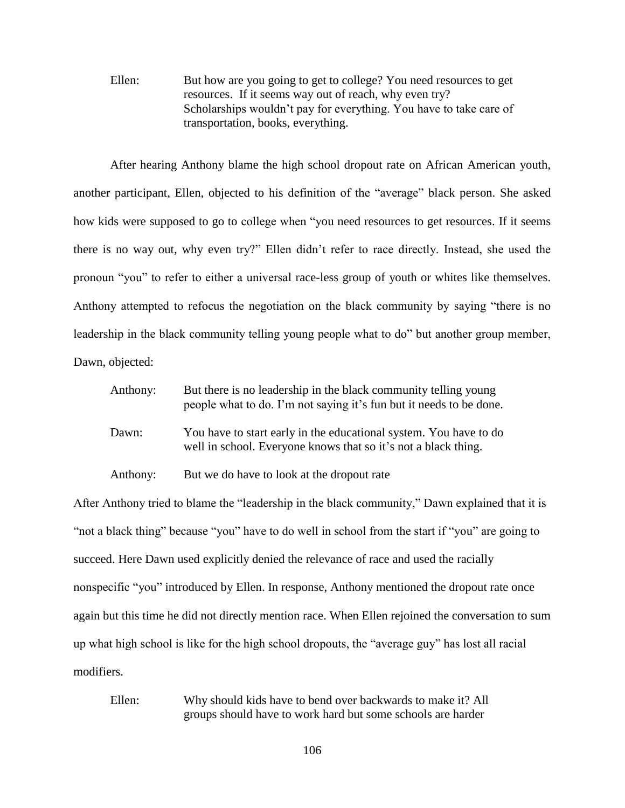Ellen: But how are you going to get to college? You need resources to get resources. If it seems way out of reach, why even try? Scholarships wouldn't pay for everything. You have to take care of transportation, books, everything.

After hearing Anthony blame the high school dropout rate on African American youth, another participant, Ellen, objected to his definition of the "average" black person. She asked how kids were supposed to go to college when "you need resources to get resources. If it seems there is no way out, why even try?" Ellen didn't refer to race directly. Instead, she used the pronoun "you" to refer to either a universal race-less group of youth or whites like themselves. Anthony attempted to refocus the negotiation on the black community by saying "there is no leadership in the black community telling young people what to do" but another group member, Dawn, objected:

| Anthony: | But there is no leadership in the black community telling young<br>people what to do. I'm not saying it's fun but it needs to be done. |
|----------|----------------------------------------------------------------------------------------------------------------------------------------|
| Dawn:    | You have to start early in the educational system. You have to do<br>well in school. Everyone knows that so it's not a black thing.    |

Anthony: But we do have to look at the dropout rate

After Anthony tried to blame the "leadership in the black community," Dawn explained that it is "not a black thing" because "you" have to do well in school from the start if "you" are going to succeed. Here Dawn used explicitly denied the relevance of race and used the racially nonspecific "you" introduced by Ellen. In response, Anthony mentioned the dropout rate once again but this time he did not directly mention race. When Ellen rejoined the conversation to sum up what high school is like for the high school dropouts, the "average guy" has lost all racial modifiers.

Ellen: Why should kids have to bend over backwards to make it? All groups should have to work hard but some schools are harder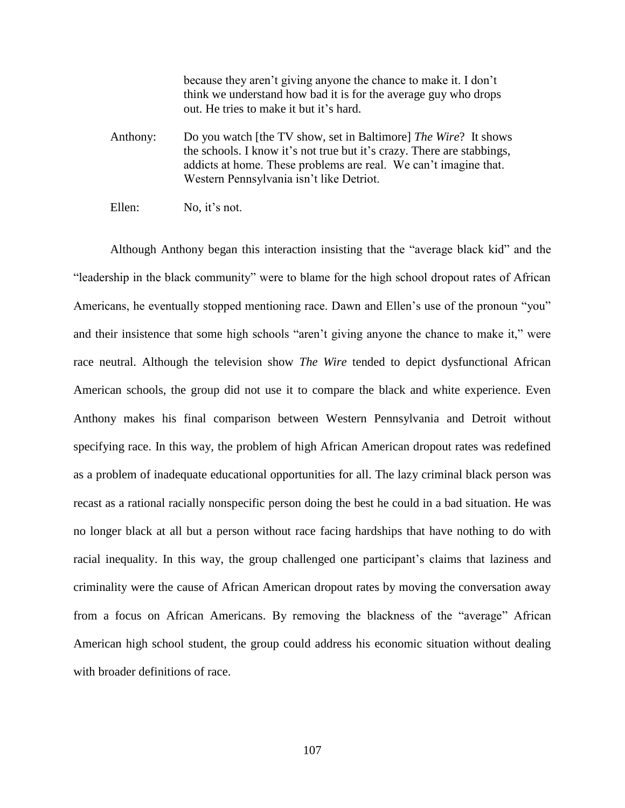because they aren't giving anyone the chance to make it. I don't think we understand how bad it is for the average guy who drops out. He tries to make it but it's hard.

- Anthony: Do you watch [the TV show, set in Baltimore] *The Wire*? It shows the schools. I know it's not true but it's crazy. There are stabbings, addicts at home. These problems are real. We can't imagine that. Western Pennsylvania isn't like Detriot.
- Ellen: No. it's not.

Although Anthony began this interaction insisting that the "average black kid" and the "leadership in the black community" were to blame for the high school dropout rates of African Americans, he eventually stopped mentioning race. Dawn and Ellen's use of the pronoun "you" and their insistence that some high schools "aren't giving anyone the chance to make it," were race neutral. Although the television show *The Wire* tended to depict dysfunctional African American schools, the group did not use it to compare the black and white experience. Even Anthony makes his final comparison between Western Pennsylvania and Detroit without specifying race. In this way, the problem of high African American dropout rates was redefined as a problem of inadequate educational opportunities for all. The lazy criminal black person was recast as a rational racially nonspecific person doing the best he could in a bad situation. He was no longer black at all but a person without race facing hardships that have nothing to do with racial inequality. In this way, the group challenged one participant's claims that laziness and criminality were the cause of African American dropout rates by moving the conversation away from a focus on African Americans. By removing the blackness of the "average" African American high school student, the group could address his economic situation without dealing with broader definitions of race.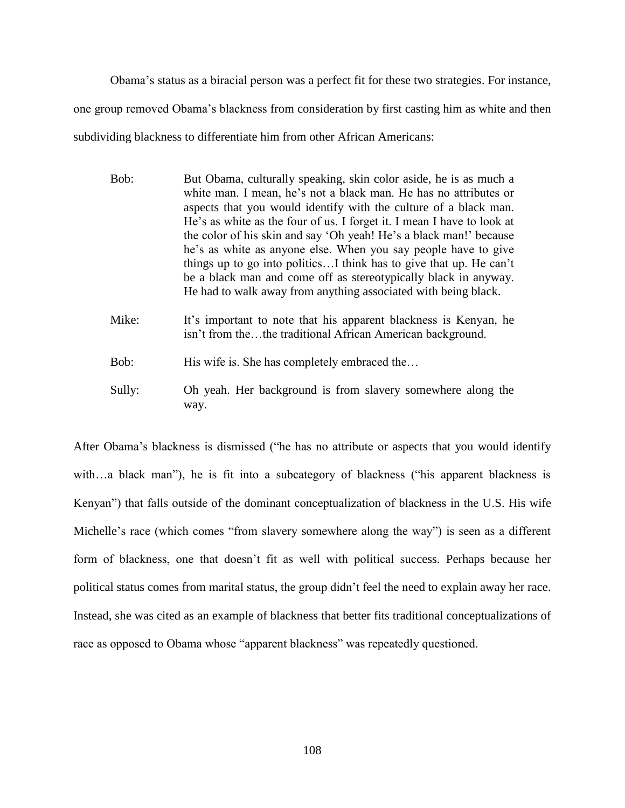Obama's status as a biracial person was a perfect fit for these two strategies. For instance, one group removed Obama's blackness from consideration by first casting him as white and then subdividing blackness to differentiate him from other African Americans:

- Bob: But Obama, culturally speaking, skin color aside, he is as much a white man. I mean, he's not a black man. He has no attributes or aspects that you would identify with the culture of a black man. He's as white as the four of us. I forget it. I mean I have to look at the color of his skin and say 'Oh yeah! He's a black man!' because he's as white as anyone else. When you say people have to give things up to go into politics…I think has to give that up. He can't be a black man and come off as stereotypically black in anyway. He had to walk away from anything associated with being black.
- Mike: It's important to note that his apparent blackness is Kenyan, he isn't from the…the traditional African American background.

Bob: His wife is. She has completely embraced the...

Sully: Oh yeah. Her background is from slavery somewhere along the way.

After Obama's blackness is dismissed ("he has no attribute or aspects that you would identify with...a black man"), he is fit into a subcategory of blackness ("his apparent blackness is Kenyan") that falls outside of the dominant conceptualization of blackness in the U.S. His wife Michelle's race (which comes "from slavery somewhere along the way") is seen as a different form of blackness, one that doesn't fit as well with political success. Perhaps because her political status comes from marital status, the group didn't feel the need to explain away her race. Instead, she was cited as an example of blackness that better fits traditional conceptualizations of race as opposed to Obama whose "apparent blackness" was repeatedly questioned.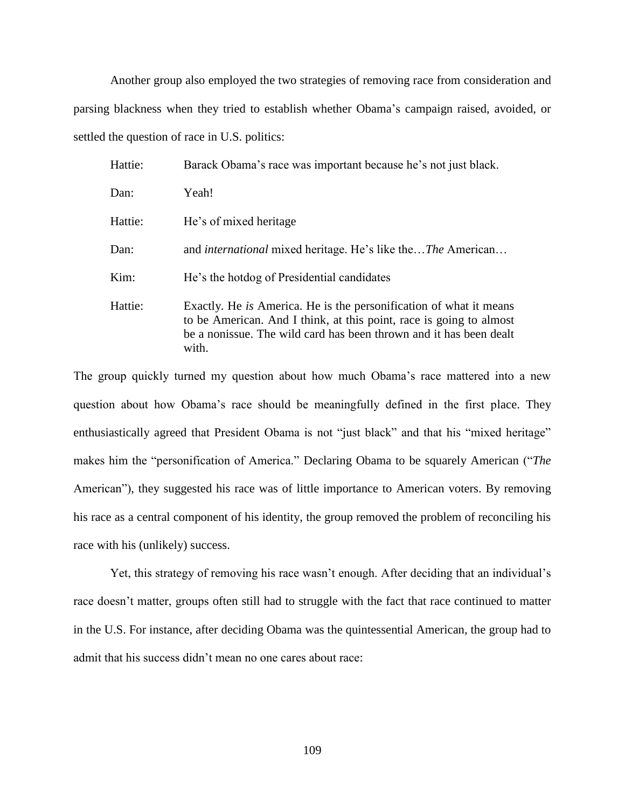Another group also employed the two strategies of removing race from consideration and parsing blackness when they tried to establish whether Obama's campaign raised, avoided, or settled the question of race in U.S. politics:

| Hattie: | Barack Obama's race was important because he's not just black.                                                                                                                                                                  |
|---------|---------------------------------------------------------------------------------------------------------------------------------------------------------------------------------------------------------------------------------|
| Dan:    | Yeah!                                                                                                                                                                                                                           |
| Hattie: | He's of mixed heritage                                                                                                                                                                                                          |
| Dan:    | and <i>international</i> mixed heritage. He's like the <i>The American</i>                                                                                                                                                      |
| Kim:    | He's the hotdog of Presidential candidates                                                                                                                                                                                      |
| Hattie: | Exactly. He <i>is</i> America. He is the personification of what it means<br>to be American. And I think, at this point, race is going to almost<br>be a nonissue. The wild card has been thrown and it has been dealt<br>with. |

The group quickly turned my question about how much Obama's race mattered into a new question about how Obama's race should be meaningfully defined in the first place. They enthusiastically agreed that President Obama is not "just black" and that his "mixed heritage" makes him the "personification of America." Declaring Obama to be squarely American ("*The* American"), they suggested his race was of little importance to American voters. By removing his race as a central component of his identity, the group removed the problem of reconciling his race with his (unlikely) success.

Yet, this strategy of removing his race wasn't enough. After deciding that an individual's race doesn't matter, groups often still had to struggle with the fact that race continued to matter in the U.S. For instance, after deciding Obama was the quintessential American, the group had to admit that his success didn't mean no one cares about race: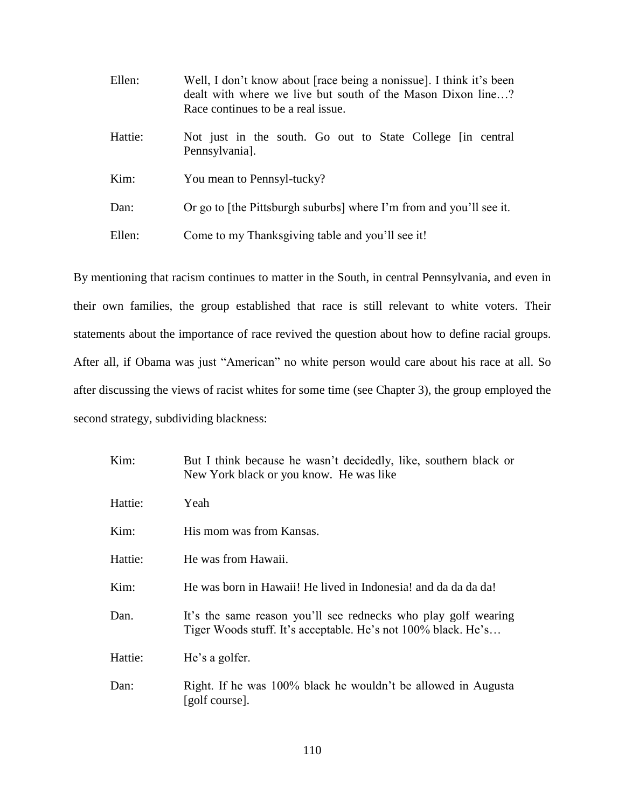| Ellen:  | Well, I don't know about [race being a nonissue]. I think it's been<br>dealt with where we live but south of the Mason Dixon line?<br>Race continues to be a real issue. |
|---------|--------------------------------------------------------------------------------------------------------------------------------------------------------------------------|
| Hattie: | Not just in the south. Go out to State College [in central]<br>Pennsylvania].                                                                                            |
| Kim:    | You mean to Pennsyl-tucky?                                                                                                                                               |
| Dan:    | Or go to [the Pittsburgh suburbs] where I'm from and you'll see it.                                                                                                      |
| Ellen:  | Come to my Thanksgiving table and you'll see it!                                                                                                                         |

By mentioning that racism continues to matter in the South, in central Pennsylvania, and even in their own families, the group established that race is still relevant to white voters. Their statements about the importance of race revived the question about how to define racial groups. After all, if Obama was just "American" no white person would care about his race at all. So after discussing the views of racist whites for some time (see Chapter 3), the group employed the second strategy, subdividing blackness:

| Kim:    | But I think because he wasn't decidedly, like, southern black or<br>New York black or you know. He was like                     |
|---------|---------------------------------------------------------------------------------------------------------------------------------|
| Hattie: | Yeah                                                                                                                            |
| Kim:    | His mom was from Kansas.                                                                                                        |
| Hattie: | He was from Hawaii.                                                                                                             |
| Kim:    | He was born in Hawaii! He lived in Indonesia! and da da da da!                                                                  |
| Dan.    | It's the same reason you'll see rednecks who play golf wearing<br>Tiger Woods stuff. It's acceptable. He's not 100% black. He's |
| Hattie: | He's a golfer.                                                                                                                  |
| Dan:    | Right. If he was 100% black he wouldn't be allowed in Augusta<br>[golf course].                                                 |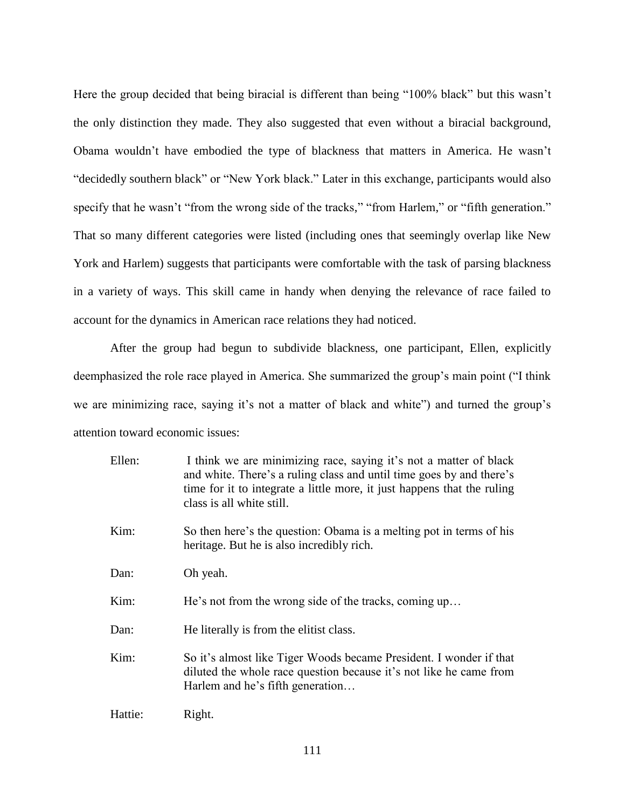Here the group decided that being biracial is different than being "100% black" but this wasn't the only distinction they made. They also suggested that even without a biracial background, Obama wouldn't have embodied the type of blackness that matters in America. He wasn't "decidedly southern black" or "New York black." Later in this exchange, participants would also specify that he wasn't "from the wrong side of the tracks," "from Harlem," or "fifth generation." That so many different categories were listed (including ones that seemingly overlap like New York and Harlem) suggests that participants were comfortable with the task of parsing blackness in a variety of ways. This skill came in handy when denying the relevance of race failed to account for the dynamics in American race relations they had noticed.

After the group had begun to subdivide blackness, one participant, Ellen, explicitly deemphasized the role race played in America. She summarized the group's main point ("I think we are minimizing race, saying it's not a matter of black and white") and turned the group's attention toward economic issues:

| Ellen:  | I think we are minimizing race, saying it's not a matter of black<br>and white. There's a ruling class and until time goes by and there's<br>time for it to integrate a little more, it just happens that the ruling<br>class is all white still. |
|---------|---------------------------------------------------------------------------------------------------------------------------------------------------------------------------------------------------------------------------------------------------|
| Kim:    | So then here's the question: Obama is a melting pot in terms of his<br>heritage. But he is also incredibly rich.                                                                                                                                  |
| Dan:    | Oh yeah.                                                                                                                                                                                                                                          |
| Kim:    | He's not from the wrong side of the tracks, coming up                                                                                                                                                                                             |
| Dan:    | He literally is from the elitist class.                                                                                                                                                                                                           |
| Kim:    | So it's almost like Tiger Woods became President. I wonder if that<br>diluted the whole race question because it's not like he came from<br>Harlem and he's fifth generation                                                                      |
| Hattie: | Right.                                                                                                                                                                                                                                            |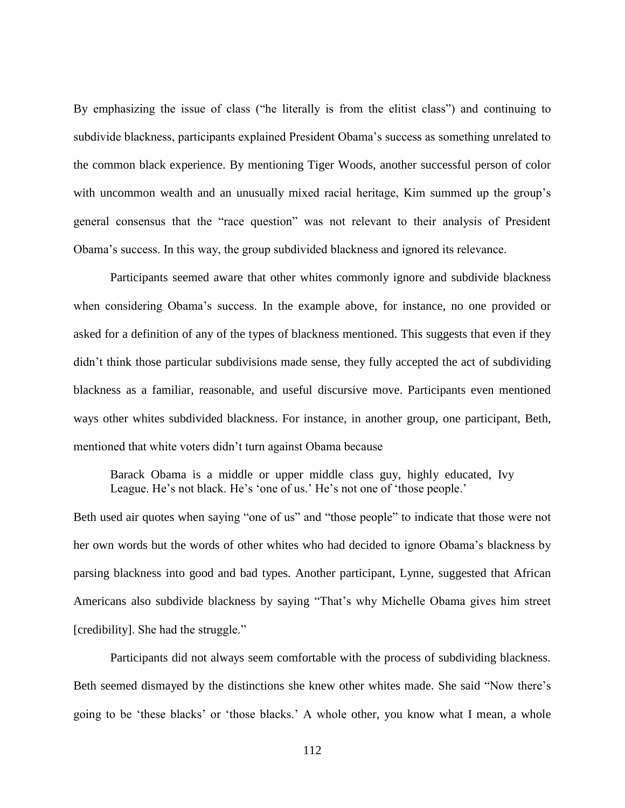By emphasizing the issue of class ("he literally is from the elitist class") and continuing to subdivide blackness, participants explained President Obama's success as something unrelated to the common black experience. By mentioning Tiger Woods, another successful person of color with uncommon wealth and an unusually mixed racial heritage, Kim summed up the group's general consensus that the "race question" was not relevant to their analysis of President Obama's success. In this way, the group subdivided blackness and ignored its relevance.

Participants seemed aware that other whites commonly ignore and subdivide blackness when considering Obama's success. In the example above, for instance, no one provided or asked for a definition of any of the types of blackness mentioned. This suggests that even if they didn't think those particular subdivisions made sense, they fully accepted the act of subdividing blackness as a familiar, reasonable, and useful discursive move. Participants even mentioned ways other whites subdivided blackness. For instance, in another group, one participant, Beth, mentioned that white voters didn't turn against Obama because

Barack Obama is a middle or upper middle class guy, highly educated, Ivy League. He's not black. He's 'one of us.' He's not one of 'those people.'

Beth used air quotes when saying "one of us" and "those people" to indicate that those were not her own words but the words of other whites who had decided to ignore Obama's blackness by parsing blackness into good and bad types. Another participant, Lynne, suggested that African Americans also subdivide blackness by saying "That's why Michelle Obama gives him street [credibility]. She had the struggle."

Participants did not always seem comfortable with the process of subdividing blackness. Beth seemed dismayed by the distinctions she knew other whites made. She said "Now there's going to be 'these blacks' or 'those blacks.' A whole other, you know what I mean, a whole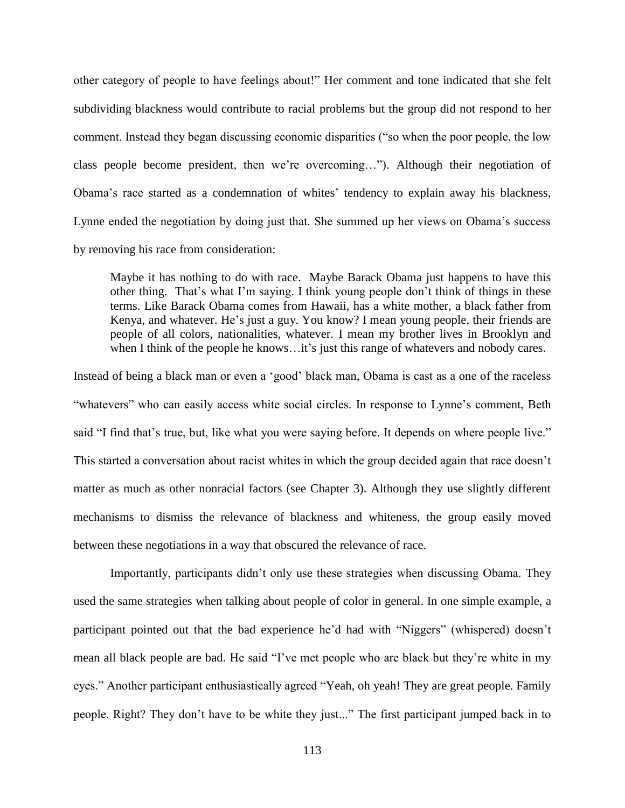other category of people to have feelings about!" Her comment and tone indicated that she felt subdividing blackness would contribute to racial problems but the group did not respond to her comment. Instead they began discussing economic disparities ("so when the poor people, the low class people become president, then we're overcoming…"). Although their negotiation of Obama's race started as a condemnation of whites' tendency to explain away his blackness, Lynne ended the negotiation by doing just that. She summed up her views on Obama's success by removing his race from consideration:

Maybe it has nothing to do with race. Maybe Barack Obama just happens to have this other thing. That's what I'm saying. I think young people don't think of things in these terms. Like Barack Obama comes from Hawaii, has a white mother, a black father from Kenya, and whatever. He's just a guy. You know? I mean young people, their friends are people of all colors, nationalities, whatever. I mean my brother lives in Brooklyn and when I think of the people he knows...it's just this range of whatevers and nobody cares.

Instead of being a black man or even a 'good' black man, Obama is cast as a one of the raceless "whatevers" who can easily access white social circles. In response to Lynne's comment, Beth said "I find that's true, but, like what you were saying before. It depends on where people live." This started a conversation about racist whites in which the group decided again that race doesn't matter as much as other nonracial factors (see Chapter 3). Although they use slightly different mechanisms to dismiss the relevance of blackness and whiteness, the group easily moved between these negotiations in a way that obscured the relevance of race.

Importantly, participants didn't only use these strategies when discussing Obama. They used the same strategies when talking about people of color in general. In one simple example, a participant pointed out that the bad experience he'd had with "Niggers" (whispered) doesn't mean all black people are bad. He said "I've met people who are black but they're white in my eyes." Another participant enthusiastically agreed "Yeah, oh yeah! They are great people. Family people. Right? They don't have to be white they just..." The first participant jumped back in to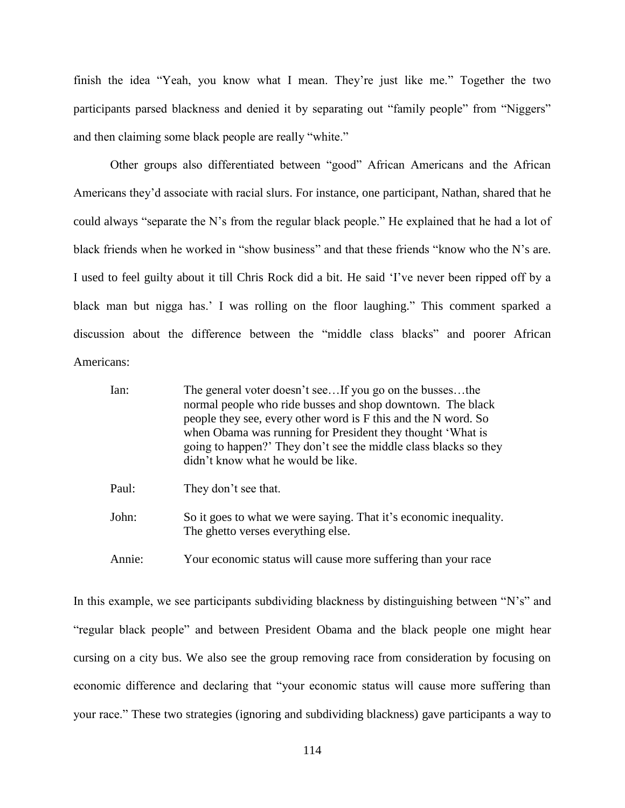finish the idea "Yeah, you know what I mean. They're just like me." Together the two participants parsed blackness and denied it by separating out "family people" from "Niggers" and then claiming some black people are really "white."

Other groups also differentiated between "good" African Americans and the African Americans they'd associate with racial slurs. For instance, one participant, Nathan, shared that he could always "separate the N's from the regular black people." He explained that he had a lot of black friends when he worked in "show business" and that these friends "know who the N's are. I used to feel guilty about it till Chris Rock did a bit. He said 'I've never been ripped off by a black man but nigga has.' I was rolling on the floor laughing." This comment sparked a discussion about the difference between the "middle class blacks" and poorer African Americans:

| Ian:   | The general voter doesn't seeIf you go on the bussesthe<br>normal people who ride busses and shop downtown. The black<br>people they see, every other word is F this and the N word. So<br>when Obama was running for President they thought 'What is<br>going to happen?' They don't see the middle class blacks so they<br>didn't know what he would be like. |
|--------|-----------------------------------------------------------------------------------------------------------------------------------------------------------------------------------------------------------------------------------------------------------------------------------------------------------------------------------------------------------------|
| Paul:  | They don't see that.                                                                                                                                                                                                                                                                                                                                            |
| John:  | So it goes to what we were saying. That it's economic inequality.<br>The ghetto verses everything else.                                                                                                                                                                                                                                                         |
| Annie: | Your economic status will cause more suffering than your race                                                                                                                                                                                                                                                                                                   |

In this example, we see participants subdividing blackness by distinguishing between "N's" and "regular black people" and between President Obama and the black people one might hear cursing on a city bus. We also see the group removing race from consideration by focusing on economic difference and declaring that "your economic status will cause more suffering than your race." These two strategies (ignoring and subdividing blackness) gave participants a way to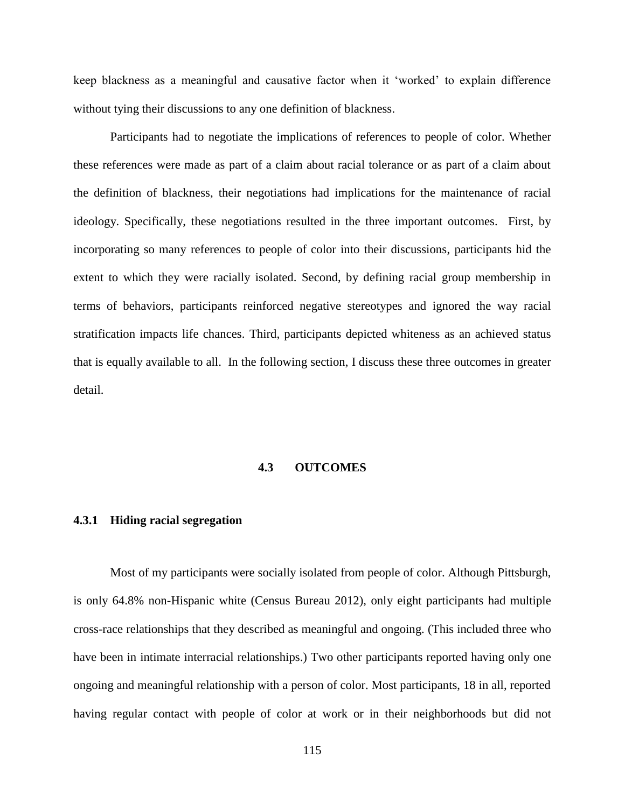keep blackness as a meaningful and causative factor when it 'worked' to explain difference without tying their discussions to any one definition of blackness.

Participants had to negotiate the implications of references to people of color. Whether these references were made as part of a claim about racial tolerance or as part of a claim about the definition of blackness, their negotiations had implications for the maintenance of racial ideology. Specifically, these negotiations resulted in the three important outcomes. First, by incorporating so many references to people of color into their discussions, participants hid the extent to which they were racially isolated. Second, by defining racial group membership in terms of behaviors, participants reinforced negative stereotypes and ignored the way racial stratification impacts life chances. Third, participants depicted whiteness as an achieved status that is equally available to all. In the following section, I discuss these three outcomes in greater detail.

# **4.3 OUTCOMES**

#### **4.3.1 Hiding racial segregation**

Most of my participants were socially isolated from people of color. Although Pittsburgh, is only 64.8% non-Hispanic white (Census Bureau 2012), only eight participants had multiple cross-race relationships that they described as meaningful and ongoing. (This included three who have been in intimate interracial relationships.) Two other participants reported having only one ongoing and meaningful relationship with a person of color. Most participants, 18 in all, reported having regular contact with people of color at work or in their neighborhoods but did not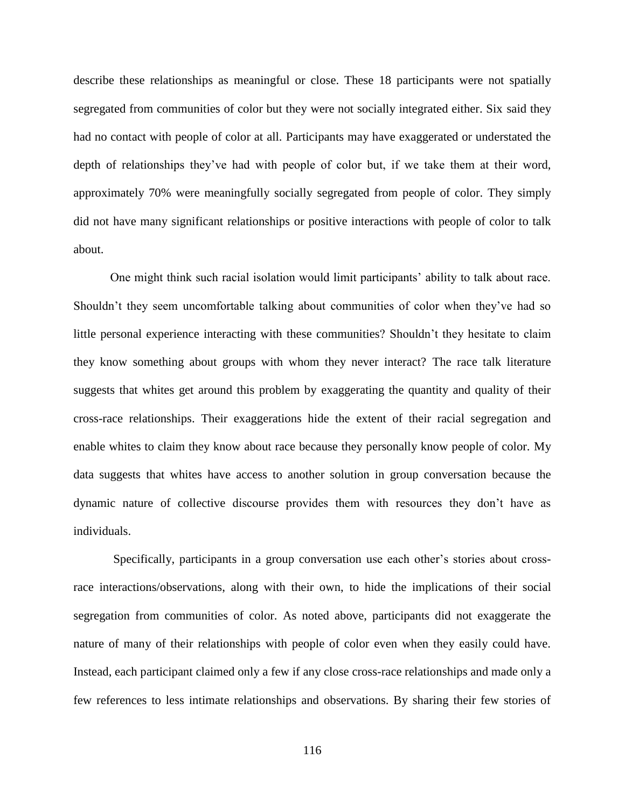describe these relationships as meaningful or close. These 18 participants were not spatially segregated from communities of color but they were not socially integrated either. Six said they had no contact with people of color at all. Participants may have exaggerated or understated the depth of relationships they've had with people of color but, if we take them at their word, approximately 70% were meaningfully socially segregated from people of color. They simply did not have many significant relationships or positive interactions with people of color to talk about.

One might think such racial isolation would limit participants' ability to talk about race. Shouldn't they seem uncomfortable talking about communities of color when they've had so little personal experience interacting with these communities? Shouldn't they hesitate to claim they know something about groups with whom they never interact? The race talk literature suggests that whites get around this problem by exaggerating the quantity and quality of their cross-race relationships. Their exaggerations hide the extent of their racial segregation and enable whites to claim they know about race because they personally know people of color. My data suggests that whites have access to another solution in group conversation because the dynamic nature of collective discourse provides them with resources they don't have as individuals.

Specifically, participants in a group conversation use each other's stories about crossrace interactions/observations, along with their own, to hide the implications of their social segregation from communities of color. As noted above, participants did not exaggerate the nature of many of their relationships with people of color even when they easily could have. Instead, each participant claimed only a few if any close cross-race relationships and made only a few references to less intimate relationships and observations. By sharing their few stories of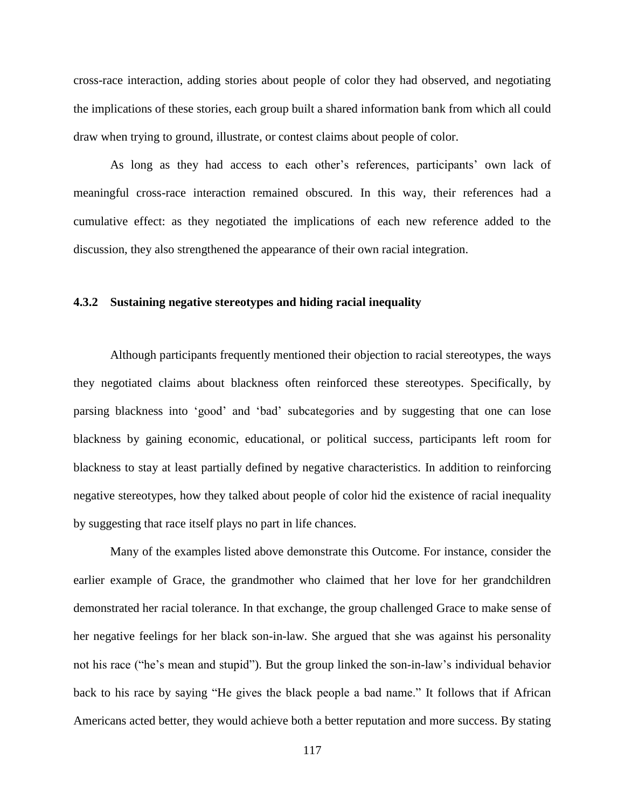cross-race interaction, adding stories about people of color they had observed, and negotiating the implications of these stories, each group built a shared information bank from which all could draw when trying to ground, illustrate, or contest claims about people of color.

As long as they had access to each other's references, participants' own lack of meaningful cross-race interaction remained obscured. In this way, their references had a cumulative effect: as they negotiated the implications of each new reference added to the discussion, they also strengthened the appearance of their own racial integration.

### **4.3.2 Sustaining negative stereotypes and hiding racial inequality**

Although participants frequently mentioned their objection to racial stereotypes, the ways they negotiated claims about blackness often reinforced these stereotypes. Specifically, by parsing blackness into 'good' and 'bad' subcategories and by suggesting that one can lose blackness by gaining economic, educational, or political success, participants left room for blackness to stay at least partially defined by negative characteristics. In addition to reinforcing negative stereotypes, how they talked about people of color hid the existence of racial inequality by suggesting that race itself plays no part in life chances.

Many of the examples listed above demonstrate this Outcome. For instance, consider the earlier example of Grace, the grandmother who claimed that her love for her grandchildren demonstrated her racial tolerance. In that exchange, the group challenged Grace to make sense of her negative feelings for her black son-in-law. She argued that she was against his personality not his race ("he's mean and stupid"). But the group linked the son-in-law's individual behavior back to his race by saying "He gives the black people a bad name." It follows that if African Americans acted better, they would achieve both a better reputation and more success. By stating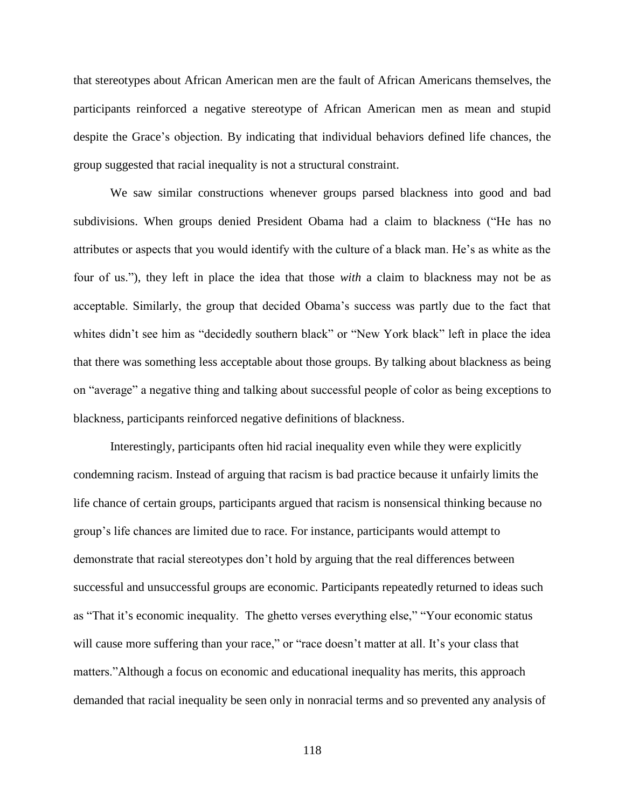that stereotypes about African American men are the fault of African Americans themselves, the participants reinforced a negative stereotype of African American men as mean and stupid despite the Grace's objection. By indicating that individual behaviors defined life chances, the group suggested that racial inequality is not a structural constraint.

We saw similar constructions whenever groups parsed blackness into good and bad subdivisions. When groups denied President Obama had a claim to blackness ("He has no attributes or aspects that you would identify with the culture of a black man. He's as white as the four of us."), they left in place the idea that those *with* a claim to blackness may not be as acceptable. Similarly, the group that decided Obama's success was partly due to the fact that whites didn't see him as "decidedly southern black" or "New York black" left in place the idea that there was something less acceptable about those groups. By talking about blackness as being on "average" a negative thing and talking about successful people of color as being exceptions to blackness, participants reinforced negative definitions of blackness.

Interestingly, participants often hid racial inequality even while they were explicitly condemning racism. Instead of arguing that racism is bad practice because it unfairly limits the life chance of certain groups, participants argued that racism is nonsensical thinking because no group's life chances are limited due to race. For instance, participants would attempt to demonstrate that racial stereotypes don't hold by arguing that the real differences between successful and unsuccessful groups are economic. Participants repeatedly returned to ideas such as "That it's economic inequality. The ghetto verses everything else," "Your economic status will cause more suffering than your race," or "race doesn't matter at all. It's your class that matters."Although a focus on economic and educational inequality has merits, this approach demanded that racial inequality be seen only in nonracial terms and so prevented any analysis of

118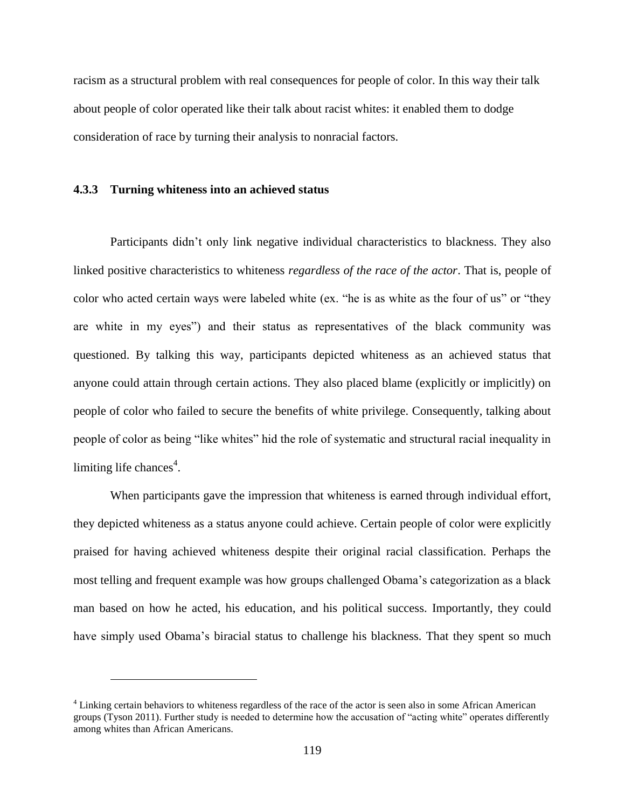racism as a structural problem with real consequences for people of color. In this way their talk about people of color operated like their talk about racist whites: it enabled them to dodge consideration of race by turning their analysis to nonracial factors.

### **4.3.3 Turning whiteness into an achieved status**

 $\overline{a}$ 

Participants didn't only link negative individual characteristics to blackness. They also linked positive characteristics to whiteness *regardless of the race of the actor*. That is, people of color who acted certain ways were labeled white (ex. "he is as white as the four of us" or "they are white in my eyes") and their status as representatives of the black community was questioned. By talking this way, participants depicted whiteness as an achieved status that anyone could attain through certain actions. They also placed blame (explicitly or implicitly) on people of color who failed to secure the benefits of white privilege. Consequently, talking about people of color as being "like whites" hid the role of systematic and structural racial inequality in limiting life chances<sup>4</sup>.

When participants gave the impression that whiteness is earned through individual effort, they depicted whiteness as a status anyone could achieve. Certain people of color were explicitly praised for having achieved whiteness despite their original racial classification. Perhaps the most telling and frequent example was how groups challenged Obama's categorization as a black man based on how he acted, his education, and his political success. Importantly, they could have simply used Obama's biracial status to challenge his blackness. That they spent so much

<sup>4</sup> Linking certain behaviors to whiteness regardless of the race of the actor is seen also in some African American groups (Tyson 2011). Further study is needed to determine how the accusation of "acting white" operates differently among whites than African Americans.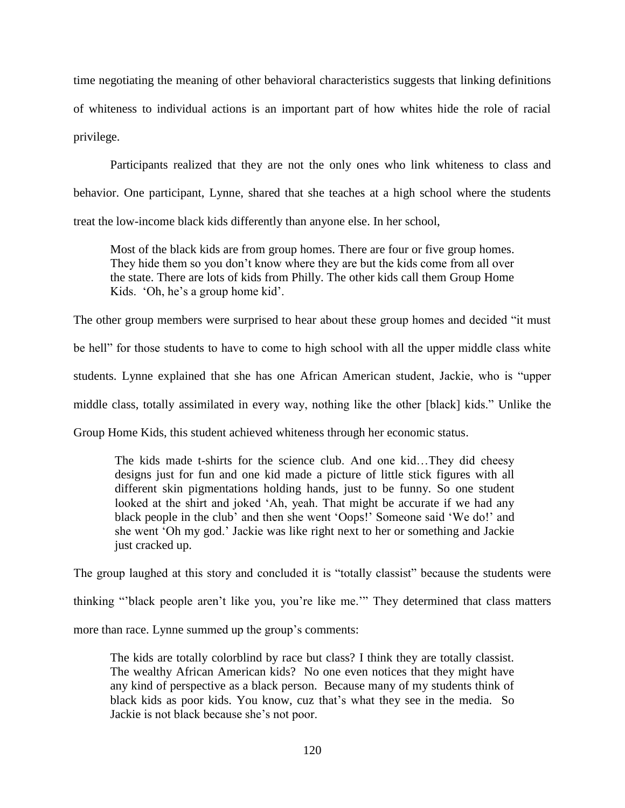time negotiating the meaning of other behavioral characteristics suggests that linking definitions of whiteness to individual actions is an important part of how whites hide the role of racial privilege.

Participants realized that they are not the only ones who link whiteness to class and behavior. One participant, Lynne, shared that she teaches at a high school where the students treat the low-income black kids differently than anyone else. In her school,

Most of the black kids are from group homes. There are four or five group homes. They hide them so you don't know where they are but the kids come from all over the state. There are lots of kids from Philly. The other kids call them Group Home Kids. 'Oh, he's a group home kid'.

The other group members were surprised to hear about these group homes and decided "it must be hell" for those students to have to come to high school with all the upper middle class white students. Lynne explained that she has one African American student, Jackie, who is "upper middle class, totally assimilated in every way, nothing like the other [black] kids." Unlike the Group Home Kids, this student achieved whiteness through her economic status.

The kids made t-shirts for the science club. And one kid…They did cheesy designs just for fun and one kid made a picture of little stick figures with all different skin pigmentations holding hands, just to be funny. So one student looked at the shirt and joked 'Ah, yeah. That might be accurate if we had any black people in the club' and then she went 'Oops!' Someone said 'We do!' and she went 'Oh my god.' Jackie was like right next to her or something and Jackie just cracked up.

The group laughed at this story and concluded it is "totally classist" because the students were

thinking "'black people aren't like you, you're like me.'" They determined that class matters

more than race. Lynne summed up the group's comments:

The kids are totally colorblind by race but class? I think they are totally classist. The wealthy African American kids? No one even notices that they might have any kind of perspective as a black person. Because many of my students think of black kids as poor kids. You know, cuz that's what they see in the media. So Jackie is not black because she's not poor.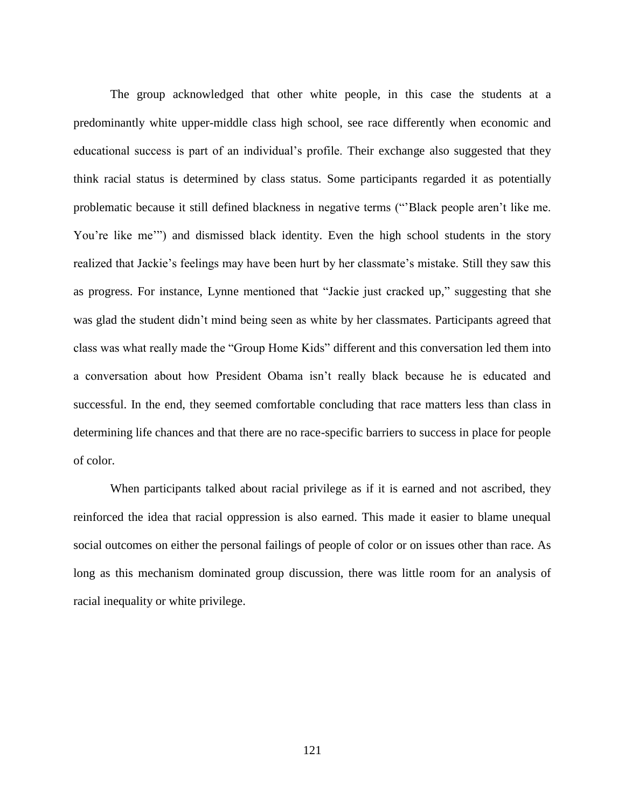The group acknowledged that other white people, in this case the students at a predominantly white upper-middle class high school, see race differently when economic and educational success is part of an individual's profile. Their exchange also suggested that they think racial status is determined by class status. Some participants regarded it as potentially problematic because it still defined blackness in negative terms ("'Black people aren't like me. You're like me'") and dismissed black identity. Even the high school students in the story realized that Jackie's feelings may have been hurt by her classmate's mistake. Still they saw this as progress. For instance, Lynne mentioned that "Jackie just cracked up," suggesting that she was glad the student didn't mind being seen as white by her classmates. Participants agreed that class was what really made the "Group Home Kids" different and this conversation led them into a conversation about how President Obama isn't really black because he is educated and successful. In the end, they seemed comfortable concluding that race matters less than class in determining life chances and that there are no race-specific barriers to success in place for people of color.

When participants talked about racial privilege as if it is earned and not ascribed, they reinforced the idea that racial oppression is also earned. This made it easier to blame unequal social outcomes on either the personal failings of people of color or on issues other than race. As long as this mechanism dominated group discussion, there was little room for an analysis of racial inequality or white privilege.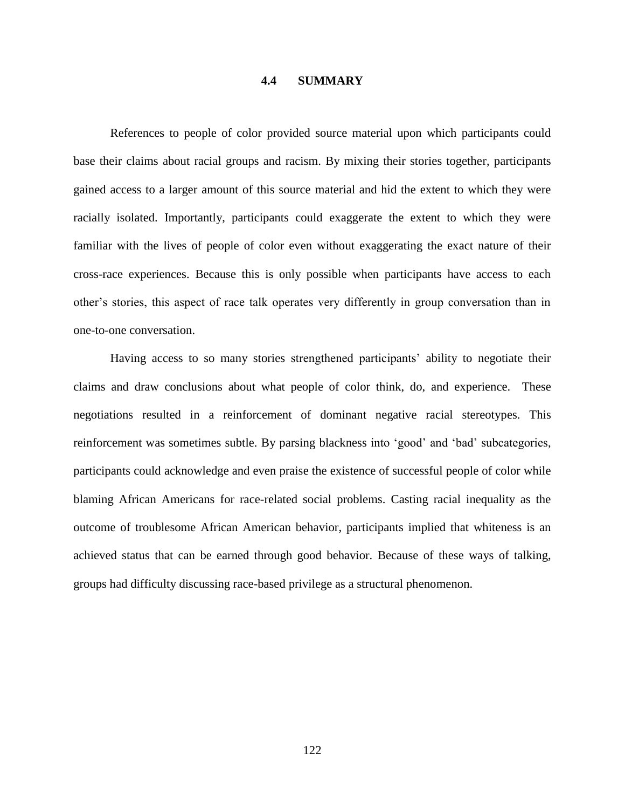#### **4.4 SUMMARY**

References to people of color provided source material upon which participants could base their claims about racial groups and racism. By mixing their stories together, participants gained access to a larger amount of this source material and hid the extent to which they were racially isolated. Importantly, participants could exaggerate the extent to which they were familiar with the lives of people of color even without exaggerating the exact nature of their cross-race experiences. Because this is only possible when participants have access to each other's stories, this aspect of race talk operates very differently in group conversation than in one-to-one conversation.

Having access to so many stories strengthened participants' ability to negotiate their claims and draw conclusions about what people of color think, do, and experience. These negotiations resulted in a reinforcement of dominant negative racial stereotypes. This reinforcement was sometimes subtle. By parsing blackness into 'good' and 'bad' subcategories, participants could acknowledge and even praise the existence of successful people of color while blaming African Americans for race-related social problems. Casting racial inequality as the outcome of troublesome African American behavior, participants implied that whiteness is an achieved status that can be earned through good behavior. Because of these ways of talking, groups had difficulty discussing race-based privilege as a structural phenomenon.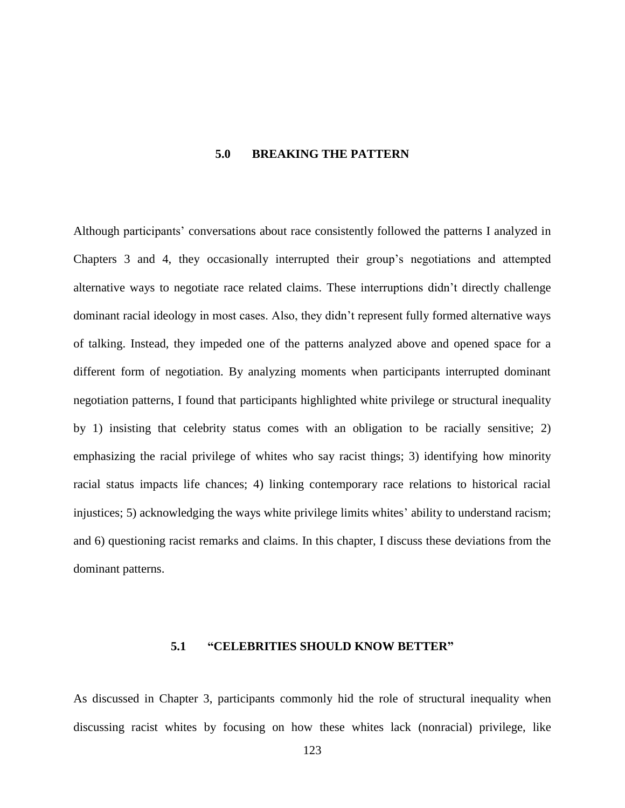### **5.0 BREAKING THE PATTERN**

Although participants' conversations about race consistently followed the patterns I analyzed in Chapters 3 and 4, they occasionally interrupted their group's negotiations and attempted alternative ways to negotiate race related claims. These interruptions didn't directly challenge dominant racial ideology in most cases. Also, they didn't represent fully formed alternative ways of talking. Instead, they impeded one of the patterns analyzed above and opened space for a different form of negotiation. By analyzing moments when participants interrupted dominant negotiation patterns, I found that participants highlighted white privilege or structural inequality by 1) insisting that celebrity status comes with an obligation to be racially sensitive; 2) emphasizing the racial privilege of whites who say racist things; 3) identifying how minority racial status impacts life chances; 4) linking contemporary race relations to historical racial injustices; 5) acknowledging the ways white privilege limits whites' ability to understand racism; and 6) questioning racist remarks and claims. In this chapter, I discuss these deviations from the dominant patterns.

### **5.1 "CELEBRITIES SHOULD KNOW BETTER"**

As discussed in Chapter 3, participants commonly hid the role of structural inequality when discussing racist whites by focusing on how these whites lack (nonracial) privilege, like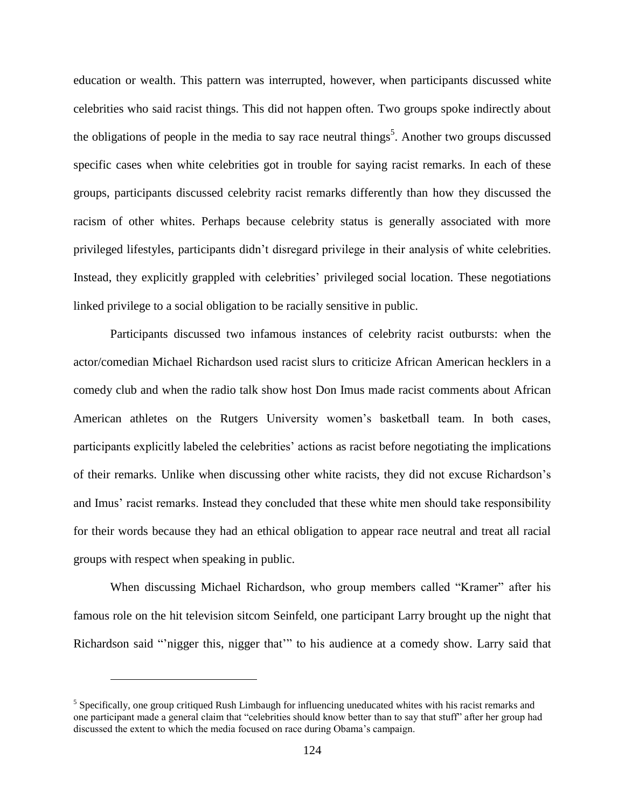education or wealth. This pattern was interrupted, however, when participants discussed white celebrities who said racist things. This did not happen often. Two groups spoke indirectly about the obligations of people in the media to say race neutral things<sup>5</sup>. Another two groups discussed specific cases when white celebrities got in trouble for saying racist remarks. In each of these groups, participants discussed celebrity racist remarks differently than how they discussed the racism of other whites. Perhaps because celebrity status is generally associated with more privileged lifestyles, participants didn't disregard privilege in their analysis of white celebrities. Instead, they explicitly grappled with celebrities' privileged social location. These negotiations linked privilege to a social obligation to be racially sensitive in public.

Participants discussed two infamous instances of celebrity racist outbursts: when the actor/comedian Michael Richardson used racist slurs to criticize African American hecklers in a comedy club and when the radio talk show host Don Imus made racist comments about African American athletes on the Rutgers University women's basketball team. In both cases, participants explicitly labeled the celebrities' actions as racist before negotiating the implications of their remarks. Unlike when discussing other white racists, they did not excuse Richardson's and Imus' racist remarks. Instead they concluded that these white men should take responsibility for their words because they had an ethical obligation to appear race neutral and treat all racial groups with respect when speaking in public.

When discussing Michael Richardson, who group members called "Kramer" after his famous role on the hit television sitcom Seinfeld, one participant Larry brought up the night that Richardson said "'nigger this, nigger that'" to his audience at a comedy show. Larry said that

 $\overline{a}$ 

<sup>&</sup>lt;sup>5</sup> Specifically, one group critiqued Rush Limbaugh for influencing uneducated whites with his racist remarks and one participant made a general claim that "celebrities should know better than to say that stuff" after her group had discussed the extent to which the media focused on race during Obama's campaign.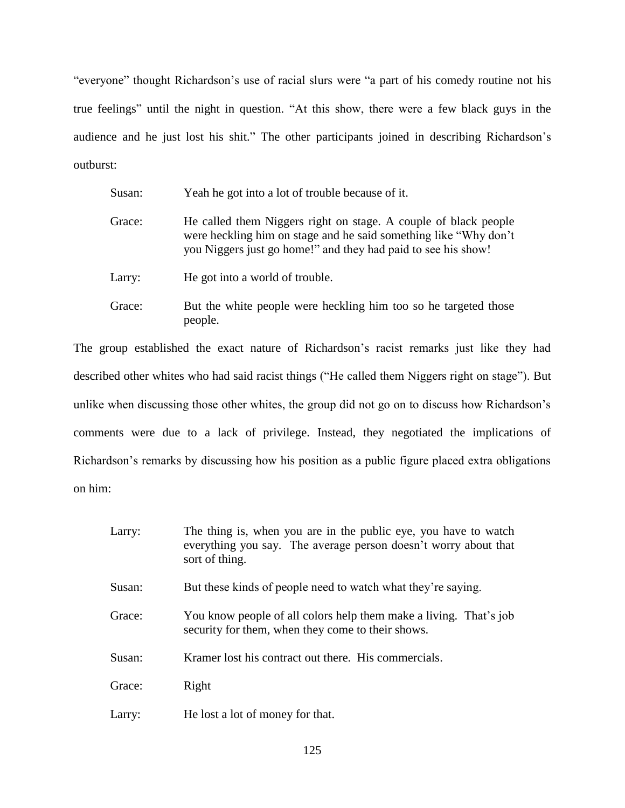"everyone" thought Richardson's use of racial slurs were "a part of his comedy routine not his true feelings" until the night in question. "At this show, there were a few black guys in the audience and he just lost his shit." The other participants joined in describing Richardson's outburst:

| Susan: | Yeah he got into a lot of trouble because of it.                                                                                                                                                     |
|--------|------------------------------------------------------------------------------------------------------------------------------------------------------------------------------------------------------|
| Grace: | He called them Niggers right on stage. A couple of black people<br>were heckling him on stage and he said something like "Why don't<br>you Niggers just go home!" and they had paid to see his show! |
| Larry: | He got into a world of trouble.                                                                                                                                                                      |
| Grace: | But the white people were heckling him too so he targeted those<br>people.                                                                                                                           |

The group established the exact nature of Richardson's racist remarks just like they had described other whites who had said racist things ("He called them Niggers right on stage"). But unlike when discussing those other whites, the group did not go on to discuss how Richardson's comments were due to a lack of privilege. Instead, they negotiated the implications of Richardson's remarks by discussing how his position as a public figure placed extra obligations on him:

| Larry: | The thing is, when you are in the public eye, you have to watch<br>everything you say. The average person doesn't worry about that<br>sort of thing. |
|--------|------------------------------------------------------------------------------------------------------------------------------------------------------|
| Susan: | But these kinds of people need to watch what they're saying.                                                                                         |
| Grace: | You know people of all colors help them make a living. That's job<br>security for them, when they come to their shows.                               |
| Susan: | Kramer lost his contract out there. His commercials.                                                                                                 |
| Grace: | Right                                                                                                                                                |
| Larry: | He lost a lot of money for that.                                                                                                                     |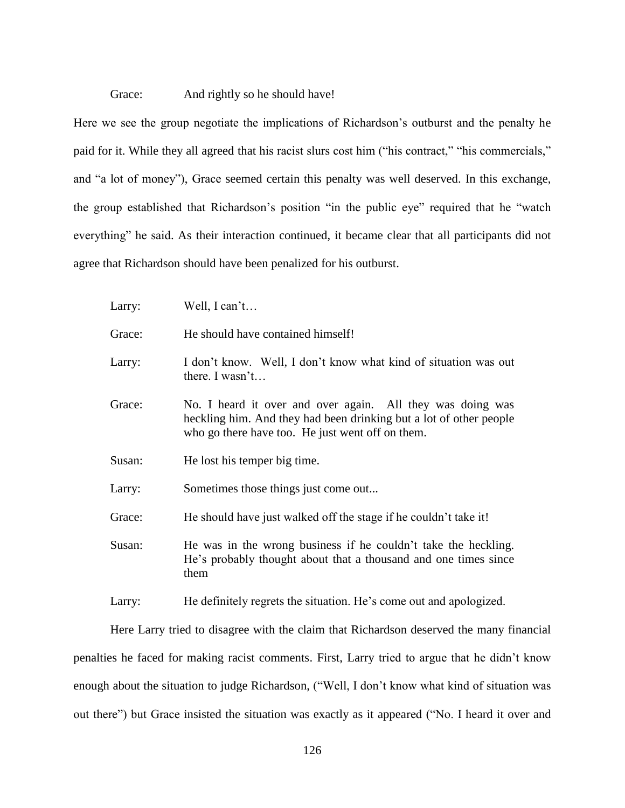#### Grace: And rightly so he should have!

Here we see the group negotiate the implications of Richardson's outburst and the penalty he paid for it. While they all agreed that his racist slurs cost him ("his contract," "his commercials," and "a lot of money"), Grace seemed certain this penalty was well deserved. In this exchange, the group established that Richardson's position "in the public eye" required that he "watch everything" he said. As their interaction continued, it became clear that all participants did not agree that Richardson should have been penalized for his outburst.

| Larry: | Well, I can't                                                                                                                                                                        |
|--------|--------------------------------------------------------------------------------------------------------------------------------------------------------------------------------------|
| Grace: | He should have contained himself!                                                                                                                                                    |
| Larry: | I don't know. Well, I don't know what kind of situation was out<br>there. I wasn't                                                                                                   |
| Grace: | No. I heard it over and over again. All they was doing was<br>heckling him. And they had been drinking but a lot of other people<br>who go there have too. He just went off on them. |
| Susan: | He lost his temper big time.                                                                                                                                                         |
| Larry: | Sometimes those things just come out                                                                                                                                                 |
| Grace: | He should have just walked off the stage if he couldn't take it!                                                                                                                     |
| Susan: | He was in the wrong business if he couldn't take the heckling.<br>He's probably thought about that a thousand and one times since<br>them                                            |

Larry: He definitely regrets the situation. He's come out and apologized.

Here Larry tried to disagree with the claim that Richardson deserved the many financial penalties he faced for making racist comments. First, Larry tried to argue that he didn't know enough about the situation to judge Richardson, ("Well, I don't know what kind of situation was out there") but Grace insisted the situation was exactly as it appeared ("No. I heard it over and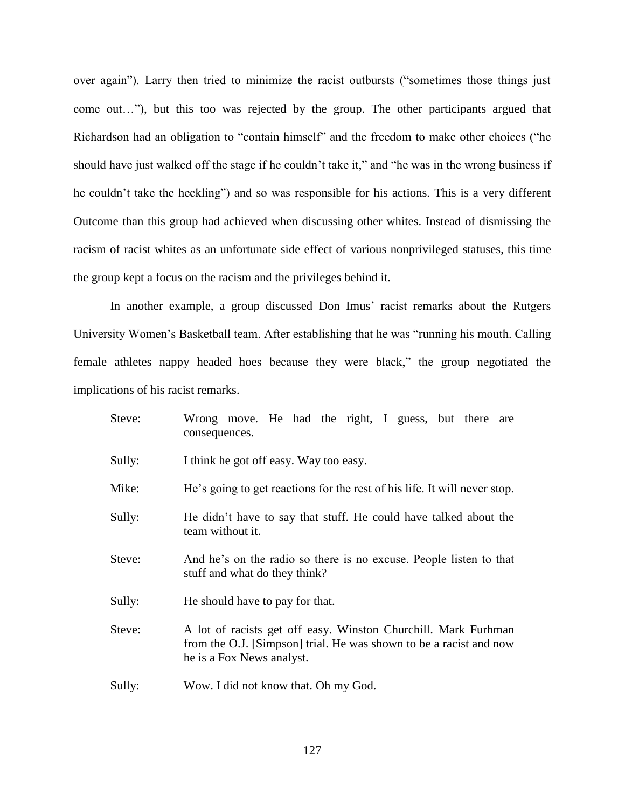over again"). Larry then tried to minimize the racist outbursts ("sometimes those things just come out…"), but this too was rejected by the group. The other participants argued that Richardson had an obligation to "contain himself" and the freedom to make other choices ("he should have just walked off the stage if he couldn't take it," and "he was in the wrong business if he couldn't take the heckling") and so was responsible for his actions. This is a very different Outcome than this group had achieved when discussing other whites. Instead of dismissing the racism of racist whites as an unfortunate side effect of various nonprivileged statuses, this time the group kept a focus on the racism and the privileges behind it.

In another example, a group discussed Don Imus' racist remarks about the Rutgers University Women's Basketball team. After establishing that he was "running his mouth. Calling female athletes nappy headed hoes because they were black," the group negotiated the implications of his racist remarks.

| Steve: | Wrong move. He had the right, I guess, but there are<br>consequences.                                                                                             |
|--------|-------------------------------------------------------------------------------------------------------------------------------------------------------------------|
| Sully: | I think he got off easy. Way too easy.                                                                                                                            |
| Mike:  | He's going to get reactions for the rest of his life. It will never stop.                                                                                         |
| Sully: | He didn't have to say that stuff. He could have talked about the<br>team without it.                                                                              |
| Steve: | And he's on the radio so there is no excuse. People listen to that<br>stuff and what do they think?                                                               |
| Sully: | He should have to pay for that.                                                                                                                                   |
| Steve: | A lot of racists get off easy. Winston Churchill. Mark Furhman<br>from the O.J. [Simpson] trial. He was shown to be a racist and now<br>he is a Fox News analyst. |
| Sully: | Wow. I did not know that. Oh my God.                                                                                                                              |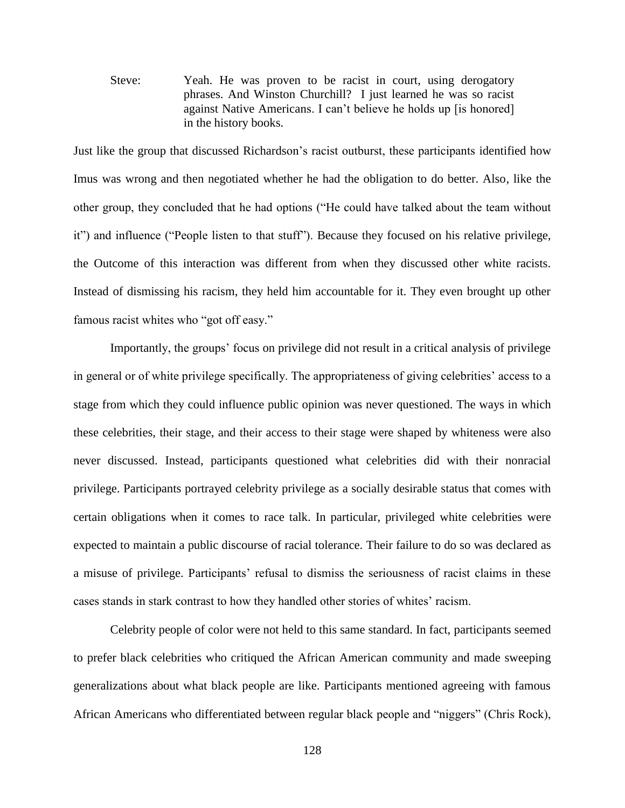Steve: Yeah. He was proven to be racist in court, using derogatory phrases. And Winston Churchill? I just learned he was so racist against Native Americans. I can't believe he holds up [is honored] in the history books.

Just like the group that discussed Richardson's racist outburst, these participants identified how Imus was wrong and then negotiated whether he had the obligation to do better. Also, like the other group, they concluded that he had options ("He could have talked about the team without it") and influence ("People listen to that stuff"). Because they focused on his relative privilege, the Outcome of this interaction was different from when they discussed other white racists. Instead of dismissing his racism, they held him accountable for it. They even brought up other famous racist whites who "got off easy."

Importantly, the groups' focus on privilege did not result in a critical analysis of privilege in general or of white privilege specifically. The appropriateness of giving celebrities' access to a stage from which they could influence public opinion was never questioned. The ways in which these celebrities, their stage, and their access to their stage were shaped by whiteness were also never discussed. Instead, participants questioned what celebrities did with their nonracial privilege. Participants portrayed celebrity privilege as a socially desirable status that comes with certain obligations when it comes to race talk. In particular, privileged white celebrities were expected to maintain a public discourse of racial tolerance. Their failure to do so was declared as a misuse of privilege. Participants' refusal to dismiss the seriousness of racist claims in these cases stands in stark contrast to how they handled other stories of whites' racism.

Celebrity people of color were not held to this same standard. In fact, participants seemed to prefer black celebrities who critiqued the African American community and made sweeping generalizations about what black people are like. Participants mentioned agreeing with famous African Americans who differentiated between regular black people and "niggers" (Chris Rock),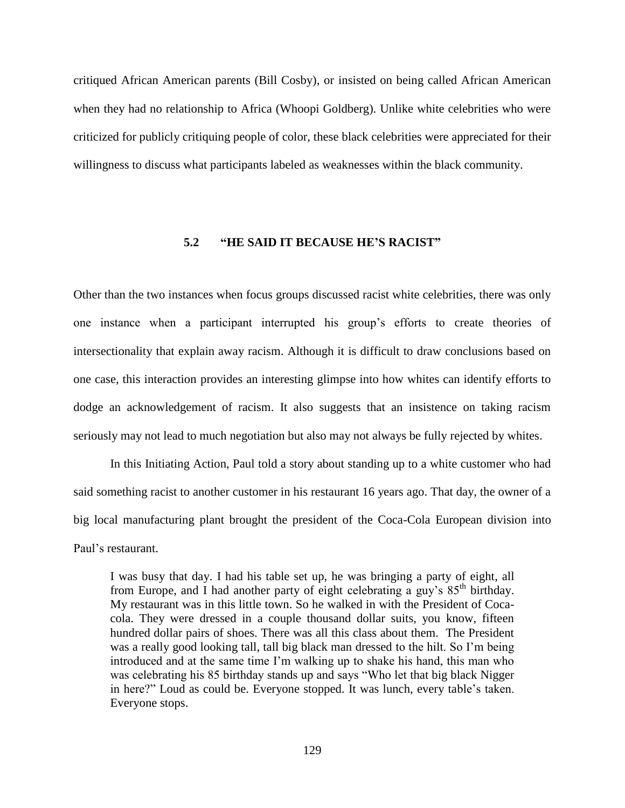critiqued African American parents (Bill Cosby), or insisted on being called African American when they had no relationship to Africa (Whoopi Goldberg). Unlike white celebrities who were criticized for publicly critiquing people of color, these black celebrities were appreciated for their willingness to discuss what participants labeled as weaknesses within the black community.

## **5.2 "HE SAID IT BECAUSE HE'S RACIST"**

Other than the two instances when focus groups discussed racist white celebrities, there was only one instance when a participant interrupted his group's efforts to create theories of intersectionality that explain away racism. Although it is difficult to draw conclusions based on one case, this interaction provides an interesting glimpse into how whites can identify efforts to dodge an acknowledgement of racism. It also suggests that an insistence on taking racism seriously may not lead to much negotiation but also may not always be fully rejected by whites.

In this Initiating Action, Paul told a story about standing up to a white customer who had said something racist to another customer in his restaurant 16 years ago. That day, the owner of a big local manufacturing plant brought the president of the Coca-Cola European division into Paul's restaurant.

I was busy that day. I had his table set up, he was bringing a party of eight, all from Europe, and I had another party of eight celebrating a guy's  $85<sup>th</sup>$  birthday. My restaurant was in this little town. So he walked in with the President of Cocacola. They were dressed in a couple thousand dollar suits, you know, fifteen hundred dollar pairs of shoes. There was all this class about them. The President was a really good looking tall, tall big black man dressed to the hilt. So I'm being introduced and at the same time I'm walking up to shake his hand, this man who was celebrating his 85 birthday stands up and says "Who let that big black Nigger in here?" Loud as could be. Everyone stopped. It was lunch, every table's taken. Everyone stops.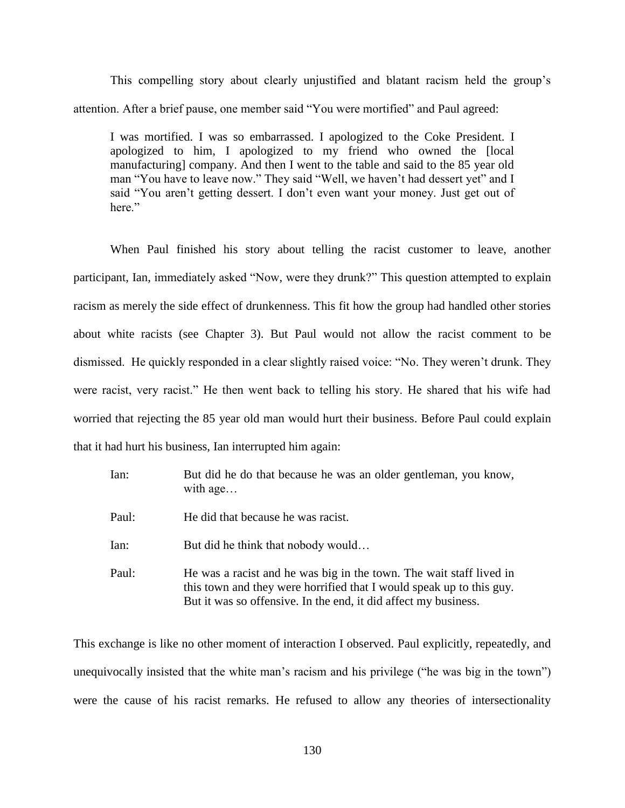This compelling story about clearly unjustified and blatant racism held the group's attention. After a brief pause, one member said "You were mortified" and Paul agreed:

I was mortified. I was so embarrassed. I apologized to the Coke President. I apologized to him, I apologized to my friend who owned the [local manufacturing] company. And then I went to the table and said to the 85 year old man "You have to leave now." They said "Well, we haven't had dessert yet" and I said "You aren't getting dessert. I don't even want your money. Just get out of here."

When Paul finished his story about telling the racist customer to leave, another participant, Ian, immediately asked "Now, were they drunk?" This question attempted to explain racism as merely the side effect of drunkenness. This fit how the group had handled other stories about white racists (see Chapter 3). But Paul would not allow the racist comment to be dismissed. He quickly responded in a clear slightly raised voice: "No. They weren't drunk. They were racist, very racist." He then went back to telling his story. He shared that his wife had worried that rejecting the 85 year old man would hurt their business. Before Paul could explain that it had hurt his business, Ian interrupted him again:

| Ian:  | But did he do that because he was an older gentleman, you know,<br>with $age$                                                                                                                                  |
|-------|----------------------------------------------------------------------------------------------------------------------------------------------------------------------------------------------------------------|
| Paul: | He did that because he was racist.                                                                                                                                                                             |
| Ian:  | But did he think that nobody would                                                                                                                                                                             |
| Paul: | He was a racist and he was big in the town. The wait staff lived in<br>this town and they were horrified that I would speak up to this guy.<br>But it was so offensive. In the end, it did affect my business. |

This exchange is like no other moment of interaction I observed. Paul explicitly, repeatedly, and unequivocally insisted that the white man's racism and his privilege ("he was big in the town") were the cause of his racist remarks. He refused to allow any theories of intersectionality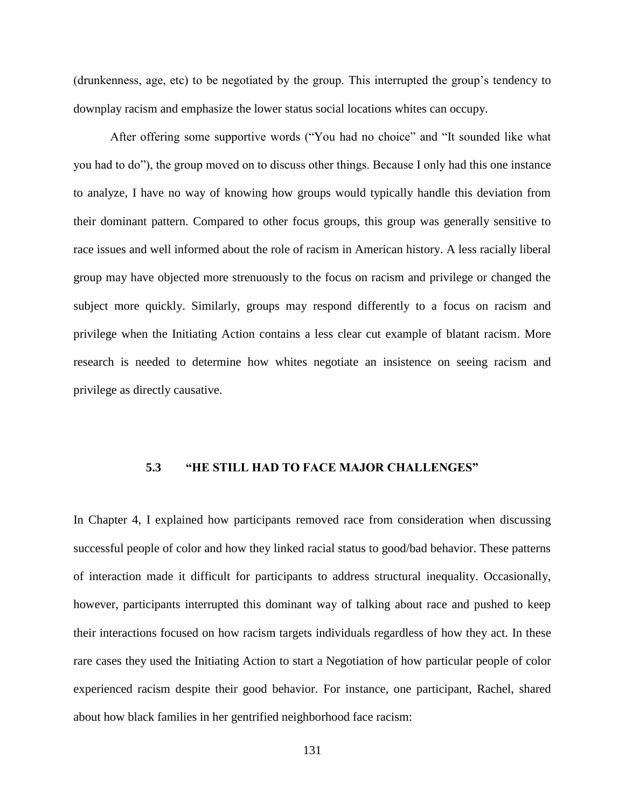(drunkenness, age, etc) to be negotiated by the group. This interrupted the group's tendency to downplay racism and emphasize the lower status social locations whites can occupy.

After offering some supportive words ("You had no choice" and "It sounded like what you had to do"), the group moved on to discuss other things. Because I only had this one instance to analyze, I have no way of knowing how groups would typically handle this deviation from their dominant pattern. Compared to other focus groups, this group was generally sensitive to race issues and well informed about the role of racism in American history. A less racially liberal group may have objected more strenuously to the focus on racism and privilege or changed the subject more quickly. Similarly, groups may respond differently to a focus on racism and privilege when the Initiating Action contains a less clear cut example of blatant racism. More research is needed to determine how whites negotiate an insistence on seeing racism and privilege as directly causative.

## **5.3 "HE STILL HAD TO FACE MAJOR CHALLENGES"**

In Chapter 4, I explained how participants removed race from consideration when discussing successful people of color and how they linked racial status to good/bad behavior. These patterns of interaction made it difficult for participants to address structural inequality. Occasionally, however, participants interrupted this dominant way of talking about race and pushed to keep their interactions focused on how racism targets individuals regardless of how they act. In these rare cases they used the Initiating Action to start a Negotiation of how particular people of color experienced racism despite their good behavior. For instance, one participant, Rachel, shared about how black families in her gentrified neighborhood face racism: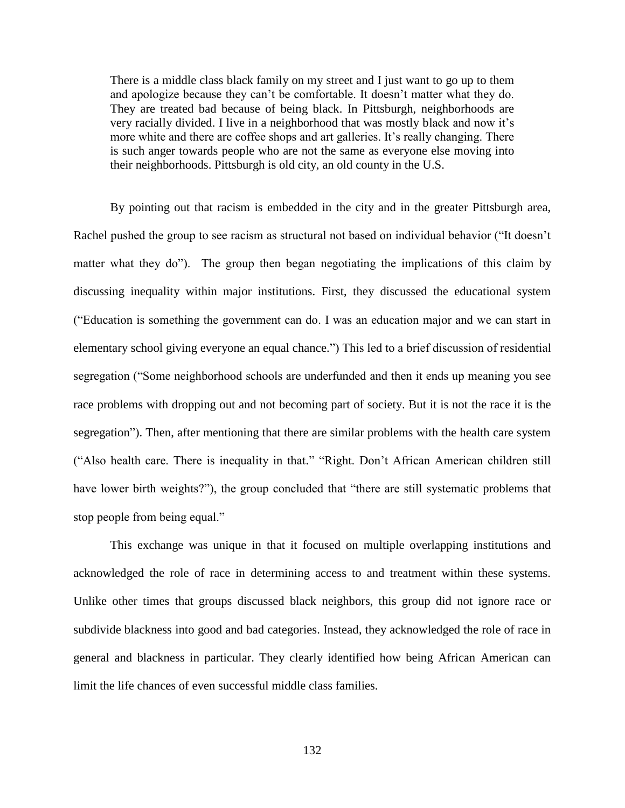There is a middle class black family on my street and I just want to go up to them and apologize because they can't be comfortable. It doesn't matter what they do. They are treated bad because of being black. In Pittsburgh, neighborhoods are very racially divided. I live in a neighborhood that was mostly black and now it's more white and there are coffee shops and art galleries. It's really changing. There is such anger towards people who are not the same as everyone else moving into their neighborhoods. Pittsburgh is old city, an old county in the U.S.

By pointing out that racism is embedded in the city and in the greater Pittsburgh area, Rachel pushed the group to see racism as structural not based on individual behavior ("It doesn't matter what they do"). The group then began negotiating the implications of this claim by discussing inequality within major institutions. First, they discussed the educational system ("Education is something the government can do. I was an education major and we can start in elementary school giving everyone an equal chance.") This led to a brief discussion of residential segregation ("Some neighborhood schools are underfunded and then it ends up meaning you see race problems with dropping out and not becoming part of society. But it is not the race it is the segregation"). Then, after mentioning that there are similar problems with the health care system ("Also health care. There is inequality in that." "Right. Don't African American children still have lower birth weights?"), the group concluded that "there are still systematic problems that stop people from being equal."

This exchange was unique in that it focused on multiple overlapping institutions and acknowledged the role of race in determining access to and treatment within these systems. Unlike other times that groups discussed black neighbors, this group did not ignore race or subdivide blackness into good and bad categories. Instead, they acknowledged the role of race in general and blackness in particular. They clearly identified how being African American can limit the life chances of even successful middle class families.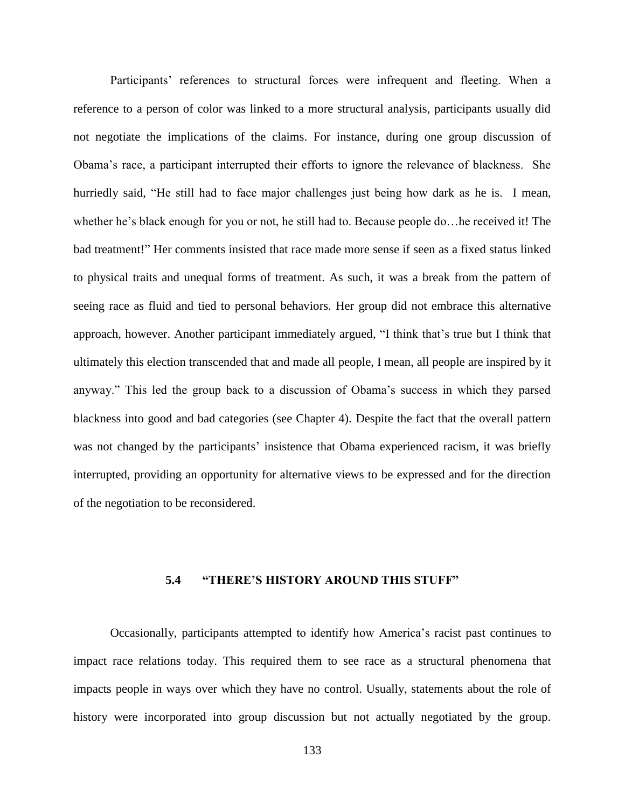Participants' references to structural forces were infrequent and fleeting. When a reference to a person of color was linked to a more structural analysis, participants usually did not negotiate the implications of the claims. For instance, during one group discussion of Obama's race, a participant interrupted their efforts to ignore the relevance of blackness. She hurriedly said, "He still had to face major challenges just being how dark as he is. I mean, whether he's black enough for you or not, he still had to. Because people do…he received it! The bad treatment!" Her comments insisted that race made more sense if seen as a fixed status linked to physical traits and unequal forms of treatment. As such, it was a break from the pattern of seeing race as fluid and tied to personal behaviors. Her group did not embrace this alternative approach, however. Another participant immediately argued, "I think that's true but I think that ultimately this election transcended that and made all people, I mean, all people are inspired by it anyway." This led the group back to a discussion of Obama's success in which they parsed blackness into good and bad categories (see Chapter 4). Despite the fact that the overall pattern was not changed by the participants' insistence that Obama experienced racism, it was briefly interrupted, providing an opportunity for alternative views to be expressed and for the direction of the negotiation to be reconsidered.

### **5.4 "THERE'S HISTORY AROUND THIS STUFF"**

Occasionally, participants attempted to identify how America's racist past continues to impact race relations today. This required them to see race as a structural phenomena that impacts people in ways over which they have no control. Usually, statements about the role of history were incorporated into group discussion but not actually negotiated by the group.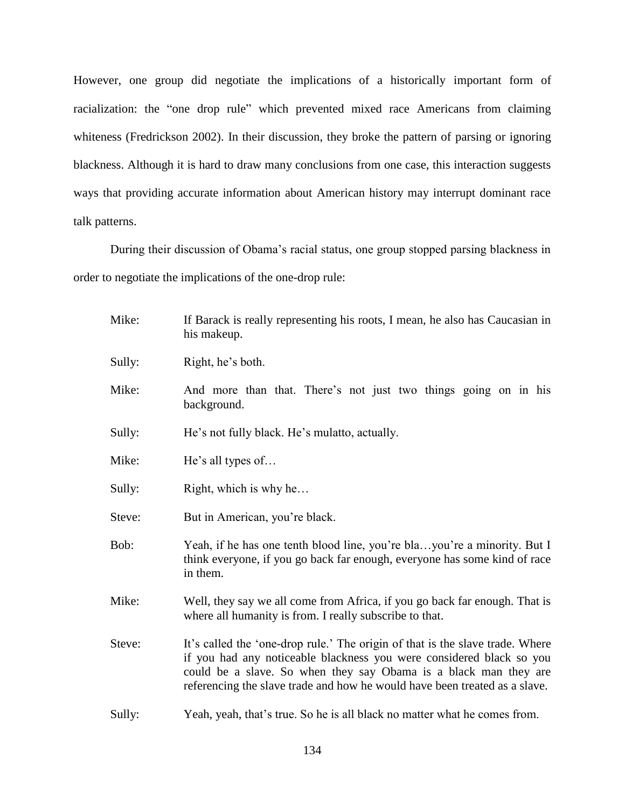However, one group did negotiate the implications of a historically important form of racialization: the "one drop rule" which prevented mixed race Americans from claiming whiteness (Fredrickson 2002). In their discussion, they broke the pattern of parsing or ignoring blackness. Although it is hard to draw many conclusions from one case, this interaction suggests ways that providing accurate information about American history may interrupt dominant race talk patterns.

During their discussion of Obama's racial status, one group stopped parsing blackness in order to negotiate the implications of the one-drop rule:

| Mike:  | If Barack is really representing his roots, I mean, he also has Caucasian in<br>his makeup.                                                                                                                                                                                                             |  |
|--------|---------------------------------------------------------------------------------------------------------------------------------------------------------------------------------------------------------------------------------------------------------------------------------------------------------|--|
| Sully: | Right, he's both.                                                                                                                                                                                                                                                                                       |  |
| Mike:  | And more than that. There's not just two things going on in his<br>background.                                                                                                                                                                                                                          |  |
| Sully: | He's not fully black. He's mulatto, actually.                                                                                                                                                                                                                                                           |  |
| Mike:  | He's all types of                                                                                                                                                                                                                                                                                       |  |
| Sully: | Right, which is why he                                                                                                                                                                                                                                                                                  |  |
| Steve: | But in American, you're black.                                                                                                                                                                                                                                                                          |  |
| Bob:   | Yeah, if he has one tenth blood line, you're blayou're a minority. But I<br>think everyone, if you go back far enough, everyone has some kind of race<br>in them.                                                                                                                                       |  |
| Mike:  | Well, they say we all come from Africa, if you go back far enough. That is<br>where all humanity is from. I really subscribe to that.                                                                                                                                                                   |  |
| Steve: | It's called the 'one-drop rule.' The origin of that is the slave trade. Where<br>if you had any noticeable blackness you were considered black so you<br>could be a slave. So when they say Obama is a black man they are<br>referencing the slave trade and how he would have been treated as a slave. |  |
| Sully: | Yeah, yeah, that's true. So he is all black no matter what he comes from.                                                                                                                                                                                                                               |  |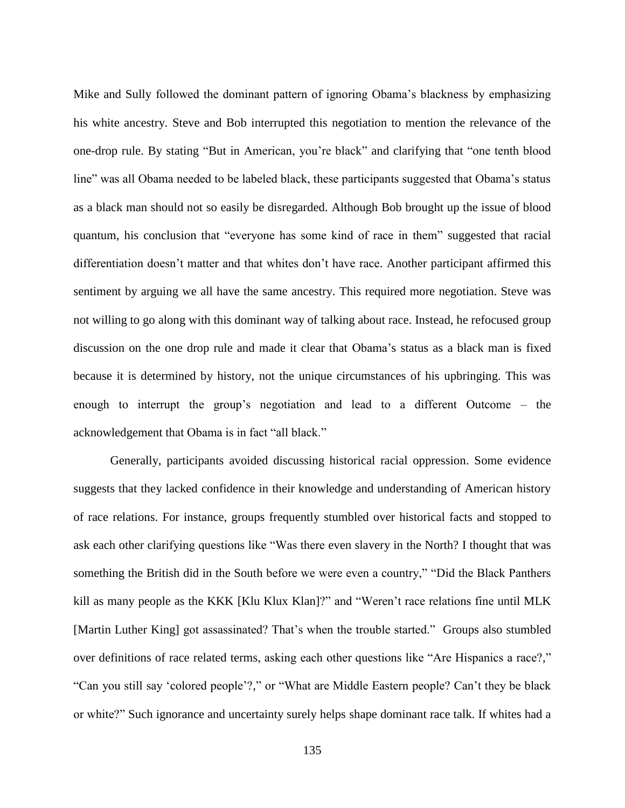Mike and Sully followed the dominant pattern of ignoring Obama's blackness by emphasizing his white ancestry. Steve and Bob interrupted this negotiation to mention the relevance of the one-drop rule. By stating "But in American, you're black" and clarifying that "one tenth blood line" was all Obama needed to be labeled black, these participants suggested that Obama's status as a black man should not so easily be disregarded. Although Bob brought up the issue of blood quantum, his conclusion that "everyone has some kind of race in them" suggested that racial differentiation doesn't matter and that whites don't have race. Another participant affirmed this sentiment by arguing we all have the same ancestry. This required more negotiation. Steve was not willing to go along with this dominant way of talking about race. Instead, he refocused group discussion on the one drop rule and made it clear that Obama's status as a black man is fixed because it is determined by history, not the unique circumstances of his upbringing. This was enough to interrupt the group's negotiation and lead to a different Outcome – the acknowledgement that Obama is in fact "all black."

Generally, participants avoided discussing historical racial oppression. Some evidence suggests that they lacked confidence in their knowledge and understanding of American history of race relations. For instance, groups frequently stumbled over historical facts and stopped to ask each other clarifying questions like "Was there even slavery in the North? I thought that was something the British did in the South before we were even a country," "Did the Black Panthers kill as many people as the KKK [Klu Klux Klan]?" and "Weren't race relations fine until MLK [Martin Luther King] got assassinated? That's when the trouble started." Groups also stumbled over definitions of race related terms, asking each other questions like "Are Hispanics a race?," "Can you still say 'colored people'?," or "What are Middle Eastern people? Can't they be black or white?" Such ignorance and uncertainty surely helps shape dominant race talk. If whites had a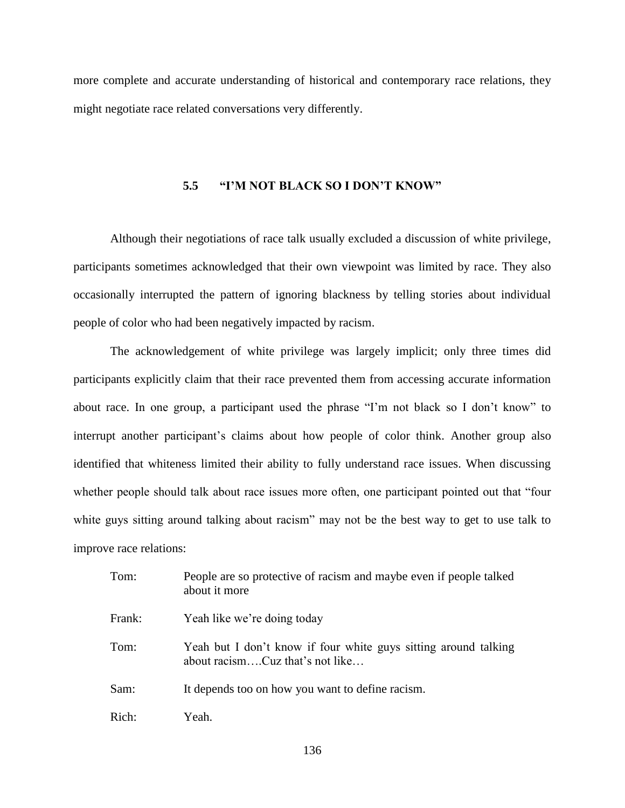more complete and accurate understanding of historical and contemporary race relations, they might negotiate race related conversations very differently.

#### **5.5 "I'M NOT BLACK SO I DON'T KNOW"**

Although their negotiations of race talk usually excluded a discussion of white privilege, participants sometimes acknowledged that their own viewpoint was limited by race. They also occasionally interrupted the pattern of ignoring blackness by telling stories about individual people of color who had been negatively impacted by racism.

The acknowledgement of white privilege was largely implicit; only three times did participants explicitly claim that their race prevented them from accessing accurate information about race. In one group, a participant used the phrase "I'm not black so I don't know" to interrupt another participant's claims about how people of color think. Another group also identified that whiteness limited their ability to fully understand race issues. When discussing whether people should talk about race issues more often, one participant pointed out that "four white guys sitting around talking about racism" may not be the best way to get to use talk to improve race relations:

| Tom:   | People are so protective of racism and maybe even if people talked<br>about it more                |
|--------|----------------------------------------------------------------------------------------------------|
| Frank: | Yeah like we're doing today                                                                        |
| Tom:   | Yeah but I don't know if four white guys sitting around talking<br>about racismCuz that's not like |
| Sam:   | It depends too on how you want to define racism.                                                   |
| Rich:  | Yeah.                                                                                              |

136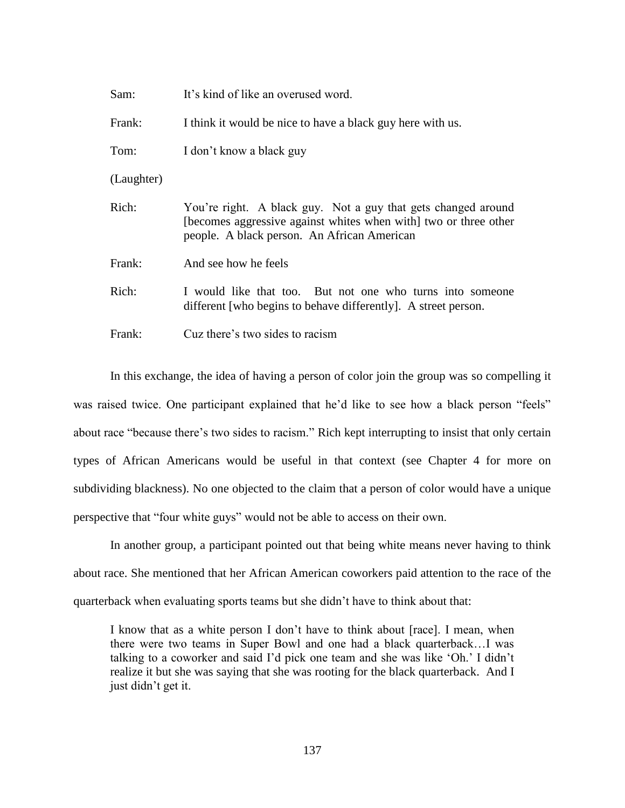| Sam:       | It's kind of like an overused word.                                                                                                                                              |
|------------|----------------------------------------------------------------------------------------------------------------------------------------------------------------------------------|
| Frank:     | I think it would be nice to have a black guy here with us.                                                                                                                       |
| Tom:       | I don't know a black guy                                                                                                                                                         |
| (Laughter) |                                                                                                                                                                                  |
| Rich:      | You're right. A black guy. Not a guy that gets changed around<br>[becomes aggressive against whites when with] two or three other<br>people. A black person. An African American |
| Frank:     | And see how he feels                                                                                                                                                             |
| Rich:      | I would like that too. But not one who turns into some one<br>different [who begins to behave differently]. A street person.                                                     |
| Frank:     | Cuz there's two sides to racism                                                                                                                                                  |

In this exchange, the idea of having a person of color join the group was so compelling it was raised twice. One participant explained that he'd like to see how a black person "feels" about race "because there's two sides to racism." Rich kept interrupting to insist that only certain types of African Americans would be useful in that context (see Chapter 4 for more on subdividing blackness). No one objected to the claim that a person of color would have a unique perspective that "four white guys" would not be able to access on their own.

In another group, a participant pointed out that being white means never having to think about race. She mentioned that her African American coworkers paid attention to the race of the quarterback when evaluating sports teams but she didn't have to think about that:

I know that as a white person I don't have to think about [race]. I mean, when there were two teams in Super Bowl and one had a black quarterback…I was talking to a coworker and said I'd pick one team and she was like 'Oh.' I didn't realize it but she was saying that she was rooting for the black quarterback. And I just didn't get it.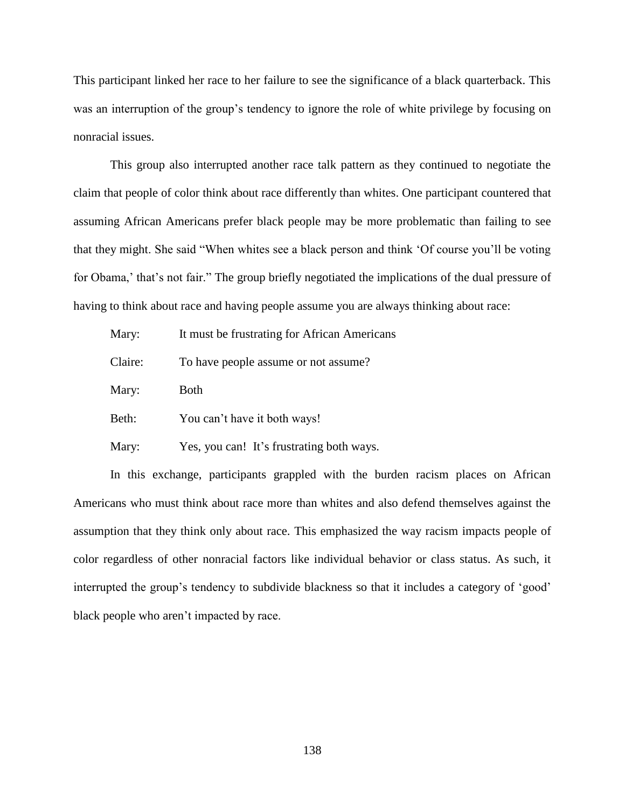This participant linked her race to her failure to see the significance of a black quarterback. This was an interruption of the group's tendency to ignore the role of white privilege by focusing on nonracial issues.

This group also interrupted another race talk pattern as they continued to negotiate the claim that people of color think about race differently than whites. One participant countered that assuming African Americans prefer black people may be more problematic than failing to see that they might. She said "When whites see a black person and think 'Of course you'll be voting for Obama,' that's not fair." The group briefly negotiated the implications of the dual pressure of having to think about race and having people assume you are always thinking about race:

| Mary:   | It must be frustrating for African Americans |
|---------|----------------------------------------------|
| Claire: | To have people assume or not assume?         |
| Mary:   | <b>Both</b>                                  |
| Beth:   | You can't have it both ways!                 |
| Mary:   | Yes, you can! It's frustrating both ways.    |

In this exchange, participants grappled with the burden racism places on African Americans who must think about race more than whites and also defend themselves against the assumption that they think only about race. This emphasized the way racism impacts people of color regardless of other nonracial factors like individual behavior or class status. As such, it interrupted the group's tendency to subdivide blackness so that it includes a category of 'good' black people who aren't impacted by race.

138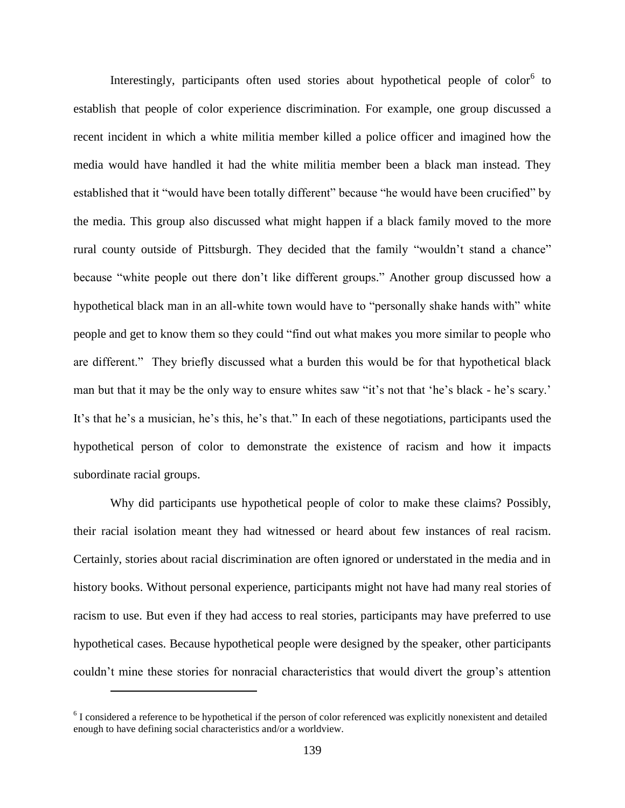Interestingly, participants often used stories about hypothetical people of color<sup>6</sup> to establish that people of color experience discrimination. For example, one group discussed a recent incident in which a white militia member killed a police officer and imagined how the media would have handled it had the white militia member been a black man instead. They established that it "would have been totally different" because "he would have been crucified" by the media. This group also discussed what might happen if a black family moved to the more rural county outside of Pittsburgh. They decided that the family "wouldn't stand a chance" because "white people out there don't like different groups." Another group discussed how a hypothetical black man in an all-white town would have to "personally shake hands with" white people and get to know them so they could "find out what makes you more similar to people who are different." They briefly discussed what a burden this would be for that hypothetical black man but that it may be the only way to ensure whites saw "it's not that 'he's black - he's scary.' It's that he's a musician, he's this, he's that." In each of these negotiations, participants used the hypothetical person of color to demonstrate the existence of racism and how it impacts subordinate racial groups.

Why did participants use hypothetical people of color to make these claims? Possibly, their racial isolation meant they had witnessed or heard about few instances of real racism. Certainly, stories about racial discrimination are often ignored or understated in the media and in history books. Without personal experience, participants might not have had many real stories of racism to use. But even if they had access to real stories, participants may have preferred to use hypothetical cases. Because hypothetical people were designed by the speaker, other participants couldn't mine these stories for nonracial characteristics that would divert the group's attention

 $\overline{a}$ 

 $6$  I considered a reference to be hypothetical if the person of color referenced was explicitly nonexistent and detailed enough to have defining social characteristics and/or a worldview.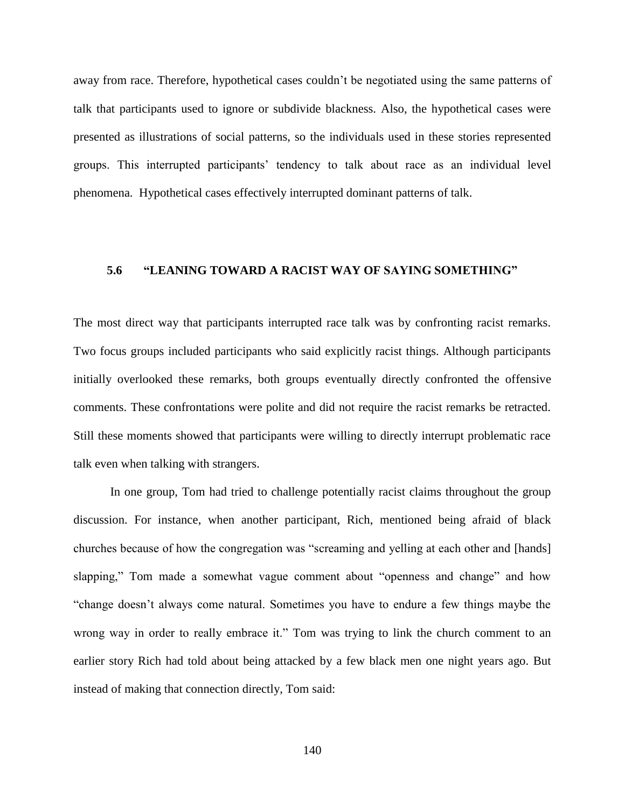away from race. Therefore, hypothetical cases couldn't be negotiated using the same patterns of talk that participants used to ignore or subdivide blackness. Also, the hypothetical cases were presented as illustrations of social patterns, so the individuals used in these stories represented groups. This interrupted participants' tendency to talk about race as an individual level phenomena. Hypothetical cases effectively interrupted dominant patterns of talk.

### **5.6 "LEANING TOWARD A RACIST WAY OF SAYING SOMETHING"**

The most direct way that participants interrupted race talk was by confronting racist remarks. Two focus groups included participants who said explicitly racist things. Although participants initially overlooked these remarks, both groups eventually directly confronted the offensive comments. These confrontations were polite and did not require the racist remarks be retracted. Still these moments showed that participants were willing to directly interrupt problematic race talk even when talking with strangers.

In one group, Tom had tried to challenge potentially racist claims throughout the group discussion. For instance, when another participant, Rich, mentioned being afraid of black churches because of how the congregation was "screaming and yelling at each other and [hands] slapping," Tom made a somewhat vague comment about "openness and change" and how "change doesn't always come natural. Sometimes you have to endure a few things maybe the wrong way in order to really embrace it." Tom was trying to link the church comment to an earlier story Rich had told about being attacked by a few black men one night years ago. But instead of making that connection directly, Tom said: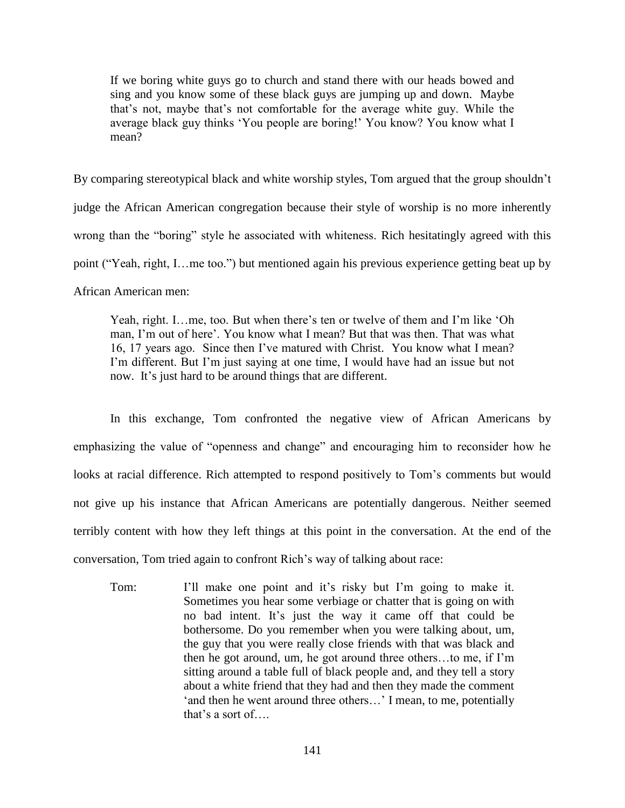If we boring white guys go to church and stand there with our heads bowed and sing and you know some of these black guys are jumping up and down. Maybe that's not, maybe that's not comfortable for the average white guy. While the average black guy thinks 'You people are boring!' You know? You know what I mean?

By comparing stereotypical black and white worship styles, Tom argued that the group shouldn't judge the African American congregation because their style of worship is no more inherently wrong than the "boring" style he associated with whiteness. Rich hesitatingly agreed with this point ("Yeah, right, I…me too.") but mentioned again his previous experience getting beat up by African American men:

Yeah, right. I…me, too. But when there's ten or twelve of them and I'm like 'Oh man, I'm out of here'. You know what I mean? But that was then. That was what 16, 17 years ago. Since then I've matured with Christ. You know what I mean? I'm different. But I'm just saying at one time, I would have had an issue but not now. It's just hard to be around things that are different.

In this exchange, Tom confronted the negative view of African Americans by emphasizing the value of "openness and change" and encouraging him to reconsider how he looks at racial difference. Rich attempted to respond positively to Tom's comments but would not give up his instance that African Americans are potentially dangerous. Neither seemed terribly content with how they left things at this point in the conversation. At the end of the conversation, Tom tried again to confront Rich's way of talking about race:

Tom: I'll make one point and it's risky but I'm going to make it. Sometimes you hear some verbiage or chatter that is going on with no bad intent. It's just the way it came off that could be bothersome. Do you remember when you were talking about, um, the guy that you were really close friends with that was black and then he got around, um, he got around three others…to me, if I'm sitting around a table full of black people and, and they tell a story about a white friend that they had and then they made the comment 'and then he went around three others…' I mean, to me, potentially that's a sort of….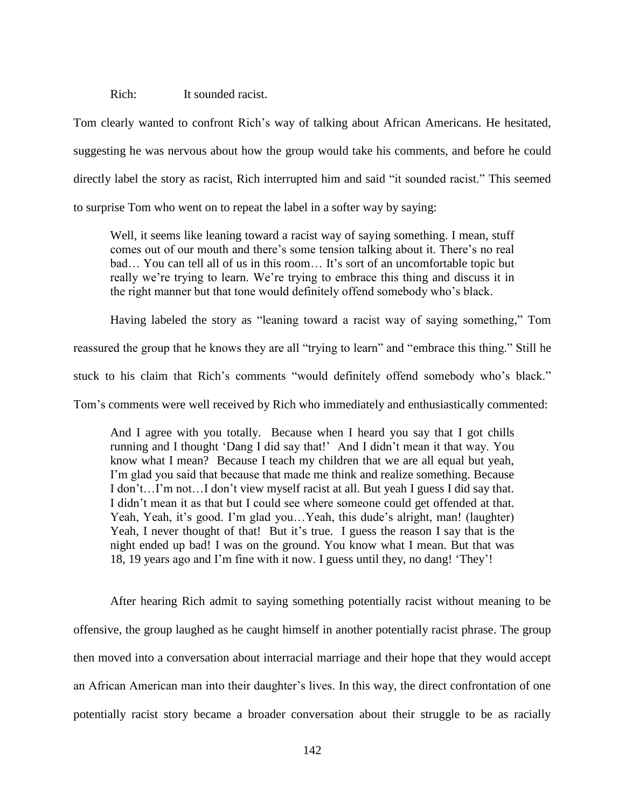Rich: It sounded racist.

Tom clearly wanted to confront Rich's way of talking about African Americans. He hesitated, suggesting he was nervous about how the group would take his comments, and before he could directly label the story as racist, Rich interrupted him and said "it sounded racist." This seemed to surprise Tom who went on to repeat the label in a softer way by saying:

Well, it seems like leaning toward a racist way of saying something. I mean, stuff comes out of our mouth and there's some tension talking about it. There's no real bad… You can tell all of us in this room… It's sort of an uncomfortable topic but really we're trying to learn. We're trying to embrace this thing and discuss it in the right manner but that tone would definitely offend somebody who's black.

Having labeled the story as "leaning toward a racist way of saying something," Tom

reassured the group that he knows they are all "trying to learn" and "embrace this thing." Still he

stuck to his claim that Rich's comments "would definitely offend somebody who's black."

Tom's comments were well received by Rich who immediately and enthusiastically commented:

And I agree with you totally. Because when I heard you say that I got chills running and I thought 'Dang I did say that!' And I didn't mean it that way. You know what I mean? Because I teach my children that we are all equal but yeah, I'm glad you said that because that made me think and realize something. Because I don't…I'm not…I don't view myself racist at all. But yeah I guess I did say that. I didn't mean it as that but I could see where someone could get offended at that. Yeah, Yeah, it's good. I'm glad you...Yeah, this dude's alright, man! (laughter) Yeah, I never thought of that! But it's true. I guess the reason I say that is the night ended up bad! I was on the ground. You know what I mean. But that was 18, 19 years ago and I'm fine with it now. I guess until they, no dang! 'They'!

After hearing Rich admit to saying something potentially racist without meaning to be offensive, the group laughed as he caught himself in another potentially racist phrase. The group then moved into a conversation about interracial marriage and their hope that they would accept an African American man into their daughter's lives. In this way, the direct confrontation of one potentially racist story became a broader conversation about their struggle to be as racially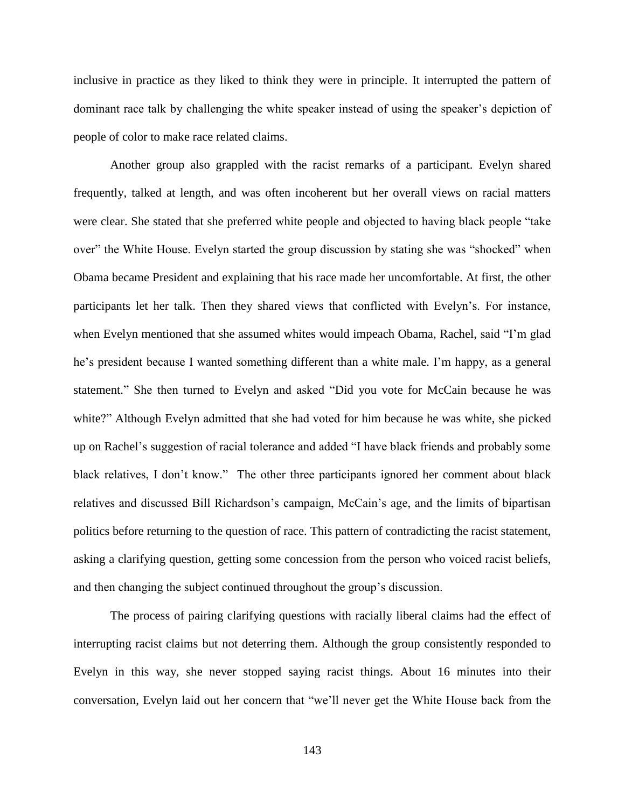inclusive in practice as they liked to think they were in principle. It interrupted the pattern of dominant race talk by challenging the white speaker instead of using the speaker's depiction of people of color to make race related claims.

Another group also grappled with the racist remarks of a participant. Evelyn shared frequently, talked at length, and was often incoherent but her overall views on racial matters were clear. She stated that she preferred white people and objected to having black people "take over" the White House. Evelyn started the group discussion by stating she was "shocked" when Obama became President and explaining that his race made her uncomfortable. At first, the other participants let her talk. Then they shared views that conflicted with Evelyn's. For instance, when Evelyn mentioned that she assumed whites would impeach Obama, Rachel, said "I'm glad he's president because I wanted something different than a white male. I'm happy, as a general statement." She then turned to Evelyn and asked "Did you vote for McCain because he was white?" Although Evelyn admitted that she had voted for him because he was white, she picked up on Rachel's suggestion of racial tolerance and added "I have black friends and probably some black relatives, I don't know." The other three participants ignored her comment about black relatives and discussed Bill Richardson's campaign, McCain's age, and the limits of bipartisan politics before returning to the question of race. This pattern of contradicting the racist statement, asking a clarifying question, getting some concession from the person who voiced racist beliefs, and then changing the subject continued throughout the group's discussion.

The process of pairing clarifying questions with racially liberal claims had the effect of interrupting racist claims but not deterring them. Although the group consistently responded to Evelyn in this way, she never stopped saying racist things. About 16 minutes into their conversation, Evelyn laid out her concern that "we'll never get the White House back from the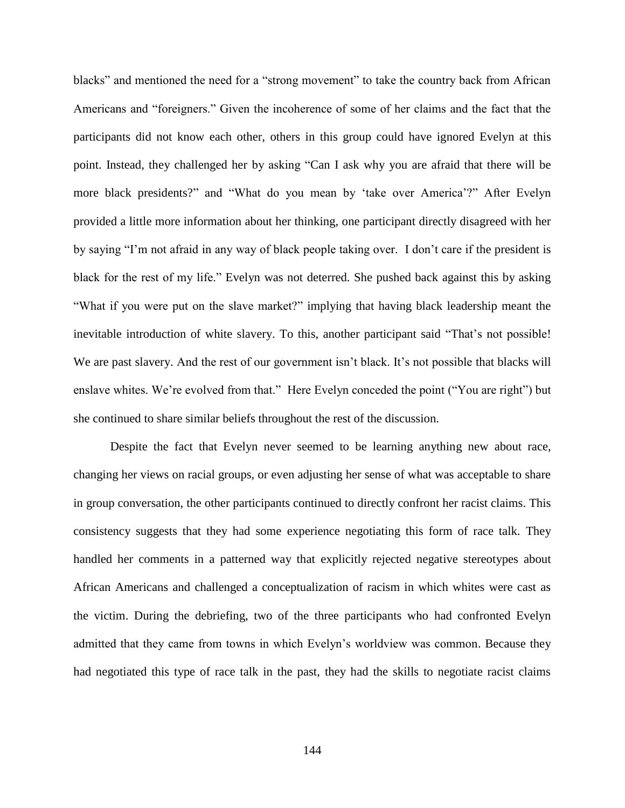blacks" and mentioned the need for a "strong movement" to take the country back from African Americans and "foreigners." Given the incoherence of some of her claims and the fact that the participants did not know each other, others in this group could have ignored Evelyn at this point. Instead, they challenged her by asking "Can I ask why you are afraid that there will be more black presidents?" and "What do you mean by 'take over America'?" After Evelyn provided a little more information about her thinking, one participant directly disagreed with her by saying "I'm not afraid in any way of black people taking over. I don't care if the president is black for the rest of my life." Evelyn was not deterred. She pushed back against this by asking "What if you were put on the slave market?" implying that having black leadership meant the inevitable introduction of white slavery. To this, another participant said "That's not possible! We are past slavery. And the rest of our government isn't black. It's not possible that blacks will enslave whites. We're evolved from that." Here Evelyn conceded the point ("You are right") but she continued to share similar beliefs throughout the rest of the discussion.

Despite the fact that Evelyn never seemed to be learning anything new about race, changing her views on racial groups, or even adjusting her sense of what was acceptable to share in group conversation, the other participants continued to directly confront her racist claims. This consistency suggests that they had some experience negotiating this form of race talk. They handled her comments in a patterned way that explicitly rejected negative stereotypes about African Americans and challenged a conceptualization of racism in which whites were cast as the victim. During the debriefing, two of the three participants who had confronted Evelyn admitted that they came from towns in which Evelyn's worldview was common. Because they had negotiated this type of race talk in the past, they had the skills to negotiate racist claims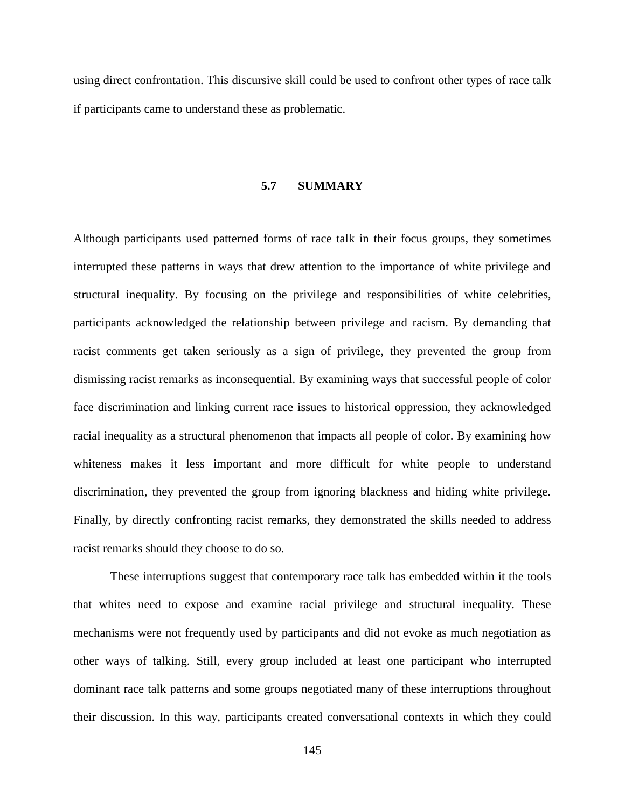using direct confrontation. This discursive skill could be used to confront other types of race talk if participants came to understand these as problematic.

#### **5.7 SUMMARY**

Although participants used patterned forms of race talk in their focus groups, they sometimes interrupted these patterns in ways that drew attention to the importance of white privilege and structural inequality. By focusing on the privilege and responsibilities of white celebrities, participants acknowledged the relationship between privilege and racism. By demanding that racist comments get taken seriously as a sign of privilege, they prevented the group from dismissing racist remarks as inconsequential. By examining ways that successful people of color face discrimination and linking current race issues to historical oppression, they acknowledged racial inequality as a structural phenomenon that impacts all people of color. By examining how whiteness makes it less important and more difficult for white people to understand discrimination, they prevented the group from ignoring blackness and hiding white privilege. Finally, by directly confronting racist remarks, they demonstrated the skills needed to address racist remarks should they choose to do so.

These interruptions suggest that contemporary race talk has embedded within it the tools that whites need to expose and examine racial privilege and structural inequality. These mechanisms were not frequently used by participants and did not evoke as much negotiation as other ways of talking. Still, every group included at least one participant who interrupted dominant race talk patterns and some groups negotiated many of these interruptions throughout their discussion. In this way, participants created conversational contexts in which they could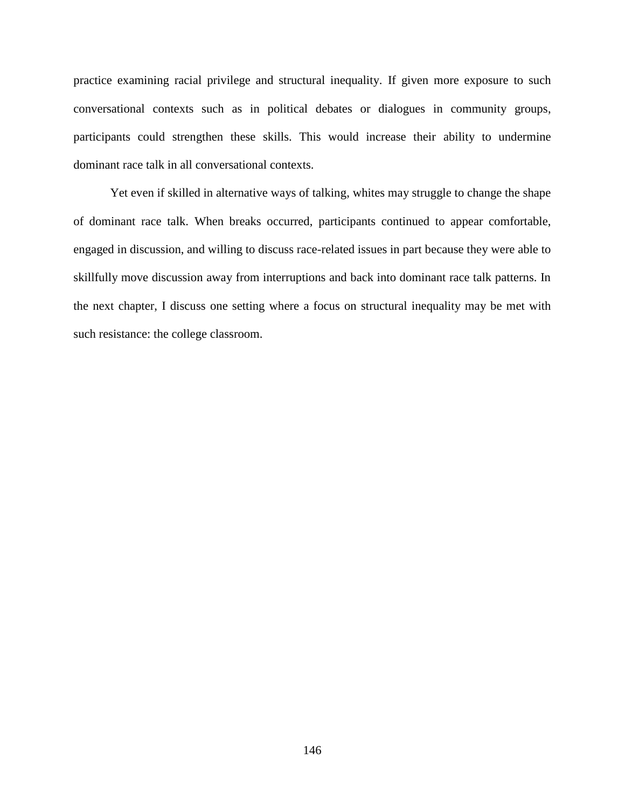practice examining racial privilege and structural inequality. If given more exposure to such conversational contexts such as in political debates or dialogues in community groups, participants could strengthen these skills. This would increase their ability to undermine dominant race talk in all conversational contexts.

Yet even if skilled in alternative ways of talking, whites may struggle to change the shape of dominant race talk. When breaks occurred, participants continued to appear comfortable, engaged in discussion, and willing to discuss race-related issues in part because they were able to skillfully move discussion away from interruptions and back into dominant race talk patterns. In the next chapter, I discuss one setting where a focus on structural inequality may be met with such resistance: the college classroom.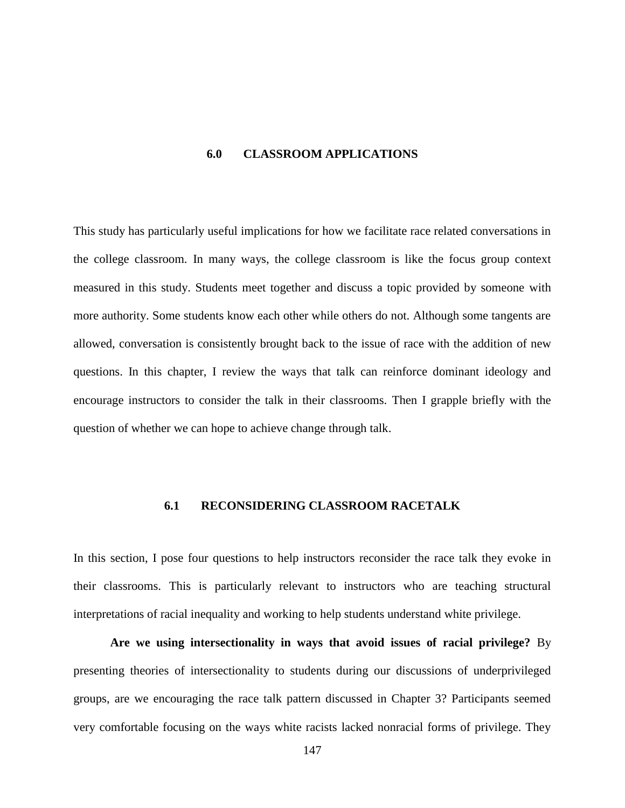#### **6.0 CLASSROOM APPLICATIONS**

This study has particularly useful implications for how we facilitate race related conversations in the college classroom. In many ways, the college classroom is like the focus group context measured in this study. Students meet together and discuss a topic provided by someone with more authority. Some students know each other while others do not. Although some tangents are allowed, conversation is consistently brought back to the issue of race with the addition of new questions. In this chapter, I review the ways that talk can reinforce dominant ideology and encourage instructors to consider the talk in their classrooms. Then I grapple briefly with the question of whether we can hope to achieve change through talk.

### **6.1 RECONSIDERING CLASSROOM RACETALK**

In this section, I pose four questions to help instructors reconsider the race talk they evoke in their classrooms. This is particularly relevant to instructors who are teaching structural interpretations of racial inequality and working to help students understand white privilege.

**Are we using intersectionality in ways that avoid issues of racial privilege?** By presenting theories of intersectionality to students during our discussions of underprivileged groups, are we encouraging the race talk pattern discussed in Chapter 3? Participants seemed very comfortable focusing on the ways white racists lacked nonracial forms of privilege. They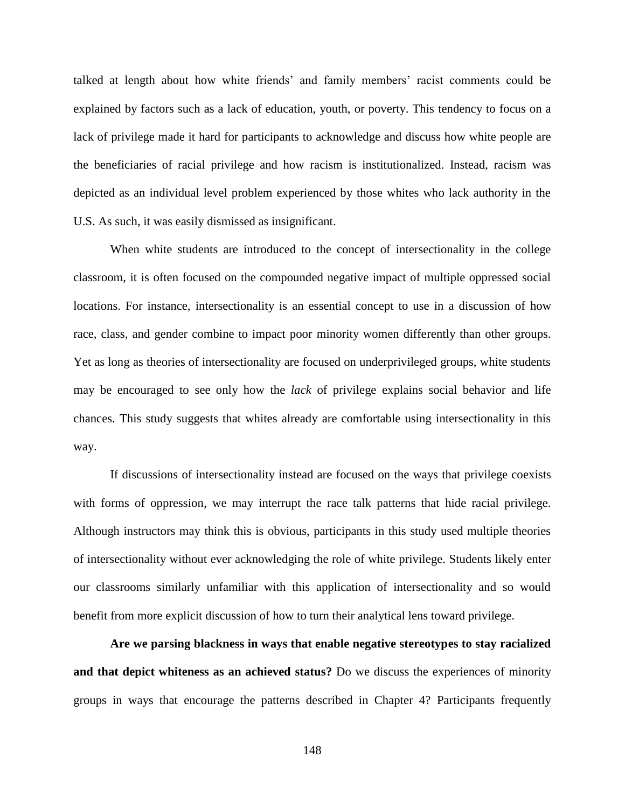talked at length about how white friends' and family members' racist comments could be explained by factors such as a lack of education, youth, or poverty. This tendency to focus on a lack of privilege made it hard for participants to acknowledge and discuss how white people are the beneficiaries of racial privilege and how racism is institutionalized. Instead, racism was depicted as an individual level problem experienced by those whites who lack authority in the U.S. As such, it was easily dismissed as insignificant.

When white students are introduced to the concept of intersectionality in the college classroom, it is often focused on the compounded negative impact of multiple oppressed social locations. For instance, intersectionality is an essential concept to use in a discussion of how race, class, and gender combine to impact poor minority women differently than other groups. Yet as long as theories of intersectionality are focused on underprivileged groups, white students may be encouraged to see only how the *lack* of privilege explains social behavior and life chances. This study suggests that whites already are comfortable using intersectionality in this way.

If discussions of intersectionality instead are focused on the ways that privilege coexists with forms of oppression, we may interrupt the race talk patterns that hide racial privilege. Although instructors may think this is obvious, participants in this study used multiple theories of intersectionality without ever acknowledging the role of white privilege. Students likely enter our classrooms similarly unfamiliar with this application of intersectionality and so would benefit from more explicit discussion of how to turn their analytical lens toward privilege.

**Are we parsing blackness in ways that enable negative stereotypes to stay racialized and that depict whiteness as an achieved status?** Do we discuss the experiences of minority groups in ways that encourage the patterns described in Chapter 4? Participants frequently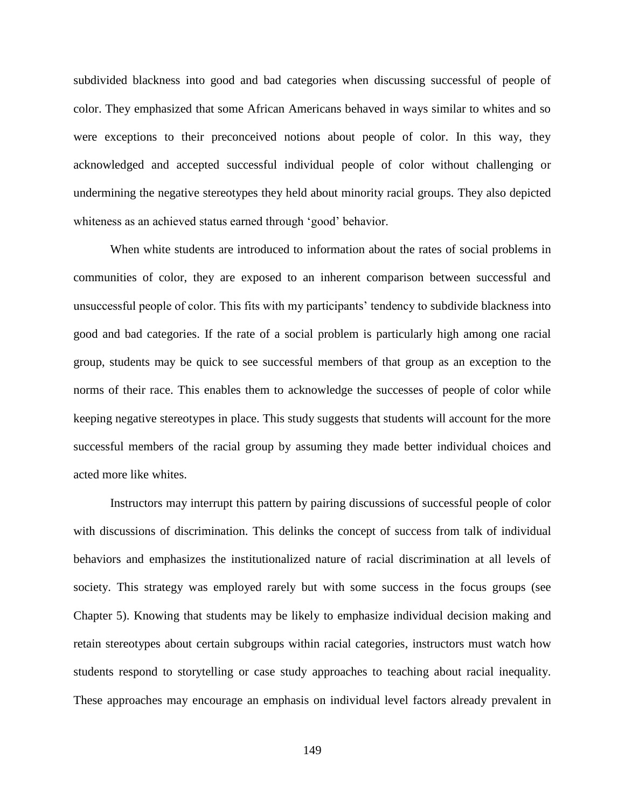subdivided blackness into good and bad categories when discussing successful of people of color. They emphasized that some African Americans behaved in ways similar to whites and so were exceptions to their preconceived notions about people of color. In this way, they acknowledged and accepted successful individual people of color without challenging or undermining the negative stereotypes they held about minority racial groups. They also depicted whiteness as an achieved status earned through 'good' behavior.

When white students are introduced to information about the rates of social problems in communities of color, they are exposed to an inherent comparison between successful and unsuccessful people of color. This fits with my participants' tendency to subdivide blackness into good and bad categories. If the rate of a social problem is particularly high among one racial group, students may be quick to see successful members of that group as an exception to the norms of their race. This enables them to acknowledge the successes of people of color while keeping negative stereotypes in place. This study suggests that students will account for the more successful members of the racial group by assuming they made better individual choices and acted more like whites.

Instructors may interrupt this pattern by pairing discussions of successful people of color with discussions of discrimination. This delinks the concept of success from talk of individual behaviors and emphasizes the institutionalized nature of racial discrimination at all levels of society. This strategy was employed rarely but with some success in the focus groups (see Chapter 5). Knowing that students may be likely to emphasize individual decision making and retain stereotypes about certain subgroups within racial categories, instructors must watch how students respond to storytelling or case study approaches to teaching about racial inequality. These approaches may encourage an emphasis on individual level factors already prevalent in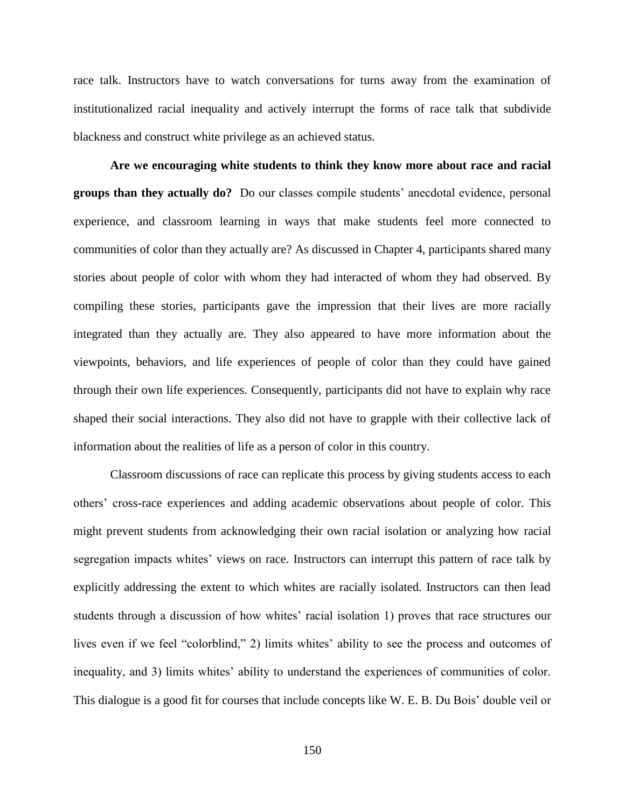race talk. Instructors have to watch conversations for turns away from the examination of institutionalized racial inequality and actively interrupt the forms of race talk that subdivide blackness and construct white privilege as an achieved status.

**Are we encouraging white students to think they know more about race and racial groups than they actually do?** Do our classes compile students' anecdotal evidence, personal experience, and classroom learning in ways that make students feel more connected to communities of color than they actually are? As discussed in Chapter 4, participants shared many stories about people of color with whom they had interacted of whom they had observed. By compiling these stories, participants gave the impression that their lives are more racially integrated than they actually are. They also appeared to have more information about the viewpoints, behaviors, and life experiences of people of color than they could have gained through their own life experiences. Consequently, participants did not have to explain why race shaped their social interactions. They also did not have to grapple with their collective lack of information about the realities of life as a person of color in this country.

Classroom discussions of race can replicate this process by giving students access to each others' cross-race experiences and adding academic observations about people of color. This might prevent students from acknowledging their own racial isolation or analyzing how racial segregation impacts whites' views on race. Instructors can interrupt this pattern of race talk by explicitly addressing the extent to which whites are racially isolated. Instructors can then lead students through a discussion of how whites' racial isolation 1) proves that race structures our lives even if we feel "colorblind," 2) limits whites' ability to see the process and outcomes of inequality, and 3) limits whites' ability to understand the experiences of communities of color. This dialogue is a good fit for courses that include concepts like W. E. B. Du Bois' double veil or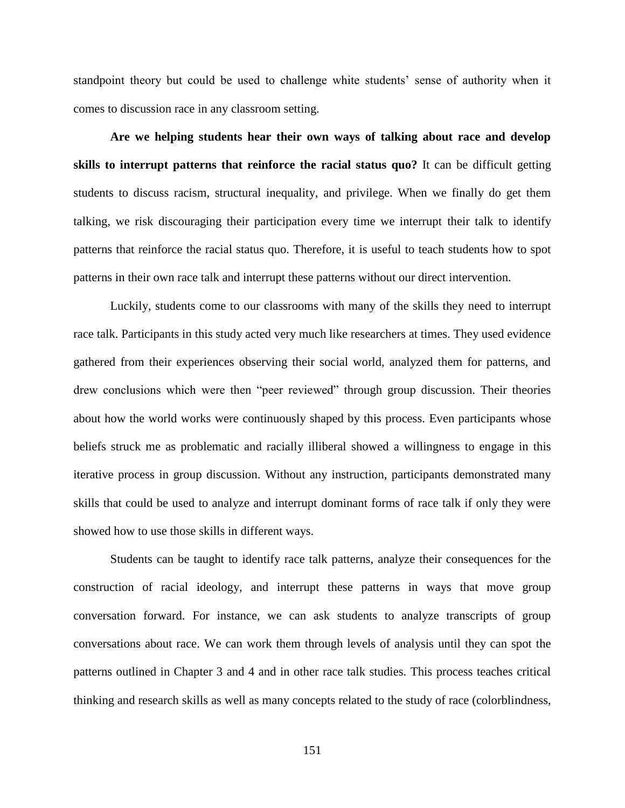standpoint theory but could be used to challenge white students' sense of authority when it comes to discussion race in any classroom setting.

**Are we helping students hear their own ways of talking about race and develop skills to interrupt patterns that reinforce the racial status quo?** It can be difficult getting students to discuss racism, structural inequality, and privilege. When we finally do get them talking, we risk discouraging their participation every time we interrupt their talk to identify patterns that reinforce the racial status quo. Therefore, it is useful to teach students how to spot patterns in their own race talk and interrupt these patterns without our direct intervention.

Luckily, students come to our classrooms with many of the skills they need to interrupt race talk. Participants in this study acted very much like researchers at times. They used evidence gathered from their experiences observing their social world, analyzed them for patterns, and drew conclusions which were then "peer reviewed" through group discussion. Their theories about how the world works were continuously shaped by this process. Even participants whose beliefs struck me as problematic and racially illiberal showed a willingness to engage in this iterative process in group discussion. Without any instruction, participants demonstrated many skills that could be used to analyze and interrupt dominant forms of race talk if only they were showed how to use those skills in different ways.

Students can be taught to identify race talk patterns, analyze their consequences for the construction of racial ideology, and interrupt these patterns in ways that move group conversation forward. For instance, we can ask students to analyze transcripts of group conversations about race. We can work them through levels of analysis until they can spot the patterns outlined in Chapter 3 and 4 and in other race talk studies. This process teaches critical thinking and research skills as well as many concepts related to the study of race (colorblindness,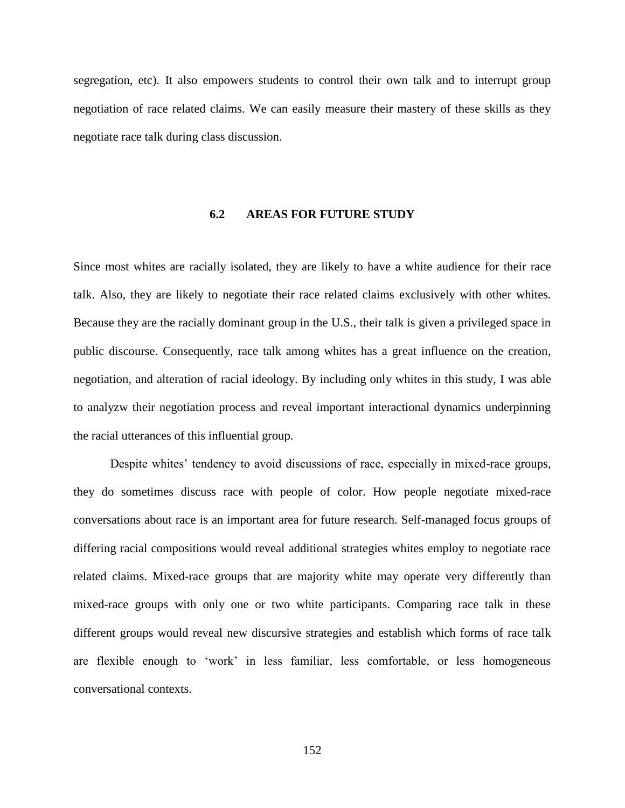segregation, etc). It also empowers students to control their own talk and to interrupt group negotiation of race related claims. We can easily measure their mastery of these skills as they negotiate race talk during class discussion.

#### **6.2 AREAS FOR FUTURE STUDY**

Since most whites are racially isolated, they are likely to have a white audience for their race talk. Also, they are likely to negotiate their race related claims exclusively with other whites. Because they are the racially dominant group in the U.S., their talk is given a privileged space in public discourse. Consequently, race talk among whites has a great influence on the creation, negotiation, and alteration of racial ideology. By including only whites in this study, I was able to analyzw their negotiation process and reveal important interactional dynamics underpinning the racial utterances of this influential group.

Despite whites' tendency to avoid discussions of race, especially in mixed-race groups, they do sometimes discuss race with people of color. How people negotiate mixed-race conversations about race is an important area for future research. Self-managed focus groups of differing racial compositions would reveal additional strategies whites employ to negotiate race related claims. Mixed-race groups that are majority white may operate very differently than mixed-race groups with only one or two white participants. Comparing race talk in these different groups would reveal new discursive strategies and establish which forms of race talk are flexible enough to 'work' in less familiar, less comfortable, or less homogeneous conversational contexts.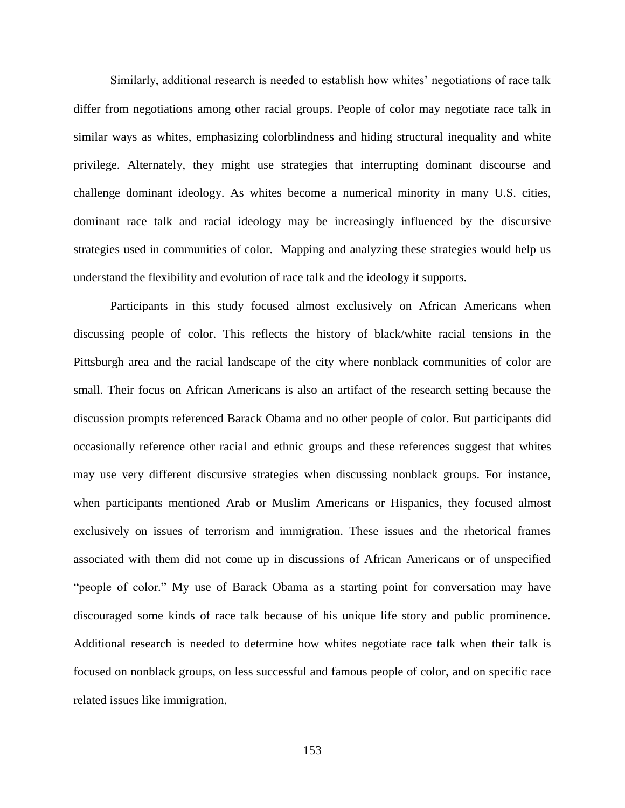Similarly, additional research is needed to establish how whites' negotiations of race talk differ from negotiations among other racial groups. People of color may negotiate race talk in similar ways as whites, emphasizing colorblindness and hiding structural inequality and white privilege. Alternately, they might use strategies that interrupting dominant discourse and challenge dominant ideology. As whites become a numerical minority in many U.S. cities, dominant race talk and racial ideology may be increasingly influenced by the discursive strategies used in communities of color. Mapping and analyzing these strategies would help us understand the flexibility and evolution of race talk and the ideology it supports.

Participants in this study focused almost exclusively on African Americans when discussing people of color. This reflects the history of black/white racial tensions in the Pittsburgh area and the racial landscape of the city where nonblack communities of color are small. Their focus on African Americans is also an artifact of the research setting because the discussion prompts referenced Barack Obama and no other people of color. But participants did occasionally reference other racial and ethnic groups and these references suggest that whites may use very different discursive strategies when discussing nonblack groups. For instance, when participants mentioned Arab or Muslim Americans or Hispanics, they focused almost exclusively on issues of terrorism and immigration. These issues and the rhetorical frames associated with them did not come up in discussions of African Americans or of unspecified "people of color." My use of Barack Obama as a starting point for conversation may have discouraged some kinds of race talk because of his unique life story and public prominence. Additional research is needed to determine how whites negotiate race talk when their talk is focused on nonblack groups, on less successful and famous people of color, and on specific race related issues like immigration.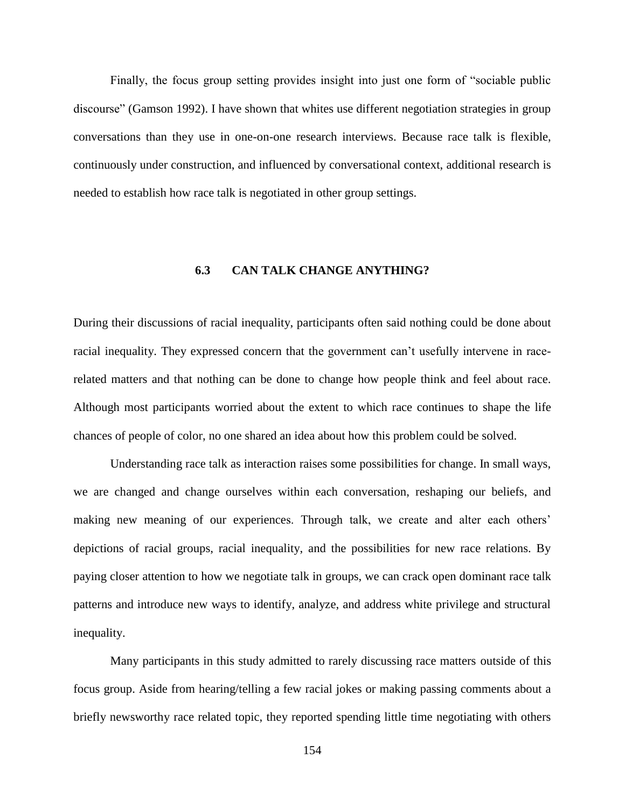Finally, the focus group setting provides insight into just one form of "sociable public discourse" (Gamson 1992). I have shown that whites use different negotiation strategies in group conversations than they use in one-on-one research interviews. Because race talk is flexible, continuously under construction, and influenced by conversational context, additional research is needed to establish how race talk is negotiated in other group settings.

### **6.3 CAN TALK CHANGE ANYTHING?**

During their discussions of racial inequality, participants often said nothing could be done about racial inequality. They expressed concern that the government can't usefully intervene in racerelated matters and that nothing can be done to change how people think and feel about race. Although most participants worried about the extent to which race continues to shape the life chances of people of color, no one shared an idea about how this problem could be solved.

Understanding race talk as interaction raises some possibilities for change. In small ways, we are changed and change ourselves within each conversation, reshaping our beliefs, and making new meaning of our experiences. Through talk, we create and alter each others' depictions of racial groups, racial inequality, and the possibilities for new race relations. By paying closer attention to how we negotiate talk in groups, we can crack open dominant race talk patterns and introduce new ways to identify, analyze, and address white privilege and structural inequality.

Many participants in this study admitted to rarely discussing race matters outside of this focus group. Aside from hearing/telling a few racial jokes or making passing comments about a briefly newsworthy race related topic, they reported spending little time negotiating with others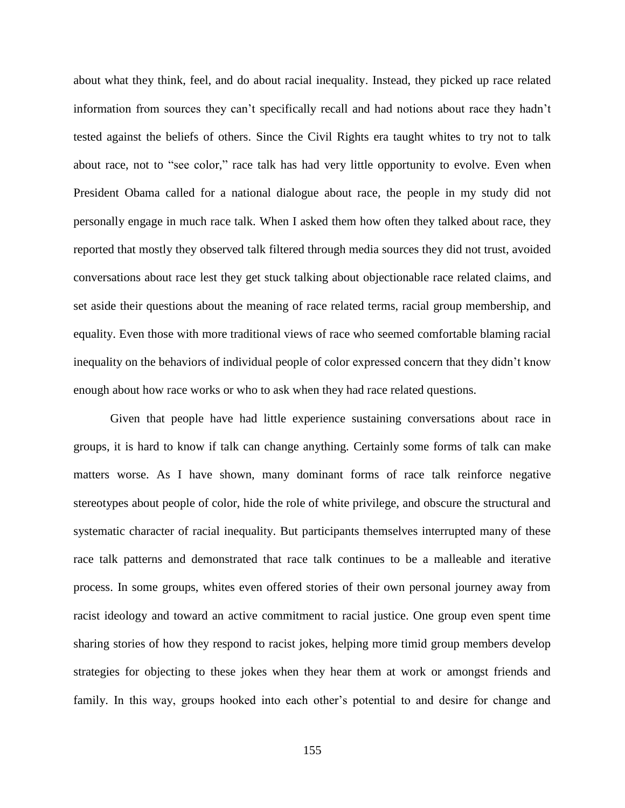about what they think, feel, and do about racial inequality. Instead, they picked up race related information from sources they can't specifically recall and had notions about race they hadn't tested against the beliefs of others. Since the Civil Rights era taught whites to try not to talk about race, not to "see color," race talk has had very little opportunity to evolve. Even when President Obama called for a national dialogue about race, the people in my study did not personally engage in much race talk. When I asked them how often they talked about race, they reported that mostly they observed talk filtered through media sources they did not trust, avoided conversations about race lest they get stuck talking about objectionable race related claims, and set aside their questions about the meaning of race related terms, racial group membership, and equality. Even those with more traditional views of race who seemed comfortable blaming racial inequality on the behaviors of individual people of color expressed concern that they didn't know enough about how race works or who to ask when they had race related questions.

Given that people have had little experience sustaining conversations about race in groups, it is hard to know if talk can change anything. Certainly some forms of talk can make matters worse. As I have shown, many dominant forms of race talk reinforce negative stereotypes about people of color, hide the role of white privilege, and obscure the structural and systematic character of racial inequality. But participants themselves interrupted many of these race talk patterns and demonstrated that race talk continues to be a malleable and iterative process. In some groups, whites even offered stories of their own personal journey away from racist ideology and toward an active commitment to racial justice. One group even spent time sharing stories of how they respond to racist jokes, helping more timid group members develop strategies for objecting to these jokes when they hear them at work or amongst friends and family. In this way, groups hooked into each other's potential to and desire for change and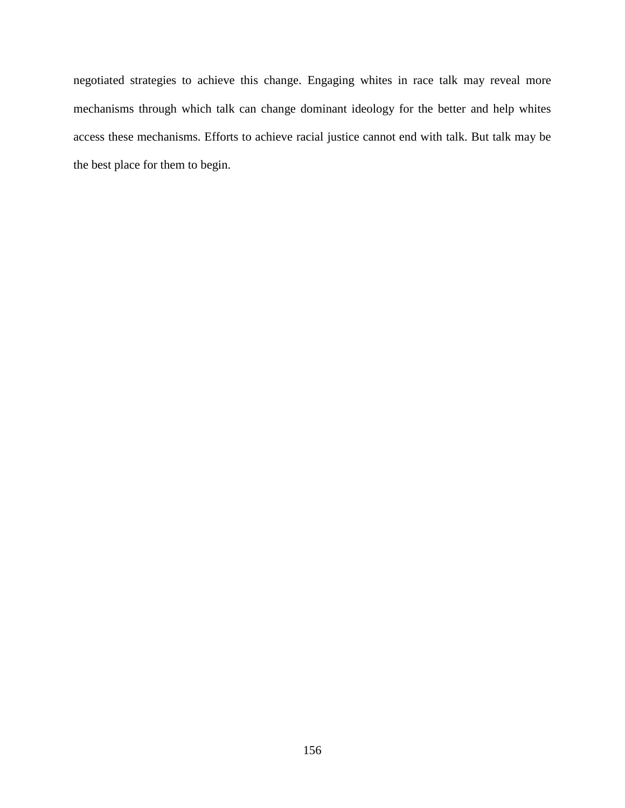negotiated strategies to achieve this change. Engaging whites in race talk may reveal more mechanisms through which talk can change dominant ideology for the better and help whites access these mechanisms. Efforts to achieve racial justice cannot end with talk. But talk may be the best place for them to begin.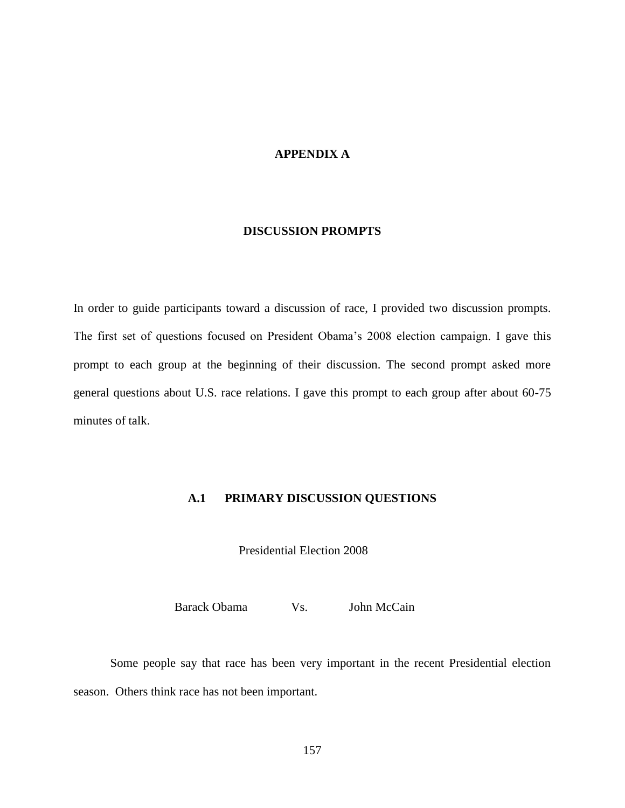## **APPENDIX A**

#### **DISCUSSION PROMPTS**

In order to guide participants toward a discussion of race, I provided two discussion prompts. The first set of questions focused on President Obama's 2008 election campaign. I gave this prompt to each group at the beginning of their discussion. The second prompt asked more general questions about U.S. race relations. I gave this prompt to each group after about 60-75 minutes of talk.

## **A.1 PRIMARY DISCUSSION QUESTIONS**

Presidential Election 2008

Barack Obama Vs. John McCain Vs.

Some people say that race has been very important in the recent Presidential election season. Others think race has not been important.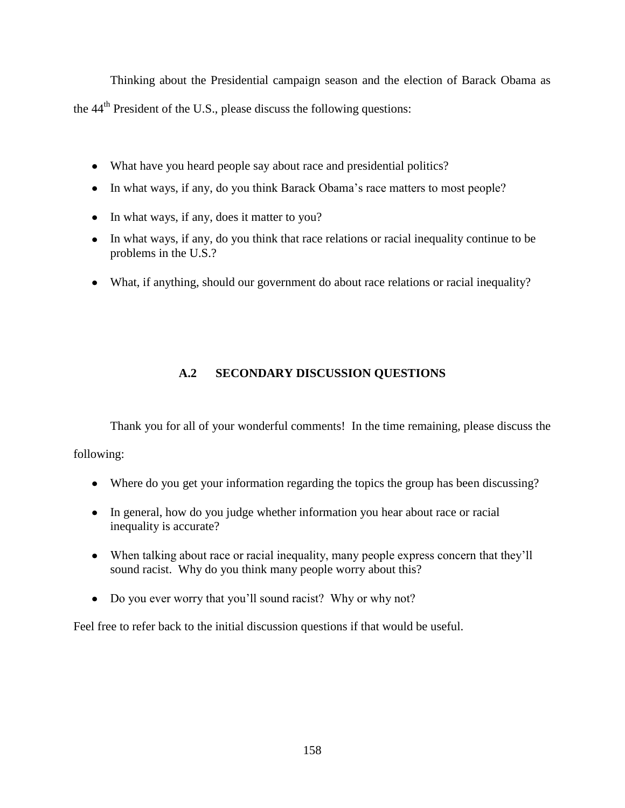Thinking about the Presidential campaign season and the election of Barack Obama as

the 44th President of the U.S., please discuss the following questions:

- What have you heard people say about race and presidential politics?
- In what ways, if any, do you think Barack Obama's race matters to most people?
- In what ways, if any, does it matter to you?
- In what ways, if any, do you think that race relations or racial inequality continue to be problems in the U.S.?
- What, if anything, should our government do about race relations or racial inequality?

# **A.2 SECONDARY DISCUSSION QUESTIONS**

Thank you for all of your wonderful comments! In the time remaining, please discuss the

following:

- Where do you get your information regarding the topics the group has been discussing?
- In general, how do you judge whether information you hear about race or racial inequality is accurate?
- When talking about race or racial inequality, many people express concern that they'll sound racist. Why do you think many people worry about this?
- Do you ever worry that you'll sound racist? Why or why not?

Feel free to refer back to the initial discussion questions if that would be useful.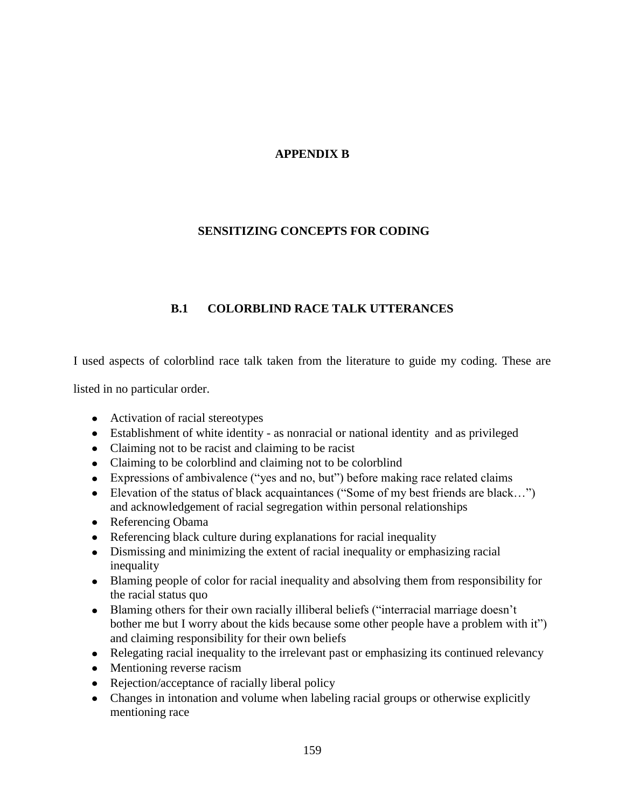# **APPENDIX B**

## **SENSITIZING CONCEPTS FOR CODING**

# **B.1 COLORBLIND RACE TALK UTTERANCES**

I used aspects of colorblind race talk taken from the literature to guide my coding. These are

listed in no particular order.

- Activation of racial stereotypes
- Establishment of white identity as nonracial or national identity and as privileged
- Claiming not to be racist and claiming to be racist
- Claiming to be colorblind and claiming not to be colorblind
- Expressions of ambivalence ("yes and no, but") before making race related claims
- Elevation of the status of black acquaintances ("Some of my best friends are black…") and acknowledgement of racial segregation within personal relationships
- Referencing Obama
- Referencing black culture during explanations for racial inequality
- Dismissing and minimizing the extent of racial inequality or emphasizing racial inequality
- Blaming people of color for racial inequality and absolving them from responsibility for the racial status quo
- Blaming others for their own racially illiberal beliefs ("interracial marriage doesn't bother me but I worry about the kids because some other people have a problem with it") and claiming responsibility for their own beliefs
- Relegating racial inequality to the irrelevant past or emphasizing its continued relevancy
- Mentioning reverse racism
- Rejection/acceptance of racially liberal policy
- Changes in intonation and volume when labeling racial groups or otherwise explicitly mentioning race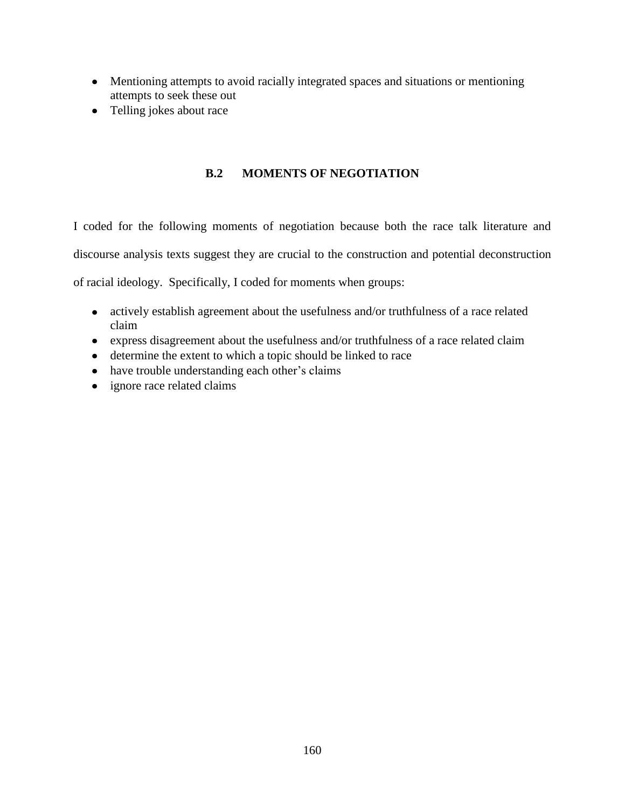- Mentioning attempts to avoid racially integrated spaces and situations or mentioning attempts to seek these out
- Telling jokes about race

## **B.2 MOMENTS OF NEGOTIATION**

I coded for the following moments of negotiation because both the race talk literature and discourse analysis texts suggest they are crucial to the construction and potential deconstruction

of racial ideology. Specifically, I coded for moments when groups:

- actively establish agreement about the usefulness and/or truthfulness of a race related claim
- express disagreement about the usefulness and/or truthfulness of a race related claim
- determine the extent to which a topic should be linked to race
- have trouble understanding each other's claims
- ignore race related claims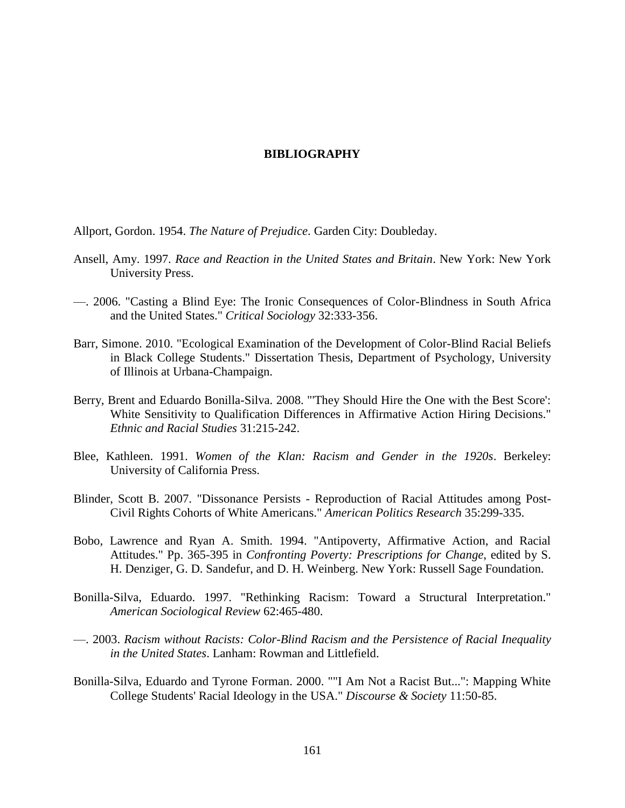#### **BIBLIOGRAPHY**

Allport, Gordon. 1954. *The Nature of Prejudice*. Garden City: Doubleday.

- Ansell, Amy. 1997. *Race and Reaction in the United States and Britain*. New York: New York University Press.
- —. 2006. "Casting a Blind Eye: The Ironic Consequences of Color-Blindness in South Africa and the United States." *Critical Sociology* 32:333-356.
- Barr, Simone. 2010. "Ecological Examination of the Development of Color-Blind Racial Beliefs in Black College Students." Dissertation Thesis, Department of Psychology, University of Illinois at Urbana-Champaign.
- Berry, Brent and Eduardo Bonilla-Silva. 2008. "'They Should Hire the One with the Best Score': White Sensitivity to Qualification Differences in Affirmative Action Hiring Decisions." *Ethnic and Racial Studies* 31:215-242.
- Blee, Kathleen. 1991. *Women of the Klan: Racism and Gender in the 1920s*. Berkeley: University of California Press.
- Blinder, Scott B. 2007. "Dissonance Persists Reproduction of Racial Attitudes among Post-Civil Rights Cohorts of White Americans." *American Politics Research* 35:299-335.
- Bobo, Lawrence and Ryan A. Smith. 1994. "Antipoverty, Affirmative Action, and Racial Attitudes." Pp. 365-395 in *Confronting Poverty: Prescriptions for Change*, edited by S. H. Denziger, G. D. Sandefur, and D. H. Weinberg. New York: Russell Sage Foundation.
- Bonilla-Silva, Eduardo. 1997. "Rethinking Racism: Toward a Structural Interpretation." *American Sociological Review* 62:465-480.
- —. 2003. *Racism without Racists: Color-Blind Racism and the Persistence of Racial Inequality in the United States*. Lanham: Rowman and Littlefield.
- Bonilla-Silva, Eduardo and Tyrone Forman. 2000. ""I Am Not a Racist But...": Mapping White College Students' Racial Ideology in the USA." *Discourse & Society* 11:50-85.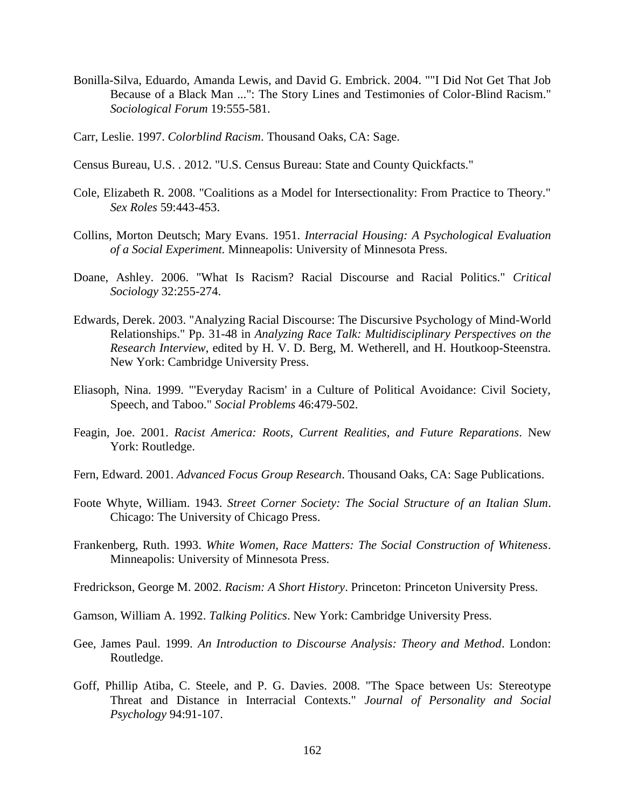- Bonilla-Silva, Eduardo, Amanda Lewis, and David G. Embrick. 2004. ""I Did Not Get That Job Because of a Black Man ...": The Story Lines and Testimonies of Color-Blind Racism." *Sociological Forum* 19:555-581.
- Carr, Leslie. 1997. *Colorblind Racism*. Thousand Oaks, CA: Sage.
- Census Bureau, U.S. . 2012. "U.S. Census Bureau: State and County Quickfacts."
- Cole, Elizabeth R. 2008. "Coalitions as a Model for Intersectionality: From Practice to Theory." *Sex Roles* 59:443-453.
- Collins, Morton Deutsch; Mary Evans. 1951. *Interracial Housing: A Psychological Evaluation of a Social Experiment.* Minneapolis: University of Minnesota Press.
- Doane, Ashley. 2006. "What Is Racism? Racial Discourse and Racial Politics." *Critical Sociology* 32:255-274.
- Edwards, Derek. 2003. "Analyzing Racial Discourse: The Discursive Psychology of Mind-World Relationships." Pp. 31-48 in *Analyzing Race Talk: Multidisciplinary Perspectives on the Research Interview*, edited by H. V. D. Berg, M. Wetherell, and H. Houtkoop-Steenstra. New York: Cambridge University Press.
- Eliasoph, Nina. 1999. "'Everyday Racism' in a Culture of Political Avoidance: Civil Society, Speech, and Taboo." *Social Problems* 46:479-502.
- Feagin, Joe. 2001. *Racist America: Roots, Current Realities, and Future Reparations*. New York: Routledge.
- Fern, Edward. 2001. *Advanced Focus Group Research*. Thousand Oaks, CA: Sage Publications.
- Foote Whyte, William. 1943. *Street Corner Society: The Social Structure of an Italian Slum*. Chicago: The University of Chicago Press.
- Frankenberg, Ruth. 1993. *White Women, Race Matters: The Social Construction of Whiteness*. Minneapolis: University of Minnesota Press.
- Fredrickson, George M. 2002. *Racism: A Short History*. Princeton: Princeton University Press.
- Gamson, William A. 1992. *Talking Politics*. New York: Cambridge University Press.
- Gee, James Paul. 1999. *An Introduction to Discourse Analysis: Theory and Method*. London: Routledge.
- Goff, Phillip Atiba, C. Steele, and P. G. Davies. 2008. "The Space between Us: Stereotype Threat and Distance in Interracial Contexts." *Journal of Personality and Social Psychology* 94:91-107.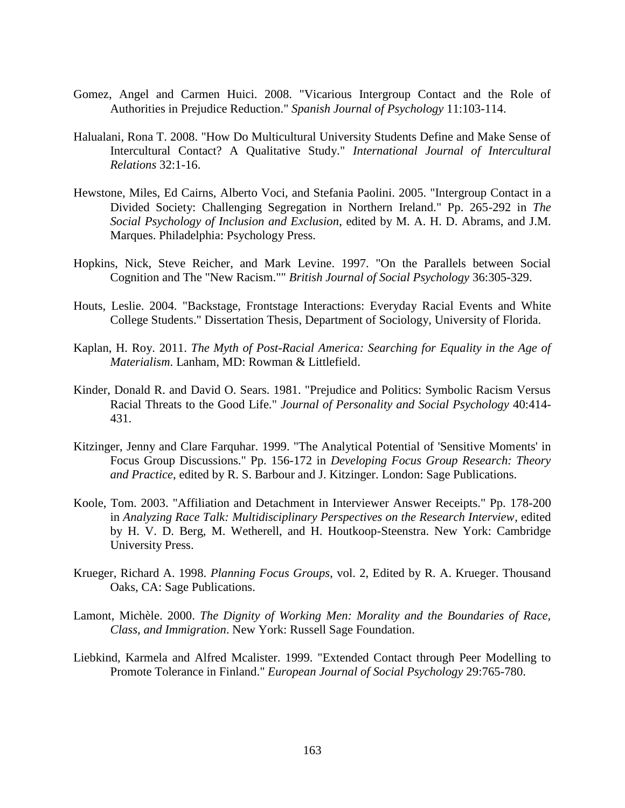- Gomez, Angel and Carmen Huici. 2008. "Vicarious Intergroup Contact and the Role of Authorities in Prejudice Reduction." *Spanish Journal of Psychology* 11:103-114.
- Halualani, Rona T. 2008. "How Do Multicultural University Students Define and Make Sense of Intercultural Contact? A Qualitative Study." *International Journal of Intercultural Relations* 32:1-16.
- Hewstone, Miles, Ed Cairns, Alberto Voci, and Stefania Paolini. 2005. "Intergroup Contact in a Divided Society: Challenging Segregation in Northern Ireland." Pp. 265-292 in *The Social Psychology of Inclusion and Exclusion*, edited by M. A. H. D. Abrams, and J.M. Marques. Philadelphia: Psychology Press.
- Hopkins, Nick, Steve Reicher, and Mark Levine. 1997. "On the Parallels between Social Cognition and The "New Racism."" *British Journal of Social Psychology* 36:305-329.
- Houts, Leslie. 2004. "Backstage, Frontstage Interactions: Everyday Racial Events and White College Students." Dissertation Thesis, Department of Sociology, University of Florida.
- Kaplan, H. Roy. 2011. *The Myth of Post-Racial America: Searching for Equality in the Age of Materialism*. Lanham, MD: Rowman & Littlefield.
- Kinder, Donald R. and David O. Sears. 1981. "Prejudice and Politics: Symbolic Racism Versus Racial Threats to the Good Life." *Journal of Personality and Social Psychology* 40:414- 431.
- Kitzinger, Jenny and Clare Farquhar. 1999. "The Analytical Potential of 'Sensitive Moments' in Focus Group Discussions." Pp. 156-172 in *Developing Focus Group Research: Theory and Practice*, edited by R. S. Barbour and J. Kitzinger. London: Sage Publications.
- Koole, Tom. 2003. "Affiliation and Detachment in Interviewer Answer Receipts." Pp. 178-200 in *Analyzing Race Talk: Multidisciplinary Perspectives on the Research Interview*, edited by H. V. D. Berg, M. Wetherell, and H. Houtkoop-Steenstra. New York: Cambridge University Press.
- Krueger, Richard A. 1998. *Planning Focus Groups*, vol. 2, Edited by R. A. Krueger. Thousand Oaks, CA: Sage Publications.
- Lamont, Michèle. 2000. *The Dignity of Working Men: Morality and the Boundaries of Race, Class, and Immigration*. New York: Russell Sage Foundation.
- Liebkind, Karmela and Alfred Mcalister. 1999. "Extended Contact through Peer Modelling to Promote Tolerance in Finland." *European Journal of Social Psychology* 29:765-780.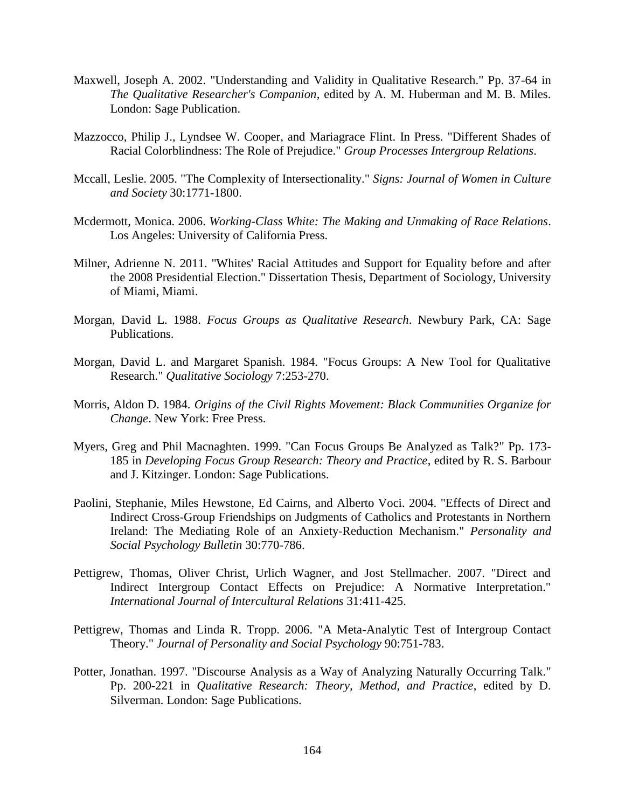- Maxwell, Joseph A. 2002. "Understanding and Validity in Qualitative Research." Pp. 37-64 in *The Qualitative Researcher's Companion*, edited by A. M. Huberman and M. B. Miles. London: Sage Publication.
- Mazzocco, Philip J., Lyndsee W. Cooper, and Mariagrace Flint. In Press. "Different Shades of Racial Colorblindness: The Role of Prejudice." *Group Processes Intergroup Relations*.
- Mccall, Leslie. 2005. "The Complexity of Intersectionality." *Signs: Journal of Women in Culture and Society* 30:1771-1800.
- Mcdermott, Monica. 2006. *Working-Class White: The Making and Unmaking of Race Relations*. Los Angeles: University of California Press.
- Milner, Adrienne N. 2011. "Whites' Racial Attitudes and Support for Equality before and after the 2008 Presidential Election." Dissertation Thesis, Department of Sociology, University of Miami, Miami.
- Morgan, David L. 1988. *Focus Groups as Qualitative Research*. Newbury Park, CA: Sage Publications.
- Morgan, David L. and Margaret Spanish. 1984. "Focus Groups: A New Tool for Qualitative Research." *Qualitative Sociology* 7:253-270.
- Morris, Aldon D. 1984. *Origins of the Civil Rights Movement: Black Communities Organize for Change*. New York: Free Press.
- Myers, Greg and Phil Macnaghten. 1999. "Can Focus Groups Be Analyzed as Talk?" Pp. 173- 185 in *Developing Focus Group Research: Theory and Practice*, edited by R. S. Barbour and J. Kitzinger. London: Sage Publications.
- Paolini, Stephanie, Miles Hewstone, Ed Cairns, and Alberto Voci. 2004. "Effects of Direct and Indirect Cross-Group Friendships on Judgments of Catholics and Protestants in Northern Ireland: The Mediating Role of an Anxiety-Reduction Mechanism." *Personality and Social Psychology Bulletin* 30:770-786.
- Pettigrew, Thomas, Oliver Christ, Urlich Wagner, and Jost Stellmacher. 2007. "Direct and Indirect Intergroup Contact Effects on Prejudice: A Normative Interpretation." *International Journal of Intercultural Relations* 31:411-425.
- Pettigrew, Thomas and Linda R. Tropp. 2006. "A Meta-Analytic Test of Intergroup Contact Theory." *Journal of Personality and Social Psychology* 90:751-783.
- Potter, Jonathan. 1997. "Discourse Analysis as a Way of Analyzing Naturally Occurring Talk." Pp. 200-221 in *Qualitative Research: Theory, Method, and Practice*, edited by D. Silverman. London: Sage Publications.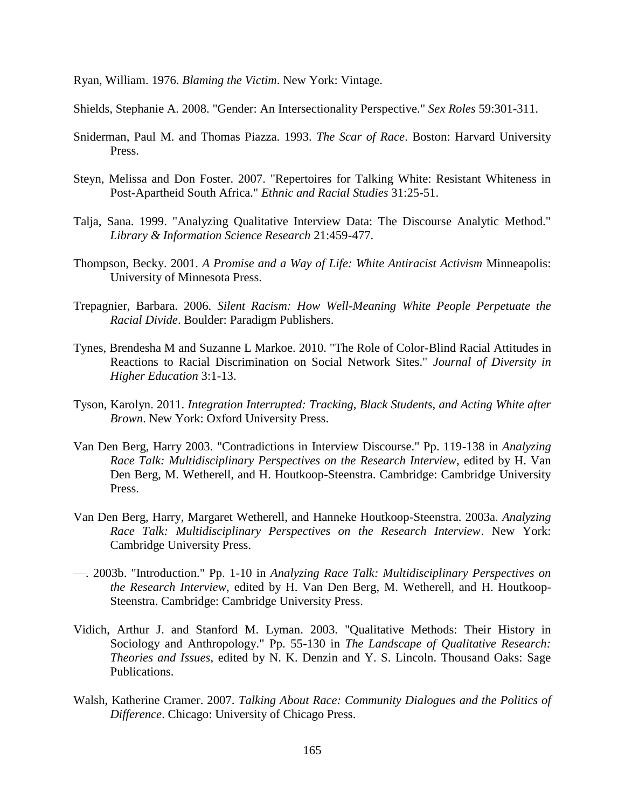Ryan, William. 1976. *Blaming the Victim*. New York: Vintage.

Shields, Stephanie A. 2008. "Gender: An Intersectionality Perspective." *Sex Roles* 59:301-311.

- Sniderman, Paul M. and Thomas Piazza. 1993. *The Scar of Race*. Boston: Harvard University Press.
- Steyn, Melissa and Don Foster. 2007. "Repertoires for Talking White: Resistant Whiteness in Post-Apartheid South Africa." *Ethnic and Racial Studies* 31:25-51.
- Talja, Sana. 1999. "Analyzing Qualitative Interview Data: The Discourse Analytic Method." *Library & Information Science Research* 21:459-477.
- Thompson, Becky. 2001. *A Promise and a Way of Life: White Antiracist Activism* Minneapolis: University of Minnesota Press.
- Trepagnier, Barbara. 2006. *Silent Racism: How Well-Meaning White People Perpetuate the Racial Divide*. Boulder: Paradigm Publishers.
- Tynes, Brendesha M and Suzanne L Markoe. 2010. "The Role of Color-Blind Racial Attitudes in Reactions to Racial Discrimination on Social Network Sites." *Journal of Diversity in Higher Education* 3:1-13.
- Tyson, Karolyn. 2011. *Integration Interrupted: Tracking, Black Students, and Acting White after Brown*. New York: Oxford University Press.
- Van Den Berg, Harry 2003. "Contradictions in Interview Discourse." Pp. 119-138 in *Analyzing Race Talk: Multidisciplinary Perspectives on the Research Interview*, edited by H. Van Den Berg, M. Wetherell, and H. Houtkoop-Steenstra. Cambridge: Cambridge University Press.
- Van Den Berg, Harry, Margaret Wetherell, and Hanneke Houtkoop-Steenstra. 2003a. *Analyzing Race Talk: Multidisciplinary Perspectives on the Research Interview*. New York: Cambridge University Press.
- —. 2003b. "Introduction." Pp. 1-10 in *Analyzing Race Talk: Multidisciplinary Perspectives on the Research Interview*, edited by H. Van Den Berg, M. Wetherell, and H. Houtkoop-Steenstra. Cambridge: Cambridge University Press.
- Vidich, Arthur J. and Stanford M. Lyman. 2003. "Qualitative Methods: Their History in Sociology and Anthropology." Pp. 55-130 in *The Landscape of Qualitative Research: Theories and Issues*, edited by N. K. Denzin and Y. S. Lincoln. Thousand Oaks: Sage Publications.
- Walsh, Katherine Cramer. 2007. *Talking About Race: Community Dialogues and the Politics of Difference*. Chicago: University of Chicago Press.